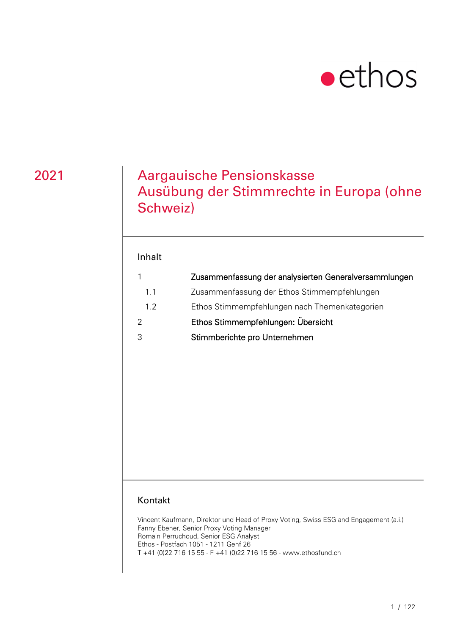# $\bullet$  ethos

### 2021 Aargauische Pensionskasse Ausübung der Stimmrechte in Europa (ohne Schweiz)

### Inhalt

|     | Zusammenfassung der analysierten Generalversammlungen |
|-----|-------------------------------------------------------|
| 1.1 | Zusammenfassung der Ethos Stimmempfehlungen           |
| 12  | Ethos Stimmempfehlungen nach Themenkategorien         |
|     | Ethos Stimmempfehlungen: Übersicht                    |
|     | Stimmberichte pro Unternehmen                         |

### Kontakt

Vincent Kaufmann, Direktor und Head of Proxy Voting, Swiss ESG and Engagement (a.i.) Fanny Ebener, Senior Proxy Voting Manager Romain Perruchoud, Senior ESG Analyst Ethos - Postfach 1051 - 1211 Genf 26 T +41 (0)22 716 15 55 - F +41 (0)22 716 15 56 - www.ethosfund.ch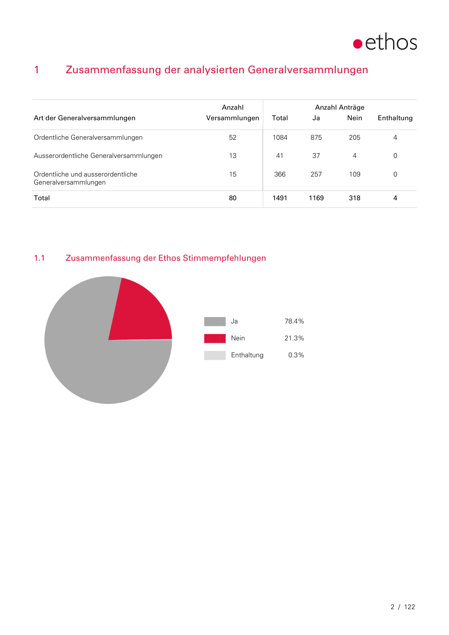

### 1 Zusammenfassung der analysierten Generalversammlungen

|                                                           | Anzahl        | Anzahl Anträge |      |             |            |  |  |  |  |
|-----------------------------------------------------------|---------------|----------------|------|-------------|------------|--|--|--|--|
| Art der Generalversammlungen                              | Versammlungen | Total          | Ja   | <b>Nein</b> | Enthaltung |  |  |  |  |
| Ordentliche Generalversammlungen                          | 52            | 1084           | 875  | 205         | 4          |  |  |  |  |
| Ausserordentliche Generalversammlungen                    | 13            | 41             | 37   | 4           | 0          |  |  |  |  |
| Ordentliche und ausserordentliche<br>Generalversammlungen | 15            | 366            | 257  | 109         | 0          |  |  |  |  |
| Total                                                     | 80            | 1491           | 1169 | 318         | 4          |  |  |  |  |

### 1.1 Zusammenfassung der Ethos Stimmempfehlungen

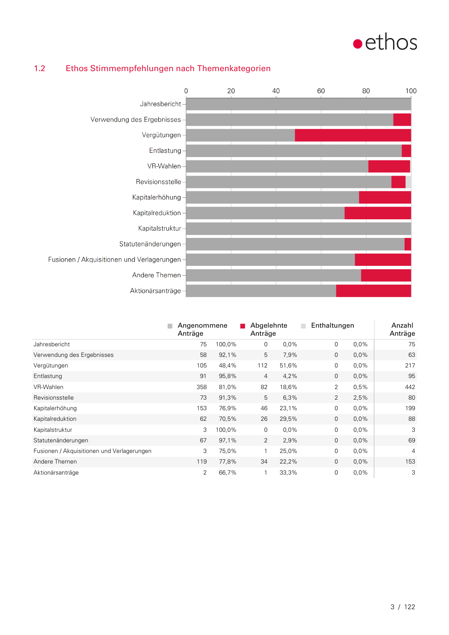



### 1.2 Ethos Stimmempfehlungen nach Themenkategorien

|                                            | Angenommene<br>Anträge |        | Abgelehnte<br>Anträge |         | Enthaltungen<br><b>COL</b> | Anzahl<br>Anträge |
|--------------------------------------------|------------------------|--------|-----------------------|---------|----------------------------|-------------------|
| Jahresbericht                              | 75                     | 100,0% | $\mathbf 0$           | $0.0\%$ | 0<br>$0.0\%$               | 75                |
| Verwendung des Ergebnisses                 | 58                     | 92,1%  | 5                     | 7,9%    | $0.0\%$<br>0               | 63                |
| Vergütungen                                | 105                    | 48,4%  | 112                   | 51,6%   | $0.0\%$<br>0               | 217               |
| Entlastung                                 | 91                     | 95,8%  | $\overline{4}$        | 4,2%    | $0.0\%$<br>0               | 95                |
| VR-Wahlen                                  | 358                    | 81,0%  | 82                    | 18,6%   | $\overline{2}$<br>0.5%     | 442               |
| Revisionsstelle                            | 73                     | 91,3%  | 5                     | 6,3%    | $\overline{2}$<br>2,5%     | 80                |
| Kapitalerhöhung                            | 153                    | 76,9%  | 46                    | 23,1%   | $0.0\%$<br>0               | 199               |
| Kapitalreduktion                           | 62                     | 70,5%  | 26                    | 29,5%   | $0.0\%$<br>0               | 88                |
| Kapitalstruktur                            | 3                      | 100,0% | 0                     | $0.0\%$ | 0<br>$0.0\%$               | 3                 |
| Statutenänderungen                         | 67                     | 97,1%  | 2                     | 2,9%    | $0.0\%$<br>0               | 69                |
| Fusionen / Akquisitionen und Verlagerungen | 3                      | 75,0%  |                       | 25,0%   | 0<br>$0.0\%$               | $\overline{4}$    |
| Andere Themen                              | 119                    | 77,8%  | 34                    | 22,2%   | 0<br>0,0%                  | 153               |
| Aktionärsanträge                           | 2                      | 66,7%  |                       | 33,3%   | 0<br>$0.0\%$               | 3                 |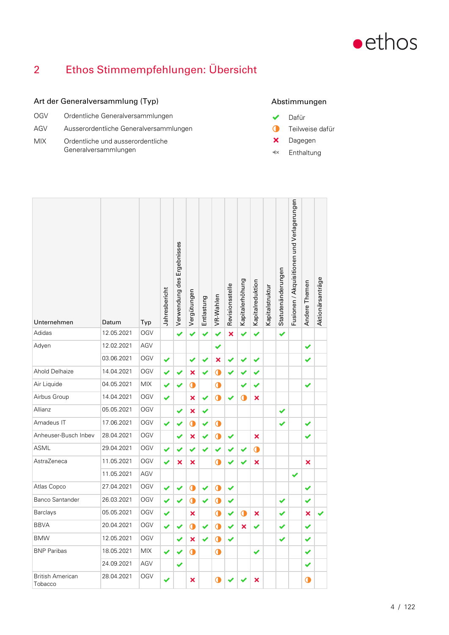

### 2 Ethos Stimmempfehlungen: Übersicht

### Art der Generalversammlung (Typ)

- OGV Ordentliche Generalversammlungen AGV Ausserordentliche Generalversammlungen
- MIX Ordentliche und ausserordentliche Generalversammlungen

### Abstimmungen

- Dafür  $\overline{\mathscr{L}}$
- Teilweise dafür  $\bullet$
- Dagegen  $\overline{\mathbf{x}}$
- Enthaltung

| Unternehmen                        | Datum                    | Typ        | Jahresbericht | Verwendung des Ergebnisses | Vergütungen             | Entlastung | VR-Wahlen               | Revisionsstelle | Kapitalerhöhung | Kapitalreduktion | Kapitalstruktur | Statutenänderungen | Fusionen / Akquisitionen und Verlagerungen | Andere Themen | Aktionärsanträge |
|------------------------------------|--------------------------|------------|---------------|----------------------------|-------------------------|------------|-------------------------|-----------------|-----------------|------------------|-----------------|--------------------|--------------------------------------------|---------------|------------------|
| Adidas                             | 12.05.2021               | OGV        |               | ✔                          |                         | ✔          | ✔                       | ×               |                 |                  |                 | ✔                  |                                            |               |                  |
| Adyen                              | 12.02.2021<br>03.06.2021 | AGV<br>OGV |               |                            |                         |            | ✔                       |                 |                 |                  |                 |                    |                                            | ✔             |                  |
| <b>Ahold Delhaize</b>              | 14.04.2021               | OGV        | ✔             |                            | ✔                       |            | ×                       |                 |                 | ✔                |                 |                    |                                            | ✔             |                  |
|                                    |                          |            | ✔             |                            | ×                       | ✔          | 0                       |                 |                 | ✔                |                 |                    |                                            |               |                  |
| Air Liquide                        | 04.05.2021               | <b>MIX</b> | ✔             |                            | O                       |            | $\mathbf 0$             |                 |                 | ✔                |                 |                    |                                            | ✔             |                  |
| Airbus Group                       | 14.04.2021               | OGV        | ✔             |                            | ×                       | ✔          | $\overline{\textbf{0}}$ | ✔               | O               | ×                |                 |                    |                                            |               |                  |
| Allianz                            | 05.05.2021               | OGV        |               | ✔                          | ×                       | ✔          |                         |                 |                 |                  |                 | ✔                  |                                            |               |                  |
| Amadeus IT                         | 17.06.2021               | OGV        | ✔             | ✔                          | O                       | ✔          | $\mathbf 0$             |                 |                 |                  |                 | ✔                  |                                            | ✔             |                  |
| Anheuser-Busch Inbev               | 28.04.2021               | OGV        |               | ✔                          | ×                       | ✔          | $\mathbf 0$             | ✔               |                 | ×                |                 |                    |                                            | ✔             |                  |
| ASML                               | 29.04.2021               | OGV        |               |                            |                         |            |                         |                 |                 | O                |                 |                    |                                            |               |                  |
| AstraZeneca                        | 11.05.2021               | OGV        |               | ×                          | ×                       |            | ◑                       |                 |                 | ×                |                 |                    |                                            | ×             |                  |
|                                    | 11.05.2021               | AGV        |               |                            |                         |            |                         |                 |                 |                  |                 |                    | ✔                                          |               |                  |
| Atlas Copco                        | 27.04.2021               | OGV        | ✔             |                            | O                       | ✔          | O                       | ✔               |                 |                  |                 |                    |                                            | ✔             |                  |
| <b>Banco Santander</b>             | 26.03.2021               | OGV        | ✔             | ✔                          | ◑                       | ✔          | $\mathbf 0$             | ✔               |                 |                  |                 | ✔                  |                                            | ✔             |                  |
| Barclays                           | 05.05.2021               | OGV        | ✔             |                            | ×                       |            | $\overline{\textbf{0}}$ | ✔               | ◑               | ×                |                 | ✔                  |                                            | ×             |                  |
| <b>BBVA</b>                        | 20.04.2021               | OGV        | ✔             | ✔                          | $\overline{\textbf{0}}$ | ✔          | $\overline{\textbf{O}}$ | ✔               | ×               | ✔                |                 | ✔                  |                                            | ✔             |                  |
| <b>BMW</b>                         | 12.05.2021               | OGV        |               | ✔                          | ×                       | ✔          | $\overline{\textbf{0}}$ | ✔               |                 |                  |                 | ✔                  |                                            | ✔             |                  |
| <b>BNP Paribas</b>                 | 18.05.2021               | MIX        |               |                            | $\mathbf 0$             |            | $\bullet$               |                 |                 | ✔                |                 |                    |                                            | ✔             |                  |
|                                    | 24.09.2021               | AGV        |               | ✔                          |                         |            |                         |                 |                 |                  |                 |                    |                                            | ✔             |                  |
| <b>British American</b><br>Tobacco | 28.04.2021               | OGV        | ✔             |                            | ×                       |            | O                       |                 |                 | ×                |                 |                    |                                            | ◑             |                  |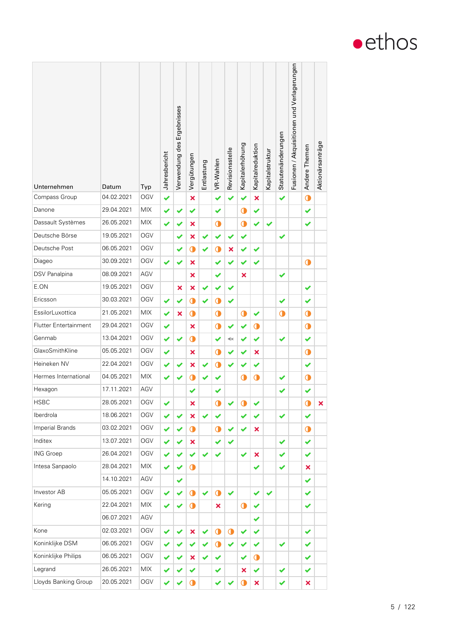| $\bullet$ ethos |  |
|-----------------|--|
|-----------------|--|

| Unternehmen            | Datum      | Typ        | Jahresbericht | Verwendung des Ergebnisses | Vergütungen | Entlastung | VR-Wahlen    | Revisionsstelle | Kapitalerhöhung | Kapitalreduktion | Kapitalstruktur | Statutenänderungen | Fusionen / Akquisitionen und Verlagerungen | Andere Themen | Aktionärsanträge |
|------------------------|------------|------------|---------------|----------------------------|-------------|------------|--------------|-----------------|-----------------|------------------|-----------------|--------------------|--------------------------------------------|---------------|------------------|
| Compass Group          | 04.02.2021 | OGV        | ✔             |                            | ×           |            | ✔            | ✔               | ✔               | ×                |                 | ✔                  |                                            | $\bullet$     |                  |
| Danone                 | 29.04.2021 | MIX        | ✔             | ✔                          | ✔           |            | ✔            |                 | $\bigcirc$      | ✔                |                 |                    |                                            | ✔             |                  |
| Dassault Systèmes      | 26.05.2021 | MIX        | ✔             | ✔                          | ×           |            | $\mathbf 0$  |                 | $\bullet$       | ✔                | ✔               |                    |                                            | ✔             |                  |
| Deutsche Börse         | 19.05.2021 | OGV        |               | ✔                          | ×           | ✔          | ✔            |                 | ✔               |                  |                 | ✔                  |                                            |               |                  |
| Deutsche Post          | 06.05.2021 | OGV        |               | ✔                          | $\mathbf 0$ | ✔          | $\mathbf 0$  | ×               |                 | ✔                |                 |                    |                                            |               |                  |
| Diageo                 | 30.09.2021 | OGV        | ✔             |                            | ×           |            | ✔            | ✔               | ✔               | ✔                |                 |                    |                                            | $\bullet$     |                  |
| DSV Panalpina          | 08.09.2021 | AGV        |               |                            | ×           |            | ✔            |                 | ×               |                  |                 | ✔                  |                                            |               |                  |
| E.ON                   | 19.05.2021 | OGV        |               | ×                          | ×           | ✔          | $\checkmark$ | ✔               |                 |                  |                 |                    |                                            | ✔             |                  |
| Ericsson               | 30.03.2021 | OGV        | ✔             | ✔                          | $\bullet$   | ✔          | $\mathbf 0$  | ✔               |                 |                  |                 | ✔                  |                                            | ✔             |                  |
| EssilorLuxottica       | 21.05.2021 | <b>MIX</b> | ✔             | ×                          | $\bullet$   |            | $\bullet$    |                 | $\bullet$       | ✔                |                 | $\mathbf 0$        |                                            | $\bullet$     |                  |
| Flutter Entertainment  | 29.04.2021 | OGV        | ✔             |                            | ×           |            | $\mathbf 0$  | ✔               | ✔               | $\bullet$        |                 |                    |                                            | $\bullet$     |                  |
| Genmab                 | 13.04.2021 | OGV        | ✔             | ✔                          | $\mathbf 0$ |            | ✔            | $\mathbf{R}$    | ✔               | ✔                |                 | ✔                  |                                            | ✔             |                  |
| GlaxoSmithKline        | 05.05.2021 | OGV        | ✔             |                            | ×           |            | $\mathbf 0$  |                 | ✔               | ×                |                 |                    |                                            | $\bullet$     |                  |
| Heineken NV            | 22.04.2021 | OGV        |               | ✔                          | ×           | ✔          | $\mathbf 0$  | ✔               | ✔               | ✔                |                 |                    |                                            | ✔             |                  |
| Hermes International   | 04.05.2021 | MIX        | ✔             |                            | $\mathbf 0$ | ✔          | ✔            |                 | $\mathbf 0$     | $\bullet$        |                 | ✔                  |                                            | $\bullet$     |                  |
| Hexagon                | 17.11.2021 | AGV        |               |                            | ✔           |            | ✔            |                 |                 |                  |                 | ✔                  |                                            | ✔             |                  |
| <b>HSBC</b>            | 28.05.2021 | OGV        | ✔             |                            | ×           |            | $\mathbf 0$  |                 | O               | ✔                |                 |                    |                                            | ◑             | ×                |
| Iberdrola              | 18.06.2021 | OGV        | ✔             |                            | ×           | ✔          | ✔            |                 | ✔               | ✔                |                 | ✔                  |                                            | ✔             |                  |
| <b>Imperial Brands</b> | 03.02.2021 | OGV        | ✔             |                            | $\mathbf 0$ |            | $\mathbf 0$  |                 | ✔               | ×                |                 |                    |                                            | $\mathbf 0$   |                  |
| Inditex                | 13.07.2021 | OGV        | ✔             |                            | ×           |            | ✔            | ✔               |                 |                  |                 | ✔                  |                                            | ✔             |                  |
| <b>ING Groep</b>       | 26.04.2021 | OGV        | ✔             |                            | ✔           | ✔          | ✔            |                 | ✔               | ×                |                 | ✔                  |                                            | ✔             |                  |
| Intesa Sanpaolo        | 28.04.2021 | MIX        | ✔             | ✔                          | $\bullet$   |            |              |                 |                 | ✔                |                 | ✔                  |                                            | ×             |                  |
|                        | 14.10.2021 | AGV        |               | ✔                          |             |            |              |                 |                 |                  |                 |                    |                                            | ✔             |                  |
| Investor AB            | 05.05.2021 | OGV        | ✔             | ✔                          | $\bullet$   | ✔          | $\bullet$    | ✔               |                 | ✔                | ✔               |                    |                                            | ✔             |                  |
| Kering                 | 22.04.2021 | MIX        | ✔             | ✔                          | $\bullet$   |            | ×            |                 | $\bullet$       | ✔                |                 |                    |                                            | ✔             |                  |
|                        | 06.07.2021 | AGV        |               |                            |             |            |              |                 |                 | ✔                |                 |                    |                                            |               |                  |
| Kone                   | 02.03.2021 | OGV        | ✔             |                            | ×           | ✔          | $\bullet$    | $\bullet$       | ✔               | ✔                |                 |                    |                                            | ✔             |                  |
| Koninklijke DSM        | 06.05.2021 | OGV        |               |                            | ✔           |            | $\bullet$    | ✔               | ✔               | ✔                |                 | ✔                  |                                            | ✔             |                  |
| Koninklijke Philips    | 06.05.2021 | OGV        |               |                            | ×           | ✔          | ✔            |                 | ✔               | $\mathbf 0$      |                 |                    |                                            | ✔             |                  |
| Legrand                | 26.05.2021 | MIX        |               |                            | ✔           |            | ✔            |                 | ×               | ✔                |                 | ✔                  |                                            | ✔             |                  |
| Lloyds Banking Group   | 20.05.2021 | OGV        |               |                            | $\mathbf 0$ |            | ✔            |                 | ◑               | ×                |                 | ✔                  |                                            | ×             |                  |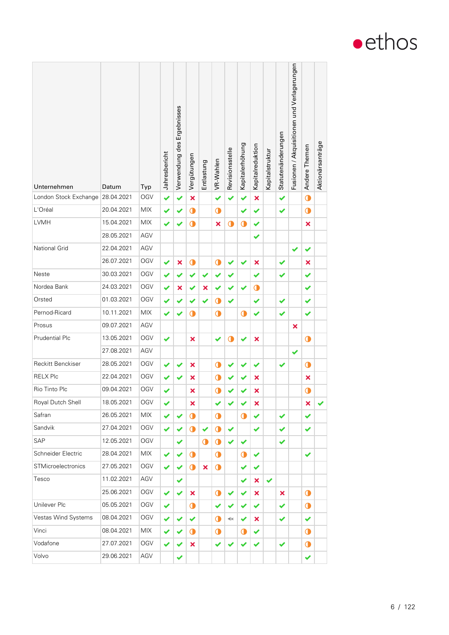| $\bullet$ ethos |  |
|-----------------|--|
|-----------------|--|

| Unternehmen           | Datum      | Typ                               | Jahresbericht | Verwendung des Ergebnisses | Vergütungen               | Entlastung  | VR-Wahlen   | Revisionsstelle | Kapitalerhöhung | Kapitalreduktion          | Kapitalstruktur | Statutenänderungen        | Fusionen / Akquisitionen und Verlagerungen | Andere Themen | Aktionärsanträge |
|-----------------------|------------|-----------------------------------|---------------|----------------------------|---------------------------|-------------|-------------|-----------------|-----------------|---------------------------|-----------------|---------------------------|--------------------------------------------|---------------|------------------|
| London Stock Exchange | 28.04.2021 | OGV                               |               | ✔                          | ×                         |             | ✔           | ✔               | ✔               | ×                         |                 | ✔                         |                                            | $\bullet$     |                  |
| L'Oréal               | 20.04.2021 | MIX                               |               | ✔                          | ◑                         |             | $\mathbf 0$ |                 | ✔               | ✔                         |                 | ✔                         |                                            | $\mathbf 0$   |                  |
| <b>LVMH</b>           | 15.04.2021 | MIX                               |               |                            | $\mathbf 0$               |             | ×           | ◑               | $\mathbf 0$     | ✔                         |                 |                           |                                            | ×             |                  |
|                       | 28.05.2021 | AGV                               |               |                            |                           |             |             |                 |                 | ✔                         |                 |                           |                                            |               |                  |
| National Grid         | 22.04.2021 | AGV                               |               |                            |                           |             |             |                 |                 |                           |                 |                           |                                            | ✔             |                  |
|                       | 26.07.2021 | OGV                               | ✔             | ×                          | $\mathbf 0$               |             | $\mathbf 0$ |                 | ✔               | ×                         |                 | ✔                         |                                            | ×             |                  |
| Neste                 | 30.03.2021 | OGV                               | ✔             |                            | ✔                         | ✔           | ✔           |                 |                 | ✔                         |                 | ✔                         |                                            | ✔             |                  |
| Nordea Bank           | 24.03.2021 | OGV                               |               | ×                          | ✔                         | ×           | ✔           |                 |                 | ◑                         |                 |                           |                                            | ✔             |                  |
| Orsted                | 01.03.2021 | OGV                               |               |                            | ✔                         | ✔           | $\mathbf 0$ | ✔               |                 | ✔                         |                 | ✔                         |                                            | ✔             |                  |
| Pernod-Ricard         | 10.11.2021 | MIX                               | ✔             |                            | $\mathbf 0$               |             | $\mathbf 0$ |                 | $\mathbf 0$     | ✔                         |                 | ✔                         |                                            | ✔             |                  |
| Prosus                | 09.07.2021 | AGV                               |               |                            |                           |             |             |                 |                 |                           |                 |                           | ×                                          |               |                  |
| Prudential Plc        | 13.05.2021 | OGV                               | ✔             |                            | ×                         |             | ✔           | $\mathbf 0$     | ✔               | ×                         |                 |                           |                                            | $\mathbf 0$   |                  |
|                       | 27.08.2021 | AGV                               |               |                            |                           |             |             |                 |                 |                           |                 |                           | ✔                                          |               |                  |
| Reckitt Benckiser     | 28.05.2021 | OGV                               |               |                            | ×                         |             | $\mathbf 0$ |                 |                 | ✔                         |                 | ✔                         |                                            | $\mathbf 0$   |                  |
| <b>RELX Plc</b>       | 22.04.2021 | OGV                               |               |                            | ×                         |             | $\mathbf 0$ |                 |                 | ×                         |                 |                           |                                            | ×             |                  |
| Rio Tinto Plc         | 09.04.2021 | OGV                               | ✔             |                            | ×                         |             | ◑           |                 |                 | ×                         |                 |                           |                                            | $\bullet$     |                  |
| Royal Dutch Shell     | 18.05.2021 | OGV                               | ✔             |                            | ×                         |             | ✔           |                 |                 | ×                         |                 |                           |                                            | ×             | ✔                |
| Safran                | 26.05.2021 | $\ensuremath{\mathsf{MI}}\xspace$ | ✔             | ✔                          | $\mathbf 0$               |             | $\mathbf 0$ |                 | ◑               | ✔                         |                 | ✔                         |                                            | ✔             |                  |
| Sandvik               | 27.04.2021 | OGV                               | ✔             | ✔                          | $\bullet$                 | ✔           | $\bullet$   | ✔               |                 | ✔                         |                 | ✔                         |                                            | ✔             |                  |
| SAP                   | 12.05.2021 | OGV                               |               | ✔                          |                           | $\mathbf 0$ | $\bullet$   | ✔               | ✔               |                           |                 | ✔                         |                                            |               |                  |
| Schneider Electric    | 28.04.2021 | MIX                               | ✔             | ✔                          | $\bullet$                 |             | $\bullet$   |                 | $\mathbf 0$     | ✔                         |                 |                           |                                            | ✔             |                  |
| STMicroelectronics    | 27.05.2021 | OGV                               | ✔             | ✔                          | $\bullet$                 | ×           | $\bullet$   |                 | ✔               | ✔                         |                 |                           |                                            |               |                  |
| Tesco                 | 11.02.2021 | AGV                               |               | ✔                          |                           |             |             |                 | ✔               | $\boldsymbol{\mathsf{x}}$ | ✔               |                           |                                            |               |                  |
|                       | 25.06.2021 | OGV                               | ✔             | ✔                          | $\boldsymbol{\mathsf{x}}$ |             | $\bullet$   | ✔               | ✔               | $\boldsymbol{\mathsf{x}}$ |                 | $\boldsymbol{\mathsf{x}}$ |                                            | $\bullet$     |                  |
| Unilever Plc          | 05.05.2021 | OGV                               | ✔             |                            | $\mathbf 0$               |             | ✔           | ✔               | ✔               | ✔                         |                 | ✔                         |                                            | $\mathbf 0$   |                  |
| Vestas Wind Systems   | 08.04.2021 | OGV                               | ✔             | ✔                          | ✔                         |             | $\bullet$   | $\mathbb{R}$    | ✔               | ×                         |                 | ✔                         |                                            | ✔             |                  |
| Vinci                 | 08.04.2021 | <b>MIX</b>                        | ✔             | ✔                          | $\mathbf 0$               |             | $\bullet$   |                 | 0               | ✔                         |                 |                           |                                            | $\mathbf 0$   |                  |
| Vodafone              | 27.07.2021 | OGV                               | ✔             | ✔                          | ×                         |             | ✔           | ✔               | ✔               | ✔                         |                 | ✔                         |                                            | $\bullet$     |                  |
| Volvo                 | 29.06.2021 | AGV                               |               | ✔                          |                           |             |             |                 |                 |                           |                 |                           |                                            | ✔             |                  |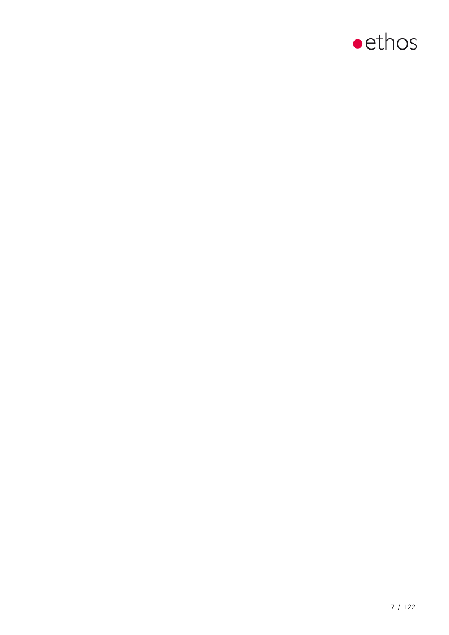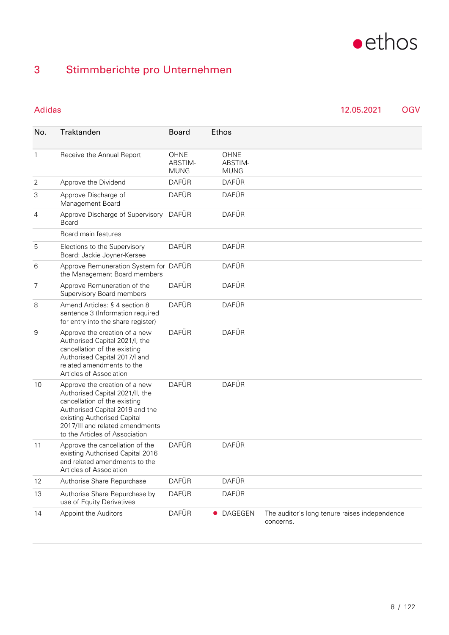

### 3 Stimmberichte pro Unternehmen

Adidas 12.05.2021 OGV

| No.            | Traktanden                                                                                                                                                                                                                              | <b>Board</b>                   | <b>Ethos</b>                   |                                                            |
|----------------|-----------------------------------------------------------------------------------------------------------------------------------------------------------------------------------------------------------------------------------------|--------------------------------|--------------------------------|------------------------------------------------------------|
| $\mathbf{1}$   | Receive the Annual Report                                                                                                                                                                                                               | OHNE<br>ABSTIM-<br><b>MUNG</b> | OHNE<br>ABSTIM-<br><b>MUNG</b> |                                                            |
| $\overline{2}$ | Approve the Dividend                                                                                                                                                                                                                    | <b>DAFÜR</b>                   | <b>DAFÜR</b>                   |                                                            |
| 3              | Approve Discharge of<br>Management Board                                                                                                                                                                                                | <b>DAFÜR</b>                   | <b>DAFÜR</b>                   |                                                            |
| $\overline{4}$ | Approve Discharge of Supervisory<br><b>Board</b>                                                                                                                                                                                        | DAFÜR                          | <b>DAFÜR</b>                   |                                                            |
|                | Board main features                                                                                                                                                                                                                     |                                |                                |                                                            |
| 5              | Elections to the Supervisory<br>Board: Jackie Joyner-Kersee                                                                                                                                                                             | <b>DAFÜR</b>                   | <b>DAFÜR</b>                   |                                                            |
| 6              | Approve Remuneration System for DAFÜR<br>the Management Board members                                                                                                                                                                   |                                | <b>DAFÜR</b>                   |                                                            |
| 7              | Approve Remuneration of the<br>Supervisory Board members                                                                                                                                                                                | <b>DAFÜR</b>                   | <b>DAFÜR</b>                   |                                                            |
| 8              | Amend Articles: § 4 section 8<br>sentence 3 (Information required<br>for entry into the share register)                                                                                                                                 | <b>DAFÜR</b>                   | <b>DAFÜR</b>                   |                                                            |
| 9              | Approve the creation of a new<br>Authorised Capital 2021/l, the<br>cancellation of the existing<br>Authorised Capital 2017/I and<br>related amendments to the<br>Articles of Association                                                | <b>DAFÜR</b>                   | <b>DAFÜR</b>                   |                                                            |
| 10             | Approve the creation of a new<br>Authorised Capital 2021/II, the<br>cancellation of the existing<br>Authorised Capital 2019 and the<br>existing Authorised Capital<br>2017/III and related amendments<br>to the Articles of Association | <b>DAFÜR</b>                   | <b>DAFÜR</b>                   |                                                            |
| 11             | Approve the cancellation of the<br>existing Authorised Capital 2016<br>and related amendments to the<br>Articles of Association                                                                                                         | <b>DAFÜR</b>                   | <b>DAFÜR</b>                   |                                                            |
| 12             | Authorise Share Repurchase                                                                                                                                                                                                              | <b>DAFÜR</b>                   | <b>DAFÜR</b>                   |                                                            |
| 13             | Authorise Share Repurchase by<br>use of Equity Derivatives                                                                                                                                                                              | <b>DAFÜR</b>                   | <b>DAFÜR</b>                   |                                                            |
| 14             | Appoint the Auditors                                                                                                                                                                                                                    | <b>DAFÜR</b>                   | • DAGEGEN                      | The auditor's long tenure raises independence<br>concerns. |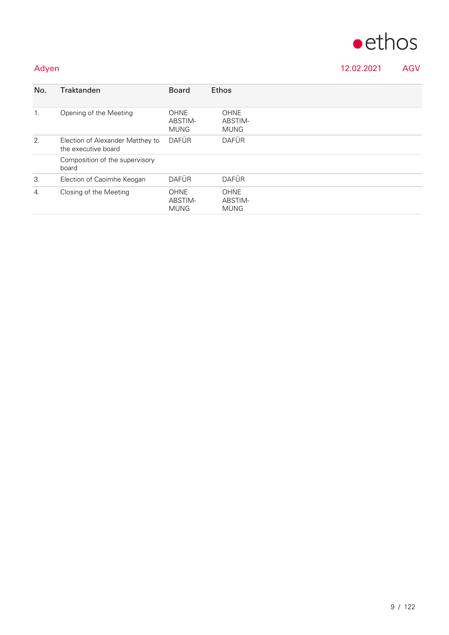

### Adyen 12.02.2021 AGV

| No. | Traktanden                                              | <b>Board</b>                   | Ethos                          |
|-----|---------------------------------------------------------|--------------------------------|--------------------------------|
| 1.  | Opening of the Meeting                                  | OHNE<br>ABSTIM-<br><b>MUNG</b> | OHNE<br>ABSTIM-<br><b>MUNG</b> |
| 2.  | Election of Alexander Matthey to<br>the executive board | <b>DAFÜR</b>                   | <b>DAFÜR</b>                   |
|     | Composition of the supervisory<br>board                 |                                |                                |
| 3.  | Election of Caoimhe Keogan                              | <b>DAFÜR</b>                   | <b>DAFÜR</b>                   |
| 4.  | Closing of the Meeting                                  | OHNE<br>ABSTIM-<br><b>MUNG</b> | OHNE<br>ABSTIM-<br>MUNG        |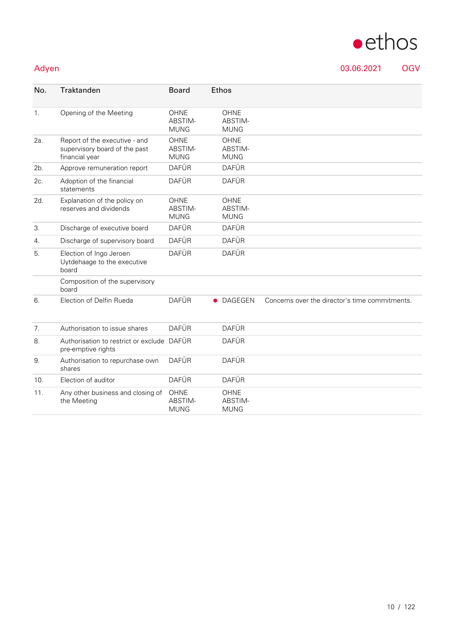

### Adyen 03.06.2021 OGV

| No.            | Traktanden                                                                       | <b>Board</b>                   | <b>Ethos</b>                   |                                                |
|----------------|----------------------------------------------------------------------------------|--------------------------------|--------------------------------|------------------------------------------------|
| 1 <sub>1</sub> | Opening of the Meeting                                                           | OHNE<br>ABSTIM-<br><b>MUNG</b> | OHNE<br>ABSTIM-<br><b>MUNG</b> |                                                |
| 2a.            | Report of the executive - and<br>supervisory board of the past<br>financial year | OHNE<br>ABSTIM-<br><b>MUNG</b> | OHNE<br>ABSTIM-<br><b>MUNG</b> |                                                |
| 2b.            | Approve remuneration report                                                      | <b>DAFÜR</b>                   | <b>DAFÜR</b>                   |                                                |
| 2c.            | Adoption of the financial<br>statements                                          | <b>DAFÜR</b>                   | <b>DAFÜR</b>                   |                                                |
| 2d.            | Explanation of the policy on<br>reserves and dividends                           | OHNE<br>ABSTIM-<br><b>MUNG</b> | OHNE<br>ABSTIM-<br><b>MUNG</b> |                                                |
| 3.             | Discharge of executive board                                                     | <b>DAFÜR</b>                   | <b>DAFÜR</b>                   |                                                |
| 4.             | Discharge of supervisory board                                                   | <b>DAFÜR</b>                   | <b>DAFÜR</b>                   |                                                |
| 5.             | Election of Ingo Jeroen<br>Uytdehaage to the executive<br>board                  | <b>DAFÜR</b>                   | <b>DAFÜR</b>                   |                                                |
|                | Composition of the supervisory<br>board                                          |                                |                                |                                                |
| 6.             | Election of Delfin Rueda                                                         | <b>DAFÜR</b>                   | • DAGEGEN                      | Concerns over the director's time commitments. |
| 7.             | Authorisation to issue shares                                                    | <b>DAFÜR</b>                   | <b>DAFÜR</b>                   |                                                |
| 8.             | Authorisation to restrict or exclude DAFÜR<br>pre-emptive rights                 |                                | <b>DAFÜR</b>                   |                                                |
| 9.             | Authorisation to repurchase own<br>shares                                        | <b>DAFÜR</b>                   | <b>DAFÜR</b>                   |                                                |
| 10.            | Election of auditor                                                              | <b>DAFÜR</b>                   | <b>DAFÜR</b>                   |                                                |
| 11.            | Any other business and closing of<br>the Meeting                                 | OHNE<br>ABSTIM-<br><b>MUNG</b> | OHNE<br>ABSTIM-<br><b>MUNG</b> |                                                |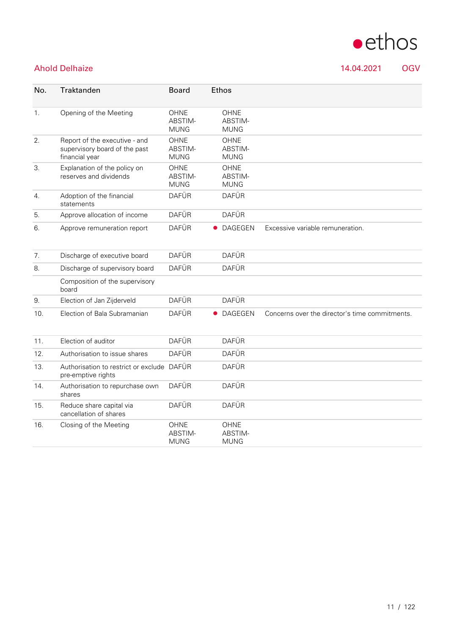

Ahold Delhaize **14.04.2021** OGV

| No. | Traktanden                                                                       | <b>Board</b>                   | Ethos                                 |                                                |
|-----|----------------------------------------------------------------------------------|--------------------------------|---------------------------------------|------------------------------------------------|
| 1.  | Opening of the Meeting                                                           | OHNE<br>ABSTIM-<br><b>MUNG</b> | OHNE<br>ABSTIM-<br><b>MUNG</b>        |                                                |
| 2.  | Report of the executive - and<br>supervisory board of the past<br>financial year | OHNE<br>ABSTIM-<br><b>MUNG</b> | OHNE<br>ABSTIM-<br><b>MUNG</b>        |                                                |
| 3.  | Explanation of the policy on<br>reserves and dividends                           | OHNE<br>ABSTIM-<br><b>MUNG</b> | OHNE<br>ABSTIM-<br><b>MUNG</b>        |                                                |
| 4.  | Adoption of the financial<br>statements                                          | <b>DAFÜR</b>                   | <b>DAFÜR</b>                          |                                                |
| 5.  | Approve allocation of income                                                     | <b>DAFÜR</b>                   | <b>DAFÜR</b>                          |                                                |
| 6.  | Approve remuneration report                                                      | <b>DAFÜR</b>                   | • DAGEGEN                             | Excessive variable remuneration.               |
| 7.  | Discharge of executive board                                                     | <b>DAFÜR</b>                   | <b>DAFÜR</b>                          |                                                |
| 8.  | Discharge of supervisory board                                                   | <b>DAFÜR</b>                   | <b>DAFÜR</b>                          |                                                |
|     | Composition of the supervisory<br>board                                          |                                |                                       |                                                |
| 9.  | Election of Jan Zijderveld                                                       | <b>DAFÜR</b>                   | <b>DAFÜR</b>                          |                                                |
| 10. | Election of Bala Subramanian                                                     | <b>DAFÜR</b>                   | DAGEGEN<br>$\bullet$                  | Concerns over the director's time commitments. |
| 11. | Election of auditor                                                              | <b>DAFÜR</b>                   | DAFÜR                                 |                                                |
| 12. | Authorisation to issue shares                                                    | <b>DAFÜR</b>                   | <b>DAFÜR</b>                          |                                                |
| 13. | Authorisation to restrict or exclude DAFÜR<br>pre-emptive rights                 |                                | <b>DAFÜR</b>                          |                                                |
| 14. | Authorisation to repurchase own<br>shares                                        | <b>DAFÜR</b>                   | <b>DAFÜR</b>                          |                                                |
| 15. | Reduce share capital via<br>cancellation of shares                               | <b>DAFÜR</b>                   | <b>DAFÜR</b>                          |                                                |
| 16. | Closing of the Meeting                                                           | OHNE<br>ABSTIM-<br><b>MUNG</b> | <b>OHNE</b><br>ABSTIM-<br><b>MUNG</b> |                                                |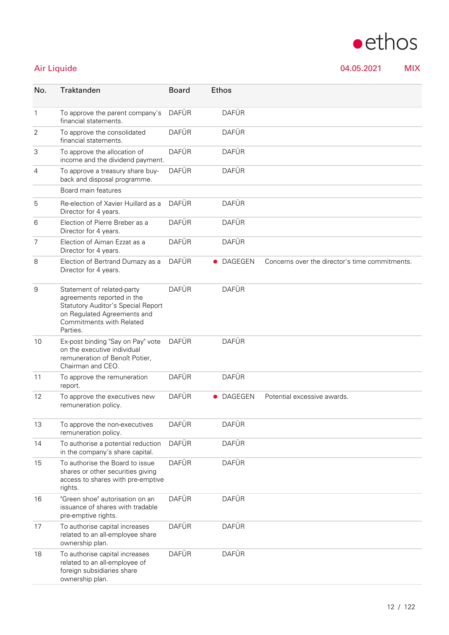

Air Liquide 04.05.2021 MIX

| No.            | Traktanden                                                                                                                                                                   | <b>Board</b> | Ethos          |                                                |
|----------------|------------------------------------------------------------------------------------------------------------------------------------------------------------------------------|--------------|----------------|------------------------------------------------|
| 1              | To approve the parent company's<br>financial statements.                                                                                                                     | <b>DAFÜR</b> | <b>DAFÜR</b>   |                                                |
| 2              | To approve the consolidated<br>financial statements.                                                                                                                         | <b>DAFÜR</b> | <b>DAFÜR</b>   |                                                |
| 3              | To approve the allocation of<br>income and the dividend payment.                                                                                                             | <b>DAFÜR</b> | <b>DAFÜR</b>   |                                                |
| $\overline{4}$ | To approve a treasury share buy-<br>back and disposal programme.                                                                                                             | <b>DAFÜR</b> | <b>DAFÜR</b>   |                                                |
|                | Board main features                                                                                                                                                          |              |                |                                                |
| 5              | Re-election of Xavier Huillard as a<br>Director for 4 years.                                                                                                                 | <b>DAFÜR</b> | <b>DAFÜR</b>   |                                                |
| 6              | Election of Pierre Breber as a<br>Director for 4 years.                                                                                                                      | <b>DAFÜR</b> | <b>DAFÜR</b>   |                                                |
| 7              | Election of Aiman Ezzat as a<br>Director for 4 years.                                                                                                                        | <b>DAFÜR</b> | <b>DAFÜR</b>   |                                                |
| 8              | Election of Bertrand Dumazy as a<br>Director for 4 years.                                                                                                                    | <b>DAFÜR</b> | <b>DAGEGEN</b> | Concerns over the director's time commitments. |
| 9              | Statement of related-party<br>agreements reported in the<br><b>Statutory Auditor's Special Report</b><br>on Regulated Agreements and<br>Commitments with Related<br>Parties. | <b>DAFÜR</b> | <b>DAFÜR</b>   |                                                |
| 10             | Ex-post binding "Say on Pay" vote<br>on the executive individual<br>remuneration of Benoît Potier,<br>Chairman and CEO.                                                      | <b>DAFÜR</b> | <b>DAFÜR</b>   |                                                |
| 11             | To approve the remuneration<br>report.                                                                                                                                       | <b>DAFÜR</b> | <b>DAFÜR</b>   |                                                |
| 12             | To approve the executives new<br>remuneration policy.                                                                                                                        | <b>DAFÜR</b> | <b>DAGEGEN</b> | Potential excessive awards.                    |
| 13             | To approve the non-executives<br>remuneration policy.                                                                                                                        | <b>DAFÜR</b> | <b>DAFÜR</b>   |                                                |
| 14             | To authorise a potential reduction<br>in the company's share capital.                                                                                                        | <b>DAFÜR</b> | <b>DAFÜR</b>   |                                                |
| 15             | To authorise the Board to issue<br>shares or other securities giving<br>access to shares with pre-emptive<br>rights.                                                         | <b>DAFÜR</b> | <b>DAFÜR</b>   |                                                |
| 16             | "Green shoe" autorisation on an<br>issuance of shares with tradable<br>pre-emptive rights.                                                                                   | <b>DAFÜR</b> | <b>DAFÜR</b>   |                                                |
| 17             | To authorise capital increases<br>related to an all-employee share<br>ownership plan.                                                                                        | <b>DAFÜR</b> | <b>DAFÜR</b>   |                                                |
| 18             | To authorise capital increases<br>related to an all-employee of<br>foreign subsidiaries share<br>ownership plan.                                                             | <b>DAFÜR</b> | <b>DAFÜR</b>   |                                                |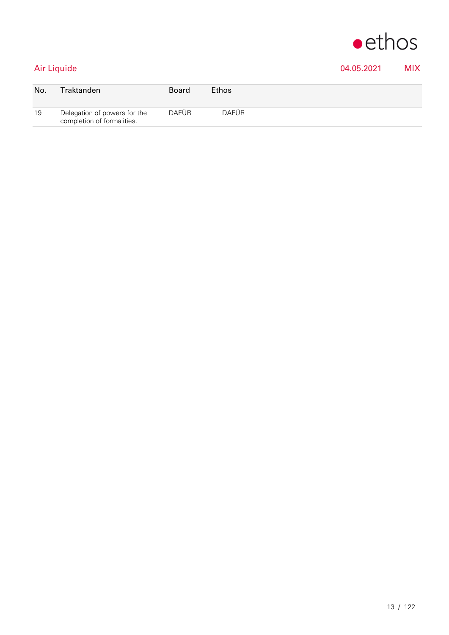

### Air Liquide 04.05.2021 MIX

| No. | Traktanden                                                 | <b>Board</b> | Ethos        |  |
|-----|------------------------------------------------------------|--------------|--------------|--|
| 19  | Delegation of powers for the<br>completion of formalities. | <b>DAFUR</b> | <b>DAFUR</b> |  |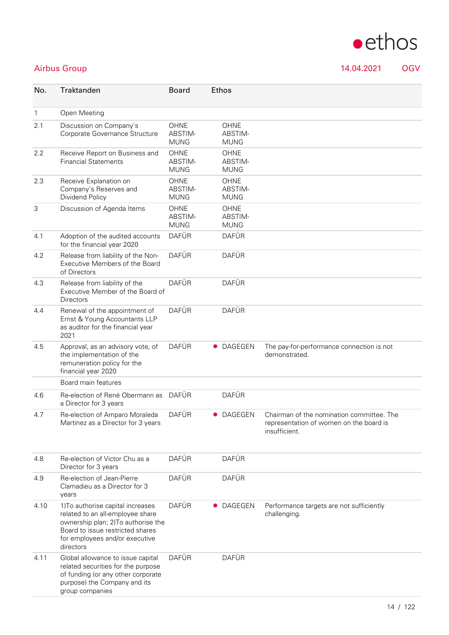

### Airbus Group 14.04.2021 OGV

| No.  | Traktanden                                                                                                                                                                                      | <b>Board</b>                          | <b>Ethos</b>                   |                                                                                                       |
|------|-------------------------------------------------------------------------------------------------------------------------------------------------------------------------------------------------|---------------------------------------|--------------------------------|-------------------------------------------------------------------------------------------------------|
| 1    | Open Meeting                                                                                                                                                                                    |                                       |                                |                                                                                                       |
| 2.1  | Discussion on Company's<br>Corporate Governance Structure                                                                                                                                       | <b>OHNE</b><br>ABSTIM-<br><b>MUNG</b> | OHNE<br>ABSTIM-<br><b>MUNG</b> |                                                                                                       |
| 2.2  | Receive Report on Business and<br><b>Financial Statements</b>                                                                                                                                   | OHNE<br>ABSTIM-<br><b>MUNG</b>        | OHNE<br>ABSTIM-<br><b>MUNG</b> |                                                                                                       |
| 2.3  | Receive Explanation on<br>Company's Reserves and<br>Dividend Policy                                                                                                                             | <b>OHNE</b><br>ABSTIM-<br><b>MUNG</b> | OHNE<br>ABSTIM-<br><b>MUNG</b> |                                                                                                       |
| 3    | Discussion of Agenda Items                                                                                                                                                                      | <b>OHNE</b><br>ABSTIM-<br><b>MUNG</b> | OHNE<br>ABSTIM-<br><b>MUNG</b> |                                                                                                       |
| 4.1  | Adoption of the audited accounts<br>for the financial year 2020                                                                                                                                 | <b>DAFÜR</b>                          | <b>DAFÜR</b>                   |                                                                                                       |
| 4.2  | Release from liability of the Non-<br>Executive Members of the Board<br>of Directors                                                                                                            | <b>DAFÜR</b>                          | <b>DAFÜR</b>                   |                                                                                                       |
| 4.3  | Release from liability of the<br>Executive Member of the Board of<br><b>Directors</b>                                                                                                           | <b>DAFÜR</b>                          | <b>DAFÜR</b>                   |                                                                                                       |
| 4.4  | Renewal of the appointment of<br>Ernst & Young Accountants LLP<br>as auditor for the financial year<br>2021                                                                                     | <b>DAFÜR</b>                          | <b>DAFÜR</b>                   |                                                                                                       |
| 4.5  | Approval, as an advisory vote, of<br>the implementation of the<br>remuneration policy for the<br>financial year 2020                                                                            | <b>DAFÜR</b>                          | • DAGEGEN                      | The pay-for-performance connection is not<br>demonstrated.                                            |
|      | Board main features                                                                                                                                                                             |                                       |                                |                                                                                                       |
| 4.6  | Re-election of René Obermann as<br>a Director for 3 years                                                                                                                                       | DAFÜR                                 | <b>DAFÜR</b>                   |                                                                                                       |
| 4.7  | Re-election of Amparo Moraleda<br>Martinez as a Director for 3 years                                                                                                                            | <b>DAFÜR</b>                          | • DAGEGEN                      | Chairman of the nomination committee. The<br>representation of women on the board is<br>insufficient. |
| 4.8  | Re-election of Victor Chu as a<br>Director for 3 years                                                                                                                                          | <b>DAFÜR</b>                          | <b>DAFÜR</b>                   |                                                                                                       |
| 4.9  | Re-election of Jean-Pierre<br>Clamadieu as a Director for 3<br>years                                                                                                                            | <b>DAFÜR</b>                          | <b>DAFÜR</b>                   |                                                                                                       |
| 4.10 | 1) To authorise capital increases<br>related to an all-employee share<br>ownership plan; 2) To authorise the<br>Board to issue restricted shares<br>for employees and/or executive<br>directors | <b>DAFÜR</b>                          | DAGEGEN                        | Performance targets are not sufficiently<br>challenging.                                              |
| 4.11 | Global allowance to issue capital<br>related securities for the purpose<br>of funding (or any other corporate<br>purpose) the Company and its<br>group companies                                | <b>DAFÜR</b>                          | <b>DAFÜR</b>                   |                                                                                                       |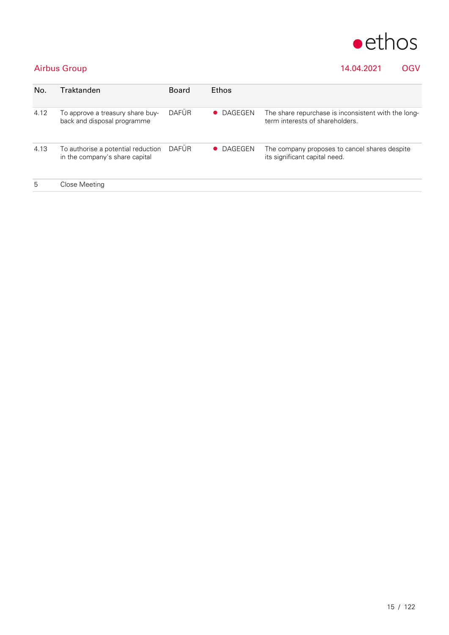

### Airbus Group 14.04.2021 OGV

| No.  | Traktanden                                                           | <b>Board</b> | Ethos     |                                                                                        |
|------|----------------------------------------------------------------------|--------------|-----------|----------------------------------------------------------------------------------------|
| 4.12 | To approve a treasury share buy-<br>back and disposal programme      | <b>DAFUR</b> | • DAGEGEN | The share repurchase is inconsistent with the long-<br>term interests of shareholders. |
| 4.13 | To authorise a potential reduction<br>in the company's share capital | <b>DAFÜR</b> | • DAGEGEN | The company proposes to cancel shares despite<br>its significant capital need.         |
| 5    | Close Meeting                                                        |              |           |                                                                                        |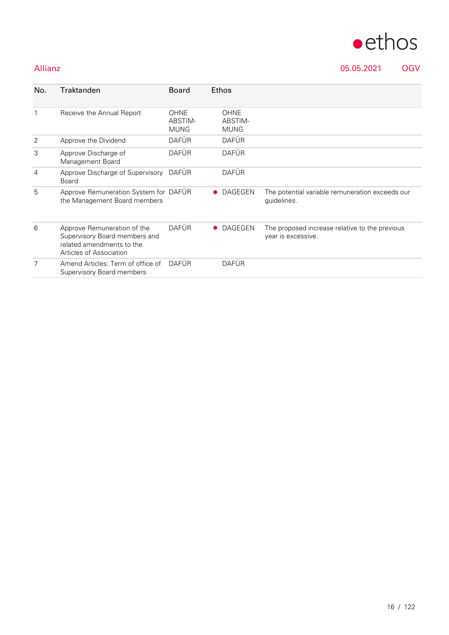

Allianz 05.05.2021 OGV

| No.            | Traktanden                                                                                                           | <b>Board</b>                          | Ethos                                 |                                                                      |
|----------------|----------------------------------------------------------------------------------------------------------------------|---------------------------------------|---------------------------------------|----------------------------------------------------------------------|
|                | Receive the Annual Report                                                                                            | <b>OHNE</b><br>ABSTIM-<br><b>MUNG</b> | <b>OHNE</b><br>ABSTIM-<br><b>MUNG</b> |                                                                      |
| 2              | Approve the Dividend                                                                                                 | <b>DAFÜR</b>                          | <b>DAFÜR</b>                          |                                                                      |
| 3              | Approve Discharge of<br>Management Board                                                                             | <b>DAFÜR</b>                          | <b>DAFÜR</b>                          |                                                                      |
| $\overline{4}$ | Approve Discharge of Supervisory<br><b>Board</b>                                                                     | <b>DAFÜR</b>                          | <b>DAFÜR</b>                          |                                                                      |
| 5              | Approve Remuneration System for DAFÜR<br>the Management Board members                                                |                                       | DAGEGEN                               | The potential variable remuneration exceeds our<br>guidelines.       |
| 6              | Approve Remuneration of the<br>Supervisory Board members and<br>related amendments to the<br>Articles of Association | <b>DAFÜR</b>                          | <b>DAGEGEN</b>                        | The proposed increase relative to the previous<br>year is excessive. |
| 7              | Amend Articles: Term of office of<br>Supervisory Board members                                                       | <b>DAFÜR</b>                          | <b>DAFÜR</b>                          |                                                                      |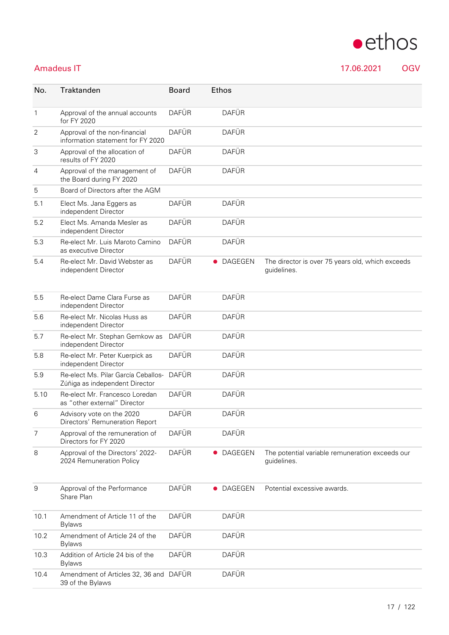

Amadeus IT Contract of the Contract of the Contract of the Contract of the Contract of the Contract of the Contract of the Contract of the Contract of the Contract of the Contract of the Contract of the Contract of the Con

| No.            | Traktanden                                                            | <b>Board</b> | <b>Ethos</b>         |                                                                 |
|----------------|-----------------------------------------------------------------------|--------------|----------------------|-----------------------------------------------------------------|
| $\mathbf{1}$   | Approval of the annual accounts<br>for FY 2020                        | <b>DAFÜR</b> | <b>DAFÜR</b>         |                                                                 |
| $\overline{2}$ | Approval of the non-financial<br>information statement for FY 2020    | <b>DAFÜR</b> | <b>DAFÜR</b>         |                                                                 |
| 3              | Approval of the allocation of<br>results of FY 2020                   | <b>DAFÜR</b> | <b>DAFÜR</b>         |                                                                 |
| 4              | Approval of the management of<br>the Board during FY 2020             | <b>DAFÜR</b> | <b>DAFÜR</b>         |                                                                 |
| 5              | Board of Directors after the AGM                                      |              |                      |                                                                 |
| 5.1            | Elect Ms. Jana Eggers as<br>independent Director                      | <b>DAFÜR</b> | <b>DAFÜR</b>         |                                                                 |
| 5.2            | Elect Ms. Amanda Mesler as<br>independent Director                    | <b>DAFÜR</b> | <b>DAFÜR</b>         |                                                                 |
| 5.3            | Re-elect Mr. Luis Maroto Camino<br>as executive Director              | <b>DAFÜR</b> | <b>DAFÜR</b>         |                                                                 |
| 5.4            | Re-elect Mr. David Webster as<br>independent Director                 | <b>DAFÜR</b> | DAGEGEN<br>$\bullet$ | The director is over 75 years old, which exceeds<br>guidelines. |
| 5.5            | Re-elect Dame Clara Furse as<br>independent Director                  | <b>DAFÜR</b> | <b>DAFÜR</b>         |                                                                 |
| 5.6            | Re-elect Mr. Nicolas Huss as<br>independent Director                  | <b>DAFÜR</b> | <b>DAFÜR</b>         |                                                                 |
| 5.7            | Re-elect Mr. Stephan Gemkow as<br>independent Director                | <b>DAFÜR</b> | <b>DAFÜR</b>         |                                                                 |
| 5.8            | Re-elect Mr. Peter Kuerpick as<br>independent Director                | <b>DAFÜR</b> | <b>DAFÜR</b>         |                                                                 |
| 5.9            | Re-elect Ms. Pilar García Ceballos-<br>Zúñiga as independent Director | DAFÜR        | <b>DAFÜR</b>         |                                                                 |
| 5.10           | Re-elect Mr. Francesco Loredan<br>as "other external" Director        | <b>DAFÜR</b> | <b>DAFÜR</b>         |                                                                 |
| 6              | Advisory vote on the 2020<br>Directors' Remuneration Report           | <b>DAFÜR</b> | <b>DAFÜR</b>         |                                                                 |
| $\overline{7}$ | Approval of the remuneration of<br>Directors for FY 2020              | <b>DAFÜR</b> | <b>DAFÜR</b>         |                                                                 |
| 8              | Approval of the Directors' 2022-<br>2024 Remuneration Policy          | <b>DAFÜR</b> | • DAGEGEN            | The potential variable remuneration exceeds our<br>guidelines.  |
| $\overline{9}$ | Approval of the Performance<br>Share Plan                             | <b>DAFÜR</b> | • DAGEGEN            | Potential excessive awards.                                     |
| 10.1           | Amendment of Article 11 of the<br><b>Bylaws</b>                       | <b>DAFÜR</b> | <b>DAFÜR</b>         |                                                                 |
| 10.2           | Amendment of Article 24 of the<br><b>Bylaws</b>                       | <b>DAFÜR</b> | <b>DAFÜR</b>         |                                                                 |
| 10.3           | Addition of Article 24 bis of the<br><b>Bylaws</b>                    | <b>DAFÜR</b> | <b>DAFÜR</b>         |                                                                 |
| 10.4           | Amendment of Articles 32, 36 and DAFÜR<br>39 of the Bylaws            |              | <b>DAFÜR</b>         |                                                                 |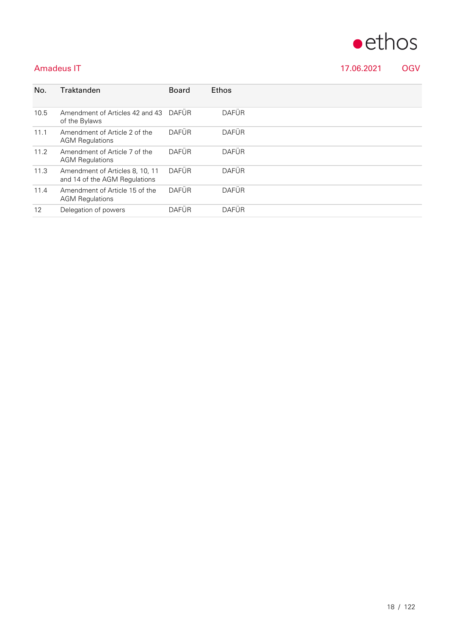

Amadeus IT Contract of the Contract of the Contract of the Contract of the Contract of the Contract of the Contract of the Contract of the Contract of the Contract of the Contract of the Contract of the Contract of the Con

| No.  | Traktanden                                                       | <b>Board</b> | Ethos        |
|------|------------------------------------------------------------------|--------------|--------------|
| 10.5 | Amendment of Articles 42 and 43<br>of the Bylaws                 | <b>DAFUR</b> | <b>DAFÜR</b> |
| 11.1 | Amendment of Article 2 of the<br><b>AGM Regulations</b>          | DAFÜR        | <b>DAFÜR</b> |
| 11.2 | Amendment of Article 7 of the<br><b>AGM Regulations</b>          | <b>DAFÜR</b> | DAFÜR        |
| 11.3 | Amendment of Articles 8, 10, 11<br>and 14 of the AGM Regulations | DAFÜR        | <b>DAFÜR</b> |
| 11.4 | Amendment of Article 15 of the<br><b>AGM Regulations</b>         | <b>DAFÜR</b> | <b>DAFÜR</b> |
| 12   | Delegation of powers                                             | DAFÜR        | <b>DAFÜR</b> |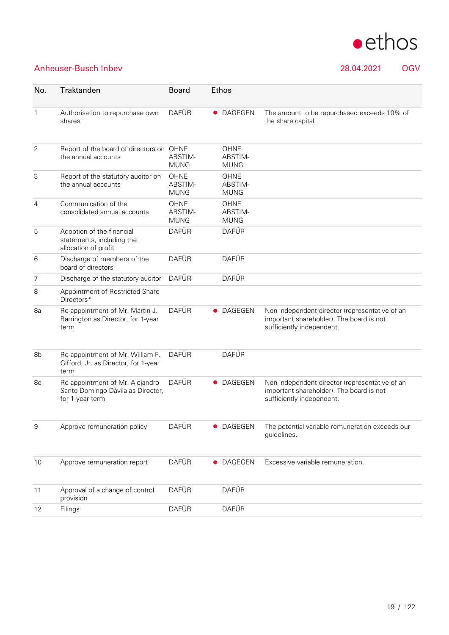

### Anheuser-Busch Inbev 28.04.2021 OGV

| No.              | Traktanden                                                                              | <b>Board</b>                          | <b>Ethos</b>                          |                                                                                                                         |
|------------------|-----------------------------------------------------------------------------------------|---------------------------------------|---------------------------------------|-------------------------------------------------------------------------------------------------------------------------|
| 1                | Authorisation to repurchase own<br>shares                                               | <b>DAFÜR</b>                          | • DAGEGEN                             | The amount to be repurchased exceeds 10% of<br>the share capital.                                                       |
| 2                | Report of the board of directors on OHNE<br>the annual accounts                         | ABSTIM-<br><b>MUNG</b>                | <b>OHNE</b><br>ABSTIM-<br><b>MUNG</b> |                                                                                                                         |
| 3                | Report of the statutory auditor on<br>the annual accounts                               | <b>OHNE</b><br>ABSTIM-<br><b>MUNG</b> | <b>OHNE</b><br>ABSTIM-<br><b>MUNG</b> |                                                                                                                         |
| $\overline{4}$   | Communication of the<br>consolidated annual accounts                                    | <b>OHNE</b><br>ABSTIM-<br><b>MUNG</b> | <b>OHNE</b><br>ABSTIM-<br><b>MUNG</b> |                                                                                                                         |
| 5                | Adoption of the financial<br>statements, including the<br>allocation of profit          | <b>DAFÜR</b>                          | <b>DAFÜR</b>                          |                                                                                                                         |
| 6                | Discharge of members of the<br>board of directors                                       | <b>DAFÜR</b>                          | <b>DAFÜR</b>                          |                                                                                                                         |
| 7                | Discharge of the statutory auditor                                                      | <b>DAFÜR</b>                          | <b>DAFÜR</b>                          |                                                                                                                         |
| 8                | Appointment of Restricted Share<br>Directors*                                           |                                       |                                       |                                                                                                                         |
| 8a               | Re-appointment of Mr. Martin J.<br>Barrington as Director, for 1-year<br>term           | <b>DAFÜR</b>                          | • DAGEGEN                             | Non independent director (representative of an<br>important shareholder). The board is not<br>sufficiently independent. |
| 8b               | Re-appointment of Mr. William F.<br>Gifford, Jr. as Director, for 1-year<br>term        | <b>DAFÜR</b>                          | <b>DAFÜR</b>                          |                                                                                                                         |
| 8c               | Re-appointment of Mr. Alejandro<br>Santo Domingo Dávila as Director,<br>for 1-year term | DAFÜR                                 | • DAGEGEN                             | Non independent director (representative of an<br>important shareholder). The board is not<br>sufficiently independent. |
| $\boldsymbol{9}$ | Approve remuneration policy                                                             | DAFÜR                                 | • DAGEGEN                             | The potential variable remuneration exceeds our<br>guidelines.                                                          |
| 10               | Approve remuneration report                                                             | <b>DAFÜR</b>                          | • DAGEGEN                             | Excessive variable remuneration.                                                                                        |
| 11               | Approval of a change of control<br>provision                                            | <b>DAFÜR</b>                          | <b>DAFÜR</b>                          |                                                                                                                         |
| 12               | Filings                                                                                 | DAFÜR                                 | <b>DAFÜR</b>                          |                                                                                                                         |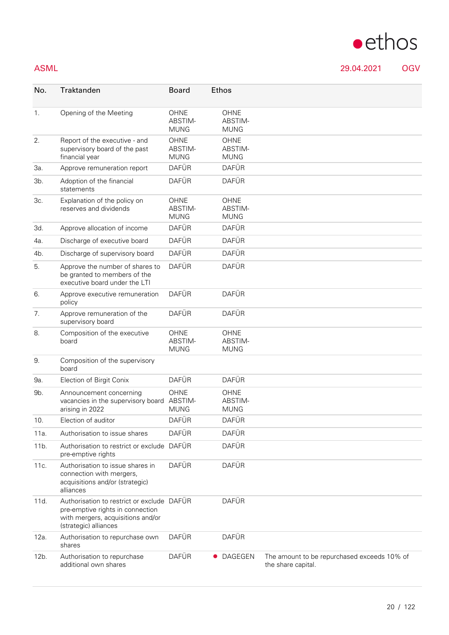# $\bullet$ ethos

### ASML 29.04.2021 OGV

| No.            | Traktanden                                                                                                                                   | <b>Board</b>                          | Ethos                                 |                                                                   |
|----------------|----------------------------------------------------------------------------------------------------------------------------------------------|---------------------------------------|---------------------------------------|-------------------------------------------------------------------|
| $\mathbf{1}$ . | Opening of the Meeting                                                                                                                       | OHNE<br>ABSTIM-<br><b>MUNG</b>        | OHNE<br>ABSTIM-<br><b>MUNG</b>        |                                                                   |
| 2.             | Report of the executive - and<br>supervisory board of the past<br>financial year                                                             | <b>OHNE</b><br>ABSTIM-<br><b>MUNG</b> | OHNE<br>ABSTIM-<br><b>MUNG</b>        |                                                                   |
| За.            | Approve remuneration report                                                                                                                  | <b>DAFÜR</b>                          | <b>DAFÜR</b>                          |                                                                   |
| 3b.            | Adoption of the financial<br>statements                                                                                                      | <b>DAFÜR</b>                          | <b>DAFÜR</b>                          |                                                                   |
| 3c.            | Explanation of the policy on<br>reserves and dividends                                                                                       | <b>OHNE</b><br>ABSTIM-<br><b>MUNG</b> | OHNE<br>ABSTIM-<br><b>MUNG</b>        |                                                                   |
| 3d.            | Approve allocation of income                                                                                                                 | <b>DAFÜR</b>                          | <b>DAFÜR</b>                          |                                                                   |
| 4a.            | Discharge of executive board                                                                                                                 | <b>DAFÜR</b>                          | <b>DAFÜR</b>                          |                                                                   |
| 4b.            | Discharge of supervisory board                                                                                                               | <b>DAFÜR</b>                          | <b>DAFÜR</b>                          |                                                                   |
| 5.             | Approve the number of shares to<br>be granted to members of the<br>executive board under the LTI                                             | <b>DAFÜR</b>                          | <b>DAFÜR</b>                          |                                                                   |
| 6.             | Approve executive remuneration<br>policy                                                                                                     | <b>DAFÜR</b>                          | <b>DAFÜR</b>                          |                                                                   |
| 7.             | Approve remuneration of the<br>supervisory board                                                                                             | <b>DAFÜR</b>                          | <b>DAFÜR</b>                          |                                                                   |
| 8.             | Composition of the executive<br>board                                                                                                        | <b>OHNE</b><br>ABSTIM-<br><b>MUNG</b> | <b>OHNE</b><br>ABSTIM-<br><b>MUNG</b> |                                                                   |
| 9.             | Composition of the supervisory<br>board                                                                                                      |                                       |                                       |                                                                   |
| 9a.            | Election of Birgit Conix                                                                                                                     | <b>DAFÜR</b>                          | <b>DAFÜR</b>                          |                                                                   |
| 9b.            | Announcement concerning<br>vacancies in the supervisory board ABSTIM-<br>arising in 2022                                                     | OHNE<br><b>MUNG</b>                   | OHNE<br>ABSTIM-<br><b>MUNG</b>        |                                                                   |
| 10.            | Election of auditor                                                                                                                          | <b>DAFÜR</b>                          | DAFÜR                                 |                                                                   |
| 11a.           | Authorisation to issue shares                                                                                                                | <b>DAFÜR</b>                          | <b>DAFÜR</b>                          |                                                                   |
| $11b$ .        | Authorisation to restrict or exclude DAFÜR<br>pre-emptive rights                                                                             |                                       | <b>DAFÜR</b>                          |                                                                   |
| 11c.           | Authorisation to issue shares in<br>connection with mergers,<br>acquisitions and/or (strategic)<br>alliances                                 | <b>DAFÜR</b>                          | <b>DAFÜR</b>                          |                                                                   |
| 11d.           | Authorisation to restrict or exclude DAFUR<br>pre-emptive rights in connection<br>with mergers, acquisitions and/or<br>(strategic) alliances |                                       | <b>DAFÜR</b>                          |                                                                   |
| 12a.           | Authorisation to repurchase own<br>shares                                                                                                    | <b>DAFÜR</b>                          | <b>DAFÜR</b>                          |                                                                   |
| 12b.           | Authorisation to repurchase<br>additional own shares                                                                                         | <b>DAFÜR</b>                          | DAGEGEN                               | The amount to be repurchased exceeds 10% of<br>the share capital. |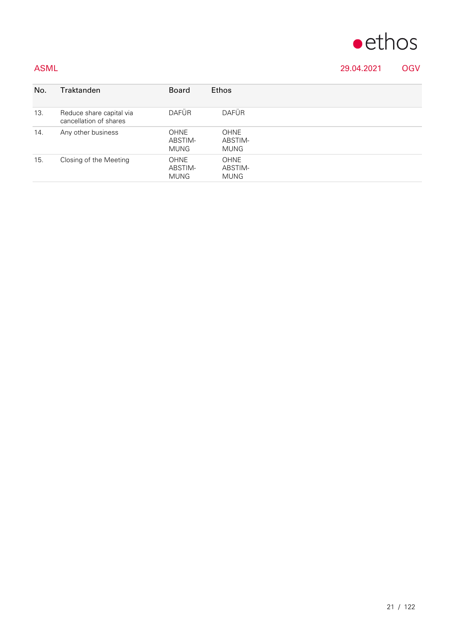

### ASML 29.04.2021 OGV

| No. | Traktanden                                         | <b>Board</b>                          | Ethos                                 |
|-----|----------------------------------------------------|---------------------------------------|---------------------------------------|
| 13. | Reduce share capital via<br>cancellation of shares | <b>DAFÜR</b>                          | <b>DAFÜR</b>                          |
| 14. | Any other business                                 | <b>OHNE</b><br>ABSTIM-<br>MUNG        | <b>OHNE</b><br>ABSTIM-<br>MUNG        |
| 15. | Closing of the Meeting                             | <b>OHNE</b><br>ABSTIM-<br><b>MUNG</b> | <b>OHNE</b><br>ABSTIM-<br><b>MUNG</b> |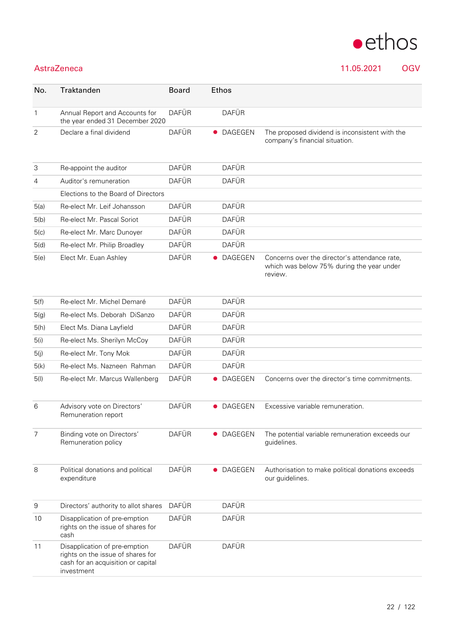

AstraZeneca 11.05.2021 OGV

| No.            | Traktanden                                                                                                             | <b>Board</b> | Ethos                       |                                                                                                       |
|----------------|------------------------------------------------------------------------------------------------------------------------|--------------|-----------------------------|-------------------------------------------------------------------------------------------------------|
| $\mathbf{1}$   | Annual Report and Accounts for<br>the year ended 31 December 2020                                                      | <b>DAFÜR</b> | <b>DAFÜR</b>                |                                                                                                       |
| $\overline{2}$ | Declare a final dividend                                                                                               | <b>DAFÜR</b> | • DAGEGEN                   | The proposed dividend is inconsistent with the<br>company's financial situation.                      |
| 3              | Re-appoint the auditor                                                                                                 | <b>DAFÜR</b> | <b>DAFÜR</b>                |                                                                                                       |
| 4              | Auditor's remuneration                                                                                                 | <b>DAFÜR</b> | <b>DAFÜR</b>                |                                                                                                       |
|                | Elections to the Board of Directors                                                                                    |              |                             |                                                                                                       |
| 5(a)           | Re-elect Mr. Leif Johansson                                                                                            | <b>DAFÜR</b> | <b>DAFÜR</b>                |                                                                                                       |
| 5(b)           | Re-elect Mr. Pascal Soriot                                                                                             | <b>DAFÜR</b> | <b>DAFÜR</b>                |                                                                                                       |
| 5(c)           | Re-elect Mr. Marc Dunoyer                                                                                              | <b>DAFÜR</b> | <b>DAFÜR</b>                |                                                                                                       |
| 5(d)           | Re-elect Mr. Philip Broadley                                                                                           | <b>DAFÜR</b> | <b>DAFÜR</b>                |                                                                                                       |
| 5(e)           | Elect Mr. Euan Ashley                                                                                                  | <b>DAFÜR</b> | <b>DAGEGEN</b><br>$\bullet$ | Concerns over the director's attendance rate,<br>which was below 75% during the year under<br>review. |
| 5(f)           | Re-elect Mr. Michel Demaré                                                                                             | <b>DAFÜR</b> | <b>DAFÜR</b>                |                                                                                                       |
| 5(g)           | Re-elect Ms. Deborah DiSanzo                                                                                           | <b>DAFÜR</b> | <b>DAFÜR</b>                |                                                                                                       |
| 5(h)           | Elect Ms. Diana Layfield                                                                                               | <b>DAFÜR</b> | <b>DAFÜR</b>                |                                                                                                       |
| 5(i)           | Re-elect Ms. Sherilyn McCoy                                                                                            | <b>DAFÜR</b> | <b>DAFÜR</b>                |                                                                                                       |
| 5(j)           | Re-elect Mr. Tony Mok                                                                                                  | <b>DAFÜR</b> | <b>DAFÜR</b>                |                                                                                                       |
| 5(k)           | Re-elect Ms. Nazneen Rahman                                                                                            | <b>DAFÜR</b> | <b>DAFÜR</b>                |                                                                                                       |
| 5(1)           | Re-elect Mr. Marcus Wallenberg                                                                                         | <b>DAFÜR</b> | • DAGEGEN                   | Concerns over the director's time commitments.                                                        |
| 6              | Advisory vote on Directors'<br>Remuneration report                                                                     | <b>DAFÜR</b> | <b>DAGEGEN</b>              | Excessive variable remuneration.                                                                      |
| $\overline{7}$ | Binding vote on Directors'<br>Remuneration policy                                                                      | <b>DAFÜR</b> | • DAGEGEN                   | The potential variable remuneration exceeds our<br>guidelines.                                        |
| 8              | Political donations and political<br>expenditure                                                                       | <b>DAFÜR</b> | <b>DAGEGEN</b>              | Authorisation to make political donations exceeds<br>our guidelines.                                  |
| 9              | Directors' authority to allot shares                                                                                   | <b>DAFÜR</b> | <b>DAFÜR</b>                |                                                                                                       |
| 10             | Disapplication of pre-emption<br>rights on the issue of shares for<br>cash                                             | <b>DAFÜR</b> | <b>DAFÜR</b>                |                                                                                                       |
| 11             | Disapplication of pre-emption<br>rights on the issue of shares for<br>cash for an acquisition or capital<br>investment | <b>DAFÜR</b> | <b>DAFÜR</b>                |                                                                                                       |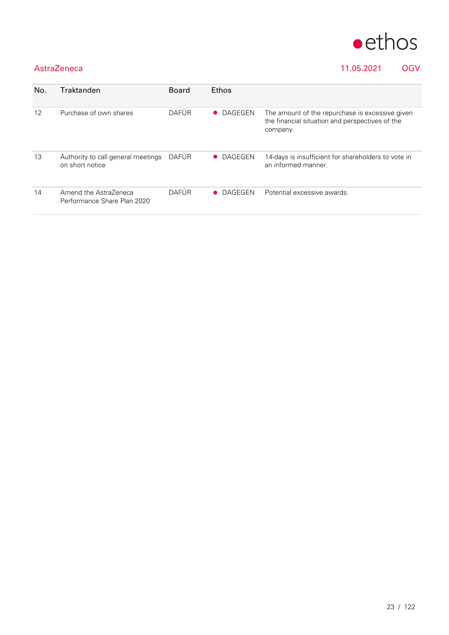

### AstraZeneca 11.05.2021 OGV

| No. | Traktanden                                            | <b>Board</b> | Ethos             |                                                                                                                |
|-----|-------------------------------------------------------|--------------|-------------------|----------------------------------------------------------------------------------------------------------------|
| 12  | Purchase of own shares                                | DAFUR        | DAGEGEN           | The amount of the repurchase is excessive given<br>the financial situation and perspectives of the<br>company. |
| 13  | Authority to call general meetings<br>on short notice | <b>DAFUR</b> | • DAGEGEN         | 14-days is insufficient for shareholders to vote in<br>an informed manner.                                     |
| 14  | Amend the AstraZeneca<br>Performance Share Plan 2020  | <b>DAFUR</b> | $\bullet$ DAGEGEN | Potential excessive awards.                                                                                    |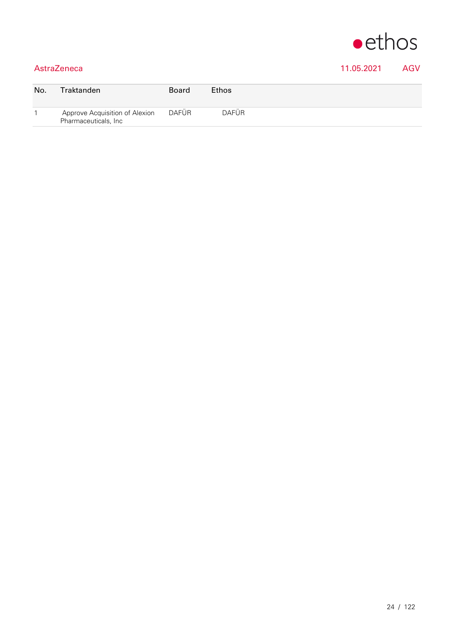

### AstraZeneca 11.05.2021 AGV

| No. | Traktanden                                             | <b>Board</b> | Ethos        |
|-----|--------------------------------------------------------|--------------|--------------|
|     | Approve Acquisition of Alexion<br>Pharmaceuticals, Inc | <b>DAFUR</b> | <b>DAFUR</b> |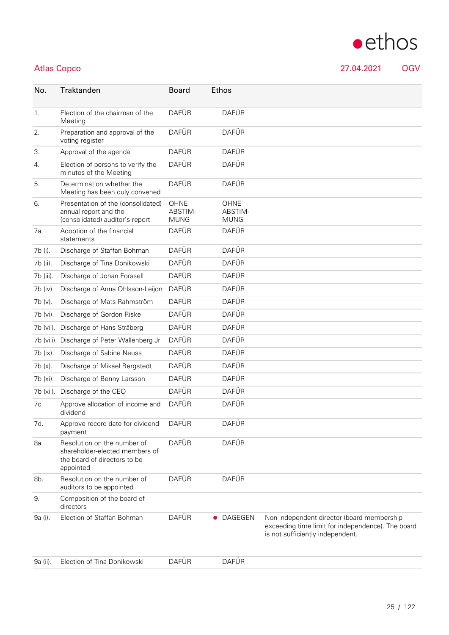

Atlas Copco 27.04.2021 OGV

| No.       | Traktanden                                                                                                 | <b>Board</b>                   | Ethos                          |                                                                                                                                     |
|-----------|------------------------------------------------------------------------------------------------------------|--------------------------------|--------------------------------|-------------------------------------------------------------------------------------------------------------------------------------|
| 1.        | Election of the chairman of the<br>Meeting                                                                 | <b>DAFÜR</b>                   | <b>DAFÜR</b>                   |                                                                                                                                     |
| 2.        | Preparation and approval of the<br>voting register                                                         | <b>DAFÜR</b>                   | <b>DAFÜR</b>                   |                                                                                                                                     |
| 3.        | Approval of the agenda                                                                                     | <b>DAFÜR</b>                   | <b>DAFÜR</b>                   |                                                                                                                                     |
| 4.        | Election of persons to verify the<br>minutes of the Meeting                                                | <b>DAFÜR</b>                   | <b>DAFÜR</b>                   |                                                                                                                                     |
| 5.        | Determination whether the<br>Meeting has been duly convened                                                | <b>DAFÜR</b>                   | <b>DAFÜR</b>                   |                                                                                                                                     |
| 6.        | Presentation of the (consolidated)<br>annual report and the<br>(consolidated) auditor's report             | OHNE<br>ABSTIM-<br><b>MUNG</b> | OHNE<br>ABSTIM-<br><b>MUNG</b> |                                                                                                                                     |
| 7а.       | Adoption of the financial<br>statements                                                                    | <b>DAFÜR</b>                   | <b>DAFÜR</b>                   |                                                                                                                                     |
| 7b (i).   | Discharge of Staffan Bohman                                                                                | <b>DAFÜR</b>                   | <b>DAFÜR</b>                   |                                                                                                                                     |
| 7b (ii).  | Discharge of Tina Donikowski                                                                               | <b>DAFÜR</b>                   | <b>DAFÜR</b>                   |                                                                                                                                     |
| 7b (iii). | Discharge of Johan Forssell                                                                                | <b>DAFÜR</b>                   | <b>DAFÜR</b>                   |                                                                                                                                     |
| 7b (iv).  | Discharge of Anna Ohlsson-Leijon                                                                           | <b>DAFÜR</b>                   | <b>DAFÜR</b>                   |                                                                                                                                     |
| 7b (v).   | Discharge of Mats Rahmström                                                                                | <b>DAFÜR</b>                   | <b>DAFÜR</b>                   |                                                                                                                                     |
| 7b (vi).  | Discharge of Gordon Riske                                                                                  | <b>DAFÜR</b>                   | <b>DAFÜR</b>                   |                                                                                                                                     |
| 7b (vii). | Discharge of Hans Stråberg                                                                                 | <b>DAFÜR</b>                   | <b>DAFÜR</b>                   |                                                                                                                                     |
|           | 7b (viii). Discharge of Peter Wallenberg Jr                                                                | <b>DAFÜR</b>                   | <b>DAFÜR</b>                   |                                                                                                                                     |
| 7b (ix).  | Discharge of Sabine Neuss                                                                                  | <b>DAFÜR</b>                   | <b>DAFÜR</b>                   |                                                                                                                                     |
| 7b (x).   | Discharge of Mikael Bergstedt                                                                              | <b>DAFÜR</b>                   | <b>DAFÜR</b>                   |                                                                                                                                     |
| 7b (xi).  | Discharge of Benny Larsson                                                                                 | <b>DAFÜR</b>                   | <b>DAFÜR</b>                   |                                                                                                                                     |
| 7b (xii). | Discharge of the CEO                                                                                       | <b>DAFÜR</b>                   | <b>DAFÜR</b>                   |                                                                                                                                     |
| 7c.       | Approve allocation of income and<br>dividend                                                               | <b>DAFÜR</b>                   | <b>DAFÜR</b>                   |                                                                                                                                     |
| 7d.       | Approve record date for dividend<br>payment                                                                | <b>DAFÜR</b>                   | DAFÜR                          |                                                                                                                                     |
| 8a.       | Resolution on the number of<br>shareholder-elected members of<br>the board of directors to be<br>appointed | <b>DAFÜR</b>                   | <b>DAFÜR</b>                   |                                                                                                                                     |
| 8b.       | Resolution on the number of<br>auditors to be appointed                                                    | <b>DAFÜR</b>                   | <b>DAFÜR</b>                   |                                                                                                                                     |
| 9.        | Composition of the board of<br>directors                                                                   |                                |                                |                                                                                                                                     |
| 9a (i).   | Election of Staffan Bohman                                                                                 | <b>DAFÜR</b>                   | • DAGEGEN                      | Non independent director (board membership<br>exceeding time limit for independence). The board<br>is not sufficiently independent. |
| 9a (ii).  | Election of Tina Donikowski                                                                                | <b>DAFÜR</b>                   | <b>DAFÜR</b>                   |                                                                                                                                     |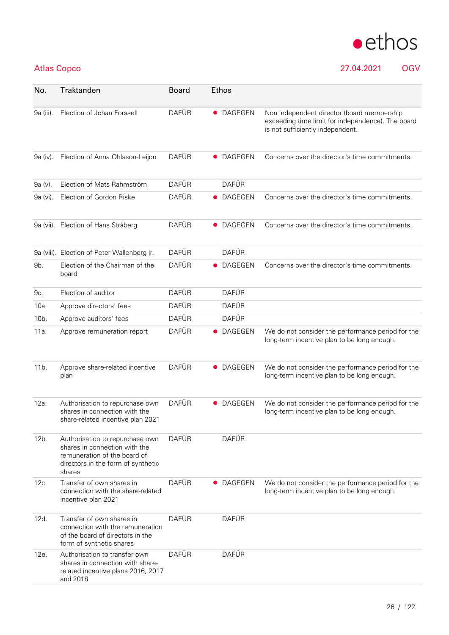

### Atlas Copco 27.04.2021 OGV

| No.               | Traktanden                                                                                                                                       | <b>Board</b> | <b>Ethos</b>                |                                                                                                                                     |
|-------------------|--------------------------------------------------------------------------------------------------------------------------------------------------|--------------|-----------------------------|-------------------------------------------------------------------------------------------------------------------------------------|
| 9a (iii).         | Election of Johan Forssell                                                                                                                       | <b>DAFÜR</b> | • DAGEGEN                   | Non independent director (board membership<br>exceeding time limit for independence). The board<br>is not sufficiently independent. |
| 9a (iv).          | Election of Anna Ohlsson-Leijon                                                                                                                  | <b>DAFÜR</b> | <b>DAGEGEN</b><br>$\bullet$ | Concerns over the director's time commitments.                                                                                      |
| $9a (v)$ .        | Election of Mats Rahmström                                                                                                                       | <b>DAFÜR</b> | <b>DAFÜR</b>                |                                                                                                                                     |
| 9a (vi).          | Election of Gordon Riske                                                                                                                         | <b>DAFÜR</b> | <b>DAGEGEN</b>              | Concerns over the director's time commitments.                                                                                      |
|                   | 9a (vii). Election of Hans Stråberg                                                                                                              | <b>DAFÜR</b> | • DAGEGEN                   | Concerns over the director's time commitments.                                                                                      |
|                   | 9a (viii). Election of Peter Wallenberg jr.                                                                                                      | <b>DAFÜR</b> | <b>DAFÜR</b>                |                                                                                                                                     |
| 9b.               | Election of the Chairman of the<br>board                                                                                                         | <b>DAFÜR</b> | <b>DAGEGEN</b><br>$\bullet$ | Concerns over the director's time commitments.                                                                                      |
| 9c.               | Election of auditor                                                                                                                              | <b>DAFÜR</b> | <b>DAFÜR</b>                |                                                                                                                                     |
| 10a.              | Approve directors' fees                                                                                                                          | <b>DAFÜR</b> | <b>DAFÜR</b>                |                                                                                                                                     |
| 10 <sub>b</sub> . | Approve auditors' fees                                                                                                                           | <b>DAFÜR</b> | <b>DAFÜR</b>                |                                                                                                                                     |
| 11a.              | Approve remuneration report                                                                                                                      | <b>DAFÜR</b> | • DAGEGEN                   | We do not consider the performance period for the<br>long-term incentive plan to be long enough.                                    |
| 11b.              | Approve share-related incentive<br>plan                                                                                                          | <b>DAFÜR</b> | <b>DAGEGEN</b><br>$\bullet$ | We do not consider the performance period for the<br>long-term incentive plan to be long enough.                                    |
| 12a.              | Authorisation to repurchase own<br>shares in connection with the<br>share-related incentive plan 2021                                            | <b>DAFÜR</b> | <b>DAGEGEN</b><br>$\bullet$ | We do not consider the performance period for the<br>long-term incentive plan to be long enough.                                    |
| 12b.              | Authorisation to repurchase own<br>shares in connection with the<br>remuneration of the board of<br>directors in the form of synthetic<br>shares | <b>DAFÜR</b> | <b>DAFÜR</b>                |                                                                                                                                     |
| 12c.              | Transfer of own shares in<br>connection with the share-related<br>incentive plan 2021                                                            | <b>DAFÜR</b> | DAGEGEN                     | We do not consider the performance period for the<br>long-term incentive plan to be long enough.                                    |
| 12d.              | Transfer of own shares in<br>connection with the remuneration<br>of the board of directors in the<br>form of synthetic shares                    | <b>DAFÜR</b> | <b>DAFÜR</b>                |                                                                                                                                     |
| 12e.              | Authorisation to transfer own<br>shares in connection with share-<br>related incentive plans 2016, 2017<br>and 2018                              | <b>DAFÜR</b> | <b>DAFÜR</b>                |                                                                                                                                     |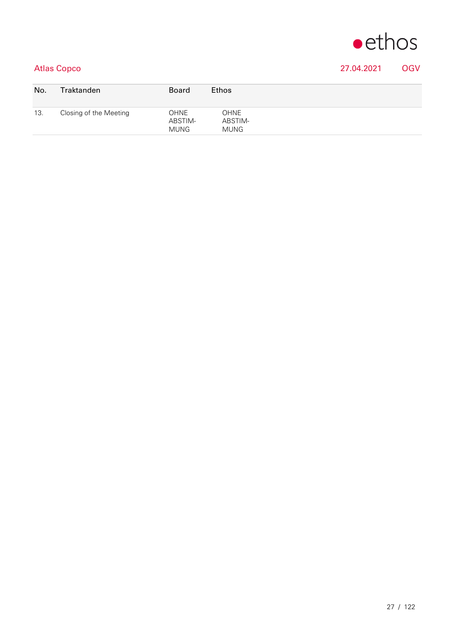

### Atlas Copco 27.04.2021 OGV

| No. | Traktanden             | <b>Board</b>                          | <b>Ethos</b>                   |
|-----|------------------------|---------------------------------------|--------------------------------|
| 13. | Closing of the Meeting | <b>OHNE</b><br>ABSTIM-<br><b>MUNG</b> | OHNE<br>ABSTIM-<br><b>MUNG</b> |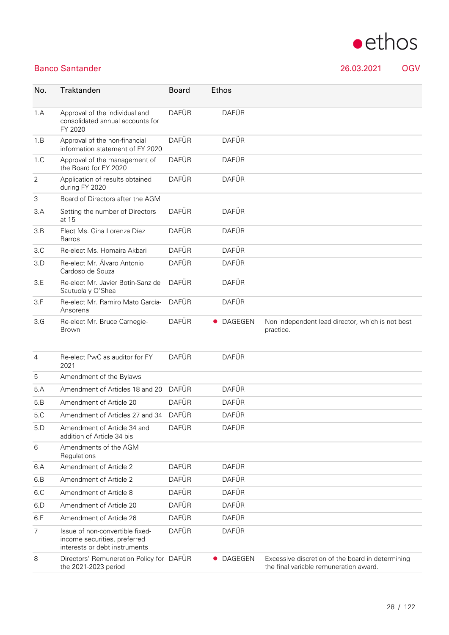

Banco Santander 26.03.2021 OGV

| No.            | Traktanden                                                                                       | <b>Board</b> | Ethos                |                                                                                            |
|----------------|--------------------------------------------------------------------------------------------------|--------------|----------------------|--------------------------------------------------------------------------------------------|
| 1.A            | Approval of the individual and<br>consolidated annual accounts for<br>FY 2020                    | <b>DAFÜR</b> | <b>DAFÜR</b>         |                                                                                            |
| 1.B            | Approval of the non-financial<br>information statement of FY 2020                                | <b>DAFÜR</b> | <b>DAFÜR</b>         |                                                                                            |
| 1.C            | Approval of the management of<br>the Board for FY 2020                                           | <b>DAFÜR</b> | <b>DAFÜR</b>         |                                                                                            |
| 2              | Application of results obtained<br>during FY 2020                                                | <b>DAFÜR</b> | <b>DAFÜR</b>         |                                                                                            |
| 3              | Board of Directors after the AGM                                                                 |              |                      |                                                                                            |
| 3.A            | Setting the number of Directors<br>at 15                                                         | <b>DAFÜR</b> | <b>DAFÜR</b>         |                                                                                            |
| 3.B            | Elect Ms. Gina Lorenza Díez<br><b>Barros</b>                                                     | <b>DAFÜR</b> | <b>DAFÜR</b>         |                                                                                            |
| 3.C            | Re-elect Ms. Homaira Akbari                                                                      | <b>DAFÜR</b> | <b>DAFÜR</b>         |                                                                                            |
| 3.D            | Re-elect Mr. Álvaro Antonio<br>Cardoso de Souza                                                  | <b>DAFÜR</b> | <b>DAFÜR</b>         |                                                                                            |
| 3.E            | Re-elect Mr. Javier Botín-Sanz de<br>Sautuola y O'Shea                                           | <b>DAFÜR</b> | <b>DAFÜR</b>         |                                                                                            |
| 3.F            | Re-elect Mr. Ramiro Mato García-<br>Ansorena                                                     | <b>DAFÜR</b> | <b>DAFÜR</b>         |                                                                                            |
| 3.G            | Re-elect Mr. Bruce Carnegie-<br><b>Brown</b>                                                     | <b>DAFÜR</b> | DAGEGEN<br>$\bullet$ | Non independent lead director, which is not best<br>practice.                              |
| 4              | Re-elect PwC as auditor for FY<br>2021                                                           | <b>DAFÜR</b> | <b>DAFÜR</b>         |                                                                                            |
| 5              | Amendment of the Bylaws                                                                          |              |                      |                                                                                            |
| 5.A            | Amendment of Articles 18 and 20                                                                  | DAFÜR        | <b>DAFÜR</b>         |                                                                                            |
| 5.B            | Amendment of Article 20                                                                          | <b>DAFÜR</b> | <b>DAFÜR</b>         |                                                                                            |
| 5.C            | Amendment of Articles 27 and 34                                                                  | DAFÜR        | <b>DAFÜR</b>         |                                                                                            |
| 5.D            | Amendment of Article 34 and<br>addition of Article 34 bis                                        | <b>DAFUR</b> | <b>DAFÜR</b>         |                                                                                            |
| 6              | Amendments of the AGM<br>Regulations                                                             |              |                      |                                                                                            |
| 6.A            | Amendment of Article 2                                                                           | <b>DAFÜR</b> | <b>DAFÜR</b>         |                                                                                            |
| 6.B            | Amendment of Article 2                                                                           | <b>DAFÜR</b> | <b>DAFÜR</b>         |                                                                                            |
| 6.C            | Amendment of Article 8                                                                           | <b>DAFÜR</b> | <b>DAFÜR</b>         |                                                                                            |
| 6.D            | Amendment of Article 20                                                                          | <b>DAFÜR</b> | <b>DAFÜR</b>         |                                                                                            |
| 6.E            | Amendment of Article 26                                                                          | <b>DAFÜR</b> | <b>DAFÜR</b>         |                                                                                            |
| $\overline{7}$ | Issue of non-convertible fixed-<br>income securities, preferred<br>interests or debt instruments | <b>DAFÜR</b> | <b>DAFÜR</b>         |                                                                                            |
| 8              | Directors' Remuneration Policy for DAFÜR<br>the 2021-2023 period                                 |              | DAGEGEN              | Excessive discretion of the board in determining<br>the final variable remuneration award. |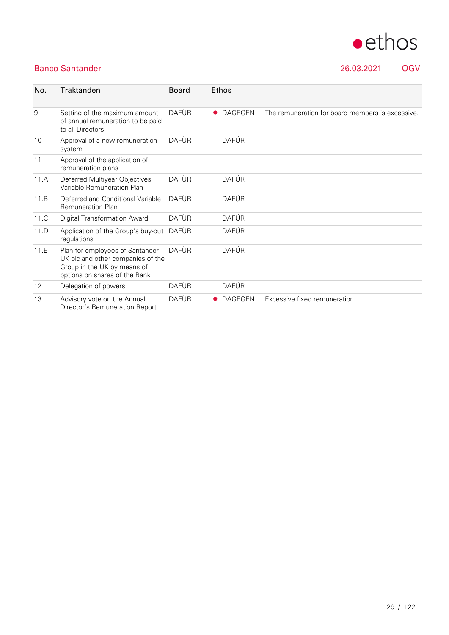

Banco Santander 26.03.2021 OGV

| No.  | Traktanden                                                                                                                           | <b>Board</b> | <b>Ethos</b>         |                                                  |
|------|--------------------------------------------------------------------------------------------------------------------------------------|--------------|----------------------|--------------------------------------------------|
| 9    | Setting of the maximum amount<br>of annual remuneration to be paid<br>to all Directors                                               | <b>DAFÜR</b> | • DAGEGEN            | The remuneration for board members is excessive. |
| 10   | Approval of a new remuneration<br>system                                                                                             | <b>DAFÜR</b> | <b>DAFÜR</b>         |                                                  |
| 11   | Approval of the application of<br>remuneration plans                                                                                 |              |                      |                                                  |
| 11.A | Deferred Multiyear Objectives<br>Variable Remuneration Plan                                                                          | <b>DAFÜR</b> | <b>DAFÜR</b>         |                                                  |
| 11.B | Deferred and Conditional Variable<br><b>Remuneration Plan</b>                                                                        | <b>DAFÜR</b> | <b>DAFÜR</b>         |                                                  |
| 11.C | Digital Transformation Award                                                                                                         | <b>DAFÜR</b> | <b>DAFÜR</b>         |                                                  |
| 11.D | Application of the Group's buy-out<br>regulations                                                                                    | <b>DAFÜR</b> | <b>DAFÜR</b>         |                                                  |
| 11.E | Plan for employees of Santander<br>UK plc and other companies of the<br>Group in the UK by means of<br>options on shares of the Bank | <b>DAFÜR</b> | <b>DAFÜR</b>         |                                                  |
| 12   | Delegation of powers                                                                                                                 | <b>DAFÜR</b> | <b>DAFÜR</b>         |                                                  |
| 13   | Advisory vote on the Annual<br>Director's Remuneration Report                                                                        | <b>DAFÜR</b> | DAGEGEN<br>$\bullet$ | Excessive fixed remuneration.                    |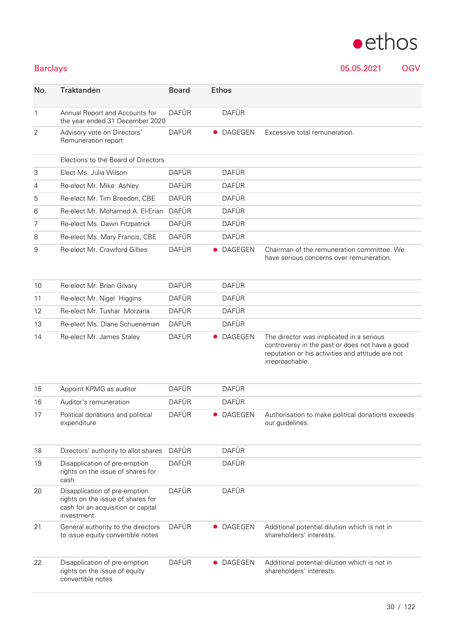

Barclays 05.05.2021 OGV

| No.          | Traktanden                                                                                                             | <b>Board</b> | Ethos                       |                                                                                                                                                                     |
|--------------|------------------------------------------------------------------------------------------------------------------------|--------------|-----------------------------|---------------------------------------------------------------------------------------------------------------------------------------------------------------------|
| $\mathbf{1}$ | Annual Report and Accounts for<br>the year ended 31 December 2020                                                      | <b>DAFÜR</b> | <b>DAFÜR</b>                |                                                                                                                                                                     |
| 2            | Advisory vote on Directors'<br>Remuneration report                                                                     | <b>DAFÜR</b> | • DAGEGEN                   | Excessive total remuneration.                                                                                                                                       |
|              | Elections to the Board of Directors                                                                                    |              |                             |                                                                                                                                                                     |
| 3            | Elect Ms. Julia Wilson                                                                                                 | <b>DAFÜR</b> | <b>DAFÜR</b>                |                                                                                                                                                                     |
| 4            | Re-elect Mr. Mike Ashley                                                                                               | <b>DAFÜR</b> | <b>DAFÜR</b>                |                                                                                                                                                                     |
| 5            | Re-elect Mr. Tim Breedon, CBE                                                                                          | <b>DAFÜR</b> | <b>DAFÜR</b>                |                                                                                                                                                                     |
| 6            | Re-elect Mr. Mohamed A. El-Erian                                                                                       | <b>DAFÜR</b> | <b>DAFÜR</b>                |                                                                                                                                                                     |
| 7            | Re-elect Ms. Dawn Fitzpatrick                                                                                          | <b>DAFÜR</b> | <b>DAFÜR</b>                |                                                                                                                                                                     |
| 8            | Re-elect Ms. Mary Francis, CBE                                                                                         | <b>DAFÜR</b> | <b>DAFÜR</b>                |                                                                                                                                                                     |
| 9            | Re-elect Mr. Crawford Gillies                                                                                          | <b>DAFÜR</b> | <b>DAGEGEN</b><br>$\bullet$ | Chairman of the remuneration committee. We<br>have serious concerns over remuneration.                                                                              |
| 10           | Re-elect Mr. Brian Gilvary                                                                                             | <b>DAFÜR</b> | <b>DAFÜR</b>                |                                                                                                                                                                     |
| 11           | Re-elect Mr. Nigel Higgins                                                                                             | <b>DAFÜR</b> | <b>DAFÜR</b>                |                                                                                                                                                                     |
| 12           | Re-elect Mr. Tushar Morzaria                                                                                           | <b>DAFÜR</b> | <b>DAFÜR</b>                |                                                                                                                                                                     |
| 13           | Re-elect Ms. Diane Schueneman                                                                                          | <b>DAFÜR</b> | <b>DAFÜR</b>                |                                                                                                                                                                     |
| 14           | Re-elect Mr. James Staley                                                                                              | <b>DAFÜR</b> | • DAGEGEN                   | The director was implicated in a serious<br>controversy in the past or does not have a good<br>reputation or his activities and attitude are not<br>irreproachable. |
| 15           | Appoint KPMG as auditor                                                                                                | <b>DAFÜR</b> | <b>DAFÜR</b>                |                                                                                                                                                                     |
| 16           | Auditor's remuneration                                                                                                 | <b>DAFÜR</b> | <b>DAFÜR</b>                |                                                                                                                                                                     |
| 17           | Political donations and political<br>expenditure                                                                       | <b>DAFÜR</b> | <b>DAGEGEN</b><br>$\bullet$ | Authorisation to make political donations exceeds<br>our guidelines.                                                                                                |
| 18           | Directors' authority to allot shares                                                                                   | <b>DAFÜR</b> | <b>DAFÜR</b>                |                                                                                                                                                                     |
| 19           | Disapplication of pre-emption<br>rights on the issue of shares for<br>cash                                             | <b>DAFÜR</b> | <b>DAFÜR</b>                |                                                                                                                                                                     |
| 20           | Disapplication of pre-emption<br>rights on the issue of shares for<br>cash for an acquisition or capital<br>investment | <b>DAFÜR</b> | <b>DAFÜR</b>                |                                                                                                                                                                     |
| 21           | General authority to the directors<br>to issue equity convertible notes                                                | <b>DAFÜR</b> | • DAGEGEN                   | Additional potential dilution which is not in<br>shareholders' interests.                                                                                           |
| 22           | Disapplication of pre-emption<br>rights on the issue of equity<br>convertible notes                                    | <b>DAFÜR</b> | • DAGEGEN                   | Additional potential dilution which is not in<br>shareholders' interests.                                                                                           |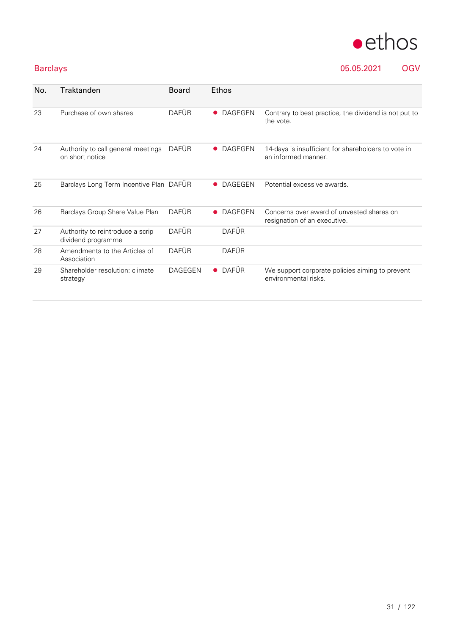

### Barclays 05.05.2021 OGV

| No. | Traktanden                                             | <b>Board</b> | <b>Ethos</b>                |                                                                            |
|-----|--------------------------------------------------------|--------------|-----------------------------|----------------------------------------------------------------------------|
| 23  | Purchase of own shares                                 | <b>DAFÜR</b> | <b>DAGEGEN</b>              | Contrary to best practice, the dividend is not put to<br>the vote.         |
| 24  | Authority to call general meetings<br>on short notice  | <b>DAFUR</b> | <b>DAGEGEN</b>              | 14-days is insufficient for shareholders to vote in<br>an informed manner. |
| 25  | Barclays Long Term Incentive Plan DAFÜR                |              | DAGEGEN<br>$\bullet$        | Potential excessive awards.                                                |
| 26  | Barclays Group Share Value Plan                        | <b>DAFÜR</b> | <b>DAGEGEN</b><br>$\bullet$ | Concerns over award of unvested shares on<br>resignation of an executive.  |
| 27  | Authority to reintroduce a scrip<br>dividend programme | <b>DAFÜR</b> | <b>DAFÜR</b>                |                                                                            |
| 28  | Amendments to the Articles of<br>Association           | <b>DAFÜR</b> | <b>DAFÜR</b>                |                                                                            |
| 29  | Shareholder resolution: climate<br>strategy            | DAGEGEN      | $\bullet$ DAFUR             | We support corporate policies aiming to prevent<br>environmental risks.    |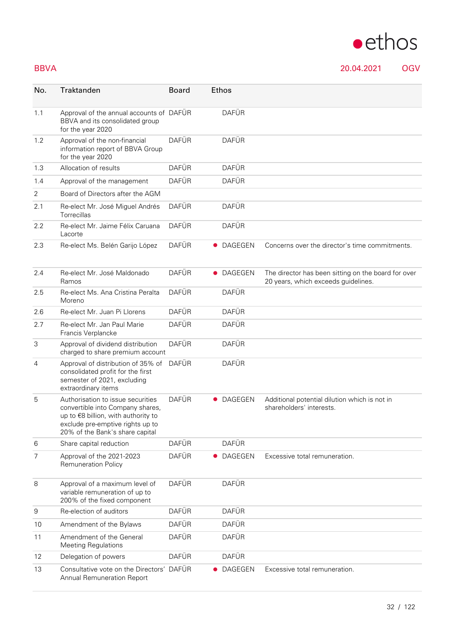# $\bullet$ ethos

BBVA 20.04.2021 OGV

| No.              | Traktanden                                                                                                                                                                          | <b>Board</b> | <b>Ethos</b> |                                                                                            |
|------------------|-------------------------------------------------------------------------------------------------------------------------------------------------------------------------------------|--------------|--------------|--------------------------------------------------------------------------------------------|
| 1.1              | Approval of the annual accounts of DAFUR<br>BBVA and its consolidated group<br>for the year 2020                                                                                    |              | <b>DAFÜR</b> |                                                                                            |
| 1.2              | Approval of the non-financial<br>information report of BBVA Group<br>for the year 2020                                                                                              | <b>DAFÜR</b> | <b>DAFÜR</b> |                                                                                            |
| 1.3              | Allocation of results                                                                                                                                                               | <b>DAFÜR</b> | <b>DAFÜR</b> |                                                                                            |
| 1.4              | Approval of the management                                                                                                                                                          | <b>DAFÜR</b> | <b>DAFÜR</b> |                                                                                            |
| 2                | Board of Directors after the AGM                                                                                                                                                    |              |              |                                                                                            |
| 2.1              | Re-elect Mr. José Miguel Andrés<br>Torrecillas                                                                                                                                      | <b>DAFÜR</b> | <b>DAFÜR</b> |                                                                                            |
| 2.2              | Re-elect Mr. Jaime Félix Caruana<br>Lacorte                                                                                                                                         | <b>DAFÜR</b> | <b>DAFÜR</b> |                                                                                            |
| 2.3              | Re-elect Ms. Belén Garijo López                                                                                                                                                     | <b>DAFÜR</b> | • DAGEGEN    | Concerns over the director's time commitments.                                             |
| 2.4              | Re-elect Mr. José Maldonado<br>Ramos                                                                                                                                                | <b>DAFÜR</b> | • DAGEGEN    | The director has been sitting on the board for over<br>20 years, which exceeds guidelines. |
| 2.5              | Re-elect Ms. Ana Cristina Peralta<br>Moreno                                                                                                                                         | <b>DAFÜR</b> | <b>DAFÜR</b> |                                                                                            |
| 2.6              | Re-elect Mr. Juan Pi Llorens                                                                                                                                                        | <b>DAFÜR</b> | <b>DAFÜR</b> |                                                                                            |
| 2.7              | Re-elect Mr. Jan Paul Marie<br>Francis Verplancke                                                                                                                                   | <b>DAFÜR</b> | <b>DAFÜR</b> |                                                                                            |
| 3                | Approval of dividend distribution<br>charged to share premium account                                                                                                               | <b>DAFÜR</b> | <b>DAFÜR</b> |                                                                                            |
| 4                | Approval of distribution of 35% of<br>consolidated profit for the first<br>semester of 2021, excluding<br>extraordinary items                                                       | <b>DAFÜR</b> | <b>DAFÜR</b> |                                                                                            |
| 5                | Authorisation to issue securities<br>convertible into Company shares,<br>up to €8 billion, with authority to<br>exclude pre-emptive rights up to<br>20% of the Bank's share capital | <b>DAFÜR</b> | • DAGEGEN    | Additional potential dilution which is not in<br>shareholders' interests.                  |
| 6                | Share capital reduction                                                                                                                                                             | <b>DAFÜR</b> | <b>DAFÜR</b> |                                                                                            |
| 7                | Approval of the 2021-2023<br><b>Remuneration Policy</b>                                                                                                                             | <b>DAFÜR</b> | • DAGEGEN    | Excessive total remuneration.                                                              |
| 8                | Approval of a maximum level of<br>variable remuneration of up to<br>200% of the fixed component                                                                                     | <b>DAFÜR</b> | <b>DAFÜR</b> |                                                                                            |
| $\boldsymbol{9}$ | Re-election of auditors                                                                                                                                                             | <b>DAFÜR</b> | <b>DAFÜR</b> |                                                                                            |
| 10               | Amendment of the Bylaws                                                                                                                                                             | <b>DAFÜR</b> | <b>DAFÜR</b> |                                                                                            |
| 11               | Amendment of the General<br><b>Meeting Regulations</b>                                                                                                                              | <b>DAFÜR</b> | <b>DAFÜR</b> |                                                                                            |
| 12               | Delegation of powers                                                                                                                                                                | <b>DAFÜR</b> | <b>DAFÜR</b> |                                                                                            |
| 13               | Consultative vote on the Directors'<br>Annual Remuneration Report                                                                                                                   | <b>DAFÜR</b> | DAGEGEN      | Excessive total remuneration.                                                              |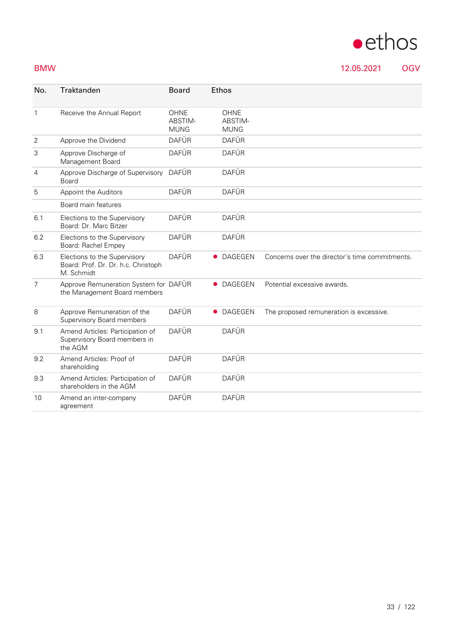

BMW 12.05.2021 OGV

| No.            | Traktanden                                                                        | <b>Board</b>                   |           | Ethos                          |                                                |
|----------------|-----------------------------------------------------------------------------------|--------------------------------|-----------|--------------------------------|------------------------------------------------|
| $\mathbf{1}$   | Receive the Annual Report                                                         | OHNE<br>ABSTIM-<br><b>MUNG</b> |           | OHNE<br>ABSTIM-<br><b>MUNG</b> |                                                |
| $\overline{2}$ | Approve the Dividend                                                              | <b>DAFÜR</b>                   |           | <b>DAFÜR</b>                   |                                                |
| 3              | Approve Discharge of<br>Management Board                                          | <b>DAFÜR</b>                   |           | <b>DAFÜR</b>                   |                                                |
| $\overline{4}$ | Approve Discharge of Supervisory<br><b>Board</b>                                  | <b>DAFÜR</b>                   |           | <b>DAFÜR</b>                   |                                                |
| 5              | Appoint the Auditors                                                              | <b>DAFÜR</b>                   |           | DAFÜR                          |                                                |
|                | Board main features                                                               |                                |           |                                |                                                |
| 6.1            | Elections to the Supervisory<br>Board: Dr. Marc Bitzer                            | <b>DAFÜR</b>                   |           | <b>DAFÜR</b>                   |                                                |
| 6.2            | Elections to the Supervisory<br>Board: Rachel Empey                               | <b>DAFÜR</b>                   |           | <b>DAFÜR</b>                   |                                                |
| 6.3            | Elections to the Supervisory<br>Board: Prof. Dr. Dr. h.c. Christoph<br>M. Schmidt | <b>DAFÜR</b>                   | $\bullet$ | <b>DAGEGEN</b>                 | Concerns over the director's time commitments. |
| $\overline{7}$ | Approve Remuneration System for DAFÜR<br>the Management Board members             |                                |           | • DAGEGEN                      | Potential excessive awards.                    |
| 8              | Approve Remuneration of the<br>Supervisory Board members                          | <b>DAFÜR</b>                   | $\bullet$ | <b>DAGEGEN</b>                 | The proposed remuneration is excessive.        |
| 9.1            | Amend Articles: Participation of<br>Supervisory Board members in<br>the AGM       | <b>DAFÜR</b>                   |           | <b>DAFÜR</b>                   |                                                |
| 9.2            | Amend Articles: Proof of<br>shareholding                                          | <b>DAFÜR</b>                   |           | <b>DAFÜR</b>                   |                                                |
| 9.3            | Amend Articles: Participation of<br>shareholders in the AGM                       | <b>DAFÜR</b>                   |           | <b>DAFÜR</b>                   |                                                |
| 10             | Amend an inter-company<br>agreement                                               | <b>DAFÜR</b>                   |           | <b>DAFÜR</b>                   |                                                |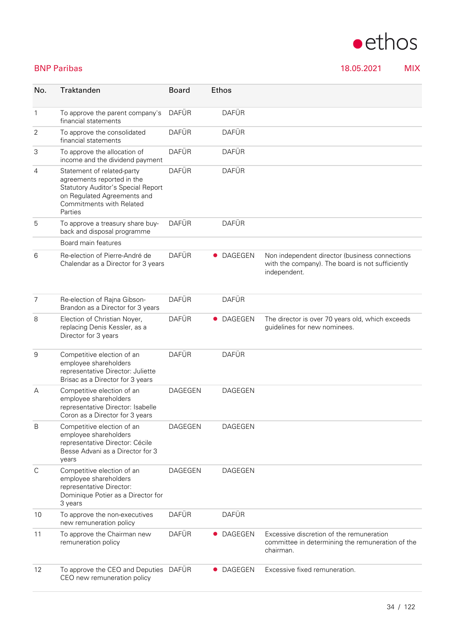

BNP Paribas 18.05.2021 MIX

| No.            | Traktanden                                                                                                                                                                         | <b>Board</b> | <b>Ethos</b> |                                                                                                                    |
|----------------|------------------------------------------------------------------------------------------------------------------------------------------------------------------------------------|--------------|--------------|--------------------------------------------------------------------------------------------------------------------|
| $\mathbf{1}$   | To approve the parent company's<br>financial statements                                                                                                                            | <b>DAFÜR</b> | <b>DAFÜR</b> |                                                                                                                    |
| 2              | To approve the consolidated<br>financial statements                                                                                                                                | <b>DAFÜR</b> | <b>DAFÜR</b> |                                                                                                                    |
| З              | To approve the allocation of<br>income and the dividend payment                                                                                                                    | <b>DAFÜR</b> | <b>DAFÜR</b> |                                                                                                                    |
| $\overline{4}$ | Statement of related-party<br>agreements reported in the<br><b>Statutory Auditor's Special Report</b><br>on Regulated Agreements and<br><b>Commitments with Related</b><br>Parties | <b>DAFÜR</b> | <b>DAFÜR</b> |                                                                                                                    |
| 5              | To approve a treasury share buy-<br>back and disposal programme                                                                                                                    | <b>DAFÜR</b> | <b>DAFÜR</b> |                                                                                                                    |
|                | Board main features                                                                                                                                                                |              |              |                                                                                                                    |
| 6              | Re-election of Pierre-André de<br>Chalendar as a Director for 3 years                                                                                                              | <b>DAFÜR</b> | DAGEGEN      | Non independent director (business connections<br>with the company). The board is not sufficiently<br>independent. |
| $\overline{7}$ | Re-election of Rajna Gibson-<br>Brandon as a Director for 3 years                                                                                                                  | <b>DAFÜR</b> | <b>DAFÜR</b> |                                                                                                                    |
| 8              | Election of Christian Noyer,<br>replacing Denis Kessler, as a<br>Director for 3 years                                                                                              | <b>DAFÜR</b> | DAGEGEN      | The director is over 70 years old, which exceeds<br>guidelines for new nominees.                                   |
| $\overline{9}$ | Competitive election of an<br>employee shareholders<br>representative Director: Juliette<br>Brisac as a Director for 3 years                                                       | <b>DAFÜR</b> | <b>DAFÜR</b> |                                                                                                                    |
| А              | Competitive election of an<br>employee shareholders<br>representative Director: Isabelle<br>Coron as a Director for 3 years                                                        | DAGEGEN      | DAGEGEN      |                                                                                                                    |
| B              | Competitive election of an<br>employee shareholders<br>representative Director: Cécile<br>Besse Advani as a Director for 3<br>years                                                | DAGEGEN      | DAGEGEN      |                                                                                                                    |
| C              | Competitive election of an<br>employee shareholders<br>representative Director:<br>Dominique Potier as a Director for<br>3 years                                                   | DAGEGEN      | DAGEGEN      |                                                                                                                    |
| 10             | To approve the non-executives<br>new remuneration policy                                                                                                                           | <b>DAFÜR</b> | <b>DAFÜR</b> |                                                                                                                    |
| 11             | To approve the Chairman new<br>remuneration policy                                                                                                                                 | <b>DAFÜR</b> | DAGEGEN      | Excessive discretion of the remuneration<br>committee in determining the remuneration of the<br>chairman.          |
| 12             | To approve the CEO and Deputies DAFÜR<br>CEO new remuneration policy                                                                                                               |              | • DAGEGEN    | Excessive fixed remuneration.                                                                                      |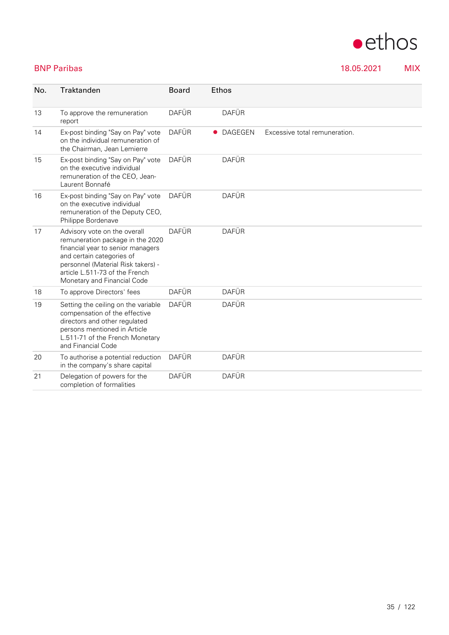

BNP Paribas 18.05.2021 MIX

| No. | Traktanden                                                                                                                                                                                                                                | <b>Board</b> | Ethos        |                               |
|-----|-------------------------------------------------------------------------------------------------------------------------------------------------------------------------------------------------------------------------------------------|--------------|--------------|-------------------------------|
| 13  | To approve the remuneration<br>report                                                                                                                                                                                                     | <b>DAFÜR</b> | <b>DAFÜR</b> |                               |
| 14  | Ex-post binding "Say on Pay" vote<br>on the individual remuneration of<br>the Chairman, Jean Lemierre                                                                                                                                     | <b>DAFÜR</b> | DAGEGEN      | Excessive total remuneration. |
| 15  | Ex-post binding "Say on Pay" vote<br>on the executive individual<br>remuneration of the CEO, Jean-<br>Laurent Bonnafé                                                                                                                     | <b>DAFÜR</b> | <b>DAFÜR</b> |                               |
| 16  | Ex-post binding "Say on Pay" vote<br>on the executive individual<br>remuneration of the Deputy CEO,<br>Philippe Bordenave                                                                                                                 | DAFÜR        | <b>DAFÜR</b> |                               |
| 17  | Advisory vote on the overall<br>remuneration package in the 2020<br>financial year to senior managers<br>and certain categories of<br>personnel (Material Risk takers) -<br>article L.511-73 of the French<br>Monetary and Financial Code | <b>DAFÜR</b> | <b>DAFÜR</b> |                               |
| 18  | To approve Directors' fees                                                                                                                                                                                                                | <b>DAFÜR</b> | <b>DAFÜR</b> |                               |
| 19  | Setting the ceiling on the variable<br>compensation of the effective<br>directors and other regulated<br>persons mentioned in Article<br>L.511-71 of the French Monetary<br>and Financial Code                                            | <b>DAFÜR</b> | <b>DAFÜR</b> |                               |
| 20  | To authorise a potential reduction<br>in the company's share capital                                                                                                                                                                      | <b>DAFÜR</b> | <b>DAFÜR</b> |                               |
| 21  | Delegation of powers for the<br>completion of formalities                                                                                                                                                                                 | <b>DAFÜR</b> | <b>DAFÜR</b> |                               |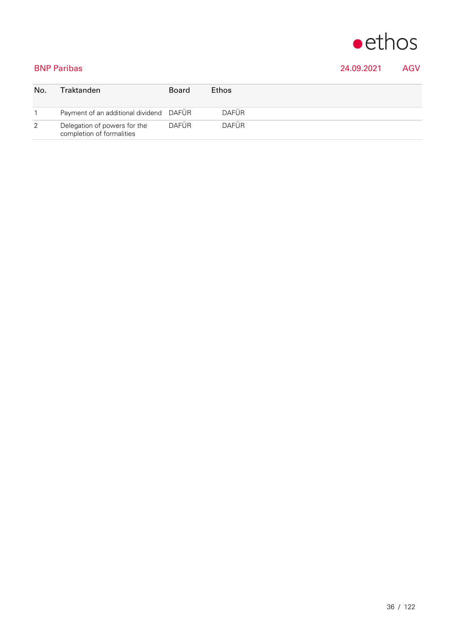

### BNP Paribas 24.09.2021 AGV

| No. | Traktanden                                                | <b>Board</b> | Ethos        |
|-----|-----------------------------------------------------------|--------------|--------------|
|     | Payment of an additional dividend DAFUR                   |              | <b>DAFUR</b> |
| 2   | Delegation of powers for the<br>completion of formalities | <b>DAFÜR</b> | <b>DAFUR</b> |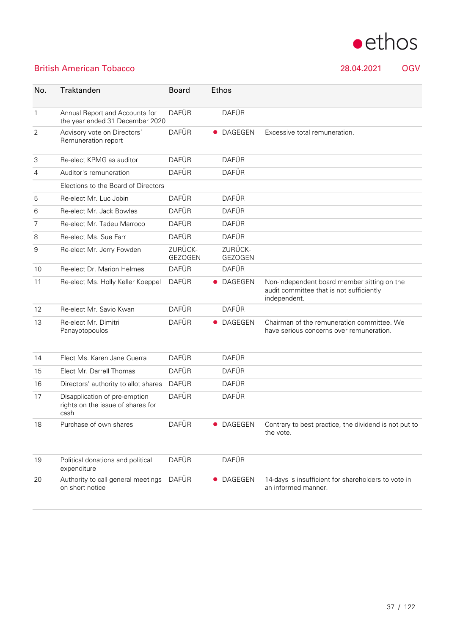

# British American Tobacco 28.04.2021 OGV

| No.            | Traktanden                                                                 | <b>Board</b>              | <b>Ethos</b> |                           |                                                                                                         |
|----------------|----------------------------------------------------------------------------|---------------------------|--------------|---------------------------|---------------------------------------------------------------------------------------------------------|
| $\mathbf{1}$   | Annual Report and Accounts for<br>the year ended 31 December 2020          | <b>DAFÜR</b>              |              | <b>DAFÜR</b>              |                                                                                                         |
| $\overline{2}$ | Advisory vote on Directors'<br>Remuneration report                         | <b>DAFÜR</b>              | $\bullet$    | DAGEGEN                   | Excessive total remuneration.                                                                           |
| $\sqrt{3}$     | Re-elect KPMG as auditor                                                   | <b>DAFÜR</b>              |              | <b>DAFÜR</b>              |                                                                                                         |
| 4              | Auditor's remuneration                                                     | <b>DAFÜR</b>              |              | <b>DAFÜR</b>              |                                                                                                         |
|                | Elections to the Board of Directors                                        |                           |              |                           |                                                                                                         |
| 5              | Re-elect Mr. Luc Jobin                                                     | <b>DAFÜR</b>              |              | <b>DAFÜR</b>              |                                                                                                         |
| 6              | Re-elect Mr. Jack Bowles                                                   | <b>DAFÜR</b>              |              | <b>DAFÜR</b>              |                                                                                                         |
| 7              | Re-elect Mr. Tadeu Marroco                                                 | <b>DAFÜR</b>              |              | <b>DAFÜR</b>              |                                                                                                         |
| 8              | Re-elect Ms. Sue Farr                                                      | <b>DAFÜR</b>              |              | <b>DAFÜR</b>              |                                                                                                         |
| 9              | Re-elect Mr. Jerry Fowden                                                  | ZURÜCK-<br><b>GEZOGEN</b> |              | ZURÜCK-<br><b>GEZOGEN</b> |                                                                                                         |
| 10             | Re-elect Dr. Marion Helmes                                                 | <b>DAFÜR</b>              |              | <b>DAFÜR</b>              |                                                                                                         |
| 11             | Re-elect Ms. Holly Keller Koeppel                                          | <b>DAFÜR</b>              |              | • DAGEGEN                 | Non-independent board member sitting on the<br>audit committee that is not sufficiently<br>independent. |
| 12             | Re-elect Mr. Savio Kwan                                                    | <b>DAFÜR</b>              |              | <b>DAFÜR</b>              |                                                                                                         |
| 13             | Re-elect Mr. Dimitri<br>Panayotopoulos                                     | <b>DAFÜR</b>              | $\bullet$    | DAGEGEN                   | Chairman of the remuneration committee. We<br>have serious concerns over remuneration.                  |
| 14             | Elect Ms. Karen Jane Guerra                                                | <b>DAFÜR</b>              |              | <b>DAFÜR</b>              |                                                                                                         |
| 15             | Elect Mr. Darrell Thomas                                                   | <b>DAFÜR</b>              |              | <b>DAFÜR</b>              |                                                                                                         |
| 16             | Directors' authority to allot shares                                       | <b>DAFÜR</b>              |              | <b>DAFÜR</b>              |                                                                                                         |
| 17             | Disapplication of pre-emption<br>rights on the issue of shares for<br>cash | <b>DAFÜR</b>              |              | <b>DAFÜR</b>              |                                                                                                         |
| 18             | Purchase of own shares                                                     | DAFÜR                     |              | • DAGEGEN                 | Contrary to best practice, the dividend is not put to<br>the vote.                                      |
| 19             | Political donations and political<br>expenditure                           | <b>DAFÜR</b>              |              | <b>DAFÜR</b>              |                                                                                                         |
| 20             | Authority to call general meetings<br>on short notice                      | <b>DAFÜR</b>              |              | • DAGEGEN                 | 14-days is insufficient for shareholders to vote in<br>an informed manner.                              |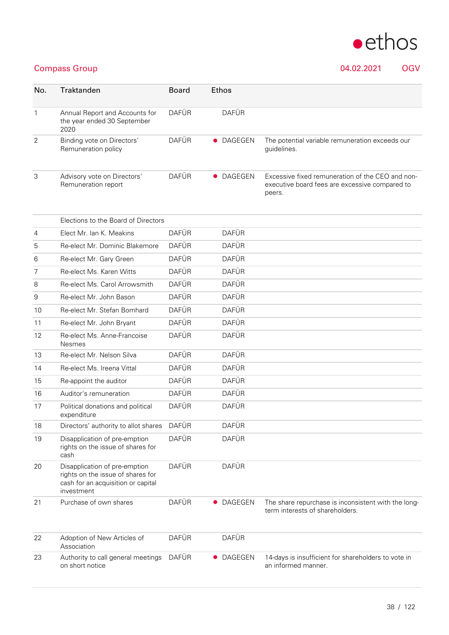

**Compass Group Compass Group Compass Group Compass Group Compass Group Compass Group Compass Compass Compass Compass Compass Compass Compass Compass Compass Compass Compass Compass Compass Compass Compass Compass Compass C** 

| No.            | Traktanden                                                                                                             | <b>Board</b> | <b>Ethos</b> |                                                                                                              |
|----------------|------------------------------------------------------------------------------------------------------------------------|--------------|--------------|--------------------------------------------------------------------------------------------------------------|
| $\mathbf{1}$   | Annual Report and Accounts for<br>the year ended 30 September<br>2020                                                  | <b>DAFÜR</b> | <b>DAFÜR</b> |                                                                                                              |
| $\overline{2}$ | Binding vote on Directors'<br>Remuneration policy                                                                      | <b>DAFÜR</b> | • DAGEGEN    | The potential variable remuneration exceeds our<br>guidelines.                                               |
| 3              | Advisory vote on Directors'<br>Remuneration report                                                                     | <b>DAFÜR</b> | • DAGEGEN    | Excessive fixed remuneration of the CEO and non-<br>executive board fees are excessive compared to<br>peers. |
|                | Elections to the Board of Directors                                                                                    |              |              |                                                                                                              |
| $\overline{4}$ | Elect Mr. Ian K. Meakins                                                                                               | <b>DAFÜR</b> | <b>DAFÜR</b> |                                                                                                              |
| 5              | Re-elect Mr. Dominic Blakemore                                                                                         | <b>DAFÜR</b> | <b>DAFÜR</b> |                                                                                                              |
| 6              | Re-elect Mr. Gary Green                                                                                                | <b>DAFÜR</b> | <b>DAFÜR</b> |                                                                                                              |
| 7              | Re-elect Ms. Karen Witts                                                                                               | <b>DAFÜR</b> | <b>DAFÜR</b> |                                                                                                              |
| 8              | Re-elect Ms. Carol Arrowsmith                                                                                          | <b>DAFÜR</b> | <b>DAFÜR</b> |                                                                                                              |
| 9              | Re-elect Mr. John Bason                                                                                                | <b>DAFÜR</b> | <b>DAFÜR</b> |                                                                                                              |
| 10             | Re-elect Mr. Stefan Bomhard                                                                                            | <b>DAFÜR</b> | <b>DAFÜR</b> |                                                                                                              |
| 11             | Re-elect Mr. John Bryant                                                                                               | <b>DAFÜR</b> | <b>DAFÜR</b> |                                                                                                              |
| 12             | Re-elect Ms. Anne-Francoise<br><b>Nesmes</b>                                                                           | <b>DAFÜR</b> | <b>DAFÜR</b> |                                                                                                              |
| 13             | Re-elect Mr. Nelson Silva                                                                                              | <b>DAFÜR</b> | <b>DAFÜR</b> |                                                                                                              |
| 14             | Re-elect Ms. Ireena Vittal                                                                                             | <b>DAFÜR</b> | <b>DAFÜR</b> |                                                                                                              |
| 15             | Re-appoint the auditor                                                                                                 | <b>DAFÜR</b> | <b>DAFÜR</b> |                                                                                                              |
| 16             | Auditor's remuneration                                                                                                 | <b>DAFÜR</b> | <b>DAFÜR</b> |                                                                                                              |
| 17             | Political donations and political<br>expenditure                                                                       | <b>DAFÜR</b> | <b>DAFÜR</b> |                                                                                                              |
| 18             | Directors' authority to allot shares                                                                                   | DAFÜR        | DAFÜR        |                                                                                                              |
| 19             | Disapplication of pre-emption<br>rights on the issue of shares for<br>cash                                             | <b>DAFÜR</b> | <b>DAFÜR</b> |                                                                                                              |
| 20             | Disapplication of pre-emption<br>rights on the issue of shares for<br>cash for an acquisition or capital<br>investment | <b>DAFÜR</b> | <b>DAFÜR</b> |                                                                                                              |
| 21             | Purchase of own shares                                                                                                 | <b>DAFÜR</b> | • DAGEGEN    | The share repurchase is inconsistent with the long-<br>term interests of shareholders.                       |
| 22             | Adoption of New Articles of<br>Association                                                                             | <b>DAFÜR</b> | <b>DAFÜR</b> |                                                                                                              |
| 23             | Authority to call general meetings<br>on short notice                                                                  | <b>DAFÜR</b> | • DAGEGEN    | 14-days is insufficient for shareholders to vote in<br>an informed manner.                                   |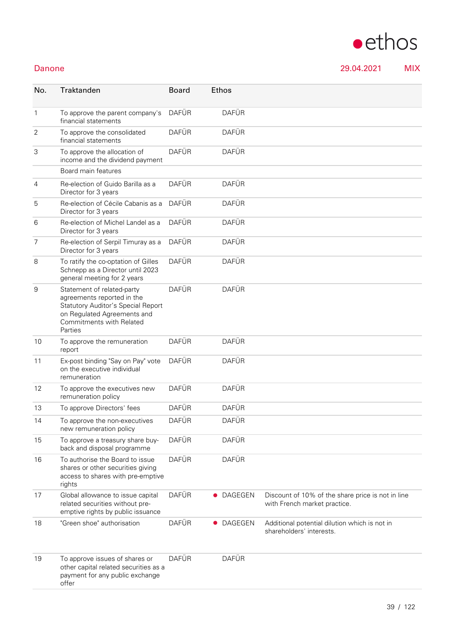

Danone 29.04.2021 MIX

| No.          | Traktanden                                                                                                                                                                  | <b>Board</b> | Ethos                |                                                                                   |
|--------------|-----------------------------------------------------------------------------------------------------------------------------------------------------------------------------|--------------|----------------------|-----------------------------------------------------------------------------------|
| $\mathbf{1}$ | To approve the parent company's<br>financial statements                                                                                                                     | <b>DAFÜR</b> | <b>DAFÜR</b>         |                                                                                   |
| 2            | To approve the consolidated<br>financial statements                                                                                                                         | <b>DAFÜR</b> | <b>DAFÜR</b>         |                                                                                   |
| 3            | To approve the allocation of<br>income and the dividend payment                                                                                                             | <b>DAFÜR</b> | <b>DAFÜR</b>         |                                                                                   |
|              | Board main features                                                                                                                                                         |              |                      |                                                                                   |
| 4            | Re-election of Guido Barilla as a<br>Director for 3 years                                                                                                                   | <b>DAFÜR</b> | <b>DAFÜR</b>         |                                                                                   |
| 5            | Re-election of Cécile Cabanis as a<br>Director for 3 years                                                                                                                  | <b>DAFÜR</b> | <b>DAFÜR</b>         |                                                                                   |
| 6            | Re-election of Michel Landel as a<br>Director for 3 years                                                                                                                   | DAFÜR        | <b>DAFÜR</b>         |                                                                                   |
| 7            | Re-election of Serpil Timuray as a<br>Director for 3 years                                                                                                                  | <b>DAFÜR</b> | <b>DAFÜR</b>         |                                                                                   |
| 8            | To ratify the co-optation of Gilles<br>Schnepp as a Director until 2023<br>general meeting for 2 years                                                                      | <b>DAFÜR</b> | <b>DAFÜR</b>         |                                                                                   |
| 9            | Statement of related-party<br>agreements reported in the<br><b>Statutory Auditor's Special Report</b><br>on Regulated Agreements and<br>Commitments with Related<br>Parties | <b>DAFÜR</b> | <b>DAFÜR</b>         |                                                                                   |
| 10           | To approve the remuneration<br>report                                                                                                                                       | <b>DAFÜR</b> | <b>DAFÜR</b>         |                                                                                   |
| 11           | Ex-post binding "Say on Pay" vote<br>on the executive individual<br>remuneration                                                                                            | <b>DAFÜR</b> | <b>DAFÜR</b>         |                                                                                   |
| 12           | To approve the executives new<br>remuneration policy                                                                                                                        | <b>DAFÜR</b> | <b>DAFÜR</b>         |                                                                                   |
| 13           | To approve Directors' fees                                                                                                                                                  | <b>DAFÜR</b> | <b>DAFÜR</b>         |                                                                                   |
| 14           | To approve the non-executives<br>new remuneration policy                                                                                                                    | DAFÜR        | DAFÜR                |                                                                                   |
| 15           | To approve a treasury share buy-<br>back and disposal programme                                                                                                             | <b>DAFÜR</b> | <b>DAFÜR</b>         |                                                                                   |
| 16           | To authorise the Board to issue<br>shares or other securities giving<br>access to shares with pre-emptive<br>rights                                                         | <b>DAFÜR</b> | <b>DAFÜR</b>         |                                                                                   |
| 17           | Global allowance to issue capital<br>related securities without pre-<br>emptive rights by public issuance                                                                   | <b>DAFÜR</b> | DAGEGEN<br>$\bullet$ | Discount of 10% of the share price is not in line<br>with French market practice. |
| 18           | "Green shoe" authorisation                                                                                                                                                  | <b>DAFÜR</b> | DAGEGEN              | Additional potential dilution which is not in<br>shareholders' interests.         |
| 19           | To approve issues of shares or<br>other capital related securities as a<br>payment for any public exchange<br>offer                                                         | <b>DAFÜR</b> | <b>DAFÜR</b>         |                                                                                   |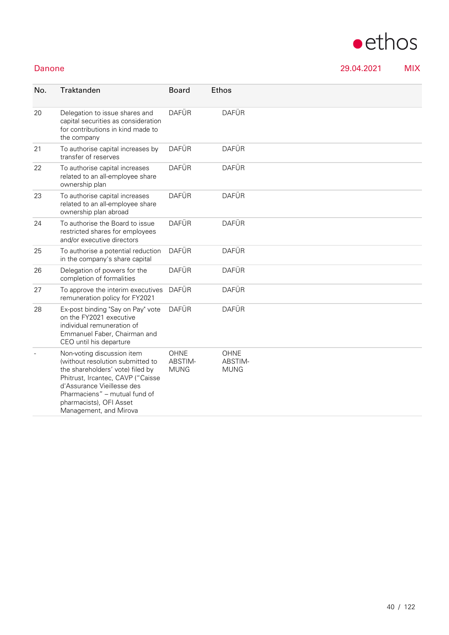# $\bullet$ ethos

Danone 29.04.2021 MIX

| No.                      | Traktanden                                                                                                                                                                                                                                                  | <b>Board</b>                   | Ethos                          |
|--------------------------|-------------------------------------------------------------------------------------------------------------------------------------------------------------------------------------------------------------------------------------------------------------|--------------------------------|--------------------------------|
| 20                       | Delegation to issue shares and<br>capital securities as consideration<br>for contributions in kind made to<br>the company                                                                                                                                   | <b>DAFÜR</b>                   | <b>DAFÜR</b>                   |
| 21                       | To authorise capital increases by<br>transfer of reserves                                                                                                                                                                                                   | <b>DAFÜR</b>                   | <b>DAFÜR</b>                   |
| 22                       | To authorise capital increases<br>related to an all-employee share<br>ownership plan                                                                                                                                                                        | <b>DAFÜR</b>                   | <b>DAFÜR</b>                   |
| 23                       | To authorise capital increases<br>related to an all-employee share<br>ownership plan abroad                                                                                                                                                                 | <b>DAFÜR</b>                   | <b>DAFÜR</b>                   |
| 24                       | To authorise the Board to issue<br>restricted shares for employees<br>and/or executive directors                                                                                                                                                            | <b>DAFÜR</b>                   | <b>DAFÜR</b>                   |
| 25                       | To authorise a potential reduction<br>in the company's share capital                                                                                                                                                                                        | <b>DAFÜR</b>                   | <b>DAFÜR</b>                   |
| 26                       | Delegation of powers for the<br>completion of formalities                                                                                                                                                                                                   | <b>DAFÜR</b>                   | <b>DAFÜR</b>                   |
| 27                       | To approve the interim executives<br>remuneration policy for FY2021                                                                                                                                                                                         | <b>DAFÜR</b>                   | <b>DAFÜR</b>                   |
| 28                       | Ex-post binding "Say on Pay" vote<br>on the FY2021 executive<br>individual remuneration of<br>Emmanuel Faber, Chairman and<br>CEO until his departure                                                                                                       | <b>DAFÜR</b>                   | <b>DAFÜR</b>                   |
| $\overline{\phantom{a}}$ | Non-voting discussion item<br>(without resolution submitted to<br>the shareholders' vote) filed by<br>Phitrust, Ircantec, CAVP ("Caisse<br>d'Assurance Vieillesse des<br>Pharmaciens" - mutual fund of<br>pharmacists), OFI Asset<br>Management, and Mirova | OHNE<br>ABSTIM-<br><b>MUNG</b> | OHNE<br>ABSTIM-<br><b>MUNG</b> |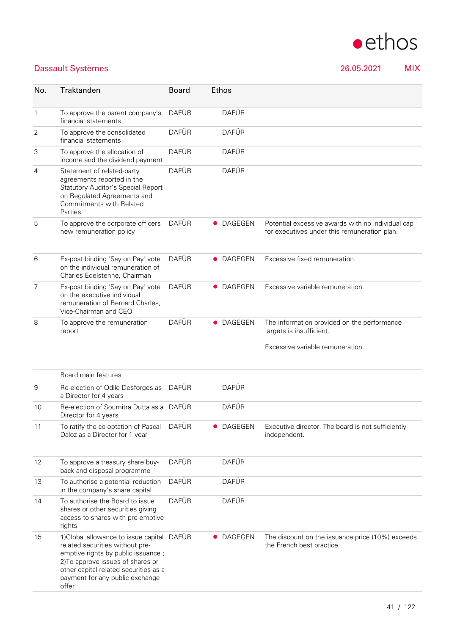

Dassault Systèmes 26.05.2021 MIX

| No.            | Traktanden                                                                                                                                                                                                                                    | <b>Board</b> | <b>Ethos</b>   |                                                                                                   |
|----------------|-----------------------------------------------------------------------------------------------------------------------------------------------------------------------------------------------------------------------------------------------|--------------|----------------|---------------------------------------------------------------------------------------------------|
| $\mathbf{1}$   | To approve the parent company's<br>financial statements                                                                                                                                                                                       | <b>DAFÜR</b> | <b>DAFÜR</b>   |                                                                                                   |
| 2              | To approve the consolidated<br>financial statements                                                                                                                                                                                           | <b>DAFÜR</b> | <b>DAFÜR</b>   |                                                                                                   |
| 3              | To approve the allocation of<br>income and the dividend payment                                                                                                                                                                               | <b>DAFÜR</b> | <b>DAFÜR</b>   |                                                                                                   |
| $\overline{4}$ | Statement of related-party<br>agreements reported in the<br><b>Statutory Auditor's Special Report</b><br>on Regulated Agreements and<br>Commitments with Related<br>Parties                                                                   | <b>DAFÜR</b> | <b>DAFÜR</b>   |                                                                                                   |
| 5              | To approve the corporate officers<br>new remuneration policy                                                                                                                                                                                  | <b>DAFÜR</b> | <b>DAGEGEN</b> | Potential excessive awards with no individual cap<br>for executives under this remuneration plan. |
| 6              | Ex-post binding "Say on Pay" vote<br>on the individual remuneration of<br>Charles Edelstenne, Chairman                                                                                                                                        | <b>DAFÜR</b> | • DAGEGEN      | Excessive fixed remuneration.                                                                     |
| $\overline{7}$ | Ex-post binding "Say on Pay" vote<br>on the executive individual<br>remuneration of Bernard Charlès,<br>Vice-Chairman and CEO                                                                                                                 | <b>DAFÜR</b> | <b>DAGEGEN</b> | Excessive variable remuneration.                                                                  |
| 8              | To approve the remuneration<br>report                                                                                                                                                                                                         | <b>DAFÜR</b> | DAGEGEN        | The information provided on the performance<br>targets is insufficient.                           |
|                |                                                                                                                                                                                                                                               |              |                | Excessive variable remuneration.                                                                  |
|                | Board main features                                                                                                                                                                                                                           |              |                |                                                                                                   |
| 9              | Re-election of Odile Desforges as<br>a Director for 4 years                                                                                                                                                                                   | <b>DAFÜR</b> | <b>DAFÜR</b>   |                                                                                                   |
| 10             | Re-election of Soumitra Dutta as a<br>Director for 4 years                                                                                                                                                                                    | <b>DAFÜR</b> | <b>DAFÜR</b>   |                                                                                                   |
| 11             | To ratify the co-optation of Pascal<br>Daloz as a Director for 1 year                                                                                                                                                                         | <b>DAFÜR</b> | DAGEGEN        | Executive director. The board is not sufficiently<br>independent.                                 |
| 12             | To approve a treasury share buy-<br>back and disposal programme                                                                                                                                                                               | DAFÜR        | <b>DAFÜR</b>   |                                                                                                   |
| 13             | To authorise a potential reduction<br>in the company's share capital                                                                                                                                                                          | <b>DAFÜR</b> | <b>DAFÜR</b>   |                                                                                                   |
| 14             | To authorise the Board to issue<br>shares or other securities giving<br>access to shares with pre-emptive<br>rights                                                                                                                           | <b>DAFÜR</b> | <b>DAFÜR</b>   |                                                                                                   |
| 15             | 1) Global allowance to issue capital DAFÜR<br>related securities without pre-<br>emptive rights by public issuance;<br>2) To approve issues of shares or<br>other capital related securities as a<br>payment for any public exchange<br>offer |              | • DAGEGEN      | The discount on the issuance price (10%) exceeds<br>the French best practice.                     |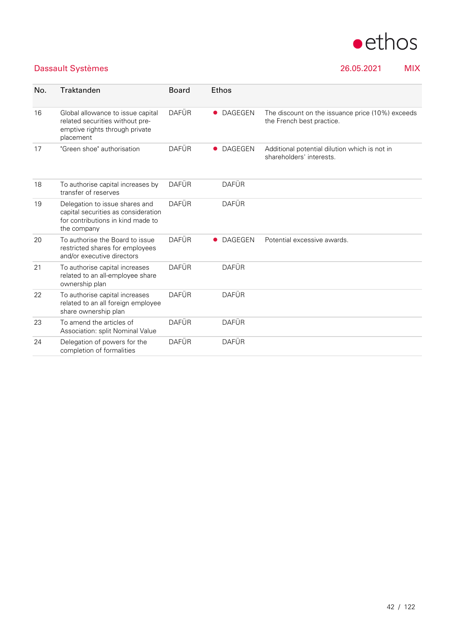

# Dassault Systèmes 26.05.2021 MIX

| No. | Traktanden                                                                                                                | <b>Board</b> | <b>Ethos</b>         |                                                                               |
|-----|---------------------------------------------------------------------------------------------------------------------------|--------------|----------------------|-------------------------------------------------------------------------------|
| 16  | Global allowance to issue capital<br>related securities without pre-<br>emptive rights through private<br>placement       | <b>DAFÜR</b> | DAGEGEN<br>$\bullet$ | The discount on the issuance price (10%) exceeds<br>the French best practice. |
| 17  | "Green shoe" authorisation                                                                                                | <b>DAFÜR</b> | DAGEGEN              | Additional potential dilution which is not in<br>shareholders' interests.     |
| 18  | To authorise capital increases by<br>transfer of reserves                                                                 | <b>DAFÜR</b> | <b>DAFÜR</b>         |                                                                               |
| 19  | Delegation to issue shares and<br>capital securities as consideration<br>for contributions in kind made to<br>the company | <b>DAFÜR</b> | <b>DAFÜR</b>         |                                                                               |
| 20  | To authorise the Board to issue<br>restricted shares for employees<br>and/or executive directors                          | <b>DAFÜR</b> | • DAGEGEN            | Potential excessive awards.                                                   |
| 21  | To authorise capital increases<br>related to an all-employee share<br>ownership plan                                      | <b>DAFÜR</b> | <b>DAFÜR</b>         |                                                                               |
| 22  | To authorise capital increases<br>related to an all foreign employee<br>share ownership plan                              | <b>DAFÜR</b> | <b>DAFÜR</b>         |                                                                               |
| 23  | To amend the articles of<br>Association: split Nominal Value                                                              | <b>DAFÜR</b> | <b>DAFÜR</b>         |                                                                               |
| 24  | Delegation of powers for the<br>completion of formalities                                                                 | <b>DAFÜR</b> | <b>DAFÜR</b>         |                                                                               |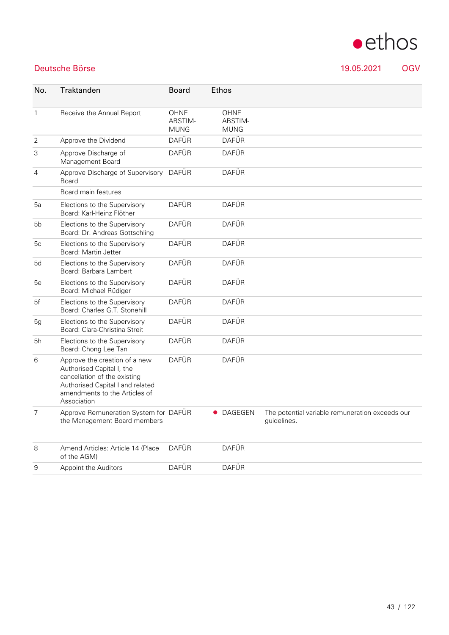

Deutsche Börse 19.05.2021 OGV

| No.            | Traktanden                                                                                                                                                                     | <b>Board</b>                   | <b>Ethos</b>                   |                                                                |
|----------------|--------------------------------------------------------------------------------------------------------------------------------------------------------------------------------|--------------------------------|--------------------------------|----------------------------------------------------------------|
| $\mathbf{1}$   | Receive the Annual Report                                                                                                                                                      | OHNE<br>ABSTIM-<br><b>MUNG</b> | OHNE<br>ABSTIM-<br><b>MUNG</b> |                                                                |
| $\overline{2}$ | Approve the Dividend                                                                                                                                                           | <b>DAFÜR</b>                   | <b>DAFÜR</b>                   |                                                                |
| 3              | Approve Discharge of<br>Management Board                                                                                                                                       | <b>DAFÜR</b>                   | <b>DAFÜR</b>                   |                                                                |
| 4              | Approve Discharge of Supervisory<br><b>Board</b>                                                                                                                               | <b>DAFÜR</b>                   | <b>DAFÜR</b>                   |                                                                |
|                | Board main features                                                                                                                                                            |                                |                                |                                                                |
| 5a             | Elections to the Supervisory<br>Board: Karl-Heinz Flöther                                                                                                                      | <b>DAFÜR</b>                   | <b>DAFÜR</b>                   |                                                                |
| 5 <sub>b</sub> | Elections to the Supervisory<br>Board: Dr. Andreas Gottschling                                                                                                                 | <b>DAFÜR</b>                   | <b>DAFÜR</b>                   |                                                                |
| 5c             | Elections to the Supervisory<br>Board: Martin Jetter                                                                                                                           | <b>DAFÜR</b>                   | <b>DAFÜR</b>                   |                                                                |
| 5d             | Elections to the Supervisory<br>Board: Barbara Lambert                                                                                                                         | <b>DAFÜR</b>                   | <b>DAFÜR</b>                   |                                                                |
| 5e             | Elections to the Supervisory<br>Board: Michael Rüdiger                                                                                                                         | <b>DAFÜR</b>                   | <b>DAFÜR</b>                   |                                                                |
| 5f             | Elections to the Supervisory<br>Board: Charles G.T. Stonehill                                                                                                                  | <b>DAFÜR</b>                   | <b>DAFÜR</b>                   |                                                                |
| 5g             | Elections to the Supervisory<br>Board: Clara-Christina Streit                                                                                                                  | <b>DAFÜR</b>                   | <b>DAFÜR</b>                   |                                                                |
| 5h             | Elections to the Supervisory<br>Board: Chong Lee Tan                                                                                                                           | <b>DAFÜR</b>                   | <b>DAFÜR</b>                   |                                                                |
| 6              | Approve the creation of a new<br>Authorised Capital I, the<br>cancellation of the existing<br>Authorised Capital I and related<br>amendments to the Articles of<br>Association | <b>DAFÜR</b>                   | <b>DAFÜR</b>                   |                                                                |
| $\overline{7}$ | Approve Remuneration System for DAFÜR<br>the Management Board members                                                                                                          |                                | • DAGEGEN                      | The potential variable remuneration exceeds our<br>guidelines. |
| 8              | Amend Articles: Article 14 (Place<br>of the AGM)                                                                                                                               | <b>DAFÜR</b>                   | <b>DAFÜR</b>                   |                                                                |
| 9              | Appoint the Auditors                                                                                                                                                           | <b>DAFÜR</b>                   | <b>DAFÜR</b>                   |                                                                |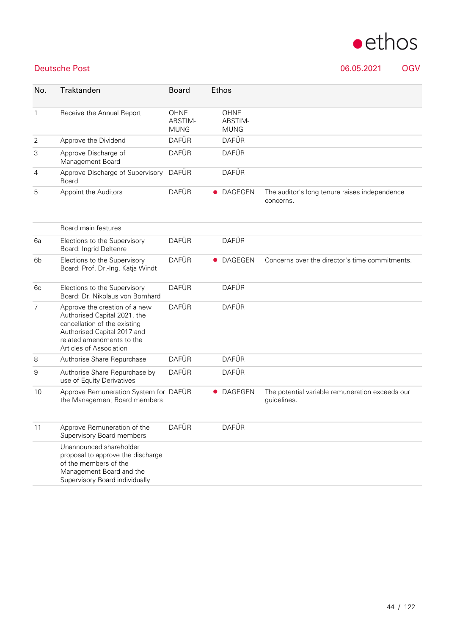

Deutsche Post 06.05.2021 OGV

| No.            | Traktanden                                                                                                                                                                           | <b>Board</b>                          | <b>Ethos</b>                                                              |
|----------------|--------------------------------------------------------------------------------------------------------------------------------------------------------------------------------------|---------------------------------------|---------------------------------------------------------------------------|
| 1              | Receive the Annual Report                                                                                                                                                            | <b>OHNE</b><br>ABSTIM-<br><b>MUNG</b> | <b>OHNE</b><br>ABSTIM-<br><b>MUNG</b>                                     |
| 2              | Approve the Dividend                                                                                                                                                                 | <b>DAFÜR</b>                          | <b>DAFÜR</b>                                                              |
| 3              | Approve Discharge of<br>Management Board                                                                                                                                             | <b>DAFÜR</b>                          | <b>DAFÜR</b>                                                              |
| 4              | Approve Discharge of Supervisory<br>Board                                                                                                                                            | <b>DAFÜR</b>                          | <b>DAFÜR</b>                                                              |
| 5              | Appoint the Auditors                                                                                                                                                                 | <b>DAFÜR</b>                          | • DAGEGEN<br>The auditor's long tenure raises independence<br>concerns.   |
|                | Board main features                                                                                                                                                                  |                                       |                                                                           |
| 6a             | Elections to the Supervisory<br>Board: Ingrid Deltenre                                                                                                                               | <b>DAFÜR</b>                          | <b>DAFÜR</b>                                                              |
| 6 <sub>b</sub> | Elections to the Supervisory<br>Board: Prof. Dr.-Ing. Katja Windt                                                                                                                    | <b>DAFÜR</b>                          | • DAGEGEN<br>Concerns over the director's time commitments.               |
| 6c             | Elections to the Supervisory<br>Board: Dr. Nikolaus von Bomhard                                                                                                                      | <b>DAFÜR</b>                          | <b>DAFÜR</b>                                                              |
| 7              | Approve the creation of a new<br>Authorised Capital 2021, the<br>cancellation of the existing<br>Authorised Capital 2017 and<br>related amendments to the<br>Articles of Association | DAFÜR                                 | <b>DAFÜR</b>                                                              |
| 8              | Authorise Share Repurchase                                                                                                                                                           | <b>DAFÜR</b>                          | <b>DAFÜR</b>                                                              |
| 9              | Authorise Share Repurchase by<br>use of Equity Derivatives                                                                                                                           | <b>DAFÜR</b>                          | <b>DAFÜR</b>                                                              |
| 10             | Approve Remuneration System for DAFÜR<br>the Management Board members                                                                                                                |                                       | DAGEGEN<br>The potential variable remuneration exceeds our<br>guidelines. |
| 11             | Approve Remuneration of the<br>Supervisory Board members                                                                                                                             | DAFÜR                                 | <b>DAFÜR</b>                                                              |
|                | Unannounced shareholder<br>proposal to approve the discharge<br>of the members of the<br>Management Board and the<br>Supervisory Board individually                                  |                                       |                                                                           |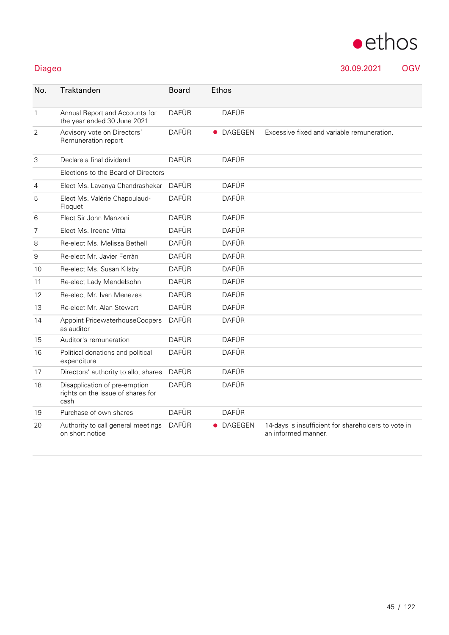

### Diageo 30.09.2021 OGV

| No.            | Traktanden                                                                 | <b>Board</b> | <b>Ethos</b> |                                            |
|----------------|----------------------------------------------------------------------------|--------------|--------------|--------------------------------------------|
| $\mathbf{1}$   | Annual Report and Accounts for<br>the year ended 30 June 2021              | <b>DAFÜR</b> | <b>DAFÜR</b> |                                            |
| $\overline{2}$ | Advisory vote on Directors'<br>Remuneration report                         | <b>DAFÜR</b> | • DAGEGEN    | Excessive fixed and variable remuneration. |
| 3              | Declare a final dividend                                                   | <b>DAFÜR</b> | <b>DAFÜR</b> |                                            |
|                | Elections to the Board of Directors                                        |              |              |                                            |
| 4              | Elect Ms. Lavanya Chandrashekar                                            | DAFÜR        | <b>DAFÜR</b> |                                            |
| 5              | Elect Ms. Valérie Chapoulaud-<br>Floquet                                   | <b>DAFÜR</b> | <b>DAFÜR</b> |                                            |
| 6              | Elect Sir John Manzoni                                                     | <b>DAFÜR</b> | <b>DAFÜR</b> |                                            |
| $\overline{7}$ | Elect Ms. Ireena Vittal                                                    | <b>DAFÜR</b> | <b>DAFÜR</b> |                                            |
| 8              | Re-elect Ms. Melissa Bethell                                               | <b>DAFÜR</b> | <b>DAFÜR</b> |                                            |
| 9              | Re-elect Mr. Javier Ferràn                                                 | <b>DAFÜR</b> | <b>DAFÜR</b> |                                            |
| 10             | Re-elect Ms. Susan Kilsby                                                  | <b>DAFÜR</b> | <b>DAFÜR</b> |                                            |
| 11             | Re-elect Lady Mendelsohn                                                   | <b>DAFÜR</b> | <b>DAFÜR</b> |                                            |
| 12             | Re-elect Mr. Ivan Menezes                                                  | <b>DAFÜR</b> | <b>DAFÜR</b> |                                            |
| 13             | Re-elect Mr. Alan Stewart                                                  | <b>DAFÜR</b> | <b>DAFÜR</b> |                                            |
| 14             | Appoint PricewaterhouseCoopers<br>as auditor                               | <b>DAFÜR</b> | <b>DAFÜR</b> |                                            |
| 15             | Auditor's remuneration                                                     | <b>DAFÜR</b> | <b>DAFÜR</b> |                                            |
| 16             | Political donations and political<br>expenditure                           | <b>DAFÜR</b> | <b>DAFÜR</b> |                                            |
| 17             | Directors' authority to allot shares                                       | <b>DAFÜR</b> | <b>DAFÜR</b> |                                            |
| 18             | Disapplication of pre-emption<br>rights on the issue of shares for<br>cash | <b>DAFÜR</b> | <b>DAFÜR</b> |                                            |
| 19             | Purchase of own shares                                                     | <b>DAFÜR</b> | <b>DAFÜR</b> |                                            |

20 Authority to call general meetings DAFÜR on short notice

● DAGEGEN 14-days is insufficient for shareholders to vote in an informed manner.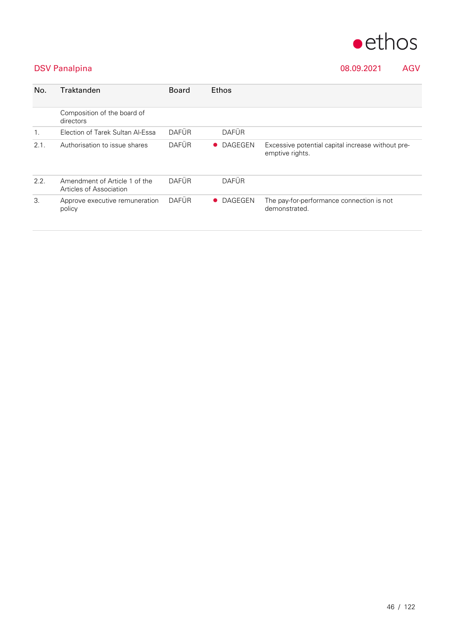

DSV Panalpina 08.09.2021 AGV

| No.  | Traktanden                                               | <b>Board</b> | Ethos        |                                                                      |
|------|----------------------------------------------------------|--------------|--------------|----------------------------------------------------------------------|
|      | Composition of the board of<br>directors                 |              |              |                                                                      |
| 1.   | Election of Tarek Sultan Al-Essa                         | <b>DAFÜR</b> | <b>DAFÜR</b> |                                                                      |
| 2.1. | Authorisation to issue shares                            | <b>DAFÜR</b> | • DAGEGEN    | Excessive potential capital increase without pre-<br>emptive rights. |
| 2.2. | Amendment of Article 1 of the<br>Articles of Association | <b>DAFÜR</b> | <b>DAFÜR</b> |                                                                      |
| 3.   | Approve executive remuneration<br>policy                 | <b>DAFÜR</b> | • DAGEGEN    | The pay-for-performance connection is not<br>demonstrated.           |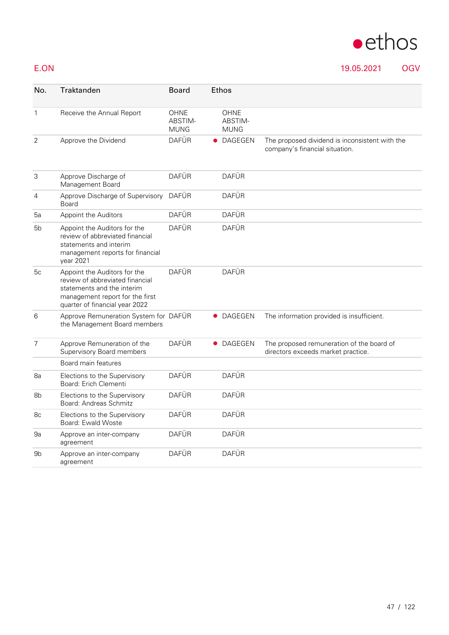

## E.ON 19.05.2021 OGV

| No.            | Traktanden                                                                                                                                                         | <b>Board</b>                          | Ethos                                 |                                                                                  |
|----------------|--------------------------------------------------------------------------------------------------------------------------------------------------------------------|---------------------------------------|---------------------------------------|----------------------------------------------------------------------------------|
| 1              | Receive the Annual Report                                                                                                                                          | <b>OHNE</b><br>ABSTIM-<br><b>MUNG</b> | <b>OHNE</b><br>ABSTIM-<br><b>MUNG</b> |                                                                                  |
| $\overline{2}$ | Approve the Dividend                                                                                                                                               | <b>DAFÜR</b>                          | DAGEGEN<br>$\bullet$                  | The proposed dividend is inconsistent with the<br>company's financial situation. |
| 3              | Approve Discharge of<br>Management Board                                                                                                                           | <b>DAFÜR</b>                          | <b>DAFÜR</b>                          |                                                                                  |
| 4              | Approve Discharge of Supervisory<br>Board                                                                                                                          | <b>DAFÜR</b>                          | <b>DAFÜR</b>                          |                                                                                  |
| 5а             | Appoint the Auditors                                                                                                                                               | <b>DAFÜR</b>                          | <b>DAFÜR</b>                          |                                                                                  |
| 5b             | Appoint the Auditors for the<br>review of abbreviated financial<br>statements and interim<br>management reports for financial<br>year 2021                         | <b>DAFÜR</b>                          | <b>DAFÜR</b>                          |                                                                                  |
| 5c             | Appoint the Auditors for the<br>review of abbreviated financial<br>statements and the interim<br>management report for the first<br>quarter of financial year 2022 | <b>DAFÜR</b>                          | <b>DAFÜR</b>                          |                                                                                  |
| 6              | Approve Remuneration System for DAFÜR<br>the Management Board members                                                                                              |                                       | DAGEGEN<br>$\bullet$                  | The information provided is insufficient.                                        |
| 7              | Approve Remuneration of the<br>Supervisory Board members                                                                                                           | <b>DAFÜR</b>                          | DAGEGEN                               | The proposed remuneration of the board of<br>directors exceeds market practice.  |
|                | Board main features                                                                                                                                                |                                       |                                       |                                                                                  |
| 8a             | Elections to the Supervisory<br>Board: Erich Clementi                                                                                                              | <b>DAFÜR</b>                          | <b>DAFÜR</b>                          |                                                                                  |
| 8b             | Elections to the Supervisory<br>Board: Andreas Schmitz                                                                                                             | <b>DAFÜR</b>                          | <b>DAFÜR</b>                          |                                                                                  |
| 8c             | Elections to the Supervisory<br>Board: Ewald Woste                                                                                                                 | <b>DAFÜR</b>                          | DAFÜR                                 |                                                                                  |
| 9a             | Approve an inter-company<br>agreement                                                                                                                              | <b>DAFÜR</b>                          | <b>DAFÜR</b>                          |                                                                                  |
| 9b             | Approve an inter-company<br>agreement                                                                                                                              | <b>DAFÜR</b>                          | <b>DAFÜR</b>                          |                                                                                  |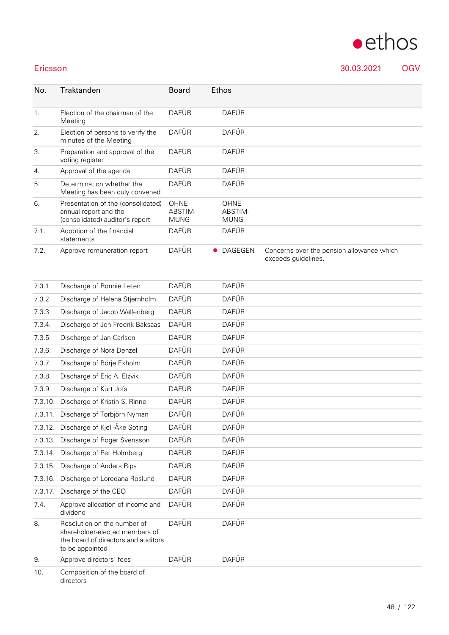

Ericsson 30.03.2021 OGV

| No.            | Traktanden                                                                                                              | <b>Board</b>                   | <b>Ethos</b>                   |                                                                  |
|----------------|-------------------------------------------------------------------------------------------------------------------------|--------------------------------|--------------------------------|------------------------------------------------------------------|
| 1 <sub>1</sub> | Election of the chairman of the<br>Meeting                                                                              | <b>DAFÜR</b>                   | <b>DAFÜR</b>                   |                                                                  |
| 2.             | Election of persons to verify the<br>minutes of the Meeting                                                             | <b>DAFÜR</b>                   | <b>DAFÜR</b>                   |                                                                  |
| 3.             | Preparation and approval of the<br>voting register                                                                      | <b>DAFÜR</b>                   | <b>DAFÜR</b>                   |                                                                  |
| 4.             | Approval of the agenda                                                                                                  | <b>DAFÜR</b>                   | <b>DAFÜR</b>                   |                                                                  |
| 5.             | Determination whether the<br>Meeting has been duly convened                                                             | <b>DAFÜR</b>                   | <b>DAFÜR</b>                   |                                                                  |
| 6.             | Presentation of the (consolidated)<br>annual report and the<br>(consolidated) auditor's report                          | OHNE<br>ABSTIM-<br><b>MUNG</b> | OHNE<br>ABSTIM-<br><b>MUNG</b> |                                                                  |
| 7.1.           | Adoption of the financial<br>statements                                                                                 | <b>DAFÜR</b>                   | <b>DAFÜR</b>                   |                                                                  |
| 7.2.           | Approve remuneration report                                                                                             | <b>DAFÜR</b>                   | <b>DAGEGEN</b><br>$\bullet$    | Concerns over the pension allowance which<br>exceeds guidelines. |
| 7.3.1.         | Discharge of Ronnie Leten                                                                                               | <b>DAFÜR</b>                   | <b>DAFÜR</b>                   |                                                                  |
| 7.3.2.         | Discharge of Helena Stjernholm                                                                                          | <b>DAFÜR</b>                   | <b>DAFÜR</b>                   |                                                                  |
| 7.3.3.         | Discharge of Jacob Wallenberg                                                                                           | <b>DAFÜR</b>                   | <b>DAFÜR</b>                   |                                                                  |
| 7.3.4.         | Discharge of Jon Fredrik Baksaas                                                                                        | <b>DAFÜR</b>                   | <b>DAFÜR</b>                   |                                                                  |
| 7.3.5.         | Discharge of Jan Carlson                                                                                                | <b>DAFÜR</b>                   | <b>DAFÜR</b>                   |                                                                  |
| 7.3.6.         | Discharge of Nora Denzel                                                                                                | <b>DAFÜR</b>                   | <b>DAFÜR</b>                   |                                                                  |
| 7.3.7.         | Discharge of Börje Ekholm                                                                                               | <b>DAFÜR</b>                   | <b>DAFÜR</b>                   |                                                                  |
| 7.3.8.         | Discharge of Eric A. Elzvik                                                                                             | <b>DAFÜR</b>                   | <b>DAFÜR</b>                   |                                                                  |
| 7.3.9.         | Discharge of Kurt Jofs                                                                                                  | <b>DAFÜR</b>                   | <b>DAFÜR</b>                   |                                                                  |
| 7.3.10.        | Discharge of Kristin S. Rinne                                                                                           | <b>DAFÜR</b>                   | <b>DAFÜR</b>                   |                                                                  |
| 7.3.11.        | Discharge of Torbjörn Nyman                                                                                             | <b>DAFÜR</b>                   | <b>DAFÜR</b>                   |                                                                  |
|                | 7.3.12. Discharge of Kjell-Åke Soting                                                                                   | DAFÜR                          | DAFÜR                          |                                                                  |
| 7.3.13.        | Discharge of Roger Svensson                                                                                             | <b>DAFÜR</b>                   | DAFÜR                          |                                                                  |
|                | 7.3.14. Discharge of Per Holmberg                                                                                       | <b>DAFÜR</b>                   | <b>DAFÜR</b>                   |                                                                  |
|                | 7.3.15. Discharge of Anders Ripa                                                                                        | <b>DAFÜR</b>                   | <b>DAFÜR</b>                   |                                                                  |
| 7.3.16.        | Discharge of Loredana Roslund                                                                                           | <b>DAFÜR</b>                   | <b>DAFÜR</b>                   |                                                                  |
| 7.3.17.        | Discharge of the CEO                                                                                                    | <b>DAFÜR</b>                   | <b>DAFÜR</b>                   |                                                                  |
| 7.4.           | Approve allocation of income and<br>dividend                                                                            | <b>DAFÜR</b>                   | <b>DAFÜR</b>                   |                                                                  |
| 8.             | Resolution on the number of<br>shareholder-elected members of<br>the board of directors and auditors<br>to be appointed | <b>DAFÜR</b>                   | <b>DAFÜR</b>                   |                                                                  |
| 9.             | Approve directors' fees                                                                                                 | <b>DAFÜR</b>                   | <b>DAFÜR</b>                   |                                                                  |
| 10.            | Composition of the board of<br>directors                                                                                |                                |                                |                                                                  |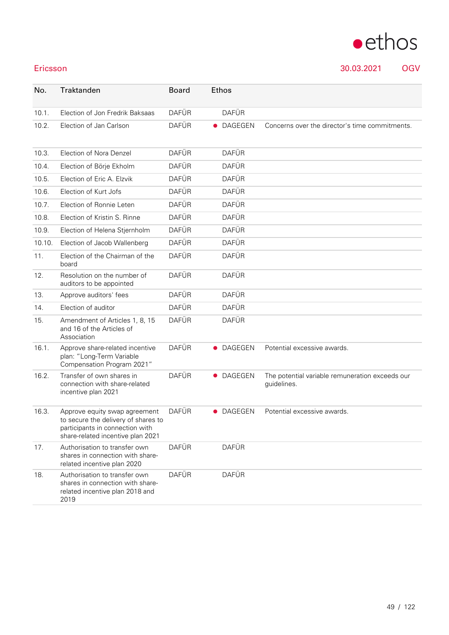

Ericsson 30.03.2021 OGV

| No.    | Traktanden                                                                                                                                   | <b>Board</b> | <b>Ethos</b>         |                                                                |
|--------|----------------------------------------------------------------------------------------------------------------------------------------------|--------------|----------------------|----------------------------------------------------------------|
| 10.1.  | Election of Jon Fredrik Baksaas                                                                                                              | <b>DAFÜR</b> | <b>DAFÜR</b>         |                                                                |
| 10.2.  | Election of Jan Carlson                                                                                                                      | <b>DAFÜR</b> | DAGEGEN<br>$\bullet$ | Concerns over the director's time commitments.                 |
| 10.3.  | Election of Nora Denzel                                                                                                                      | <b>DAFÜR</b> | <b>DAFÜR</b>         |                                                                |
| 10.4.  | Election of Börje Ekholm                                                                                                                     | <b>DAFÜR</b> | <b>DAFÜR</b>         |                                                                |
| 10.5.  | Election of Eric A. Elzvik                                                                                                                   | <b>DAFÜR</b> | <b>DAFÜR</b>         |                                                                |
| 10.6.  | Election of Kurt Jofs                                                                                                                        | <b>DAFÜR</b> | <b>DAFÜR</b>         |                                                                |
| 10.7.  | Election of Ronnie Leten                                                                                                                     | <b>DAFÜR</b> | <b>DAFÜR</b>         |                                                                |
| 10.8.  | Election of Kristin S. Rinne                                                                                                                 | <b>DAFÜR</b> | <b>DAFÜR</b>         |                                                                |
| 10.9.  | Election of Helena Stjernholm                                                                                                                | <b>DAFÜR</b> | <b>DAFÜR</b>         |                                                                |
| 10.10. | Election of Jacob Wallenberg                                                                                                                 | <b>DAFÜR</b> | <b>DAFÜR</b>         |                                                                |
| 11.    | Election of the Chairman of the<br>board                                                                                                     | <b>DAFÜR</b> | <b>DAFÜR</b>         |                                                                |
| 12.    | Resolution on the number of<br>auditors to be appointed                                                                                      | <b>DAFÜR</b> | <b>DAFÜR</b>         |                                                                |
| 13.    | Approve auditors' fees                                                                                                                       | <b>DAFÜR</b> | <b>DAFÜR</b>         |                                                                |
| 14.    | Election of auditor                                                                                                                          | <b>DAFÜR</b> | <b>DAFÜR</b>         |                                                                |
| 15.    | Amendment of Articles 1, 8, 15<br>and 16 of the Articles of<br>Association                                                                   | <b>DAFÜR</b> | <b>DAFÜR</b>         |                                                                |
| 16.1.  | Approve share-related incentive<br>plan: "Long-Term Variable<br>Compensation Program 2021"                                                   | <b>DAFÜR</b> | • DAGEGEN            | Potential excessive awards.                                    |
| 16.2.  | Transfer of own shares in<br>connection with share-related<br>incentive plan 2021                                                            | <b>DAFÜR</b> | • DAGEGEN            | The potential variable remuneration exceeds our<br>guidelines. |
| 16.3.  | Approve equity swap agreement<br>to secure the delivery of shares to<br>participants in connection with<br>share-related incentive plan 2021 | <b>DAFÜR</b> | • DAGEGEN            | Potential excessive awards.                                    |
| 17.    | Authorisation to transfer own<br>shares in connection with share-<br>related incentive plan 2020                                             | <b>DAFÜR</b> | <b>DAFÜR</b>         |                                                                |
| 18.    | Authorisation to transfer own<br>shares in connection with share-<br>related incentive plan 2018 and<br>2019                                 | <b>DAFÜR</b> | <b>DAFÜR</b>         |                                                                |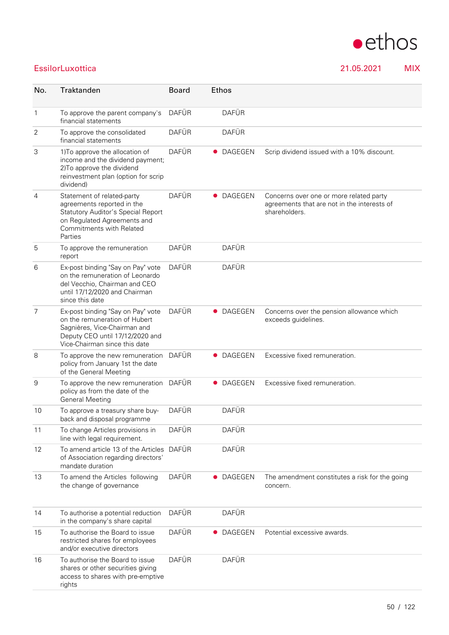

EssilorLuxottica 21.05.2021 MIX

| No.            | Traktanden                                                                                                                                                                         | <b>Board</b> | <b>Ethos</b> |                                                                                                         |
|----------------|------------------------------------------------------------------------------------------------------------------------------------------------------------------------------------|--------------|--------------|---------------------------------------------------------------------------------------------------------|
| $\mathbf{1}$   | To approve the parent company's<br>financial statements                                                                                                                            | <b>DAFÜR</b> | <b>DAFÜR</b> |                                                                                                         |
| $\overline{2}$ | To approve the consolidated<br>financial statements                                                                                                                                | <b>DAFÜR</b> | <b>DAFÜR</b> |                                                                                                         |
| 3              | 1) To approve the allocation of<br>income and the dividend payment;<br>2) To approve the dividend<br>reinvestment plan (option for scrip<br>dividend)                              | <b>DAFÜR</b> | • DAGEGEN    | Scrip dividend issued with a 10% discount.                                                              |
| $\overline{4}$ | Statement of related-party<br>agreements reported in the<br><b>Statutory Auditor's Special Report</b><br>on Regulated Agreements and<br><b>Commitments with Related</b><br>Parties | <b>DAFÜR</b> | DAGEGEN      | Concerns over one or more related party<br>agreements that are not in the interests of<br>shareholders. |
| 5              | To approve the remuneration<br>report                                                                                                                                              | <b>DAFÜR</b> | <b>DAFÜR</b> |                                                                                                         |
| 6              | Ex-post binding "Say on Pay" vote<br>on the remuneration of Leonardo<br>del Vecchio, Chairman and CEO<br>until 17/12/2020 and Chairman<br>since this date                          | <b>DAFÜR</b> | <b>DAFÜR</b> |                                                                                                         |
| $\overline{7}$ | Ex-post binding "Say on Pay" vote<br>on the remuneration of Hubert<br>Sagnières, Vice-Chairman and<br>Deputy CEO until 17/12/2020 and<br>Vice-Chairman since this date             | <b>DAFÜR</b> | • DAGEGEN    | Concerns over the pension allowance which<br>exceeds guidelines.                                        |
| 8              | To approve the new remuneration<br>policy from January 1st the date<br>of the General Meeting                                                                                      | <b>DAFÜR</b> | • DAGEGEN    | Excessive fixed remuneration.                                                                           |
| 9              | To approve the new remuneration<br>policy as from the date of the<br><b>General Meeting</b>                                                                                        | <b>DAFÜR</b> | • DAGEGEN    | Excessive fixed remuneration.                                                                           |
| 10             | To approve a treasury share buy-<br>back and disposal programme                                                                                                                    | <b>DAFÜR</b> | <b>DAFÜR</b> |                                                                                                         |
| 11             | To change Articles provisions in<br>line with legal requirement.                                                                                                                   | <b>DAFÜR</b> | <b>DAFÜR</b> |                                                                                                         |
| 12             | To amend article 13 of the Articles<br>of Association regarding directors'<br>mandate duration                                                                                     | <b>DAFÜR</b> | <b>DAFÜR</b> |                                                                                                         |
| 13             | To amend the Articles following<br>the change of governance                                                                                                                        | <b>DAFÜR</b> | • DAGEGEN    | The amendment constitutes a risk for the going<br>concern.                                              |
| 14             | To authorise a potential reduction<br>in the company's share capital                                                                                                               | <b>DAFÜR</b> | <b>DAFÜR</b> |                                                                                                         |
| 15             | To authorise the Board to issue<br>restricted shares for employees<br>and/or executive directors                                                                                   | <b>DAFÜR</b> | DAGEGEN      | Potential excessive awards.                                                                             |
| 16             | To authorise the Board to issue<br>shares or other securities giving<br>access to shares with pre-emptive<br>rights                                                                | <b>DAFÜR</b> | <b>DAFÜR</b> |                                                                                                         |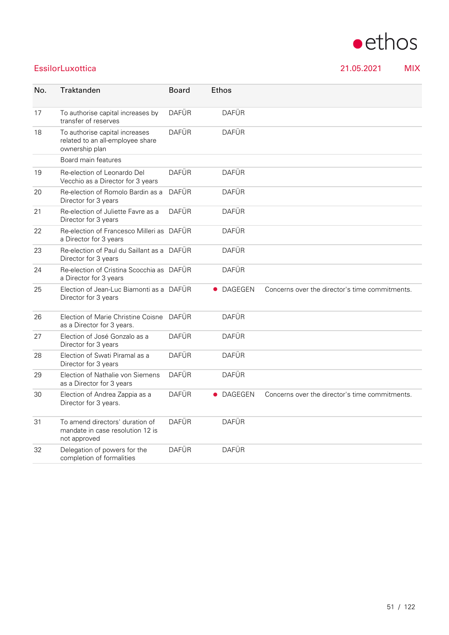

EssilorLuxottica 21.05.2021 MIX

| No. | Traktanden                                                                           | <b>Board</b> | Ethos        |                                                |
|-----|--------------------------------------------------------------------------------------|--------------|--------------|------------------------------------------------|
| 17  | To authorise capital increases by<br>transfer of reserves                            | <b>DAFÜR</b> | <b>DAFÜR</b> |                                                |
| 18  | To authorise capital increases<br>related to an all-employee share<br>ownership plan | <b>DAFÜR</b> | <b>DAFÜR</b> |                                                |
|     | Board main features                                                                  |              |              |                                                |
| 19  | Re-election of Leonardo Del<br>Vecchio as a Director for 3 years                     | <b>DAFÜR</b> | <b>DAFÜR</b> |                                                |
| 20  | Re-election of Romolo Bardin as a<br>Director for 3 years                            | <b>DAFÜR</b> | <b>DAFÜR</b> |                                                |
| 21  | Re-election of Juliette Favre as a<br>Director for 3 years                           | <b>DAFÜR</b> | <b>DAFÜR</b> |                                                |
| 22  | Re-election of Francesco Milleri as DAFÜR<br>a Director for 3 years                  |              | <b>DAFÜR</b> |                                                |
| 23  | Re-election of Paul du Saillant as a DAFÜR<br>Director for 3 years                   |              | <b>DAFÜR</b> |                                                |
| 24  | Re-election of Cristina Scocchia as DAFUR<br>a Director for 3 years                  |              | <b>DAFÜR</b> |                                                |
| 25  | Election of Jean-Luc Biamonti as a DAFUR<br>Director for 3 years                     |              | • DAGEGEN    | Concerns over the director's time commitments. |
| 26  | Election of Marie Christine Coisne DAFÜR<br>as a Director for 3 years.               |              | <b>DAFÜR</b> |                                                |
| 27  | Election of José Gonzalo as a<br>Director for 3 years                                | <b>DAFÜR</b> | <b>DAFÜR</b> |                                                |
| 28  | Election of Swati Piramal as a<br>Director for 3 years                               | DAFÜR        | <b>DAFÜR</b> |                                                |
| 29  | Election of Nathalie von Siemens<br>as a Director for 3 years                        | <b>DAFÜR</b> | <b>DAFÜR</b> |                                                |
| 30  | Election of Andrea Zappia as a<br>Director for 3 years.                              | <b>DAFÜR</b> | • DAGEGEN    | Concerns over the director's time commitments. |
| 31  | To amend directors' duration of<br>mandate in case resolution 12 is<br>not approved  | <b>DAFÜR</b> | <b>DAFÜR</b> |                                                |
| 32  | Delegation of powers for the<br>completion of formalities                            | <b>DAFÜR</b> | <b>DAFÜR</b> |                                                |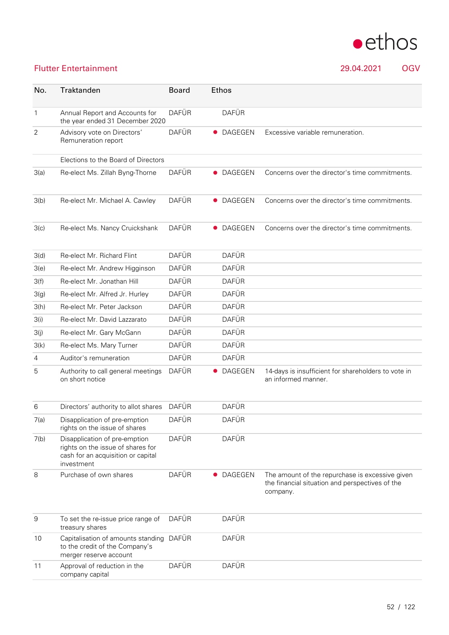

# Flutter Entertainment 29.04.2021 OGV

| No.            | Traktanden                                                                                                             | <b>Board</b> | <b>Ethos</b>                |                                                                                                                |
|----------------|------------------------------------------------------------------------------------------------------------------------|--------------|-----------------------------|----------------------------------------------------------------------------------------------------------------|
| 1              | Annual Report and Accounts for<br>the year ended 31 December 2020                                                      | <b>DAFÜR</b> | <b>DAFÜR</b>                |                                                                                                                |
| 2              | Advisory vote on Directors'<br>Remuneration report                                                                     | <b>DAFÜR</b> | • DAGEGEN                   | Excessive variable remuneration.                                                                               |
|                | Elections to the Board of Directors                                                                                    |              |                             |                                                                                                                |
| 3(a)           | Re-elect Ms. Zillah Byng-Thorne                                                                                        | <b>DAFÜR</b> | • DAGEGEN                   | Concerns over the director's time commitments.                                                                 |
| 3(b)           | Re-elect Mr. Michael A. Cawley                                                                                         | <b>DAFÜR</b> | • DAGEGEN                   | Concerns over the director's time commitments.                                                                 |
| 3(c)           | Re-elect Ms. Nancy Cruickshank                                                                                         | <b>DAFÜR</b> | • DAGEGEN                   | Concerns over the director's time commitments.                                                                 |
| 3(d)           | Re-elect Mr. Richard Flint                                                                                             | <b>DAFÜR</b> | <b>DAFÜR</b>                |                                                                                                                |
| 3(e)           | Re-elect Mr. Andrew Higginson                                                                                          | <b>DAFÜR</b> | <b>DAFÜR</b>                |                                                                                                                |
| 3(f)           | Re-elect Mr. Jonathan Hill                                                                                             | <b>DAFÜR</b> | <b>DAFÜR</b>                |                                                                                                                |
| 3(g)           | Re-elect Mr. Alfred Jr. Hurley                                                                                         | <b>DAFÜR</b> | <b>DAFÜR</b>                |                                                                                                                |
| 3(h)           | Re-elect Mr. Peter Jackson                                                                                             | <b>DAFÜR</b> | <b>DAFÜR</b>                |                                                                                                                |
| 3(i)           | Re-elect Mr. David Lazzarato                                                                                           | <b>DAFÜR</b> | <b>DAFÜR</b>                |                                                                                                                |
| 3(j)           | Re-elect Mr. Gary McGann                                                                                               | <b>DAFÜR</b> | <b>DAFÜR</b>                |                                                                                                                |
| 3(k)           | Re-elect Ms. Mary Turner                                                                                               | <b>DAFÜR</b> | <b>DAFÜR</b>                |                                                                                                                |
| $\overline{4}$ | Auditor's remuneration                                                                                                 | <b>DAFÜR</b> | <b>DAFÜR</b>                |                                                                                                                |
| 5              | Authority to call general meetings<br>on short notice                                                                  | <b>DAFÜR</b> | <b>DAGEGEN</b><br>$\bullet$ | 14-days is insufficient for shareholders to vote in<br>an informed manner.                                     |
| 6              | Directors' authority to allot shares                                                                                   | <b>DAFÜR</b> | <b>DAFÜR</b>                |                                                                                                                |
| 7(a)           | Disapplication of pre-emption<br>rights on the issue of shares                                                         | <b>DAFÜR</b> | <b>DAFÜR</b>                |                                                                                                                |
| 7(b)           | Disapplication of pre-emption<br>rights on the issue of shares for<br>cash for an acquisition or capital<br>investment | <b>DAFÜR</b> | <b>DAFÜR</b>                |                                                                                                                |
| 8              | Purchase of own shares                                                                                                 | <b>DAFÜR</b> | DAGEGEN                     | The amount of the repurchase is excessive given<br>the financial situation and perspectives of the<br>company. |
| 9              | To set the re-issue price range of<br>treasury shares                                                                  | <b>DAFÜR</b> | <b>DAFÜR</b>                |                                                                                                                |
| 10             | Capitalisation of amounts standing<br>to the credit of the Company's<br>merger reserve account                         | <b>DAFÜR</b> | <b>DAFÜR</b>                |                                                                                                                |
| 11             | Approval of reduction in the<br>company capital                                                                        | <b>DAFÜR</b> | <b>DAFÜR</b>                |                                                                                                                |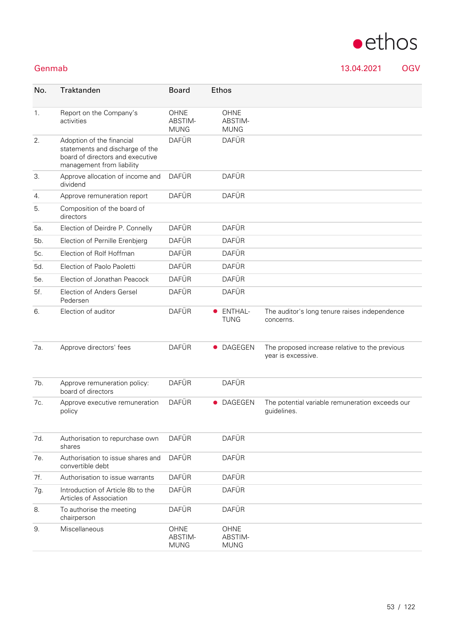

Genmab 13.04.2021 OGV

| No.        | Traktanden                                                                                                                    | <b>Board</b>                          | Ethos                          |                                                                      |
|------------|-------------------------------------------------------------------------------------------------------------------------------|---------------------------------------|--------------------------------|----------------------------------------------------------------------|
| 1.         | Report on the Company's<br>activities                                                                                         | <b>OHNE</b><br>ABSTIM-<br><b>MUNG</b> | OHNE<br>ABSTIM-<br><b>MUNG</b> |                                                                      |
| 2.         | Adoption of the financial<br>statements and discharge of the<br>board of directors and executive<br>management from liability | <b>DAFÜR</b>                          | <b>DAFÜR</b>                   |                                                                      |
| 3.         | Approve allocation of income and<br>dividend                                                                                  | <b>DAFÜR</b>                          | <b>DAFÜR</b>                   |                                                                      |
| 4.         | Approve remuneration report                                                                                                   | <b>DAFÜR</b>                          | <b>DAFÜR</b>                   |                                                                      |
| 5.         | Composition of the board of<br>directors                                                                                      |                                       |                                |                                                                      |
| 5а.        | Election of Deirdre P. Connelly                                                                                               | <b>DAFÜR</b>                          | <b>DAFÜR</b>                   |                                                                      |
| 5b.        | Election of Pernille Erenbjerg                                                                                                | <b>DAFÜR</b>                          | <b>DAFÜR</b>                   |                                                                      |
| 5с.        | Election of Rolf Hoffman                                                                                                      | <b>DAFÜR</b>                          | <b>DAFÜR</b>                   |                                                                      |
| 5d.        | Election of Paolo Paoletti                                                                                                    | <b>DAFÜR</b>                          | <b>DAFÜR</b>                   |                                                                      |
| <b>Бе.</b> | Election of Jonathan Peacock                                                                                                  | <b>DAFÜR</b>                          | <b>DAFÜR</b>                   |                                                                      |
| 5f.        | Election of Anders Gersel<br>Pedersen                                                                                         | <b>DAFÜR</b>                          | <b>DAFÜR</b>                   |                                                                      |
| 6.         | Election of auditor                                                                                                           | <b>DAFÜR</b>                          | ENTHAL-<br><b>TUNG</b>         | The auditor's long tenure raises independence<br>concerns.           |
| 7а.        | Approve directors' fees                                                                                                       | <b>DAFÜR</b>                          | • DAGEGEN                      | The proposed increase relative to the previous<br>year is excessive. |
| 7b.        | Approve remuneration policy:<br>board of directors                                                                            | <b>DAFÜR</b>                          | <b>DAFÜR</b>                   |                                                                      |
| 7c.        | Approve executive remuneration<br>policy                                                                                      | <b>DAFÜR</b>                          | • DAGEGEN                      | The potential variable remuneration exceeds our<br>guidelines.       |
| 7d.        | Authorisation to repurchase own<br>shares                                                                                     | <b>DAFÜR</b>                          | <b>DAFÜR</b>                   |                                                                      |
| 7e.        | Authorisation to issue shares and<br>convertible debt                                                                         | <b>DAFÜR</b>                          | <b>DAFÜR</b>                   |                                                                      |
| 7f.        | Authorisation to issue warrants                                                                                               | <b>DAFÜR</b>                          | <b>DAFÜR</b>                   |                                                                      |
| 7g.        | Introduction of Article 8b to the<br>Articles of Association                                                                  | <b>DAFÜR</b>                          | <b>DAFÜR</b>                   |                                                                      |
| 8.         | To authorise the meeting<br>chairperson                                                                                       | <b>DAFÜR</b>                          | <b>DAFÜR</b>                   |                                                                      |
| 9.         | Miscellaneous                                                                                                                 | OHNE<br>ABSTIM-<br><b>MUNG</b>        | OHNE<br>ABSTIM-<br><b>MUNG</b> |                                                                      |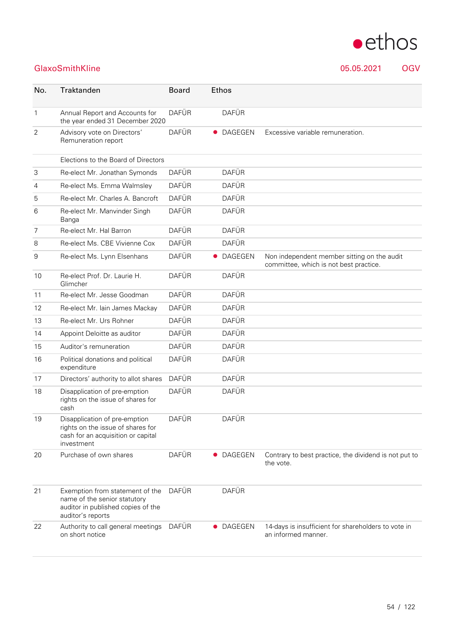

# GlaxoSmithKline 05.05.2021 OGV

| No.            | Traktanden                                                                                                                 | <b>Board</b> | <b>Ethos</b>                |                                                                                       |
|----------------|----------------------------------------------------------------------------------------------------------------------------|--------------|-----------------------------|---------------------------------------------------------------------------------------|
| $\mathbf{1}$   | Annual Report and Accounts for<br>the year ended 31 December 2020                                                          | <b>DAFÜR</b> | <b>DAFÜR</b>                |                                                                                       |
| 2              | Advisory vote on Directors'<br>Remuneration report                                                                         | <b>DAFÜR</b> | DAGEGEN<br>$\bullet$        | Excessive variable remuneration.                                                      |
|                | Elections to the Board of Directors                                                                                        |              |                             |                                                                                       |
| 3              | Re-elect Mr. Jonathan Symonds                                                                                              | <b>DAFÜR</b> | <b>DAFÜR</b>                |                                                                                       |
| 4              | Re-elect Ms. Emma Walmsley                                                                                                 | <b>DAFÜR</b> | <b>DAFÜR</b>                |                                                                                       |
| 5              | Re-elect Mr. Charles A. Bancroft                                                                                           | <b>DAFÜR</b> | <b>DAFÜR</b>                |                                                                                       |
| 6              | Re-elect Mr. Manvinder Singh<br>Banga                                                                                      | <b>DAFÜR</b> | <b>DAFÜR</b>                |                                                                                       |
| $\overline{7}$ | Re-elect Mr. Hal Barron                                                                                                    | <b>DAFÜR</b> | <b>DAFÜR</b>                |                                                                                       |
| 8              | Re-elect Ms. CBE Vivienne Cox                                                                                              | <b>DAFÜR</b> | <b>DAFÜR</b>                |                                                                                       |
| 9              | Re-elect Ms. Lynn Elsenhans                                                                                                | <b>DAFÜR</b> | <b>DAGEGEN</b><br>$\bullet$ | Non independent member sitting on the audit<br>committee, which is not best practice. |
| 10             | Re-elect Prof. Dr. Laurie H.<br>Glimcher                                                                                   | <b>DAFÜR</b> | <b>DAFÜR</b>                |                                                                                       |
| 11             | Re-elect Mr. Jesse Goodman                                                                                                 | <b>DAFÜR</b> | <b>DAFÜR</b>                |                                                                                       |
| 12             | Re-elect Mr. Iain James Mackay                                                                                             | <b>DAFÜR</b> | <b>DAFÜR</b>                |                                                                                       |
| 13             | Re-elect Mr. Urs Rohner                                                                                                    | <b>DAFÜR</b> | <b>DAFÜR</b>                |                                                                                       |
| 14             | Appoint Deloitte as auditor                                                                                                | <b>DAFÜR</b> | <b>DAFÜR</b>                |                                                                                       |
| 15             | Auditor's remuneration                                                                                                     | <b>DAFÜR</b> | <b>DAFÜR</b>                |                                                                                       |
| 16             | Political donations and political<br>expenditure                                                                           | <b>DAFÜR</b> | <b>DAFÜR</b>                |                                                                                       |
| 17             | Directors' authority to allot shares                                                                                       | <b>DAFÜR</b> | <b>DAFÜR</b>                |                                                                                       |
| 18             | Disapplication of pre-emption<br>rights on the issue of shares for<br>cash                                                 | <b>DAFÜR</b> | <b>DAFÜR</b>                |                                                                                       |
| 19             | Disapplication of pre-emption<br>rights on the issue of shares for<br>cash for an acquisition or capital<br>investment     | <b>DAFÜR</b> | <b>DAFÜR</b>                |                                                                                       |
| 20             | Purchase of own shares                                                                                                     | <b>DAFÜR</b> | • DAGEGEN                   | Contrary to best practice, the dividend is not put to<br>the vote.                    |
| 21             | Exemption from statement of the<br>name of the senior statutory<br>auditor in published copies of the<br>auditor's reports | <b>DAFÜR</b> | <b>DAFÜR</b>                |                                                                                       |
| 22             | Authority to call general meetings<br>on short notice                                                                      | <b>DAFÜR</b> | • DAGEGEN                   | 14-days is insufficient for shareholders to vote in<br>an informed manner.            |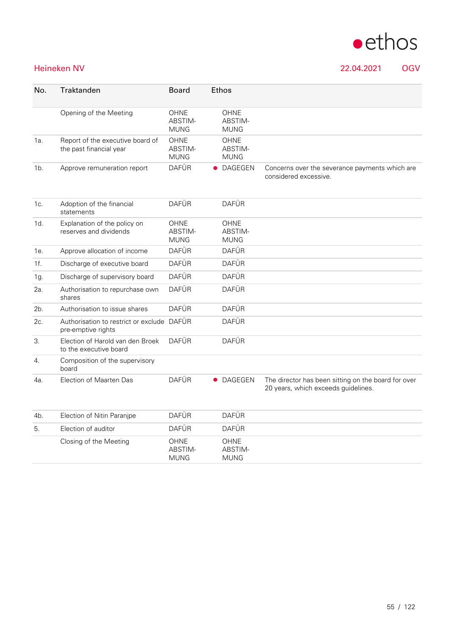

Heineken NV 22.04.2021 OGV

| No.    | Traktanden                                                       | <b>Board</b>                   | <b>Ethos</b>                   |                                                                                            |
|--------|------------------------------------------------------------------|--------------------------------|--------------------------------|--------------------------------------------------------------------------------------------|
|        | Opening of the Meeting                                           | OHNE<br>ABSTIM-<br><b>MUNG</b> | OHNE<br>ABSTIM-<br><b>MUNG</b> |                                                                                            |
| 1a.    | Report of the executive board of<br>the past financial year      | OHNE<br>ABSTIM-<br><b>MUNG</b> | OHNE<br>ABSTIM-<br><b>MUNG</b> |                                                                                            |
| $1b$ . | Approve remuneration report                                      | <b>DAFÜR</b>                   | • DAGEGEN                      | Concerns over the severance payments which are<br>considered excessive.                    |
| 1c.    | Adoption of the financial<br>statements                          | <b>DAFÜR</b>                   | <b>DAFÜR</b>                   |                                                                                            |
| 1d.    | Explanation of the policy on<br>reserves and dividends           | OHNE<br>ABSTIM-<br><b>MUNG</b> | OHNE<br>ABSTIM-<br><b>MUNG</b> |                                                                                            |
| 1e.    | Approve allocation of income                                     | <b>DAFÜR</b>                   | <b>DAFÜR</b>                   |                                                                                            |
| $1f$ . | Discharge of executive board                                     | <b>DAFÜR</b>                   | <b>DAFÜR</b>                   |                                                                                            |
| 1g.    | Discharge of supervisory board                                   | <b>DAFÜR</b>                   | <b>DAFÜR</b>                   |                                                                                            |
| 2a.    | Authorisation to repurchase own<br>shares                        | <b>DAFÜR</b>                   | <b>DAFÜR</b>                   |                                                                                            |
| 2b.    | Authorisation to issue shares                                    | <b>DAFÜR</b>                   | <b>DAFÜR</b>                   |                                                                                            |
| 2c.    | Authorisation to restrict or exclude DAFÜR<br>pre-emptive rights |                                | <b>DAFÜR</b>                   |                                                                                            |
| 3.     | Election of Harold van den Broek<br>to the executive board       | <b>DAFÜR</b>                   | <b>DAFÜR</b>                   |                                                                                            |
| 4.     | Composition of the supervisory<br>board                          |                                |                                |                                                                                            |
| 4а.    | Election of Maarten Das                                          | <b>DAFÜR</b>                   | • DAGEGEN                      | The director has been sitting on the board for over<br>20 years, which exceeds guidelines. |
|        |                                                                  |                                |                                |                                                                                            |

| 4b. | Election of Nitin Paranipe | $\cdots$<br><b>DAFUR</b>       | <b>DAFUR</b>            |
|-----|----------------------------|--------------------------------|-------------------------|
| 5.  | Election of auditor        | <b>DAFUR</b>                   | <b>DAFUR</b>            |
|     | Closing of the Meeting     | OHNE<br>ABSTIM-<br><b>MUNG</b> | OHNE<br>ABSTIM-<br>MUNG |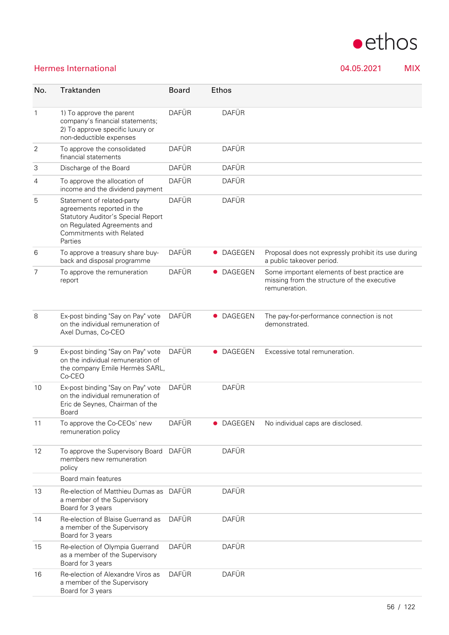

## Hermes International 04.05.2021 MIX

| No.            | Traktanden                                                                                                                                                                  | <b>Board</b> | <b>Ethos</b>         |                                                                                                              |
|----------------|-----------------------------------------------------------------------------------------------------------------------------------------------------------------------------|--------------|----------------------|--------------------------------------------------------------------------------------------------------------|
| $\mathbf{1}$   | 1) To approve the parent<br>company's financial statements;<br>2) To approve specific luxury or<br>non-deductible expenses                                                  | <b>DAFÜR</b> | <b>DAFÜR</b>         |                                                                                                              |
| $\overline{2}$ | To approve the consolidated<br>financial statements                                                                                                                         | <b>DAFÜR</b> | <b>DAFÜR</b>         |                                                                                                              |
| 3              | Discharge of the Board                                                                                                                                                      | <b>DAFÜR</b> | <b>DAFÜR</b>         |                                                                                                              |
| 4              | To approve the allocation of<br>income and the dividend payment                                                                                                             | <b>DAFÜR</b> | <b>DAFÜR</b>         |                                                                                                              |
| 5              | Statement of related-party<br>agreements reported in the<br><b>Statutory Auditor's Special Report</b><br>on Regulated Agreements and<br>Commitments with Related<br>Parties | <b>DAFÜR</b> | <b>DAFÜR</b>         |                                                                                                              |
| 6              | To approve a treasury share buy-<br>back and disposal programme                                                                                                             | <b>DAFÜR</b> | DAGEGEN              | Proposal does not expressly prohibit its use during<br>a public takeover period.                             |
| 7              | To approve the remuneration<br>report                                                                                                                                       | <b>DAFÜR</b> | DAGEGEN              | Some important elements of best practice are<br>missing from the structure of the executive<br>remuneration. |
| 8              | Ex-post binding "Say on Pay" vote<br>on the individual remuneration of<br>Axel Dumas, Co-CEO                                                                                | <b>DAFÜR</b> | DAGEGEN<br>$\bullet$ | The pay-for-performance connection is not<br>demonstrated.                                                   |
| 9              | Ex-post binding "Say on Pay" vote<br>on the individual remuneration of<br>the company Emile Hermès SARL,<br>Co-CEO                                                          | <b>DAFÜR</b> | DAGEGEN              | Excessive total remuneration.                                                                                |
| 10             | Ex-post binding "Say on Pay" vote<br>on the individual remuneration of<br>Eric de Seynes, Chairman of the<br><b>Board</b>                                                   | <b>DAFÜR</b> | DAFÜR                |                                                                                                              |
| 11             | To approve the Co-CEOs' new<br>remuneration policy                                                                                                                          | <b>DAFÜR</b> | DAGEGEN              | No individual caps are disclosed.                                                                            |
| 12             | To approve the Supervisory Board<br>members new remuneration<br>policy                                                                                                      | <b>DAFÜR</b> | <b>DAFÜR</b>         |                                                                                                              |
|                | Board main features                                                                                                                                                         |              |                      |                                                                                                              |
| 13             | Re-election of Matthieu Dumas as<br>a member of the Supervisory<br>Board for 3 years                                                                                        | DAFÜR        | DAFÜR                |                                                                                                              |
| 14             | Re-election of Blaise Guerrand as<br>a member of the Supervisory<br>Board for 3 years                                                                                       | <b>DAFÜR</b> | DAFÜR                |                                                                                                              |
| 15             | Re-election of Olympia Guerrand<br>as a member of the Supervisory<br>Board for 3 years                                                                                      | <b>DAFÜR</b> | <b>DAFÜR</b>         |                                                                                                              |
| 16             | Re-election of Alexandre Viros as<br>a member of the Supervisory<br>Board for 3 years                                                                                       | <b>DAFÜR</b> | <b>DAFÜR</b>         |                                                                                                              |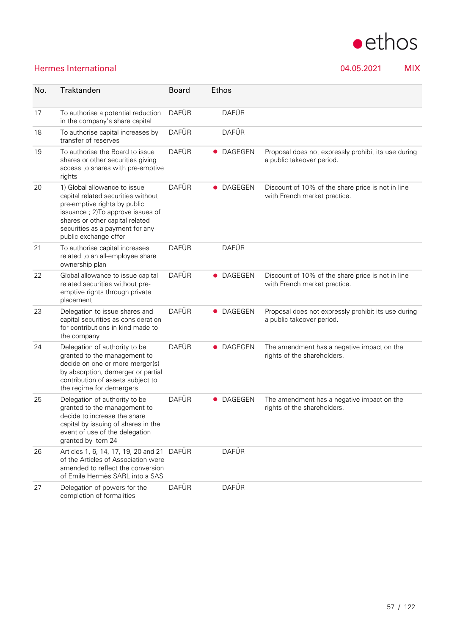

### **Hermes International Contract Contract Contract Contract Contract Contract Contract Contract Contract Contract Contract Contract Contract Contract Contract Contract Contract Contract Contract Contract Contract Contract Co**

| No. | Traktanden                                                                                                                                                                                                                              | <b>Board</b> | Ethos        |                                                                                   |
|-----|-----------------------------------------------------------------------------------------------------------------------------------------------------------------------------------------------------------------------------------------|--------------|--------------|-----------------------------------------------------------------------------------|
| 17  | To authorise a potential reduction<br>in the company's share capital                                                                                                                                                                    | <b>DAFÜR</b> | <b>DAFÜR</b> |                                                                                   |
| 18  | To authorise capital increases by<br>transfer of reserves                                                                                                                                                                               | <b>DAFÜR</b> | <b>DAFÜR</b> |                                                                                   |
| 19  | To authorise the Board to issue<br>shares or other securities giving<br>access to shares with pre-emptive<br>rights                                                                                                                     | <b>DAFÜR</b> | • DAGEGEN    | Proposal does not expressly prohibit its use during<br>a public takeover period.  |
| 20  | 1) Global allowance to issue<br>capital related securities without<br>pre-emptive rights by public<br>issuance ; 2) To approve issues of<br>shares or other capital related<br>securities as a payment for any<br>public exchange offer | <b>DAFÜR</b> | • DAGEGEN    | Discount of 10% of the share price is not in line<br>with French market practice. |
| 21  | To authorise capital increases<br>related to an all-employee share<br>ownership plan                                                                                                                                                    | <b>DAFÜR</b> | <b>DAFÜR</b> |                                                                                   |
| 22  | Global allowance to issue capital<br>related securities without pre-<br>emptive rights through private<br>placement                                                                                                                     | <b>DAFÜR</b> | • DAGEGEN    | Discount of 10% of the share price is not in line<br>with French market practice. |
| 23  | Delegation to issue shares and<br>capital securities as consideration<br>for contributions in kind made to<br>the company                                                                                                               | <b>DAFÜR</b> | • DAGEGEN    | Proposal does not expressly prohibit its use during<br>a public takeover period.  |
| 24  | Delegation of authority to be<br>granted to the management to<br>decide on one or more merger(s)<br>by absorption, demerger or partial<br>contribution of assets subject to<br>the regime for demergers                                 | <b>DAFÜR</b> | • DAGEGEN    | The amendment has a negative impact on the<br>rights of the shareholders.         |
| 25  | Delegation of authority to be<br>granted to the management to<br>decide to increase the share<br>capital by issuing of shares in the<br>event of use of the delegation<br>granted by item 24                                            | <b>DAFÜR</b> | • DAGEGEN    | The amendment has a negative impact on the<br>rights of the shareholders.         |
| 26  | Articles 1, 6, 14, 17, 19, 20 and 21<br>of the Articles of Association were<br>amended to reflect the conversion<br>of Emile Hermès SARL into a SAS                                                                                     | DAFÜR        | <b>DAFÜR</b> |                                                                                   |
| 27  | Delegation of powers for the<br>completion of formalities                                                                                                                                                                               | <b>DAFÜR</b> | <b>DAFÜR</b> |                                                                                   |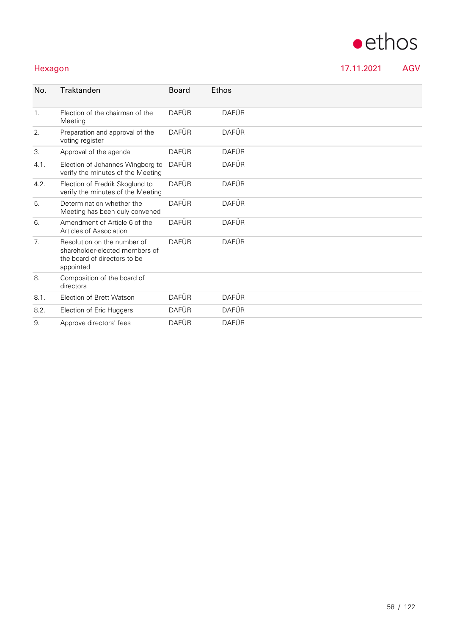

Hexagon 17.11.2021 AGV

| <b>DAFÜR</b><br><b>DAFÜR</b><br>Election of the chairman of the<br>Meeting<br><b>DAFÜR</b><br><b>DAFÜR</b><br>Preparation and approval of the<br>voting register<br><b>DAFÜR</b><br><b>DAFÜR</b><br>Approval of the agenda<br><b>DAFÜR</b><br><b>DAFÜR</b><br>Election of Johannes Wingborg to<br>verify the minutes of the Meeting<br><b>DAFÜR</b><br><b>DAFÜR</b><br>Election of Fredrik Skoglund to<br>verify the minutes of the Meeting<br><b>DAFÜR</b><br><b>DAFÜR</b><br>Determination whether the<br>Meeting has been duly convened<br><b>DAFÜR</b><br><b>DAFÜR</b><br>Amendment of Article 6 of the<br>Articles of Association<br><b>DAFÜR</b><br><b>DAFÜR</b><br>Resolution on the number of<br>shareholder-elected members of<br>the board of directors to be<br>appointed<br>Composition of the board of<br>directors<br><b>DAFÜR</b><br><b>DAFÜR</b><br>Election of Brett Watson<br><b>DAFÜR</b><br><b>DAFÜR</b><br>Election of Eric Huggers<br><b>DAFÜR</b><br><b>DAFÜR</b><br>Approve directors' fees | No.            | Traktanden | <b>Board</b> | <b>Ethos</b> |  |
|---------------------------------------------------------------------------------------------------------------------------------------------------------------------------------------------------------------------------------------------------------------------------------------------------------------------------------------------------------------------------------------------------------------------------------------------------------------------------------------------------------------------------------------------------------------------------------------------------------------------------------------------------------------------------------------------------------------------------------------------------------------------------------------------------------------------------------------------------------------------------------------------------------------------------------------------------------------------------------------------------------------------|----------------|------------|--------------|--------------|--|
|                                                                                                                                                                                                                                                                                                                                                                                                                                                                                                                                                                                                                                                                                                                                                                                                                                                                                                                                                                                                                     | $\mathbf{1}$ . |            |              |              |  |
|                                                                                                                                                                                                                                                                                                                                                                                                                                                                                                                                                                                                                                                                                                                                                                                                                                                                                                                                                                                                                     | 2.             |            |              |              |  |
|                                                                                                                                                                                                                                                                                                                                                                                                                                                                                                                                                                                                                                                                                                                                                                                                                                                                                                                                                                                                                     | 3.             |            |              |              |  |
|                                                                                                                                                                                                                                                                                                                                                                                                                                                                                                                                                                                                                                                                                                                                                                                                                                                                                                                                                                                                                     | 4.1.           |            |              |              |  |
|                                                                                                                                                                                                                                                                                                                                                                                                                                                                                                                                                                                                                                                                                                                                                                                                                                                                                                                                                                                                                     | 4.2.           |            |              |              |  |
|                                                                                                                                                                                                                                                                                                                                                                                                                                                                                                                                                                                                                                                                                                                                                                                                                                                                                                                                                                                                                     | 5.             |            |              |              |  |
|                                                                                                                                                                                                                                                                                                                                                                                                                                                                                                                                                                                                                                                                                                                                                                                                                                                                                                                                                                                                                     | 6.             |            |              |              |  |
|                                                                                                                                                                                                                                                                                                                                                                                                                                                                                                                                                                                                                                                                                                                                                                                                                                                                                                                                                                                                                     | 7 <sub>1</sub> |            |              |              |  |
|                                                                                                                                                                                                                                                                                                                                                                                                                                                                                                                                                                                                                                                                                                                                                                                                                                                                                                                                                                                                                     | 8.             |            |              |              |  |
|                                                                                                                                                                                                                                                                                                                                                                                                                                                                                                                                                                                                                                                                                                                                                                                                                                                                                                                                                                                                                     | 8.1.           |            |              |              |  |
|                                                                                                                                                                                                                                                                                                                                                                                                                                                                                                                                                                                                                                                                                                                                                                                                                                                                                                                                                                                                                     | 8.2.           |            |              |              |  |
|                                                                                                                                                                                                                                                                                                                                                                                                                                                                                                                                                                                                                                                                                                                                                                                                                                                                                                                                                                                                                     | 9.             |            |              |              |  |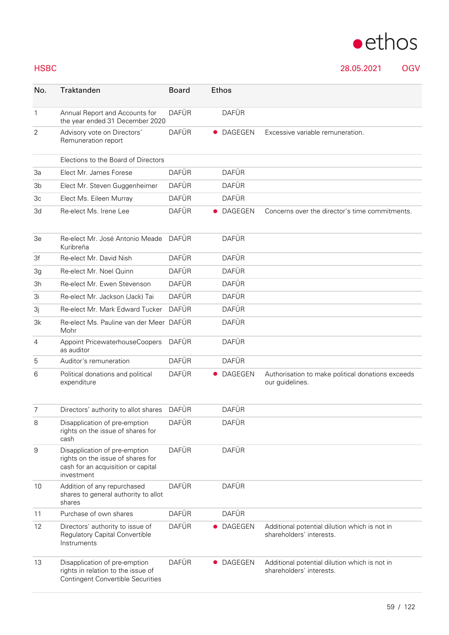

HSBC 28.05.2021 OGV

| No.            | Traktanden                                                                                                             | <b>Board</b> | Ethos                |                                                                           |
|----------------|------------------------------------------------------------------------------------------------------------------------|--------------|----------------------|---------------------------------------------------------------------------|
| $\mathbf{1}$   | Annual Report and Accounts for<br>the year ended 31 December 2020                                                      | <b>DAFÜR</b> | DAFÜR                |                                                                           |
| $\overline{2}$ | Advisory vote on Directors'<br>Remuneration report                                                                     | <b>DAFÜR</b> | • DAGEGEN            | Excessive variable remuneration.                                          |
|                | Elections to the Board of Directors                                                                                    |              |                      |                                                                           |
| За             | Elect Mr. James Forese                                                                                                 | <b>DAFÜR</b> | <b>DAFÜR</b>         |                                                                           |
| 3b             | Elect Mr. Steven Guggenheimer                                                                                          | <b>DAFÜR</b> | <b>DAFÜR</b>         |                                                                           |
| 3c             | Elect Ms. Eileen Murray                                                                                                | <b>DAFÜR</b> | <b>DAFÜR</b>         |                                                                           |
| 3d             | Re-elect Ms. Irene Lee                                                                                                 | <b>DAFÜR</b> | DAGEGEN<br>$\bullet$ | Concerns over the director's time commitments.                            |
| 3e             | Re-elect Mr. José Antonio Meade<br>Kuribreña                                                                           | DAFÜR        | <b>DAFÜR</b>         |                                                                           |
| 3f             | Re-elect Mr. David Nish                                                                                                | <b>DAFÜR</b> | <b>DAFÜR</b>         |                                                                           |
| 3g             | Re-elect Mr. Noel Quinn                                                                                                | <b>DAFÜR</b> | <b>DAFÜR</b>         |                                                                           |
| 3h             | Re-elect Mr. Ewen Stevenson                                                                                            | <b>DAFÜR</b> | <b>DAFÜR</b>         |                                                                           |
| 3i             | Re-elect Mr. Jackson (Jack) Tai                                                                                        | <b>DAFÜR</b> | <b>DAFÜR</b>         |                                                                           |
| 3j             | Re-elect Mr. Mark Edward Tucker                                                                                        | <b>DAFÜR</b> | <b>DAFÜR</b>         |                                                                           |
| 3k             | Re-elect Ms. Pauline van der Meer DAFÜR<br>Mohr                                                                        |              | <b>DAFÜR</b>         |                                                                           |
| 4              | Appoint PricewaterhouseCoopers<br>as auditor                                                                           | <b>DAFÜR</b> | <b>DAFÜR</b>         |                                                                           |
| 5              | Auditor's remuneration                                                                                                 | <b>DAFÜR</b> | <b>DAFÜR</b>         |                                                                           |
| 6              | Political donations and political<br>expenditure                                                                       | <b>DAFÜR</b> | DAGEGEN<br>$\bullet$ | Authorisation to make political donations exceeds<br>our guidelines.      |
| 7              | Directors' authority to allot shares                                                                                   | <b>DAFÜR</b> | <b>DAFÜR</b>         |                                                                           |
| 8              | Disapplication of pre-emption<br>rights on the issue of shares for<br>cash                                             | DAFÜR        | DAFÜR                |                                                                           |
| $9\,$          | Disapplication of pre-emption<br>rights on the issue of shares for<br>cash for an acquisition or capital<br>investment | <b>DAFÜR</b> | <b>DAFÜR</b>         |                                                                           |
| 10             | Addition of any repurchased<br>shares to general authority to allot<br>shares                                          | <b>DAFÜR</b> | <b>DAFÜR</b>         |                                                                           |
| 11             | Purchase of own shares                                                                                                 | <b>DAFÜR</b> | <b>DAFÜR</b>         |                                                                           |
| 12             | Directors' authority to issue of<br><b>Regulatory Capital Convertible</b><br>Instruments                               | <b>DAFÜR</b> | • DAGEGEN            | Additional potential dilution which is not in<br>shareholders' interests. |
| 13             | Disapplication of pre-emption<br>rights in relation to the issue of<br><b>Contingent Convertible Securities</b>        | DAFÜR        | • DAGEGEN            | Additional potential dilution which is not in<br>shareholders' interests. |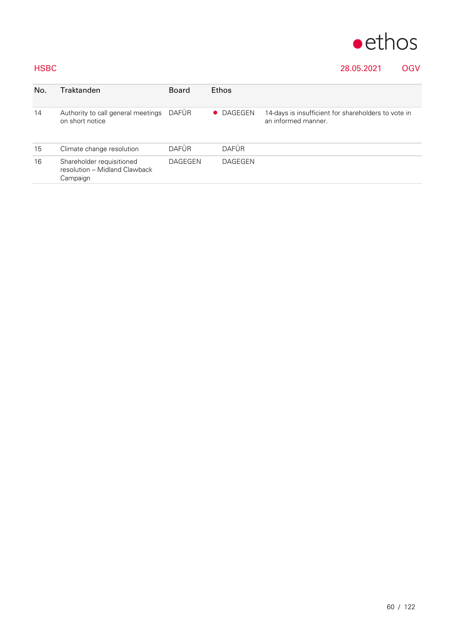# $\bullet$ ethos

## HSBC 28.05.2021 OGV

| No. | <b>Traktanden</b>                                                      | <b>Board</b> | <b>Ethos</b> |                                                                            |
|-----|------------------------------------------------------------------------|--------------|--------------|----------------------------------------------------------------------------|
| 14  | Authority to call general meetings<br>on short notice                  | <b>DAFUR</b> | • DAGEGEN    | 14-days is insufficient for shareholders to vote in<br>an informed manner. |
| 15  | Climate change resolution                                              | <b>DAFÜR</b> | <b>DAFÜR</b> |                                                                            |
| 16  | Shareholder requisitioned<br>resolution - Midland Clawback<br>Campaign | DAGEGEN      | DAGEGEN      |                                                                            |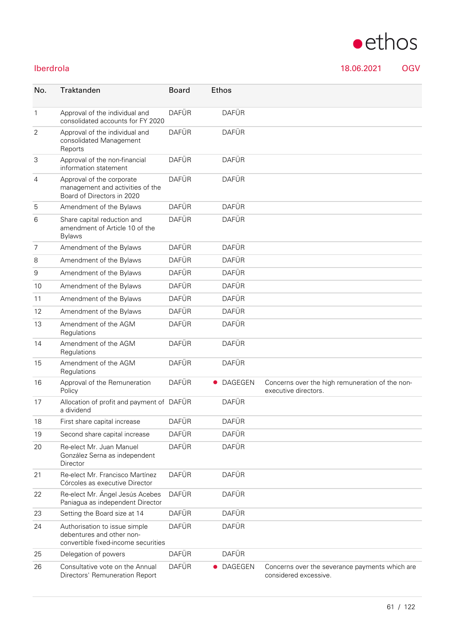

Iberdrola 18.06.2021 OGV

| No.          | Traktanden                                                                                        | <b>Board</b> | <b>Ethos</b>   |                                                                         |
|--------------|---------------------------------------------------------------------------------------------------|--------------|----------------|-------------------------------------------------------------------------|
| $\mathbf{1}$ | Approval of the individual and<br>consolidated accounts for FY 2020                               | <b>DAFÜR</b> | <b>DAFÜR</b>   |                                                                         |
| 2            | Approval of the individual and<br>consolidated Management<br>Reports                              | <b>DAFÜR</b> | <b>DAFÜR</b>   |                                                                         |
| 3            | Approval of the non-financial<br>information statement                                            | <b>DAFÜR</b> | <b>DAFÜR</b>   |                                                                         |
| 4            | Approval of the corporate<br>management and activities of the<br>Board of Directors in 2020       | <b>DAFÜR</b> | <b>DAFÜR</b>   |                                                                         |
| 5            | Amendment of the Bylaws                                                                           | <b>DAFÜR</b> | <b>DAFÜR</b>   |                                                                         |
| 6            | Share capital reduction and<br>amendment of Article 10 of the<br><b>Bylaws</b>                    | <b>DAFÜR</b> | <b>DAFÜR</b>   |                                                                         |
| 7            | Amendment of the Bylaws                                                                           | <b>DAFÜR</b> | <b>DAFÜR</b>   |                                                                         |
| 8            | Amendment of the Bylaws                                                                           | <b>DAFÜR</b> | <b>DAFÜR</b>   |                                                                         |
| 9            | Amendment of the Bylaws                                                                           | <b>DAFÜR</b> | <b>DAFÜR</b>   |                                                                         |
| 10           | Amendment of the Bylaws                                                                           | <b>DAFÜR</b> | <b>DAFÜR</b>   |                                                                         |
| 11           | Amendment of the Bylaws                                                                           | <b>DAFÜR</b> | <b>DAFÜR</b>   |                                                                         |
| 12           | Amendment of the Bylaws                                                                           | <b>DAFÜR</b> | <b>DAFÜR</b>   |                                                                         |
| 13           | Amendment of the AGM<br>Regulations                                                               | <b>DAFÜR</b> | <b>DAFÜR</b>   |                                                                         |
| 14           | Amendment of the AGM<br>Regulations                                                               | <b>DAFÜR</b> | <b>DAFÜR</b>   |                                                                         |
| 15           | Amendment of the AGM<br>Regulations                                                               | <b>DAFÜR</b> | <b>DAFÜR</b>   |                                                                         |
| 16           | Approval of the Remuneration<br>Policy                                                            | <b>DAFÜR</b> | <b>DAGEGEN</b> | Concerns over the high remuneration of the non-<br>executive directors. |
| 17           | Allocation of profit and payment of DAFÜR<br>a dividend                                           |              | <b>DAFÜR</b>   |                                                                         |
| 18           | First share capital increase                                                                      | DAFÜR        | DAFÜR          |                                                                         |
| 19           | Second share capital increase                                                                     | <b>DAFÜR</b> | <b>DAFÜR</b>   |                                                                         |
| 20           | Re-elect Mr. Juan Manuel<br>González Serna as independent<br>Director                             | <b>DAFÜR</b> | <b>DAFÜR</b>   |                                                                         |
| 21           | Re-elect Mr. Francisco Martínez<br>Córcoles as executive Director                                 | <b>DAFÜR</b> | <b>DAFÜR</b>   |                                                                         |
| 22           | Re-elect Mr. Ángel Jesús Acebes<br>Paniagua as independent Director                               | <b>DAFÜR</b> | <b>DAFÜR</b>   |                                                                         |
| 23           | Setting the Board size at 14                                                                      | <b>DAFÜR</b> | <b>DAFÜR</b>   |                                                                         |
| 24           | Authorisation to issue simple<br>debentures and other non-<br>convertible fixed-income securities | <b>DAFÜR</b> | <b>DAFÜR</b>   |                                                                         |
| 25           | Delegation of powers                                                                              | <b>DAFÜR</b> | <b>DAFÜR</b>   |                                                                         |
| 26           | Consultative vote on the Annual<br>Directors' Remuneration Report                                 | <b>DAFÜR</b> | • DAGEGEN      | Concerns over the severance payments which are<br>considered excessive. |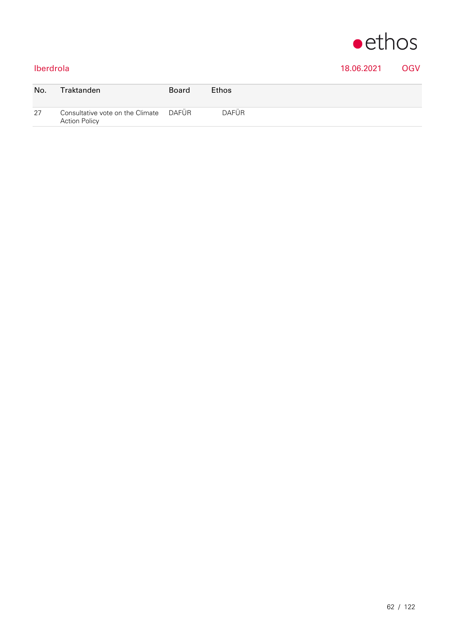

# Iberdrola 18.06.2021 OGV

| No. | Traktanden                                               | <b>Board</b> | <b>Ethos</b> |
|-----|----------------------------------------------------------|--------------|--------------|
| 27  | Consultative vote on the Climate<br><b>Action Policy</b> | DAFUR        | <b>DAFUR</b> |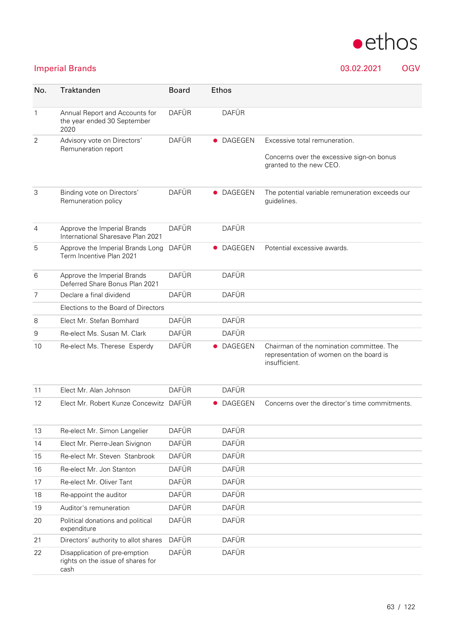

# **Imperial Brands** 03.02

| 2.2021 | <b>OGV</b> |  |
|--------|------------|--|
|--------|------------|--|

| Traktanden                                                                 | <b>Board</b>        | Ethos                                  |                                                                                                       |
|----------------------------------------------------------------------------|---------------------|----------------------------------------|-------------------------------------------------------------------------------------------------------|
| Annual Report and Accounts for<br>the year ended 30 September<br>2020      | <b>DAFÜR</b>        | <b>DAFÜR</b>                           |                                                                                                       |
| Advisory vote on Directors'                                                | <b>DAFÜR</b>        | • DAGEGEN                              | Excessive total remuneration.                                                                         |
|                                                                            |                     |                                        | Concerns over the excessive sign-on bonus<br>granted to the new CEO.                                  |
| Binding vote on Directors'<br>Remuneration policy                          | <b>DAFÜR</b>        | • DAGEGEN                              | The potential variable remuneration exceeds our<br>guidelines.                                        |
| Approve the Imperial Brands<br>International Sharesave Plan 2021           | <b>DAFÜR</b>        | <b>DAFÜR</b>                           |                                                                                                       |
| Approve the Imperial Brands Long<br>Term Incentive Plan 2021               | <b>DAFÜR</b>        | • DAGEGEN                              | Potential excessive awards.                                                                           |
| Approve the Imperial Brands<br>Deferred Share Bonus Plan 2021              | <b>DAFÜR</b>        | <b>DAFÜR</b>                           |                                                                                                       |
| Declare a final dividend                                                   | <b>DAFÜR</b>        | <b>DAFÜR</b>                           |                                                                                                       |
| Elections to the Board of Directors                                        |                     |                                        |                                                                                                       |
| Elect Mr. Stefan Bomhard                                                   | <b>DAFÜR</b>        | <b>DAFÜR</b>                           |                                                                                                       |
| Re-elect Ms. Susan M. Clark                                                | <b>DAFÜR</b>        | <b>DAFÜR</b>                           |                                                                                                       |
| Re-elect Ms. Therese Esperdy                                               | <b>DAFÜR</b>        | • DAGEGEN                              | Chairman of the nomination committee. The<br>representation of women on the board is<br>insufficient. |
| Elect Mr. Alan Johnson                                                     | <b>DAFÜR</b>        | <b>DAFÜR</b>                           |                                                                                                       |
|                                                                            |                     | <b>DAGEGEN</b>                         | Concerns over the director's time commitments.                                                        |
| Re-elect Mr. Simon Langelier                                               | <b>DAFÜR</b>        | <b>DAFÜR</b>                           |                                                                                                       |
| Elect Mr. Pierre-Jean Sivignon                                             | <b>DAFÜR</b>        | <b>DAFÜR</b>                           |                                                                                                       |
| Re-elect Mr. Steven Stanbrook                                              | <b>DAFÜR</b>        | <b>DAFÜR</b>                           |                                                                                                       |
| Re-elect Mr. Jon Stanton                                                   | <b>DAFÜR</b>        | <b>DAFÜR</b>                           |                                                                                                       |
| Re-elect Mr. Oliver Tant                                                   | <b>DAFÜR</b>        | <b>DAFÜR</b>                           |                                                                                                       |
| Re-appoint the auditor                                                     | <b>DAFÜR</b>        | <b>DAFÜR</b>                           |                                                                                                       |
| Auditor's remuneration                                                     | <b>DAFÜR</b>        | <b>DAFÜR</b>                           |                                                                                                       |
| Political donations and political<br>expenditure                           | <b>DAFÜR</b>        | <b>DAFÜR</b>                           |                                                                                                       |
| Directors' authority to allot shares                                       | <b>DAFÜR</b>        | <b>DAFÜR</b>                           |                                                                                                       |
| Disapplication of pre-emption<br>rights on the issue of shares for<br>cash | <b>DAFÜR</b>        | <b>DAFÜR</b>                           |                                                                                                       |
|                                                                            | Remuneration report | Elect Mr. Robert Kunze Concewitz DAFÜR |                                                                                                       |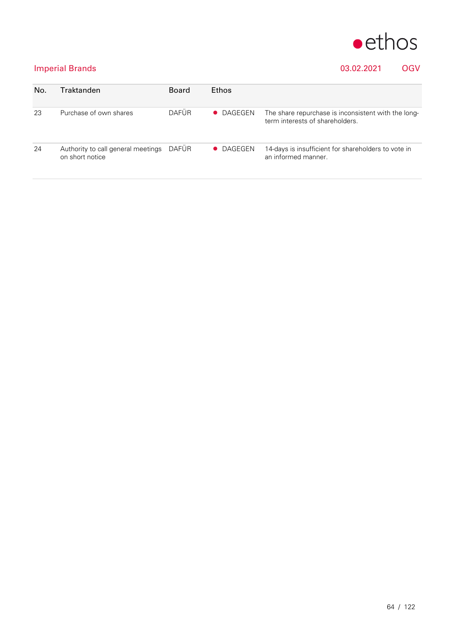

# Imperial Brands 03.02.2021 OGV

| No. | Traktanden                                            | <b>Board</b> | Ethos     |                                                                                        |
|-----|-------------------------------------------------------|--------------|-----------|----------------------------------------------------------------------------------------|
| 23  | Purchase of own shares                                | <b>DAFÜR</b> | • DAGEGEN | The share repurchase is inconsistent with the long-<br>term interests of shareholders. |
| 24  | Authority to call general meetings<br>on short notice | <b>DAFUR</b> | • DAGEGEN | 14-days is insufficient for shareholders to vote in<br>an informed manner.             |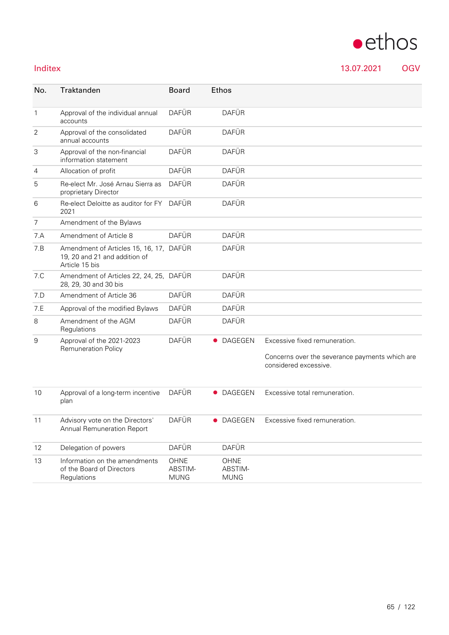

Inditex 13.07.2021 OGV

| No.            | Traktanden                                                                                 | <b>Board</b>                   | Ethos                          |                                                                         |
|----------------|--------------------------------------------------------------------------------------------|--------------------------------|--------------------------------|-------------------------------------------------------------------------|
| $\mathbf{1}$   | Approval of the individual annual<br>accounts                                              | <b>DAFÜR</b>                   | <b>DAFÜR</b>                   |                                                                         |
| $\overline{2}$ | Approval of the consolidated<br>annual accounts                                            | <b>DAFÜR</b>                   | <b>DAFÜR</b>                   |                                                                         |
| 3              | Approval of the non-financial<br>information statement                                     | <b>DAFÜR</b>                   | <b>DAFÜR</b>                   |                                                                         |
| 4              | Allocation of profit                                                                       | <b>DAFÜR</b>                   | <b>DAFÜR</b>                   |                                                                         |
| 5              | Re-elect Mr. José Arnau Sierra as<br>proprietary Director                                  | <b>DAFÜR</b>                   | <b>DAFÜR</b>                   |                                                                         |
| 6              | Re-elect Deloitte as auditor for FY<br>2021                                                | <b>DAFÜR</b>                   | <b>DAFÜR</b>                   |                                                                         |
| $\overline{7}$ | Amendment of the Bylaws                                                                    |                                |                                |                                                                         |
| 7.A            | Amendment of Article 8                                                                     | <b>DAFÜR</b>                   | <b>DAFÜR</b>                   |                                                                         |
| 7.B            | Amendment of Articles 15, 16, 17, DAFÜR<br>19, 20 and 21 and addition of<br>Article 15 bis |                                | <b>DAFÜR</b>                   |                                                                         |
| 7.C            | Amendment of Articles 22, 24, 25, DAFÜR<br>28, 29, 30 and 30 bis                           |                                | <b>DAFÜR</b>                   |                                                                         |
| 7.D            | Amendment of Article 36                                                                    | <b>DAFÜR</b>                   | <b>DAFÜR</b>                   |                                                                         |
| 7.E            | Approval of the modified Bylaws                                                            | <b>DAFÜR</b>                   | <b>DAFÜR</b>                   |                                                                         |
| 8              | Amendment of the AGM<br>Regulations                                                        | <b>DAFÜR</b>                   | <b>DAFÜR</b>                   |                                                                         |
| 9              | Approval of the 2021-2023<br><b>Remuneration Policy</b>                                    | <b>DAFÜR</b>                   | • DAGEGEN                      | Excessive fixed remuneration.                                           |
|                |                                                                                            |                                |                                | Concerns over the severance payments which are<br>considered excessive. |
| 10             | Approval of a long-term incentive<br>plan                                                  | DAFÜR                          | • DAGEGEN                      | Excessive total remuneration.                                           |
| 11             | Advisory vote on the Directors'<br>Annual Remuneration Report                              | DAFÜR                          | DAGEGEN                        | Excessive fixed remuneration.                                           |
| 12             | Delegation of powers                                                                       | <b>DAFÜR</b>                   | <b>DAFÜR</b>                   |                                                                         |
| 13             | Information on the amendments<br>of the Board of Directors<br>Regulations                  | OHNE<br>ABSTIM-<br><b>MUNG</b> | OHNE<br>ABSTIM-<br><b>MUNG</b> |                                                                         |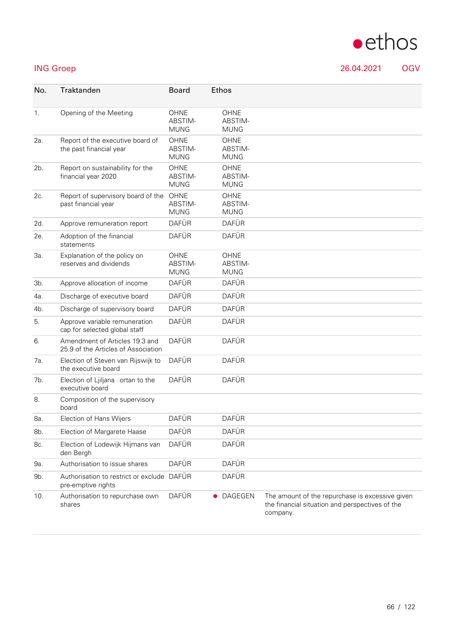

ING Groep 26.04.2021 OGV

| No. | Traktanden                                                            | <b>Board</b>                          | <b>Ethos</b>                   |                                                                                                                |
|-----|-----------------------------------------------------------------------|---------------------------------------|--------------------------------|----------------------------------------------------------------------------------------------------------------|
| 1.  | Opening of the Meeting                                                | <b>OHNE</b><br>ABSTIM-<br><b>MUNG</b> | OHNE<br>ABSTIM-<br><b>MUNG</b> |                                                                                                                |
| 2a. | Report of the executive board of<br>the past financial year           | OHNE<br>ABSTIM-<br><b>MUNG</b>        | OHNE<br>ABSTIM-<br><b>MUNG</b> |                                                                                                                |
| 2b. | Report on sustainability for the<br>financial year 2020               | OHNE<br>ABSTIM-<br><b>MUNG</b>        | OHNE<br>ABSTIM-<br><b>MUNG</b> |                                                                                                                |
| 2c. | Report of supervisory board of the<br>past financial year             | OHNE<br>ABSTIM-<br><b>MUNG</b>        | OHNE<br>ABSTIM-<br><b>MUNG</b> |                                                                                                                |
| 2d. | Approve remuneration report                                           | <b>DAFÜR</b>                          | <b>DAFÜR</b>                   |                                                                                                                |
| 2e. | Adoption of the financial<br>statements                               | <b>DAFÜR</b>                          | <b>DAFÜR</b>                   |                                                                                                                |
| За. | Explanation of the policy on<br>reserves and dividends                | OHNE<br>ABSTIM-<br><b>MUNG</b>        | OHNE<br>ABSTIM-<br><b>MUNG</b> |                                                                                                                |
| 3b. | Approve allocation of income                                          | <b>DAFÜR</b>                          | <b>DAFÜR</b>                   |                                                                                                                |
| 4а. | Discharge of executive board                                          | <b>DAFÜR</b>                          | <b>DAFÜR</b>                   |                                                                                                                |
| 4b. | Discharge of supervisory board                                        | <b>DAFÜR</b>                          | <b>DAFÜR</b>                   |                                                                                                                |
| 5.  | Approve variable remuneration<br>cap for selected global staff        | <b>DAFÜR</b>                          | <b>DAFÜR</b>                   |                                                                                                                |
| 6.  | Amendment of Articles 19.3 and<br>25.9 of the Articles of Association | <b>DAFÜR</b>                          | <b>DAFÜR</b>                   |                                                                                                                |
| 7а. | Election of Steven van Rijswijk to<br>the executive board             | <b>DAFÜR</b>                          | <b>DAFÜR</b>                   |                                                                                                                |
| 7b. | Election of Ljiljana □ortan to the<br>executive board                 | <b>DAFÜR</b>                          | <b>DAFÜR</b>                   |                                                                                                                |
| 8.  | Composition of the supervisory<br>board                               |                                       |                                |                                                                                                                |
| 8a. | Election of Hans Wijers                                               | DAFÜR                                 | DAFÜR                          |                                                                                                                |
| 8b. | Election of Margarete Haase                                           | <b>DAFÜR</b>                          | <b>DAFÜR</b>                   |                                                                                                                |
| 8c. | Election of Lodewijk Hijmans van<br>den Bergh                         | <b>DAFÜR</b>                          | <b>DAFÜR</b>                   |                                                                                                                |
| 9a. | Authorisation to issue shares                                         | <b>DAFÜR</b>                          | <b>DAFÜR</b>                   |                                                                                                                |
| 9b. | Authorisation to restrict or exclude DAFÜR<br>pre-emptive rights      |                                       | <b>DAFÜR</b>                   |                                                                                                                |
| 10. | Authorisation to repurchase own<br>shares                             | <b>DAFÜR</b>                          | • DAGEGEN                      | The amount of the repurchase is excessive given<br>the financial situation and perspectives of the<br>company. |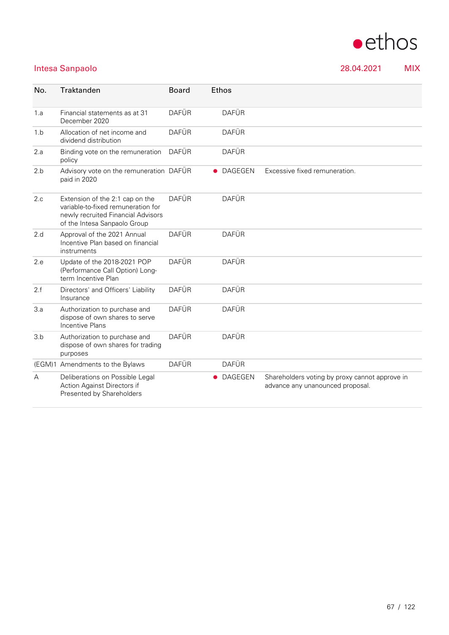

Intesa Sanpaolo 28.04.2021 MIX

| No. | Traktanden                                                                                                                                  | <b>Board</b> | <b>Ethos</b>                |                                                                                    |
|-----|---------------------------------------------------------------------------------------------------------------------------------------------|--------------|-----------------------------|------------------------------------------------------------------------------------|
| 1.a | Financial statements as at 31<br>December 2020                                                                                              | <b>DAFÜR</b> | <b>DAFÜR</b>                |                                                                                    |
| 1.b | Allocation of net income and<br>dividend distribution                                                                                       | <b>DAFÜR</b> | <b>DAFÜR</b>                |                                                                                    |
| 2.a | Binding vote on the remuneration<br>policy                                                                                                  | <b>DAFÜR</b> | <b>DAFÜR</b>                |                                                                                    |
| 2.b | Advisory vote on the remuneration DAFÜR<br>paid in 2020                                                                                     |              | <b>DAGEGEN</b><br>$\bullet$ | Excessive fixed remuneration.                                                      |
| 2.c | Extension of the 2:1 cap on the<br>variable-to-fixed remuneration for<br>newly recruited Financial Advisors<br>of the Intesa Sanpaolo Group | <b>DAFÜR</b> | <b>DAFÜR</b>                |                                                                                    |
| 2.d | Approval of the 2021 Annual<br>Incentive Plan based on financial<br>instruments                                                             | <b>DAFÜR</b> | <b>DAFÜR</b>                |                                                                                    |
| 2.e | Update of the 2018-2021 POP<br>(Performance Call Option) Long-<br>term Incentive Plan                                                       | <b>DAFÜR</b> | <b>DAFÜR</b>                |                                                                                    |
| 2.f | Directors' and Officers' Liability<br>Insurance                                                                                             | <b>DAFÜR</b> | <b>DAFÜR</b>                |                                                                                    |
| 3.a | Authorization to purchase and<br>dispose of own shares to serve<br><b>Incentive Plans</b>                                                   | <b>DAFÜR</b> | <b>DAFÜR</b>                |                                                                                    |
| 3.b | Authorization to purchase and<br>dispose of own shares for trading<br>purposes                                                              | <b>DAFÜR</b> | <b>DAFÜR</b>                |                                                                                    |
|     | (EGM)1 Amendments to the Bylaws                                                                                                             | <b>DAFÜR</b> | <b>DAFÜR</b>                |                                                                                    |
| А   | Deliberations on Possible Legal<br>Action Against Directors if<br>Presented by Shareholders                                                 |              | • DAGEGEN                   | Shareholders voting by proxy cannot approve in<br>advance any unanounced proposal. |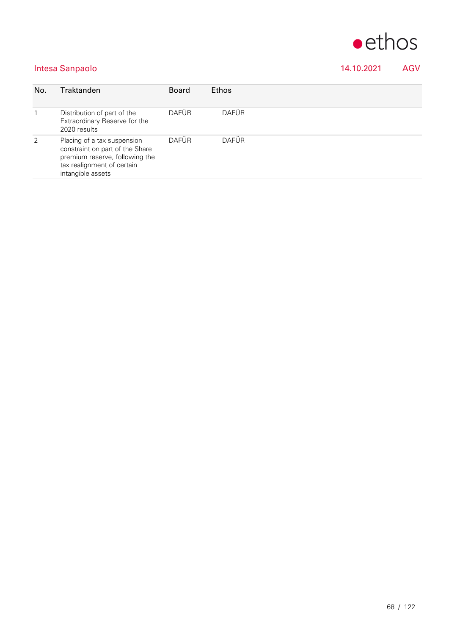

# Intesa Sanpaolo 14.10.2021 AGV

| No. | Traktanden                                                                                                                                          | <b>Board</b> | Ethos        |
|-----|-----------------------------------------------------------------------------------------------------------------------------------------------------|--------------|--------------|
| 1   | Distribution of part of the<br>Extraordinary Reserve for the<br>2020 results                                                                        | <b>DAFÜR</b> | <b>DAFÜR</b> |
| 2   | Placing of a tax suspension<br>constraint on part of the Share<br>premium reserve, following the<br>tax realignment of certain<br>intangible assets | <b>DAFÜR</b> | <b>DAFÜR</b> |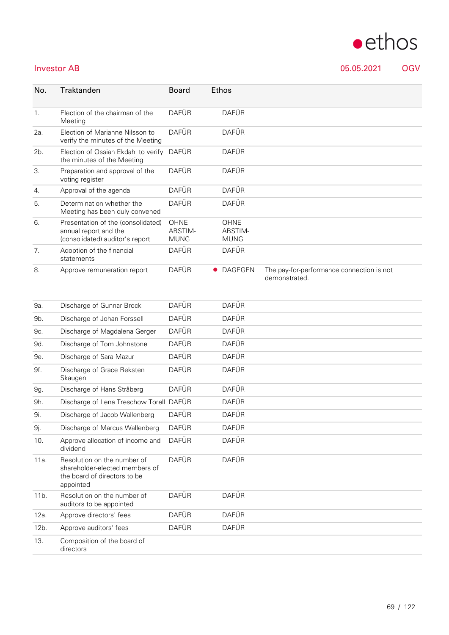

Investor AB 05.05.2021 OGV

| No.             | Traktanden                                                                                                 | <b>Board</b>                   | <b>Ethos</b>                   |                                                            |
|-----------------|------------------------------------------------------------------------------------------------------------|--------------------------------|--------------------------------|------------------------------------------------------------|
| 1.              | Election of the chairman of the<br>Meeting                                                                 | <b>DAFÜR</b>                   | <b>DAFÜR</b>                   |                                                            |
| 2a.             | Election of Marianne Nilsson to<br>verify the minutes of the Meeting                                       | <b>DAFÜR</b>                   | <b>DAFÜR</b>                   |                                                            |
| 2b.             | Election of Ossian Ekdahl to verify<br>the minutes of the Meeting                                          | <b>DAFÜR</b>                   | <b>DAFÜR</b>                   |                                                            |
| 3.              | Preparation and approval of the<br>voting register                                                         | <b>DAFÜR</b>                   | <b>DAFÜR</b>                   |                                                            |
| 4.              | Approval of the agenda                                                                                     | <b>DAFÜR</b>                   | <b>DAFÜR</b>                   |                                                            |
| 5.              | Determination whether the<br>Meeting has been duly convened                                                | <b>DAFÜR</b>                   | <b>DAFÜR</b>                   |                                                            |
| 6.              | Presentation of the (consolidated)<br>annual report and the<br>(consolidated) auditor's report             | OHNE<br>ABSTIM-<br><b>MUNG</b> | OHNE<br>ABSTIM-<br><b>MUNG</b> |                                                            |
| 7.              | Adoption of the financial<br>statements                                                                    | <b>DAFÜR</b>                   | <b>DAFÜR</b>                   |                                                            |
| 8.              | Approve remuneration report                                                                                | <b>DAFÜR</b>                   | DAGEGEN                        | The pay-for-performance connection is not<br>demonstrated. |
| 9a.             | Discharge of Gunnar Brock                                                                                  | <b>DAFÜR</b>                   | <b>DAFÜR</b>                   |                                                            |
| 9b.             | Discharge of Johan Forssell                                                                                | <b>DAFÜR</b>                   | <b>DAFÜR</b>                   |                                                            |
| 9c.             | Discharge of Magdalena Gerger                                                                              | <b>DAFÜR</b>                   | <b>DAFÜR</b>                   |                                                            |
| 9d.             | Discharge of Tom Johnstone                                                                                 | <b>DAFÜR</b>                   | <b>DAFÜR</b>                   |                                                            |
| 9e.             | Discharge of Sara Mazur                                                                                    | <b>DAFÜR</b>                   | <b>DAFÜR</b>                   |                                                            |
| 9f.             | Discharge of Grace Reksten<br>Skaugen                                                                      | <b>DAFÜR</b>                   | <b>DAFÜR</b>                   |                                                            |
| 9g.             | Discharge of Hans Stråberg                                                                                 | <b>DAFÜR</b>                   | <b>DAFÜR</b>                   |                                                            |
| 9h.             | Discharge of Lena Treschow Torell DAFÜR                                                                    |                                | <b>DAFÜR</b>                   |                                                            |
| 9i.             | Discharge of Jacob Wallenberg                                                                              | <b>DAFÜR</b>                   | <b>DAFÜR</b>                   |                                                            |
| 9j.             | Discharge of Marcus Wallenberg                                                                             | <b>DAFÜR</b>                   | <b>DAFÜR</b>                   |                                                            |
| 10.             | Approve allocation of income and<br>dividend                                                               | <b>DAFÜR</b>                   | <b>DAFÜR</b>                   |                                                            |
| 11a.            | Resolution on the number of<br>shareholder-elected members of<br>the board of directors to be<br>appointed | <b>DAFÜR</b>                   | <b>DAFÜR</b>                   |                                                            |
| 11 <sub>b</sub> | Resolution on the number of<br>auditors to be appointed                                                    | <b>DAFÜR</b>                   | <b>DAFÜR</b>                   |                                                            |
| 12a.            | Approve directors' fees                                                                                    | <b>DAFÜR</b>                   | <b>DAFÜR</b>                   |                                                            |
| 12b.            | Approve auditors' fees                                                                                     | <b>DAFÜR</b>                   | <b>DAFÜR</b>                   |                                                            |
| 13.             | Composition of the board of<br>directors                                                                   |                                |                                |                                                            |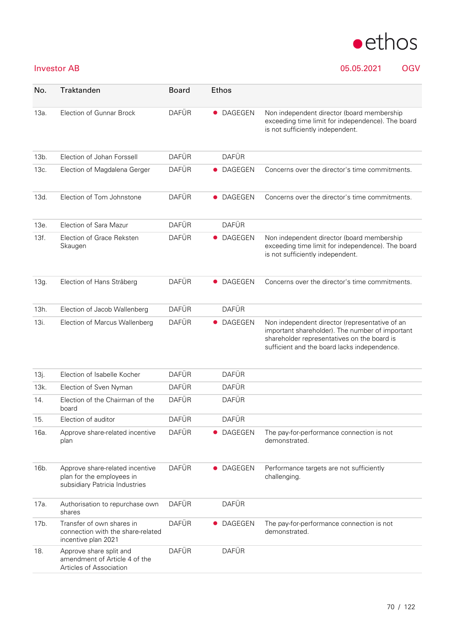

## Investor AB 05.05.2021 OGV

| No.     | Traktanden                                                                                     | <b>Board</b> | Ethos                       |                                                                                                                                                                                                  |
|---------|------------------------------------------------------------------------------------------------|--------------|-----------------------------|--------------------------------------------------------------------------------------------------------------------------------------------------------------------------------------------------|
| 13a.    | Election of Gunnar Brock                                                                       | <b>DAFÜR</b> | <b>DAGEGEN</b><br>$\bullet$ | Non independent director (board membership<br>exceeding time limit for independence). The board<br>is not sufficiently independent.                                                              |
| $13b$ . | Election of Johan Forssell                                                                     | <b>DAFÜR</b> | <b>DAFÜR</b>                |                                                                                                                                                                                                  |
| 13c.    | Election of Magdalena Gerger                                                                   | <b>DAFÜR</b> | DAGEGEN<br>$\bullet$        | Concerns over the director's time commitments.                                                                                                                                                   |
| 13d.    | Election of Tom Johnstone                                                                      | <b>DAFÜR</b> | <b>DAGEGEN</b>              | Concerns over the director's time commitments.                                                                                                                                                   |
| 13e.    | Election of Sara Mazur                                                                         | <b>DAFÜR</b> | <b>DAFÜR</b>                |                                                                                                                                                                                                  |
| 13f.    | Election of Grace Reksten<br>Skaugen                                                           | <b>DAFÜR</b> | DAGEGEN<br>$\bullet$        | Non independent director (board membership<br>exceeding time limit for independence). The board<br>is not sufficiently independent.                                                              |
| 13g.    | Election of Hans Stråberg                                                                      | <b>DAFÜR</b> | DAGEGEN                     | Concerns over the director's time commitments.                                                                                                                                                   |
| 13h.    | Election of Jacob Wallenberg                                                                   | <b>DAFÜR</b> | <b>DAFÜR</b>                |                                                                                                                                                                                                  |
| 13i.    | Election of Marcus Wallenberg                                                                  | <b>DAFÜR</b> | <b>DAGEGEN</b><br>$\bullet$ | Non independent director (representative of an<br>important shareholder). The number of important<br>shareholder representatives on the board is<br>sufficient and the board lacks independence. |
| 13j.    | Election of Isabelle Kocher                                                                    | <b>DAFÜR</b> | <b>DAFÜR</b>                |                                                                                                                                                                                                  |
| 13k.    | Election of Sven Nyman                                                                         | <b>DAFÜR</b> | <b>DAFÜR</b>                |                                                                                                                                                                                                  |
| 14.     | Election of the Chairman of the<br>board                                                       | <b>DAFÜR</b> | <b>DAFÜR</b>                |                                                                                                                                                                                                  |
| 15.     | Election of auditor                                                                            | <b>DAFÜR</b> | <b>DAFÜR</b>                |                                                                                                                                                                                                  |
| 16a.    | Approve share-related incentive<br>plan                                                        | <b>DAFÜR</b> | • DAGEGEN                   | The pay-for-performance connection is not<br>demonstrated.                                                                                                                                       |
| 16b.    | Approve share-related incentive<br>plan for the employees in<br>subsidiary Patricia Industries | <b>DAFÜR</b> | • DAGEGEN                   | Performance targets are not sufficiently<br>challenging.                                                                                                                                         |
| 17a.    | Authorisation to repurchase own<br>shares                                                      | <b>DAFÜR</b> | <b>DAFÜR</b>                |                                                                                                                                                                                                  |
| 17b.    | Transfer of own shares in<br>connection with the share-related<br>incentive plan 2021          | <b>DAFÜR</b> | DAGEGEN                     | The pay-for-performance connection is not<br>demonstrated.                                                                                                                                       |
| 18.     | Approve share split and<br>amendment of Article 4 of the<br>Articles of Association            | <b>DAFÜR</b> | <b>DAFÜR</b>                |                                                                                                                                                                                                  |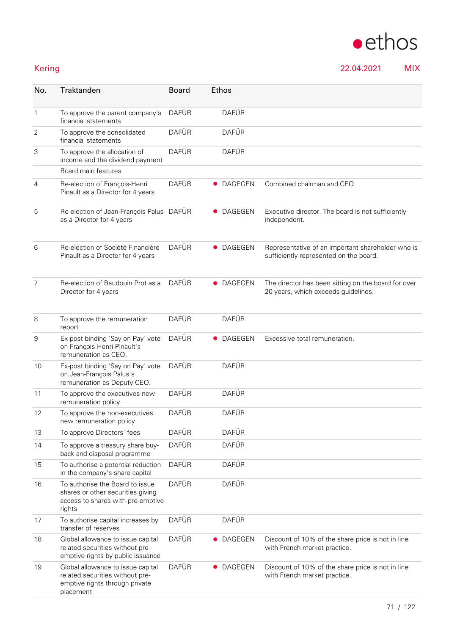# $\bullet$ ethos

Kering 22.04.2021 MIX

| No.            | Traktanden                                                                                                          | <b>Board</b> | <b>Ethos</b>                |                                                                                             |
|----------------|---------------------------------------------------------------------------------------------------------------------|--------------|-----------------------------|---------------------------------------------------------------------------------------------|
| 1              | To approve the parent company's<br>financial statements                                                             | DAFÜR        | <b>DAFÜR</b>                |                                                                                             |
| $\overline{2}$ | To approve the consolidated<br>financial statements                                                                 | <b>DAFÜR</b> | <b>DAFÜR</b>                |                                                                                             |
| 3              | To approve the allocation of<br>income and the dividend payment                                                     | <b>DAFÜR</b> | <b>DAFÜR</b>                |                                                                                             |
|                | Board main features                                                                                                 |              |                             |                                                                                             |
| $\overline{4}$ | Re-election of François-Henri<br>Pinault as a Director for 4 years                                                  | <b>DAFÜR</b> | • DAGEGEN                   | Combined chairman and CEO.                                                                  |
| 5              | Re-election of Jean-François Palus DAFÜR<br>as a Director for 4 years                                               |              | DAGEGEN                     | Executive director. The board is not sufficiently<br>independent.                           |
| 6              | Re-election of Société Financière<br>Pinault as a Director for 4 years                                              | <b>DAFÜR</b> | • DAGEGEN                   | Representative of an important shareholder who is<br>sufficiently represented on the board. |
| $\overline{7}$ | Re-election of Baudouin Prot as a<br>Director for 4 years                                                           | DAFÜR        | • DAGEGEN                   | The director has been sitting on the board for over<br>20 years, which exceeds guidelines.  |
| 8              | To approve the remuneration<br>report                                                                               | <b>DAFÜR</b> | <b>DAFÜR</b>                |                                                                                             |
| 9              | Ex-post binding "Say on Pay" vote<br>on François Henri-Pinault's<br>remuneration as CEO.                            | <b>DAFÜR</b> | <b>DAGEGEN</b><br>$\bullet$ | Excessive total remuneration.                                                               |
| 10             | Ex-post binding "Say on Pay" vote<br>on Jean-François Palus's<br>remuneration as Deputy CEO.                        | <b>DAFÜR</b> | <b>DAFÜR</b>                |                                                                                             |
| 11             | To approve the executives new<br>remuneration policy                                                                | <b>DAFÜR</b> | <b>DAFÜR</b>                |                                                                                             |
| 12             | To approve the non-executives<br>new remuneration policy                                                            | <b>DAFÜR</b> | <b>DAFÜR</b>                |                                                                                             |
| 13             | To approve Directors' fees                                                                                          | DAFÜR        | <b>DAFÜR</b>                |                                                                                             |
| 14             | To approve a treasury share buy-<br>back and disposal programme                                                     | <b>DAFÜR</b> | <b>DAFÜR</b>                |                                                                                             |
| 15             | To authorise a potential reduction<br>in the company's share capital                                                | <b>DAFÜR</b> | <b>DAFÜR</b>                |                                                                                             |
| 16             | To authorise the Board to issue<br>shares or other securities giving<br>access to shares with pre-emptive<br>rights | <b>DAFÜR</b> | <b>DAFÜR</b>                |                                                                                             |
| 17             | To authorise capital increases by<br>transfer of reserves                                                           | <b>DAFÜR</b> | <b>DAFÜR</b>                |                                                                                             |
| 18             | Global allowance to issue capital<br>related securities without pre-<br>emptive rights by public issuance           | <b>DAFÜR</b> | DAGEGEN                     | Discount of 10% of the share price is not in line<br>with French market practice.           |
| 19             | Global allowance to issue capital<br>related securities without pre-<br>emptive rights through private<br>placement | <b>DAFÜR</b> | DAGEGEN                     | Discount of 10% of the share price is not in line<br>with French market practice.           |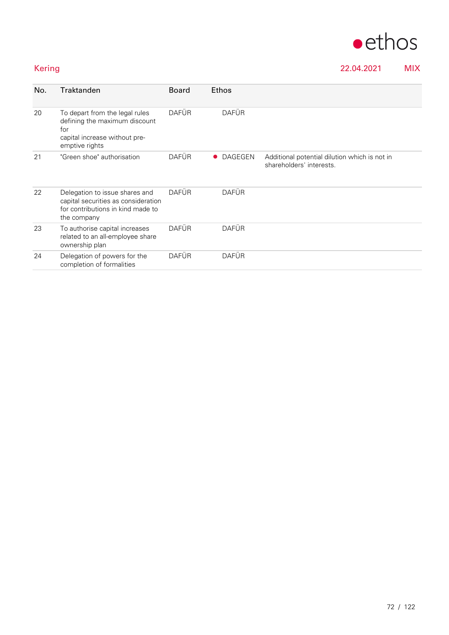

# Kering 22.04.2021 MIX

| No. | Traktanden                                                                                                                | <b>Board</b> | Ethos                       |                                                                           |
|-----|---------------------------------------------------------------------------------------------------------------------------|--------------|-----------------------------|---------------------------------------------------------------------------|
| 20  | To depart from the legal rules<br>defining the maximum discount<br>for<br>capital increase without pre-<br>emptive rights | <b>DAFÜR</b> | <b>DAFÜR</b>                |                                                                           |
| 21  | "Green shoe" authorisation                                                                                                | <b>DAFÜR</b> | <b>DAGEGEN</b><br>$\bullet$ | Additional potential dilution which is not in<br>shareholders' interests. |
| 22  | Delegation to issue shares and<br>capital securities as consideration<br>for contributions in kind made to<br>the company | <b>DAFÜR</b> | <b>DAFÜR</b>                |                                                                           |
| 23  | To authorise capital increases<br>related to an all-employee share<br>ownership plan                                      | <b>DAFÜR</b> | <b>DAFÜR</b>                |                                                                           |
| 24  | Delegation of powers for the<br>completion of formalities                                                                 | <b>DAFÜR</b> | <b>DAFÜR</b>                |                                                                           |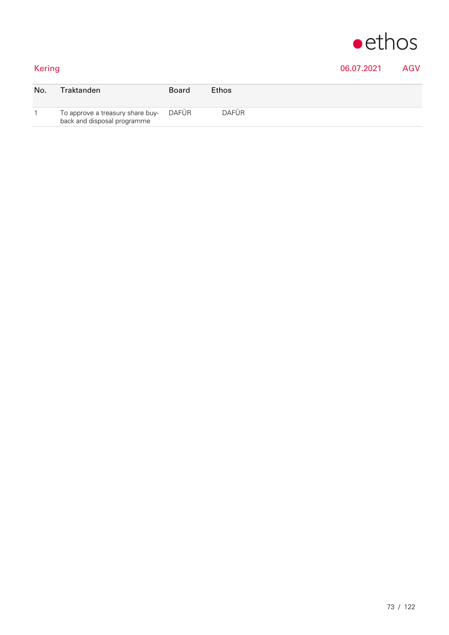

## Kering 06.07.2021 AGV

| No. | Traktanden                                                            | <b>Board</b> | Ethos        |
|-----|-----------------------------------------------------------------------|--------------|--------------|
|     | To approve a treasury share buy- DAFÜR<br>back and disposal programme |              | <b>DAFUR</b> |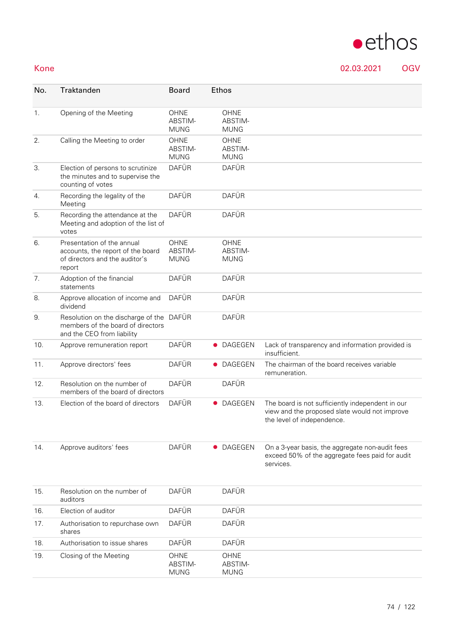

### Kone 02.03.2021 OGV

| No. | Traktanden                                                                                                  | <b>Board</b>                          | Ethos                                 |                                                                                                                                 |
|-----|-------------------------------------------------------------------------------------------------------------|---------------------------------------|---------------------------------------|---------------------------------------------------------------------------------------------------------------------------------|
| 1.  | Opening of the Meeting                                                                                      | <b>OHNE</b><br>ABSTIM-<br><b>MUNG</b> | <b>OHNE</b><br>ABSTIM-<br><b>MUNG</b> |                                                                                                                                 |
| 2.  | Calling the Meeting to order                                                                                | OHNE<br>ABSTIM-<br><b>MUNG</b>        | <b>OHNE</b><br>ABSTIM-<br><b>MUNG</b> |                                                                                                                                 |
| 3.  | Election of persons to scrutinize<br>the minutes and to supervise the<br>counting of votes                  | <b>DAFÜR</b>                          | <b>DAFÜR</b>                          |                                                                                                                                 |
| 4.  | Recording the legality of the<br>Meeting                                                                    | <b>DAFÜR</b>                          | <b>DAFÜR</b>                          |                                                                                                                                 |
| 5.  | Recording the attendance at the<br>Meeting and adoption of the list of<br>votes                             | <b>DAFÜR</b>                          | <b>DAFÜR</b>                          |                                                                                                                                 |
| 6.  | Presentation of the annual<br>accounts, the report of the board<br>of directors and the auditor's<br>report | OHNE<br>ABSTIM-<br><b>MUNG</b>        | <b>OHNE</b><br>ABSTIM-<br><b>MUNG</b> |                                                                                                                                 |
| 7.  | Adoption of the financial<br>statements                                                                     | <b>DAFÜR</b>                          | <b>DAFÜR</b>                          |                                                                                                                                 |
| 8.  | Approve allocation of income and<br>dividend                                                                | <b>DAFÜR</b>                          | <b>DAFÜR</b>                          |                                                                                                                                 |
| 9.  | Resolution on the discharge of the<br>members of the board of directors<br>and the CEO from liability       | <b>DAFÜR</b>                          | <b>DAFÜR</b>                          |                                                                                                                                 |
| 10. | Approve remuneration report                                                                                 | <b>DAFÜR</b>                          | DAGEGEN                               | Lack of transparency and information provided is<br>insufficient.                                                               |
| 11. | Approve directors' fees                                                                                     | <b>DAFÜR</b>                          | DAGEGEN<br>$\bullet$                  | The chairman of the board receives variable<br>remuneration.                                                                    |
| 12. | Resolution on the number of<br>members of the board of directors                                            | <b>DAFÜR</b>                          | <b>DAFÜR</b>                          |                                                                                                                                 |
| 13. | Election of the board of directors                                                                          | <b>DAFÜR</b>                          | DAGEGEN<br>$\bullet$                  | The board is not sufficiently independent in our<br>view and the proposed slate would not improve<br>the level of independence. |
| 14. | Approve auditors' fees                                                                                      | <b>DAFÜR</b>                          | DAGEGEN                               | On a 3-year basis, the aggregate non-audit fees<br>exceed 50% of the aggregate fees paid for audit<br>services.                 |
| 15. | Resolution on the number of<br>auditors                                                                     | <b>DAFÜR</b>                          | <b>DAFÜR</b>                          |                                                                                                                                 |
| 16. | Election of auditor                                                                                         | <b>DAFÜR</b>                          | <b>DAFÜR</b>                          |                                                                                                                                 |
| 17. | Authorisation to repurchase own<br>shares                                                                   | <b>DAFÜR</b>                          | <b>DAFÜR</b>                          |                                                                                                                                 |
| 18. | Authorisation to issue shares                                                                               | <b>DAFÜR</b>                          | <b>DAFÜR</b>                          |                                                                                                                                 |
| 19. | Closing of the Meeting                                                                                      | OHNE<br>ABSTIM-<br><b>MUNG</b>        | OHNE<br>ABSTIM-<br><b>MUNG</b>        |                                                                                                                                 |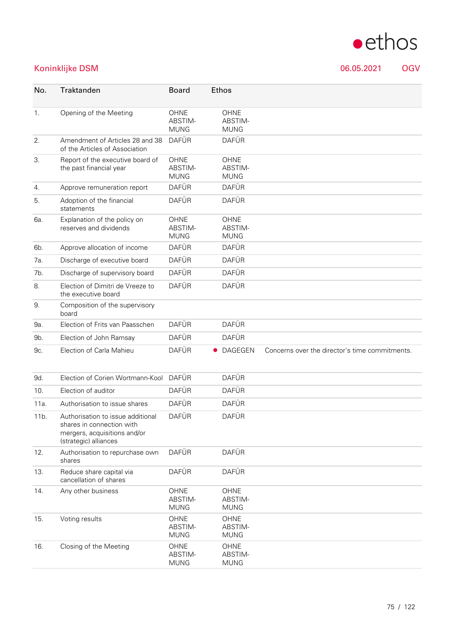

Koninklijke DSM 06.05.2021 OGV

| No.  | Traktanden                                                                                                              | <b>Board</b>                          | Ethos                                 |                                                |
|------|-------------------------------------------------------------------------------------------------------------------------|---------------------------------------|---------------------------------------|------------------------------------------------|
| 1.   | Opening of the Meeting                                                                                                  | OHNE<br>ABSTIM-<br><b>MUNG</b>        | OHNE<br>ABSTIM-<br><b>MUNG</b>        |                                                |
| 2.   | Amendment of Articles 28 and 38<br>of the Articles of Association                                                       | <b>DAFÜR</b>                          | <b>DAFÜR</b>                          |                                                |
| 3.   | Report of the executive board of<br>the past financial year                                                             | OHNE<br>ABSTIM-<br><b>MUNG</b>        | OHNE<br>ABSTIM-<br><b>MUNG</b>        |                                                |
| 4.   | Approve remuneration report                                                                                             | <b>DAFÜR</b>                          | <b>DAFÜR</b>                          |                                                |
| 5.   | Adoption of the financial<br>statements                                                                                 | <b>DAFÜR</b>                          | <b>DAFÜR</b>                          |                                                |
| 6а.  | Explanation of the policy on<br>reserves and dividends                                                                  | OHNE<br>ABSTIM-<br><b>MUNG</b>        | OHNE<br>ABSTIM-<br><b>MUNG</b>        |                                                |
| 6b.  | Approve allocation of income                                                                                            | <b>DAFÜR</b>                          | <b>DAFÜR</b>                          |                                                |
| 7а.  | Discharge of executive board                                                                                            | <b>DAFÜR</b>                          | <b>DAFÜR</b>                          |                                                |
| 7b.  | Discharge of supervisory board                                                                                          | <b>DAFÜR</b>                          | <b>DAFÜR</b>                          |                                                |
| 8.   | Election of Dimitri de Vreeze to<br>the executive board                                                                 | <b>DAFÜR</b>                          | <b>DAFÜR</b>                          |                                                |
| 9.   | Composition of the supervisory<br>board                                                                                 |                                       |                                       |                                                |
| 9а.  | Election of Frits van Paasschen                                                                                         | <b>DAFÜR</b>                          | <b>DAFÜR</b>                          |                                                |
| 9b.  | Election of John Ramsay                                                                                                 | <b>DAFÜR</b>                          | <b>DAFÜR</b>                          |                                                |
| 9c.  | Election of Carla Mahieu                                                                                                | <b>DAFÜR</b>                          | <b>DAGEGEN</b><br>$\bullet$           | Concerns over the director's time commitments. |
| 9d.  | Election of Corien Wortmann-Kool DAFÜR                                                                                  |                                       | <b>DAFÜR</b>                          |                                                |
| 10.  | Election of auditor                                                                                                     | <b>DAFÜR</b>                          | <b>DAFÜR</b>                          |                                                |
| 11a. | Authorisation to issue shares                                                                                           | <b>DAFÜR</b>                          | <b>DAFÜR</b>                          |                                                |
| 11b. | Authorisation to issue additional<br>shares in connection with<br>mergers, acquisitions and/or<br>(strategic) alliances | <b>DAFÜR</b>                          | <b>DAFÜR</b>                          |                                                |
| 12.  | Authorisation to repurchase own<br>shares                                                                               | <b>DAFÜR</b>                          | <b>DAFÜR</b>                          |                                                |
| 13.  | Reduce share capital via<br>cancellation of shares                                                                      | <b>DAFÜR</b>                          | <b>DAFÜR</b>                          |                                                |
| 14.  | Any other business                                                                                                      | <b>OHNE</b><br>ABSTIM-<br><b>MUNG</b> | <b>OHNE</b><br>ABSTIM-<br><b>MUNG</b> |                                                |
| 15.  | Voting results                                                                                                          | OHNE<br>ABSTIM-<br><b>MUNG</b>        | OHNE<br>ABSTIM-<br><b>MUNG</b>        |                                                |
| 16.  | Closing of the Meeting                                                                                                  | OHNE<br>ABSTIM-<br><b>MUNG</b>        | OHNE<br>ABSTIM-<br><b>MUNG</b>        |                                                |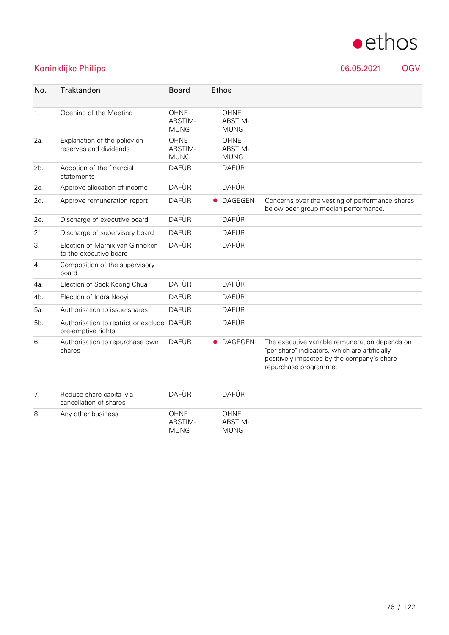

Koninklijke Philips 06.05.2021 OGV

| No.              | Traktanden                                                       | <b>Board</b>                   | <b>Ethos</b>                   |                                                                                                                                                                         |
|------------------|------------------------------------------------------------------|--------------------------------|--------------------------------|-------------------------------------------------------------------------------------------------------------------------------------------------------------------------|
| 1.               | Opening of the Meeting                                           | OHNE<br>ABSTIM-<br><b>MUNG</b> | OHNE<br>ABSTIM-<br><b>MUNG</b> |                                                                                                                                                                         |
| 2a.              | Explanation of the policy on<br>reserves and dividends           | OHNE<br>ABSTIM-<br><b>MUNG</b> | OHNE<br>ABSTIM-<br><b>MUNG</b> |                                                                                                                                                                         |
| 2b.              | Adoption of the financial<br>statements                          | <b>DAFÜR</b>                   | <b>DAFÜR</b>                   |                                                                                                                                                                         |
| 2c.              | Approve allocation of income                                     | <b>DAFÜR</b>                   | <b>DAFÜR</b>                   |                                                                                                                                                                         |
| 2d.              | Approve remuneration report                                      | <b>DAFÜR</b>                   | <b>DAGEGEN</b><br>$\bullet$    | Concerns over the vesting of performance shares<br>below peer group median performance.                                                                                 |
| 2e.              | Discharge of executive board                                     | <b>DAFÜR</b>                   | <b>DAFÜR</b>                   |                                                                                                                                                                         |
| 2f.              | Discharge of supervisory board                                   | <b>DAFÜR</b>                   | <b>DAFÜR</b>                   |                                                                                                                                                                         |
| 3.               | Election of Marnix van Ginneken<br>to the executive board        | <b>DAFÜR</b>                   | <b>DAFÜR</b>                   |                                                                                                                                                                         |
| $\overline{4}$ . | Composition of the supervisory<br>board                          |                                |                                |                                                                                                                                                                         |
| 4а.              | Election of Sock Koong Chua                                      | <b>DAFÜR</b>                   | <b>DAFÜR</b>                   |                                                                                                                                                                         |
| 4b.              | Election of Indra Nooyi                                          | <b>DAFÜR</b>                   | <b>DAFÜR</b>                   |                                                                                                                                                                         |
| 5а.              | Authorisation to issue shares                                    | <b>DAFÜR</b>                   | <b>DAFÜR</b>                   |                                                                                                                                                                         |
| 5b.              | Authorisation to restrict or exclude DAFÜR<br>pre-emptive rights |                                | <b>DAFÜR</b>                   |                                                                                                                                                                         |
| 6.               | Authorisation to repurchase own<br>shares                        | <b>DAFÜR</b>                   | <b>DAGEGEN</b>                 | The executive variable remuneration depends on<br>"per share" indicators, which are artificially<br>positively impacted by the company's share<br>repurchase programme. |
| 7.               | Reduce share capital via                                         | <b>DAFÜR</b>                   | <b>DAFÜR</b>                   |                                                                                                                                                                         |

|    | <b>HOUGOO</b> SHOTO COPILOT VIO<br>cancellation of shares | $\nu$ NUI                      | $\nu$ n vii                    |
|----|-----------------------------------------------------------|--------------------------------|--------------------------------|
| 8. | Any other business                                        | OHNE<br>ABSTIM-<br><b>MUNG</b> | OHNE<br>ABSTIM-<br><b>MUNG</b> |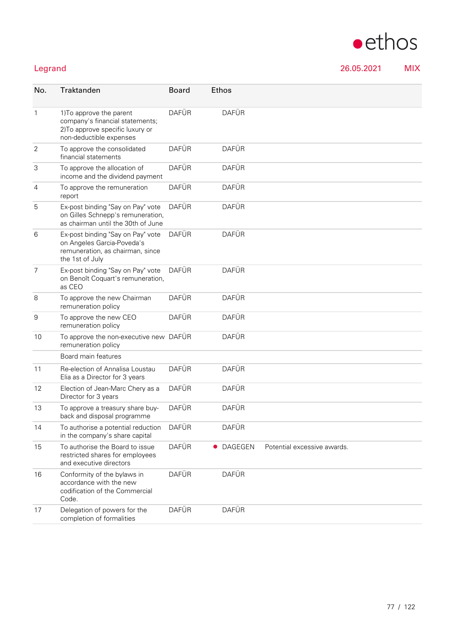

Legrand 26.05.2021 MIX

| No.            | Traktanden                                                                                                                 | <b>Board</b> | <b>Ethos</b> |                             |
|----------------|----------------------------------------------------------------------------------------------------------------------------|--------------|--------------|-----------------------------|
| $\mathbf{1}$   | 1) To approve the parent<br>company's financial statements;<br>2) To approve specific luxury or<br>non-deductible expenses | <b>DAFÜR</b> | <b>DAFÜR</b> |                             |
| $\overline{2}$ | To approve the consolidated<br>financial statements                                                                        | <b>DAFÜR</b> | <b>DAFÜR</b> |                             |
| 3              | To approve the allocation of<br>income and the dividend payment                                                            | <b>DAFÜR</b> | <b>DAFÜR</b> |                             |
| 4              | To approve the remuneration<br>report                                                                                      | <b>DAFÜR</b> | <b>DAFÜR</b> |                             |
| 5              | Ex-post binding "Say on Pay" vote<br>on Gilles Schnepp's remuneration,<br>as chairman until the 30th of June               | <b>DAFÜR</b> | <b>DAFÜR</b> |                             |
| 6              | Ex-post binding "Say on Pay" vote<br>on Angeles Garcia-Poveda's<br>remuneration, as chairman, since<br>the 1st of July     | <b>DAFÜR</b> | <b>DAFÜR</b> |                             |
| $\overline{7}$ | Ex-post binding "Say on Pay" vote<br>on Benoît Coquart's remuneration,<br>as CEO                                           | <b>DAFÜR</b> | <b>DAFÜR</b> |                             |
| 8              | To approve the new Chairman<br>remuneration policy                                                                         | <b>DAFÜR</b> | <b>DAFÜR</b> |                             |
| 9              | To approve the new CEO<br>remuneration policy                                                                              | <b>DAFÜR</b> | <b>DAFÜR</b> |                             |
| 10             | To approve the non-executive new DAFÜR<br>remuneration policy                                                              |              | <b>DAFÜR</b> |                             |
|                | Board main features                                                                                                        |              |              |                             |
| 11             | Re-election of Annalisa Loustau<br>Elia as a Director for 3 years                                                          | <b>DAFÜR</b> | <b>DAFÜR</b> |                             |
| 12             | Election of Jean-Marc Chery as a<br>Director for 3 years                                                                   | <b>DAFÜR</b> | <b>DAFÜR</b> |                             |
| 13             | To approve a treasury share buy-<br>back and disposal programme                                                            | <b>DAFÜR</b> | <b>DAFÜR</b> |                             |
| 14             | To authorise a potential reduction<br>in the company's share capital                                                       | <b>DAFÜR</b> | <b>DAFÜR</b> |                             |
| 15             | To authorise the Board to issue<br>restricted shares for employees<br>and executive directors                              | <b>DAFÜR</b> | • DAGEGEN    | Potential excessive awards. |
| 16             | Conformity of the bylaws in<br>accordance with the new<br>codification of the Commercial<br>Code.                          | <b>DAFÜR</b> | <b>DAFÜR</b> |                             |
| 17             | Delegation of powers for the<br>completion of formalities                                                                  | <b>DAFÜR</b> | <b>DAFÜR</b> |                             |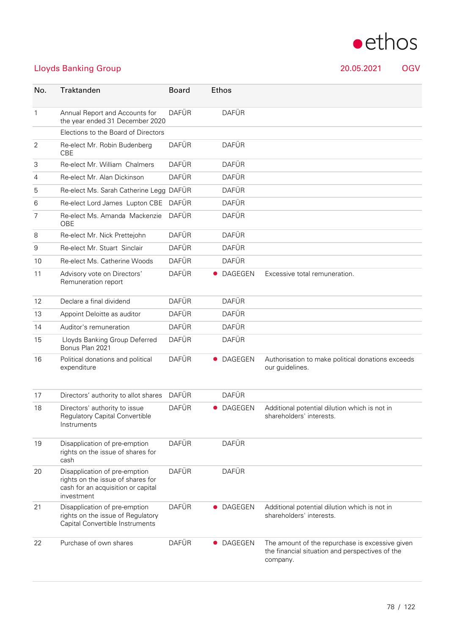

## Lloyds Banking Group 20.05.2021 OGV 20.05.2021 OGV 20.05.2021 OGV 20.05.2021 OGV 20.05.2021 OGV 20.05.2021 OG

| .05.2021 | OGV |
|----------|-----|
|          |     |

| No.            | Traktanden                                                                                                             | <b>Board</b> | <b>Ethos</b>   |                                                                                                                |
|----------------|------------------------------------------------------------------------------------------------------------------------|--------------|----------------|----------------------------------------------------------------------------------------------------------------|
| $\mathbf{1}$   | Annual Report and Accounts for<br>the year ended 31 December 2020                                                      | <b>DAFÜR</b> | <b>DAFÜR</b>   |                                                                                                                |
|                | Elections to the Board of Directors                                                                                    |              |                |                                                                                                                |
| $\overline{2}$ | Re-elect Mr. Robin Budenberg<br><b>CBE</b>                                                                             | <b>DAFÜR</b> | <b>DAFÜR</b>   |                                                                                                                |
| 3              | Re-elect Mr. William Chalmers                                                                                          | <b>DAFÜR</b> | DAFÜR          |                                                                                                                |
| 4              | Re-elect Mr. Alan Dickinson                                                                                            | <b>DAFÜR</b> | <b>DAFÜR</b>   |                                                                                                                |
| 5              | Re-elect Ms. Sarah Catherine Legg DAFÜR                                                                                |              | <b>DAFÜR</b>   |                                                                                                                |
| 6              | Re-elect Lord James Lupton CBE                                                                                         | <b>DAFÜR</b> | <b>DAFÜR</b>   |                                                                                                                |
| $\overline{7}$ | Re-elect Ms. Amanda Mackenzie<br>OBE                                                                                   | <b>DAFÜR</b> | <b>DAFÜR</b>   |                                                                                                                |
| 8              | Re-elect Mr. Nick Prettejohn                                                                                           | <b>DAFÜR</b> | <b>DAFÜR</b>   |                                                                                                                |
| 9              | Re-elect Mr. Stuart Sinclair                                                                                           | DAFÜR        | <b>DAFÜR</b>   |                                                                                                                |
| 10             | Re-elect Ms. Catherine Woods                                                                                           | <b>DAFÜR</b> | <b>DAFÜR</b>   |                                                                                                                |
| 11             | Advisory vote on Directors'<br>Remuneration report                                                                     | <b>DAFÜR</b> | • DAGEGEN      | Excessive total remuneration.                                                                                  |
| 12             | Declare a final dividend                                                                                               | <b>DAFÜR</b> | <b>DAFÜR</b>   |                                                                                                                |
| 13             | Appoint Deloitte as auditor                                                                                            | <b>DAFÜR</b> | <b>DAFÜR</b>   |                                                                                                                |
| 14             | Auditor's remuneration                                                                                                 | <b>DAFÜR</b> | <b>DAFÜR</b>   |                                                                                                                |
| 15             | Lloyds Banking Group Deferred<br>Bonus Plan 2021                                                                       | <b>DAFÜR</b> | <b>DAFÜR</b>   |                                                                                                                |
| 16             | Political donations and political<br>expenditure                                                                       | <b>DAFÜR</b> | • DAGEGEN      | Authorisation to make political donations exceeds<br>our guidelines.                                           |
| 17             | Directors' authority to allot shares                                                                                   | <b>DAFÜR</b> | <b>DAFÜR</b>   |                                                                                                                |
| 18             | Directors' authority to issue<br>Regulatory Capital Convertible<br>Instruments                                         | <b>DAFÜR</b> | <b>DAGEGEN</b> | Additional potential dilution which is not in<br>shareholders' interests.                                      |
| 19             | Disapplication of pre-emption<br>rights on the issue of shares for<br>cash                                             | <b>DAFÜR</b> | <b>DAFÜR</b>   |                                                                                                                |
| 20             | Disapplication of pre-emption<br>rights on the issue of shares for<br>cash for an acquisition or capital<br>investment | <b>DAFÜR</b> | <b>DAFÜR</b>   |                                                                                                                |
| 21             | Disapplication of pre-emption<br>rights on the issue of Regulatory<br>Capital Convertible Instruments                  | <b>DAFÜR</b> | • DAGEGEN      | Additional potential dilution which is not in<br>shareholders' interests.                                      |
| 22             | Purchase of own shares                                                                                                 | <b>DAFÜR</b> | • DAGEGEN      | The amount of the repurchase is excessive given<br>the financial situation and perspectives of the<br>company. |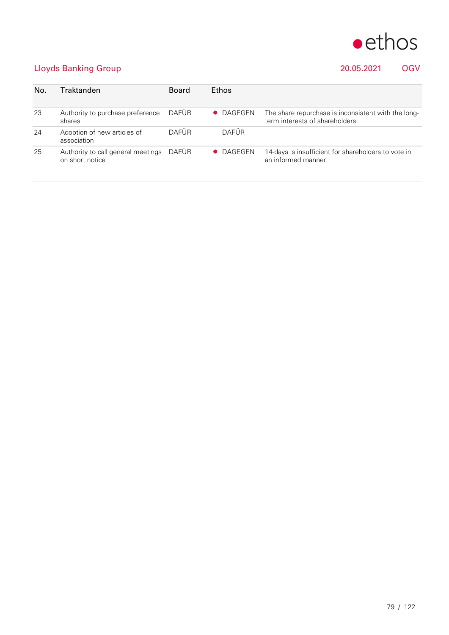

### Lloyds Banking Group 20.05.2021 OGV

| No. | Traktanden                                            | <b>Board</b> | Ethos        |                                                                                        |
|-----|-------------------------------------------------------|--------------|--------------|----------------------------------------------------------------------------------------|
| 23  | Authority to purchase preference<br>shares            | <b>DAFUR</b> | • DAGEGEN    | The share repurchase is inconsistent with the long-<br>term interests of shareholders. |
| 24  | Adoption of new articles of<br>association            | <b>DAFÜR</b> | <b>DAFÜR</b> |                                                                                        |
| 25  | Authority to call general meetings<br>on short notice | <b>DAFUR</b> | • DAGEGEN    | 14-days is insufficient for shareholders to vote in<br>an informed manner.             |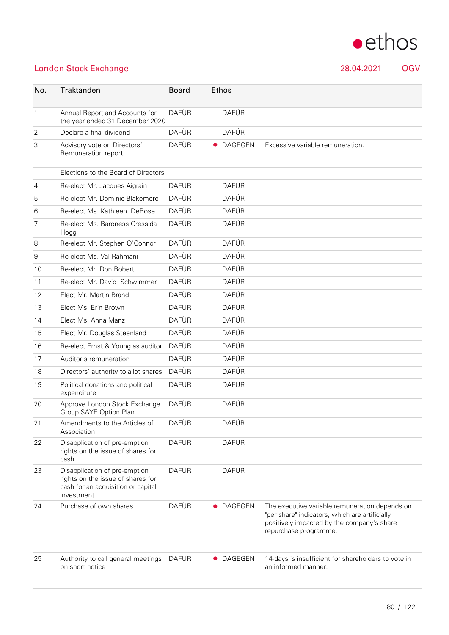

### London Stock Exchange 28.04.2021 OGV

| No.            | Traktanden                                                                                                             | <b>Board</b> | <b>Ethos</b> |                                                                                                                                                                         |
|----------------|------------------------------------------------------------------------------------------------------------------------|--------------|--------------|-------------------------------------------------------------------------------------------------------------------------------------------------------------------------|
| $\mathbf{1}$   | Annual Report and Accounts for<br>the year ended 31 December 2020                                                      | <b>DAFÜR</b> | <b>DAFÜR</b> |                                                                                                                                                                         |
| $\overline{2}$ | Declare a final dividend                                                                                               | <b>DAFÜR</b> | <b>DAFÜR</b> |                                                                                                                                                                         |
| 3              | Advisory vote on Directors'<br>Remuneration report                                                                     | <b>DAFÜR</b> | • DAGEGEN    | Excessive variable remuneration.                                                                                                                                        |
|                | Elections to the Board of Directors                                                                                    |              |              |                                                                                                                                                                         |
| 4              | Re-elect Mr. Jacques Aigrain                                                                                           | <b>DAFÜR</b> | <b>DAFÜR</b> |                                                                                                                                                                         |
| 5              | Re-elect Mr. Dominic Blakemore                                                                                         | <b>DAFÜR</b> | <b>DAFÜR</b> |                                                                                                                                                                         |
| 6              | Re-elect Ms. Kathleen DeRose                                                                                           | <b>DAFÜR</b> | <b>DAFÜR</b> |                                                                                                                                                                         |
| 7              | Re-elect Ms. Baroness Cressida<br>Hogg                                                                                 | <b>DAFÜR</b> | <b>DAFÜR</b> |                                                                                                                                                                         |
| 8              | Re-elect Mr. Stephen O'Connor                                                                                          | <b>DAFÜR</b> | <b>DAFÜR</b> |                                                                                                                                                                         |
| 9              | Re-elect Ms. Val Rahmani                                                                                               | <b>DAFÜR</b> | <b>DAFÜR</b> |                                                                                                                                                                         |
| 10             | Re-elect Mr. Don Robert                                                                                                | <b>DAFÜR</b> | <b>DAFÜR</b> |                                                                                                                                                                         |
| 11             | Re-elect Mr. David Schwimmer                                                                                           | <b>DAFÜR</b> | <b>DAFÜR</b> |                                                                                                                                                                         |
| 12             | Elect Mr. Martin Brand                                                                                                 | <b>DAFÜR</b> | <b>DAFÜR</b> |                                                                                                                                                                         |
| 13             | Elect Ms. Erin Brown                                                                                                   | <b>DAFÜR</b> | <b>DAFÜR</b> |                                                                                                                                                                         |
| 14             | Elect Ms. Anna Manz                                                                                                    | <b>DAFÜR</b> | <b>DAFÜR</b> |                                                                                                                                                                         |
| 15             | Elect Mr. Douglas Steenland                                                                                            | <b>DAFÜR</b> | <b>DAFÜR</b> |                                                                                                                                                                         |
| 16             | Re-elect Ernst & Young as auditor                                                                                      | <b>DAFÜR</b> | <b>DAFÜR</b> |                                                                                                                                                                         |
| 17             | Auditor's remuneration                                                                                                 | <b>DAFÜR</b> | <b>DAFÜR</b> |                                                                                                                                                                         |
| 18             | Directors' authority to allot shares                                                                                   | <b>DAFÜR</b> | <b>DAFÜR</b> |                                                                                                                                                                         |
| 19             | Political donations and political<br>expenditure                                                                       | <b>DAFÜR</b> | <b>DAFÜR</b> |                                                                                                                                                                         |
| 20             | Approve London Stock Exchange<br>Group SAYE Option Plan                                                                | <b>DAFÜR</b> | <b>DAFÜR</b> |                                                                                                                                                                         |
| 21             | Amendments to the Articles of<br>Association                                                                           | <b>DAFÜR</b> | DAFÜR        |                                                                                                                                                                         |
| 22             | Disapplication of pre-emption<br>rights on the issue of shares for<br>cash                                             | <b>DAFÜR</b> | <b>DAFÜR</b> |                                                                                                                                                                         |
| 23             | Disapplication of pre-emption<br>rights on the issue of shares for<br>cash for an acquisition or capital<br>investment | <b>DAFÜR</b> | <b>DAFÜR</b> |                                                                                                                                                                         |
| 24             | Purchase of own shares                                                                                                 | <b>DAFÜR</b> | • DAGEGEN    | The executive variable remuneration depends on<br>"per share" indicators, which are artificially<br>positively impacted by the company's share<br>repurchase programme. |
| 25             | Authority to call general meetings<br>on short notice                                                                  | <b>DAFÜR</b> | • DAGEGEN    | 14-days is insufficient for shareholders to vote in<br>an informed manner.                                                                                              |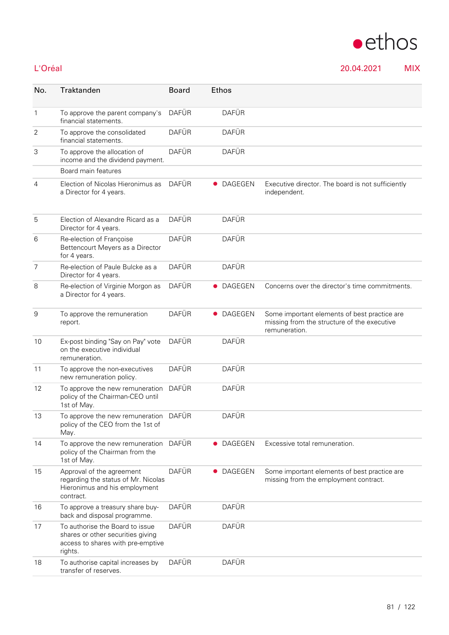

L'Oréal 20.04.2021 MIX

| No.          | Traktanden                                                                                                           | <b>Board</b> | Ethos                       |                                                                                                              |
|--------------|----------------------------------------------------------------------------------------------------------------------|--------------|-----------------------------|--------------------------------------------------------------------------------------------------------------|
| $\mathbf{1}$ | To approve the parent company's<br>financial statements.                                                             | <b>DAFÜR</b> | <b>DAFÜR</b>                |                                                                                                              |
| 2            | To approve the consolidated<br>financial statements.                                                                 | <b>DAFÜR</b> | <b>DAFÜR</b>                |                                                                                                              |
| 3            | To approve the allocation of<br>income and the dividend payment.                                                     | <b>DAFÜR</b> | <b>DAFÜR</b>                |                                                                                                              |
|              | Board main features                                                                                                  |              |                             |                                                                                                              |
| 4            | Election of Nicolas Hieronimus as<br>a Director for 4 years.                                                         | <b>DAFÜR</b> | <b>DAGEGEN</b><br>$\bullet$ | Executive director. The board is not sufficiently<br>independent.                                            |
| 5            | Election of Alexandre Ricard as a<br>Director for 4 years.                                                           | <b>DAFÜR</b> | <b>DAFÜR</b>                |                                                                                                              |
| 6            | Re-election of Françoise<br>Bettencourt Meyers as a Director<br>for 4 years.                                         | <b>DAFÜR</b> | <b>DAFÜR</b>                |                                                                                                              |
| 7            | Re-election of Paule Bulcke as a<br>Director for 4 years.                                                            | <b>DAFÜR</b> | <b>DAFÜR</b>                |                                                                                                              |
| 8            | Re-election of Virginie Morgon as<br>a Director for 4 years.                                                         | <b>DAFÜR</b> | <b>DAGEGEN</b>              | Concerns over the director's time commitments.                                                               |
| 9            | To approve the remuneration<br>report.                                                                               | <b>DAFÜR</b> | • DAGEGEN                   | Some important elements of best practice are<br>missing from the structure of the executive<br>remuneration. |
| 10           | Ex-post binding "Say on Pay" vote<br>on the executive individual<br>remuneration.                                    | <b>DAFÜR</b> | <b>DAFÜR</b>                |                                                                                                              |
| 11           | To approve the non-executives<br>new remuneration policy.                                                            | <b>DAFÜR</b> | <b>DAFÜR</b>                |                                                                                                              |
| 12           | To approve the new remuneration<br>policy of the Chairman-CEO until<br>1st of May.                                   | <b>DAFÜR</b> | <b>DAFÜR</b>                |                                                                                                              |
| 13           | To approve the new remuneration DAFÜR<br>policy of the CEO from the 1st of<br>May.                                   |              | <b>DAFÜR</b>                |                                                                                                              |
| 14           | To approve the new remuneration<br>policy of the Chairman from the<br>1st of May.                                    | <b>DAFÜR</b> | • DAGEGEN                   | Excessive total remuneration.                                                                                |
| 15           | Approval of the agreement<br>regarding the status of Mr. Nicolas<br>Hieronimus and his employment<br>contract.       | <b>DAFÜR</b> | DAGEGEN                     | Some important elements of best practice are<br>missing from the employment contract.                        |
| 16           | To approve a treasury share buy-<br>back and disposal programme.                                                     | <b>DAFÜR</b> | <b>DAFÜR</b>                |                                                                                                              |
| 17           | To authorise the Board to issue<br>shares or other securities giving<br>access to shares with pre-emptive<br>rights. | DAFÜR        | <b>DAFÜR</b>                |                                                                                                              |
| 18           | To authorise capital increases by<br>transfer of reserves.                                                           | <b>DAFÜR</b> | <b>DAFÜR</b>                |                                                                                                              |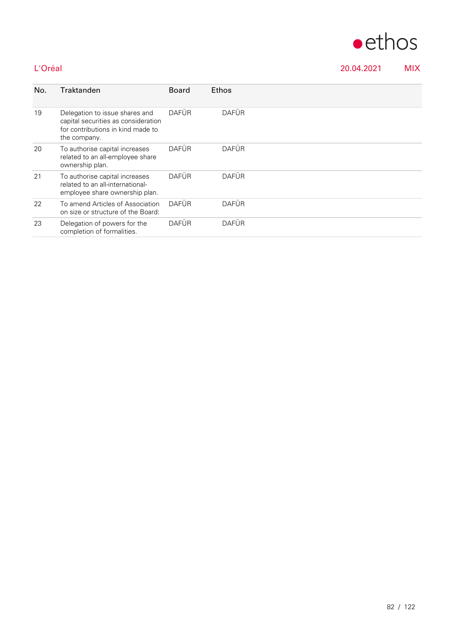

L'Oréal 20.04.2021 MIX

| No. | Traktanden                                                                                                                 | <b>Board</b> | Ethos        |
|-----|----------------------------------------------------------------------------------------------------------------------------|--------------|--------------|
|     |                                                                                                                            |              |              |
| 19  | Delegation to issue shares and<br>capital securities as consideration<br>for contributions in kind made to<br>the company. | <b>DAFÜR</b> | <b>DAFÜR</b> |
| 20  | To authorise capital increases<br>related to an all-employee share<br>ownership plan.                                      | <b>DAFÜR</b> | <b>DAFÜR</b> |
| 21  | To authorise capital increases<br>related to an all-international-<br>employee share ownership plan.                       | <b>DAFÜR</b> | <b>DAFÜR</b> |
| 22  | To amend Articles of Association<br>on size or structure of the Board.                                                     | <b>DAFÜR</b> | <b>DAFÜR</b> |
| 23  | Delegation of powers for the<br>completion of formalities.                                                                 | <b>DAFÜR</b> | <b>DAFÜR</b> |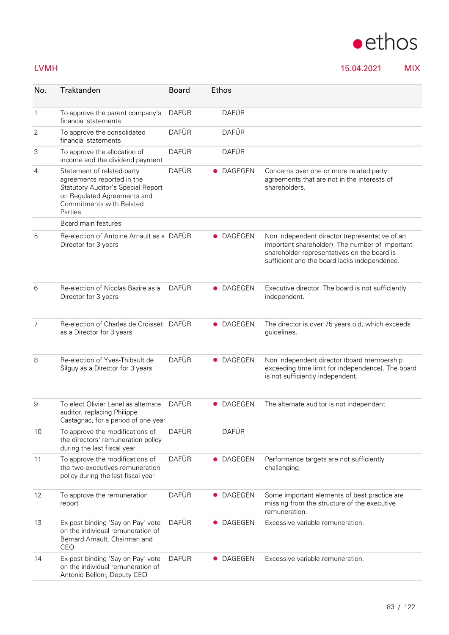# $\bullet$ ethos

LVMH 15.04.2021 MIX

| No.            | Traktanden                                                                                                                                                                  | <b>Board</b> | Ethos        |                                                                                                                                                                                                  |
|----------------|-----------------------------------------------------------------------------------------------------------------------------------------------------------------------------|--------------|--------------|--------------------------------------------------------------------------------------------------------------------------------------------------------------------------------------------------|
| 1              | To approve the parent company's<br>financial statements                                                                                                                     | <b>DAFÜR</b> | <b>DAFÜR</b> |                                                                                                                                                                                                  |
| $\overline{2}$ | To approve the consolidated<br>financial statements                                                                                                                         | <b>DAFÜR</b> | <b>DAFÜR</b> |                                                                                                                                                                                                  |
| 3              | To approve the allocation of<br>income and the dividend payment                                                                                                             | <b>DAFÜR</b> | <b>DAFÜR</b> |                                                                                                                                                                                                  |
| 4              | Statement of related-party<br>agreements reported in the<br><b>Statutory Auditor's Special Report</b><br>on Regulated Agreements and<br>Commitments with Related<br>Parties | <b>DAFÜR</b> | DAGEGEN      | Concerns over one or more related party<br>agreements that are not in the interests of<br>shareholders.                                                                                          |
|                | Board main features                                                                                                                                                         |              |              |                                                                                                                                                                                                  |
| 5              | Re-election of Antoine Arnault as a DAFÜR<br>Director for 3 years                                                                                                           |              | DAGEGEN      | Non independent director (representative of an<br>important shareholder). The number of important<br>shareholder representatives on the board is<br>sufficient and the board lacks independence. |
| 6              | Re-election of Nicolas Bazire as a<br>Director for 3 years                                                                                                                  | DAFÜR        | • DAGEGEN    | Executive director. The board is not sufficiently<br>independent.                                                                                                                                |
| $\overline{7}$ | Re-election of Charles de Croisset DAFÜR<br>as a Director for 3 years                                                                                                       |              | • DAGEGEN    | The director is over 75 years old, which exceeds<br>guidelines.                                                                                                                                  |
| 8              | Re-election of Yves-Thibault de<br>Silguy as a Director for 3 years                                                                                                         | <b>DAFÜR</b> | • DAGEGEN    | Non independent director (board membership<br>exceeding time limit for independence). The board<br>is not sufficiently independent.                                                              |
| 9              | To elect Olivier Lenel as alternate<br>auditor, replacing Philippe<br>Castagnac, for a period of one year                                                                   | DAFÜR        | DAGEGEN      | The alternate auditor is not independent.                                                                                                                                                        |
| 10             | To approve the modifications of<br>the directors' remuneration policy<br>during the last fiscal year                                                                        | <b>DAFÜR</b> | <b>DAFÜR</b> |                                                                                                                                                                                                  |
| 11             | To approve the modifications of<br>the two-executives remuneration<br>policy during the last fiscal year                                                                    | <b>DAFÜR</b> | • DAGEGEN    | Performance targets are not sufficiently<br>challenging.                                                                                                                                         |
| 12             | To approve the remuneration<br>report                                                                                                                                       | <b>DAFÜR</b> | • DAGEGEN    | Some important elements of best practice are<br>missing from the structure of the executive<br>remuneration.                                                                                     |
| 13             | Ex-post binding "Say on Pay" vote<br>on the individual remuneration of<br>Bernard Arnault, Chairman and<br>CEO                                                              | <b>DAFÜR</b> | • DAGEGEN    | Excessive variable remuneration.                                                                                                                                                                 |
| 14             | Ex-post binding "Say on Pay" vote<br>on the individual remuneration of<br>Antonio Belloni, Deputy CEO                                                                       | <b>DAFÜR</b> | • DAGEGEN    | Excessive variable remuneration.                                                                                                                                                                 |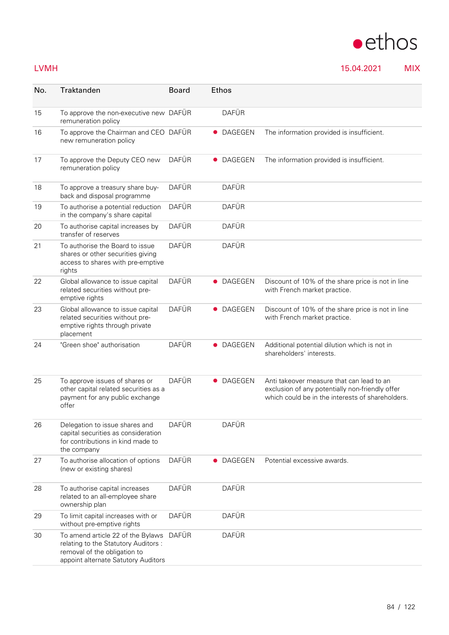

LVMH 15.04.2021 MIX

| No. | Traktanden                                                                                                                                       | <b>Board</b> | Ethos                       |                                                                                                                                                  |
|-----|--------------------------------------------------------------------------------------------------------------------------------------------------|--------------|-----------------------------|--------------------------------------------------------------------------------------------------------------------------------------------------|
| 15  | To approve the non-executive new DAFUR<br>remuneration policy                                                                                    |              | <b>DAFÜR</b>                |                                                                                                                                                  |
| 16  | To approve the Chairman and CEO DAFÜR<br>new remuneration policy                                                                                 |              | • DAGEGEN                   | The information provided is insufficient.                                                                                                        |
| 17  | To approve the Deputy CEO new<br>remuneration policy                                                                                             | <b>DAFÜR</b> | • DAGEGEN                   | The information provided is insufficient.                                                                                                        |
| 18  | To approve a treasury share buy-<br>back and disposal programme                                                                                  | <b>DAFÜR</b> | <b>DAFÜR</b>                |                                                                                                                                                  |
| 19  | To authorise a potential reduction<br>in the company's share capital                                                                             | <b>DAFÜR</b> | <b>DAFÜR</b>                |                                                                                                                                                  |
| 20  | To authorise capital increases by<br>transfer of reserves                                                                                        | <b>DAFÜR</b> | <b>DAFÜR</b>                |                                                                                                                                                  |
| 21  | To authorise the Board to issue<br>shares or other securities giving<br>access to shares with pre-emptive<br>rights                              | <b>DAFÜR</b> | <b>DAFÜR</b>                |                                                                                                                                                  |
| 22  | Global allowance to issue capital<br>related securities without pre-<br>emptive rights                                                           | <b>DAFÜR</b> | • DAGEGEN                   | Discount of 10% of the share price is not in line<br>with French market practice.                                                                |
| 23  | Global allowance to issue capital<br>related securities without pre-<br>emptive rights through private<br>placement                              | <b>DAFÜR</b> | • DAGEGEN                   | Discount of 10% of the share price is not in line<br>with French market practice.                                                                |
| 24  | "Green shoe" authorisation                                                                                                                       | <b>DAFÜR</b> | • DAGEGEN                   | Additional potential dilution which is not in<br>shareholders' interests.                                                                        |
| 25  | To approve issues of shares or<br>other capital related securities as a<br>payment for any public exchange<br>offer                              | <b>DAFÜR</b> | <b>DAGEGEN</b>              | Anti takeover measure that can lead to an<br>exclusion of any potentially non-friendly offer<br>which could be in the interests of shareholders. |
| 26  | Delegation to issue shares and<br>capital securities as consideration<br>for contributions in kind made to<br>the company                        | <b>DAFÜR</b> | <b>DAFUR</b>                |                                                                                                                                                  |
| 27  | To authorise allocation of options<br>(new or existing shares)                                                                                   | <b>DAFÜR</b> | <b>DAGEGEN</b><br>$\bullet$ | Potential excessive awards.                                                                                                                      |
| 28  | To authorise capital increases<br>related to an all-employee share<br>ownership plan                                                             | <b>DAFÜR</b> | <b>DAFÜR</b>                |                                                                                                                                                  |
| 29  | To limit capital increases with or<br>without pre-emptive rights                                                                                 | <b>DAFÜR</b> | <b>DAFÜR</b>                |                                                                                                                                                  |
| 30  | To amend article 22 of the Bylaws<br>relating to the Statutory Auditors :<br>removal of the obligation to<br>appoint alternate Satutory Auditors | <b>DAFÜR</b> | <b>DAFÜR</b>                |                                                                                                                                                  |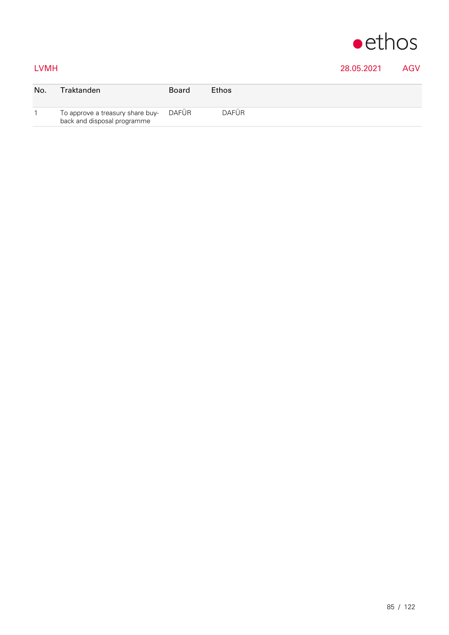

### LVMH 28.05.2021 AGV

| No. | Traktanden                                                            | Board | Ethos        |
|-----|-----------------------------------------------------------------------|-------|--------------|
|     | To approve a treasury share buy- DAFUR<br>back and disposal programme |       | <b>DAFUR</b> |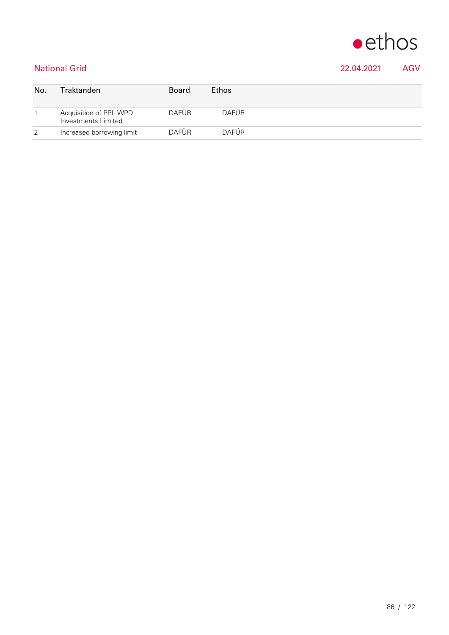

### National Grid 22.04.2021 AGV

| No. | Traktanden                                    | <b>Board</b> | <b>Ethos</b> |
|-----|-----------------------------------------------|--------------|--------------|
|     | Acquisition of PPL WPD<br>Investments Limited | <b>DAFÜR</b> | <b>DAFUR</b> |
| 2   | Increased borrowing limit                     | <b>DAFUR</b> | <b>DAFÜR</b> |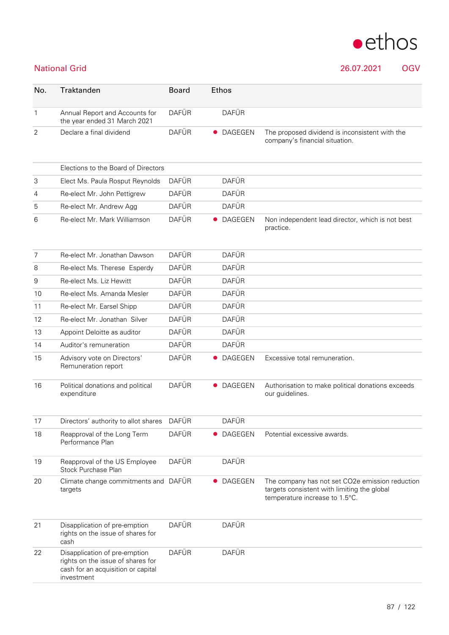

### National Grid 26.07.2021 OGV

| No.            | Traktanden                                                                                                             | <b>Board</b> | <b>Ethos</b>                                                                                                                                |
|----------------|------------------------------------------------------------------------------------------------------------------------|--------------|---------------------------------------------------------------------------------------------------------------------------------------------|
| $\mathbf{1}$   | Annual Report and Accounts for<br>the year ended 31 March 2021                                                         | <b>DAFÜR</b> | <b>DAFÜR</b>                                                                                                                                |
| $\overline{2}$ | Declare a final dividend                                                                                               | <b>DAFÜR</b> | <b>DAGEGEN</b><br>The proposed dividend is inconsistent with the<br>company's financial situation.                                          |
|                | Elections to the Board of Directors                                                                                    |              |                                                                                                                                             |
| 3              | Elect Ms. Paula Rosput Reynolds                                                                                        | <b>DAFÜR</b> | <b>DAFÜR</b>                                                                                                                                |
| 4              | Re-elect Mr. John Pettigrew                                                                                            | <b>DAFÜR</b> | <b>DAFÜR</b>                                                                                                                                |
| 5              | Re-elect Mr. Andrew Agg                                                                                                | <b>DAFÜR</b> | <b>DAFÜR</b>                                                                                                                                |
| 6              | Re-elect Mr. Mark Williamson                                                                                           | <b>DAFÜR</b> | DAGEGEN<br>Non independent lead director, which is not best<br>$\bullet$<br>practice.                                                       |
| $\overline{7}$ | Re-elect Mr. Jonathan Dawson                                                                                           | <b>DAFÜR</b> | <b>DAFÜR</b>                                                                                                                                |
| 8              | Re-elect Ms. Therese Esperdy                                                                                           | <b>DAFÜR</b> | <b>DAFÜR</b>                                                                                                                                |
| $\overline{9}$ | Re-elect Ms. Liz Hewitt                                                                                                | <b>DAFÜR</b> | <b>DAFÜR</b>                                                                                                                                |
| 10             | Re-elect Ms. Amanda Mesler                                                                                             | <b>DAFÜR</b> | <b>DAFÜR</b>                                                                                                                                |
| 11             | Re-elect Mr. Earsel Shipp                                                                                              | <b>DAFÜR</b> | <b>DAFÜR</b>                                                                                                                                |
| 12             | Re-elect Mr. Jonathan Silver                                                                                           | <b>DAFÜR</b> | <b>DAFÜR</b>                                                                                                                                |
| 13             | Appoint Deloitte as auditor                                                                                            | <b>DAFÜR</b> | <b>DAFÜR</b>                                                                                                                                |
| 14             | Auditor's remuneration                                                                                                 | <b>DAFÜR</b> | <b>DAFÜR</b>                                                                                                                                |
| 15             | Advisory vote on Directors'<br>Remuneration report                                                                     | <b>DAFÜR</b> | <b>DAGEGEN</b><br>Excessive total remuneration.<br>$\bullet$                                                                                |
| 16             | Political donations and political<br>expenditure                                                                       | <b>DAFÜR</b> | <b>DAGEGEN</b><br>Authorisation to make political donations exceeds<br>our guidelines.                                                      |
| 17             | Directors' authority to allot shares                                                                                   | <b>DAFÜR</b> | DAFÜR                                                                                                                                       |
| 18             | Reapproval of the Long Term<br>Performance Plan                                                                        | <b>DAFÜR</b> | DAGEGEN<br>Potential excessive awards.                                                                                                      |
| 19             | Reapproval of the US Employee<br>Stock Purchase Plan                                                                   | <b>DAFÜR</b> | <b>DAFÜR</b>                                                                                                                                |
| 20             | Climate change commitments and DAFÜR<br>targets                                                                        |              | DAGEGEN<br>The company has not set CO2e emission reduction<br>targets consistent with limiting the global<br>temperature increase to 1.5°C. |
| 21             | Disapplication of pre-emption<br>rights on the issue of shares for<br>cash                                             | <b>DAFÜR</b> | <b>DAFÜR</b>                                                                                                                                |
| 22             | Disapplication of pre-emption<br>rights on the issue of shares for<br>cash for an acquisition or capital<br>investment | <b>DAFÜR</b> | <b>DAFÜR</b>                                                                                                                                |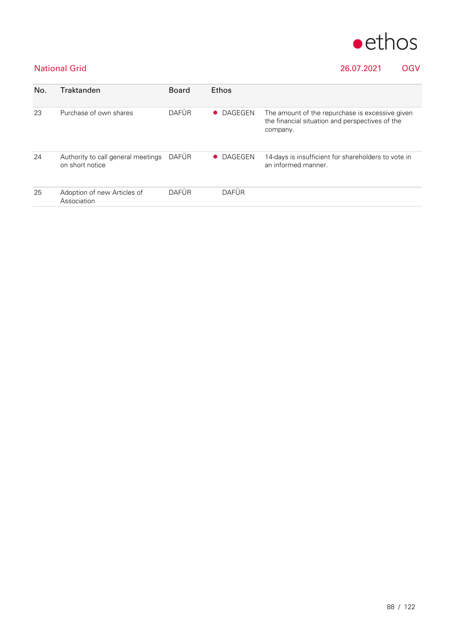

### National Grid 26.07.2021 OGV

| No. | Traktanden                                            | <b>Board</b> | Ethos        |                                                                                                                |
|-----|-------------------------------------------------------|--------------|--------------|----------------------------------------------------------------------------------------------------------------|
| 23  | Purchase of own shares                                | <b>DAFÜR</b> | DAGEGEN      | The amount of the repurchase is excessive given<br>the financial situation and perspectives of the<br>company. |
| 24  | Authority to call general meetings<br>on short notice | <b>DAFUR</b> | • DAGEGEN    | 14-days is insufficient for shareholders to vote in<br>an informed manner.                                     |
| 25  | Adoption of new Articles of<br>Association            | <b>DAFUR</b> | <b>DAFÜR</b> |                                                                                                                |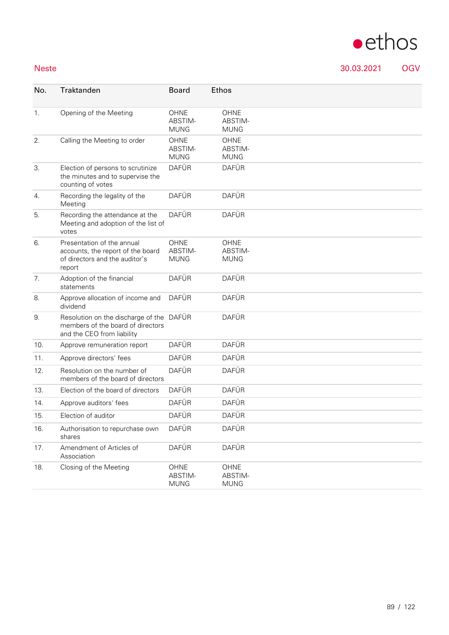

### Neste 30.03.2021 OGV

| No. | Traktanden                                                                                                  | <b>Board</b>                          | <b>Ethos</b>                   |
|-----|-------------------------------------------------------------------------------------------------------------|---------------------------------------|--------------------------------|
| 1.  | Opening of the Meeting                                                                                      | <b>OHNE</b><br>ABSTIM-<br><b>MUNG</b> | OHNE<br>ABSTIM-<br><b>MUNG</b> |
| 2.  | Calling the Meeting to order                                                                                | OHNE<br>ABSTIM-<br><b>MUNG</b>        | OHNE<br>ABSTIM-<br><b>MUNG</b> |
| 3.  | Election of persons to scrutinize<br>the minutes and to supervise the<br>counting of votes                  | DAFÜR                                 | <b>DAFÜR</b>                   |
| 4.  | Recording the legality of the<br>Meeting                                                                    | <b>DAFÜR</b>                          | <b>DAFÜR</b>                   |
| 5.  | Recording the attendance at the<br>Meeting and adoption of the list of<br>votes                             | <b>DAFÜR</b>                          | <b>DAFÜR</b>                   |
| 6.  | Presentation of the annual<br>accounts, the report of the board<br>of directors and the auditor's<br>report | OHNE<br>ABSTIM-<br><b>MUNG</b>        | OHNE<br>ABSTIM-<br><b>MUNG</b> |
| 7.  | Adoption of the financial<br>statements                                                                     | <b>DAFÜR</b>                          | <b>DAFÜR</b>                   |
| 8.  | Approve allocation of income and<br>dividend                                                                | <b>DAFÜR</b>                          | <b>DAFÜR</b>                   |
| 9.  | Resolution on the discharge of the DAFÜR<br>members of the board of directors<br>and the CEO from liability |                                       | <b>DAFÜR</b>                   |
| 10. | Approve remuneration report                                                                                 | <b>DAFÜR</b>                          | <b>DAFÜR</b>                   |
| 11. | Approve directors' fees                                                                                     | <b>DAFÜR</b>                          | <b>DAFÜR</b>                   |
| 12. | Resolution on the number of<br>members of the board of directors                                            | <b>DAFÜR</b>                          | <b>DAFÜR</b>                   |
| 13. | Election of the board of directors                                                                          | <b>DAFÜR</b>                          | <b>DAFÜR</b>                   |
| 14. | Approve auditors' fees                                                                                      | <b>DAFÜR</b>                          | <b>DAFÜR</b>                   |
| 15. | Election of auditor                                                                                         | <b>DAFÜR</b>                          | <b>DAFÜR</b>                   |
| 16. | Authorisation to repurchase own<br>shares                                                                   | DAFÜR                                 | <b>DAFÜR</b>                   |
| 17. | Amendment of Articles of<br>Association                                                                     | DAFÜR                                 | <b>DAFÜR</b>                   |
| 18. | Closing of the Meeting                                                                                      | OHNE<br>ABSTIM-<br><b>MUNG</b>        | OHNE<br>ABSTIM-<br><b>MUNG</b> |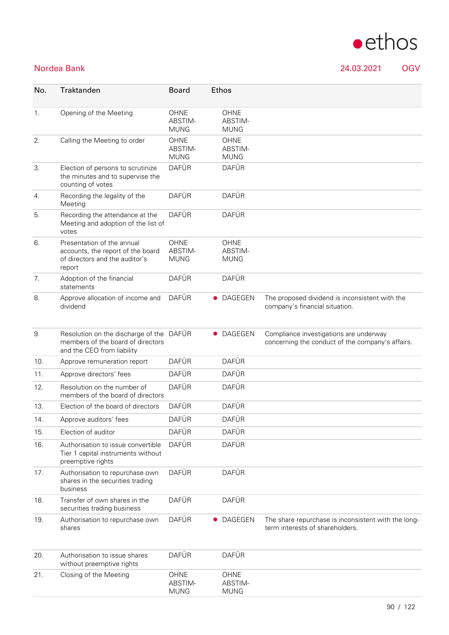

Nordea Bank 24.03.2021 OGV

| No. | Traktanden                                                                                                  | <b>Board</b>                          |           | Ethos                                 |                                                                                            |
|-----|-------------------------------------------------------------------------------------------------------------|---------------------------------------|-----------|---------------------------------------|--------------------------------------------------------------------------------------------|
| 1.  | Opening of the Meeting                                                                                      | <b>OHNE</b><br>ABSTIM-<br><b>MUNG</b> |           | OHNE<br>ABSTIM-<br><b>MUNG</b>        |                                                                                            |
| 2.  | Calling the Meeting to order                                                                                | <b>OHNE</b><br>ABSTIM-<br><b>MUNG</b> |           | OHNE<br>ABSTIM-<br><b>MUNG</b>        |                                                                                            |
| 3.  | Election of persons to scrutinize<br>the minutes and to supervise the<br>counting of votes                  | DAFÜR                                 |           | <b>DAFÜR</b>                          |                                                                                            |
| 4.  | Recording the legality of the<br>Meeting                                                                    | <b>DAFÜR</b>                          |           | <b>DAFÜR</b>                          |                                                                                            |
| 5.  | Recording the attendance at the<br>Meeting and adoption of the list of<br>votes                             | <b>DAFÜR</b>                          |           | DAFÜR                                 |                                                                                            |
| 6.  | Presentation of the annual<br>accounts, the report of the board<br>of directors and the auditor's<br>report | OHNE<br>ABSTIM-<br><b>MUNG</b>        |           | <b>OHNE</b><br>ABSTIM-<br><b>MUNG</b> |                                                                                            |
| 7.  | Adoption of the financial<br>statements                                                                     | <b>DAFÜR</b>                          |           | <b>DAFÜR</b>                          |                                                                                            |
| 8.  | Approve allocation of income and<br>dividend                                                                | <b>DAFÜR</b>                          |           | <b>DAGEGEN</b>                        | The proposed dividend is inconsistent with the<br>company's financial situation.           |
| 9.  | Resolution on the discharge of the DAFÜR<br>members of the board of directors<br>and the CEO from liability |                                       | $\bullet$ | DAGEGEN                               | Compliance investigations are underway<br>concerning the conduct of the company's affairs. |
| 10. | Approve remuneration report                                                                                 | <b>DAFÜR</b>                          |           | <b>DAFÜR</b>                          |                                                                                            |
| 11. | Approve directors' fees                                                                                     | <b>DAFÜR</b>                          |           | <b>DAFÜR</b>                          |                                                                                            |
| 12. | Resolution on the number of<br>members of the board of directors                                            | <b>DAFÜR</b>                          |           | <b>DAFÜR</b>                          |                                                                                            |
| 13. | Election of the board of directors                                                                          | DAFÜR                                 |           | <b>DAFÜR</b>                          |                                                                                            |
| 14. | Approve auditors' fees                                                                                      | DAFÜR                                 |           | DAFÜR                                 |                                                                                            |
| 15. | Election of auditor                                                                                         | DAFÜR                                 |           | DAFÜR                                 |                                                                                            |
| 16. | Authorisation to issue convertible<br>Tier 1 capital instruments without<br>preemptive rights               | <b>DAFÜR</b>                          |           | <b>DAFÜR</b>                          |                                                                                            |
| 17. | Authorisation to repurchase own<br>shares in the securities trading<br>business                             | DAFÜR                                 |           | <b>DAFÜR</b>                          |                                                                                            |
| 18. | Transfer of own shares in the<br>securities trading business                                                | DAFÜR                                 |           | <b>DAFÜR</b>                          |                                                                                            |
| 19. | Authorisation to repurchase own<br>shares                                                                   | <b>DAFÜR</b>                          |           | DAGEGEN                               | The share repurchase is inconsistent with the long-<br>term interests of shareholders.     |
| 20. | Authorisation to issue shares<br>without preemptive rights                                                  | DAFÜR                                 |           | <b>DAFÜR</b>                          |                                                                                            |
| 21. | Closing of the Meeting                                                                                      | <b>OHNE</b><br>ABSTIM-<br><b>MUNG</b> |           | <b>OHNE</b><br>ABSTIM-<br><b>MUNG</b> |                                                                                            |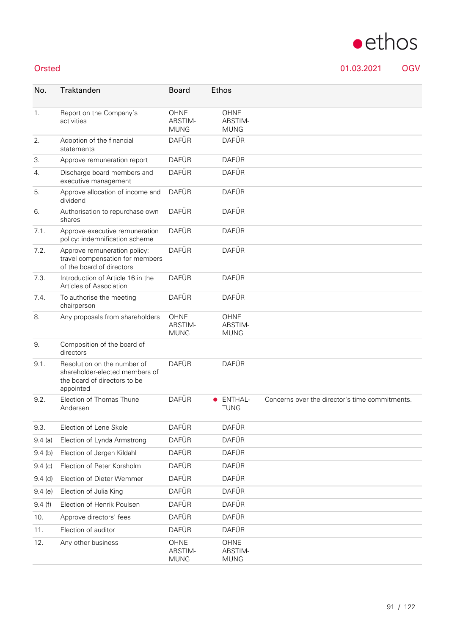# $\bullet$ ethos

Orsted 01.03.2021 OGV

| No.       | Traktanden                                                                                                 | <b>Board</b>                   | Ethos                               |                                                |
|-----------|------------------------------------------------------------------------------------------------------------|--------------------------------|-------------------------------------|------------------------------------------------|
| 1.        | Report on the Company's<br>activities                                                                      | OHNE<br>ABSTIM-<br><b>MUNG</b> | OHNE<br>ABSTIM-<br><b>MUNG</b>      |                                                |
| 2.        | Adoption of the financial<br>statements                                                                    | <b>DAFÜR</b>                   | <b>DAFÜR</b>                        |                                                |
| 3.        | Approve remuneration report                                                                                | <b>DAFÜR</b>                   | <b>DAFÜR</b>                        |                                                |
| 4.        | Discharge board members and<br>executive management                                                        | <b>DAFÜR</b>                   | <b>DAFÜR</b>                        |                                                |
| 5.        | Approve allocation of income and<br>dividend                                                               | <b>DAFÜR</b>                   | <b>DAFÜR</b>                        |                                                |
| 6.        | Authorisation to repurchase own<br>shares                                                                  | <b>DAFÜR</b>                   | <b>DAFÜR</b>                        |                                                |
| 7.1.      | Approve executive remuneration<br>policy: indemnification scheme                                           | <b>DAFÜR</b>                   | <b>DAFÜR</b>                        |                                                |
| 7.2.      | Approve remuneration policy:<br>travel compensation for members<br>of the board of directors               | <b>DAFÜR</b>                   | <b>DAFÜR</b>                        |                                                |
| 7.3.      | Introduction of Article 16 in the<br>Articles of Association                                               | <b>DAFÜR</b>                   | <b>DAFÜR</b>                        |                                                |
| 7.4.      | To authorise the meeting<br>chairperson                                                                    | <b>DAFÜR</b>                   | <b>DAFÜR</b>                        |                                                |
| 8.        | Any proposals from shareholders                                                                            | OHNE<br>ABSTIM-<br><b>MUNG</b> | OHNE<br>ABSTIM-<br><b>MUNG</b>      |                                                |
| 9.        | Composition of the board of<br>directors                                                                   |                                |                                     |                                                |
| 9.1.      | Resolution on the number of<br>shareholder-elected members of<br>the board of directors to be<br>appointed | <b>DAFÜR</b>                   | <b>DAFÜR</b>                        |                                                |
| 9.2.      | Election of Thomas Thune<br>Andersen                                                                       | <b>DAFÜR</b>                   | ENTHAL-<br>$\bullet$<br><b>TUNG</b> | Concerns over the director's time commitments. |
| 9.3.      | Election of Lene Skole                                                                                     | <b>DAFÜR</b>                   | <b>DAFÜR</b>                        |                                                |
| 9.4(a)    | Election of Lynda Armstrong                                                                                | <b>DAFÜR</b>                   | <b>DAFÜR</b>                        |                                                |
| 9.4(b)    | Election of Jørgen Kildahl                                                                                 | <b>DAFÜR</b>                   | <b>DAFÜR</b>                        |                                                |
| 9.4(c)    | Election of Peter Korsholm                                                                                 | <b>DAFÜR</b>                   | <b>DAFÜR</b>                        |                                                |
| $9.4$ (d) | Election of Dieter Wemmer                                                                                  | <b>DAFÜR</b>                   | <b>DAFÜR</b>                        |                                                |
| 9.4(e)    | Election of Julia King                                                                                     | <b>DAFÜR</b>                   | <b>DAFÜR</b>                        |                                                |
| 9.4(f)    | Election of Henrik Poulsen                                                                                 | <b>DAFÜR</b>                   | <b>DAFÜR</b>                        |                                                |
| 10.       | Approve directors' fees                                                                                    | <b>DAFÜR</b>                   | <b>DAFÜR</b>                        |                                                |
| 11.       | Election of auditor                                                                                        | <b>DAFÜR</b>                   | <b>DAFÜR</b>                        |                                                |
| 12.       | Any other business                                                                                         | OHNE<br>ABSTIM-<br><b>MUNG</b> | OHNE<br>ABSTIM-<br><b>MUNG</b>      |                                                |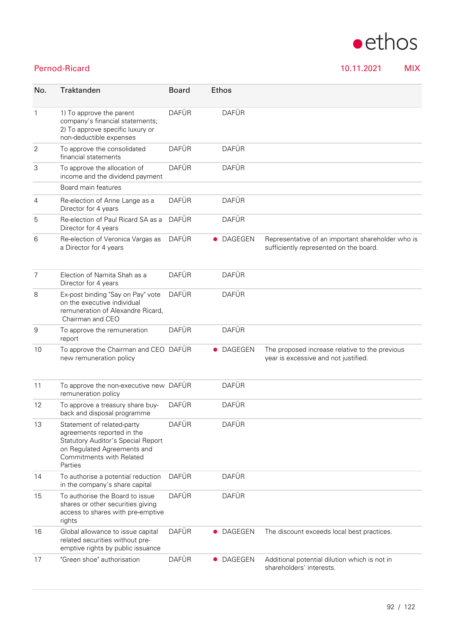

Pernod-Ricard 10.11.2021 MIX

| No.            | Traktanden                                                                                                                                                                  | <b>Board</b> | <b>Ethos</b>         |                                                                                             |
|----------------|-----------------------------------------------------------------------------------------------------------------------------------------------------------------------------|--------------|----------------------|---------------------------------------------------------------------------------------------|
| $\mathbf{1}$   | 1) To approve the parent<br>company's financial statements;<br>2) To approve specific luxury or<br>non-deductible expenses                                                  | <b>DAFÜR</b> | <b>DAFÜR</b>         |                                                                                             |
| $\overline{2}$ | To approve the consolidated<br>financial statements                                                                                                                         | <b>DAFÜR</b> | <b>DAFÜR</b>         |                                                                                             |
| 3              | To approve the allocation of<br>income and the dividend payment                                                                                                             | <b>DAFÜR</b> | <b>DAFÜR</b>         |                                                                                             |
|                | Board main features                                                                                                                                                         |              |                      |                                                                                             |
| $\overline{4}$ | Re-election of Anne Lange as a<br>Director for 4 years                                                                                                                      | <b>DAFÜR</b> | <b>DAFÜR</b>         |                                                                                             |
| 5              | Re-election of Paul Ricard SA as a<br>Director for 4 years                                                                                                                  | <b>DAFÜR</b> | <b>DAFÜR</b>         |                                                                                             |
| 6              | Re-election of Veronica Vargas as<br>a Director for 4 years                                                                                                                 | <b>DAFÜR</b> | DAGEGEN<br>$\bullet$ | Representative of an important shareholder who is<br>sufficiently represented on the board. |
| $\overline{7}$ | Election of Namita Shah as a<br>Director for 4 years                                                                                                                        | <b>DAFÜR</b> | <b>DAFÜR</b>         |                                                                                             |
| 8              | Ex-post binding "Say on Pay" vote<br>on the executive individual<br>remuneration of Alexandre Ricard,<br>Chairman and CEO                                                   | <b>DAFÜR</b> | <b>DAFÜR</b>         |                                                                                             |
| $\overline{9}$ | To approve the remuneration<br>report                                                                                                                                       | <b>DAFÜR</b> | <b>DAFÜR</b>         |                                                                                             |
| 10             | To approve the Chairman and CEO DAFÜR<br>new remuneration policy                                                                                                            |              | • DAGEGEN            | The proposed increase relative to the previous<br>year is excessive and not justified.      |
| 11             | To approve the non-executive new DAFÜR<br>remuneration policy                                                                                                               |              | <b>DAFÜR</b>         |                                                                                             |
| 12             | To approve a treasury share buy-<br>back and disposal programme                                                                                                             | <b>DAFÜR</b> | <b>DAFÜR</b>         |                                                                                             |
| 13             | Statement of related-party<br>agreements reported in the<br><b>Statutory Auditor's Special Report</b><br>on Regulated Agreements and<br>Commitments with Related<br>Parties | DAFÜR        | <b>DAFÜR</b>         |                                                                                             |
| 14             | To authorise a potential reduction<br>in the company's share capital                                                                                                        | <b>DAFÜR</b> | <b>DAFÜR</b>         |                                                                                             |
| 15             | To authorise the Board to issue<br>shares or other securities giving<br>access to shares with pre-emptive<br>rights                                                         | <b>DAFÜR</b> | <b>DAFÜR</b>         |                                                                                             |
| 16             | Global allowance to issue capital<br>related securities without pre-<br>emptive rights by public issuance                                                                   | <b>DAFÜR</b> | DAGEGEN              | The discount exceeds local best practices.                                                  |
| 17             | "Green shoe" authorisation                                                                                                                                                  | <b>DAFÜR</b> | DAGEGEN<br>$\bullet$ | Additional potential dilution which is not in<br>shareholders' interests.                   |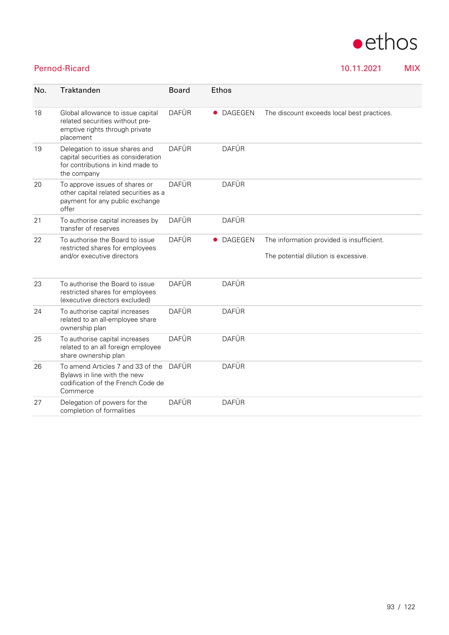

Pernod-Ricard 10.11.2021 MIX

| No. | Traktanden                                                                                                                | <b>Board</b> | Ethos                       |                                            |
|-----|---------------------------------------------------------------------------------------------------------------------------|--------------|-----------------------------|--------------------------------------------|
| 18  | Global allowance to issue capital<br>related securities without pre-<br>emptive rights through private<br>placement       | <b>DAFÜR</b> | <b>DAGEGEN</b><br>$\bullet$ | The discount exceeds local best practices. |
| 19  | Delegation to issue shares and<br>capital securities as consideration<br>for contributions in kind made to<br>the company | <b>DAFÜR</b> | <b>DAFÜR</b>                |                                            |
| 20  | To approve issues of shares or<br>other capital related securities as a<br>payment for any public exchange<br>offer       | <b>DAFÜR</b> | <b>DAFÜR</b>                |                                            |
| 21  | To authorise capital increases by<br>transfer of reserves                                                                 | <b>DAFÜR</b> | <b>DAFÜR</b>                |                                            |
| 22  | To authorise the Board to issue<br>restricted shares for employees                                                        | <b>DAFÜR</b> | • DAGEGEN                   | The information provided is insufficient.  |
|     | and/or executive directors                                                                                                |              |                             | The potential dilution is excessive.       |
| 23  | To authorise the Board to issue<br>restricted shares for employees<br>(executive directors excluded)                      | <b>DAFÜR</b> | <b>DAFÜR</b>                |                                            |
| 24  | To authorise capital increases<br>related to an all-employee share<br>ownership plan                                      | <b>DAFÜR</b> | <b>DAFÜR</b>                |                                            |
| 25  | To authorise capital increases<br>related to an all foreign employee<br>share ownership plan                              | <b>DAFÜR</b> | <b>DAFÜR</b>                |                                            |
| 26  | To amend Articles 7 and 33 of the<br>Bylaws in line with the new<br>codification of the French Code de<br>Commerce        | DAFÜR        | <b>DAFÜR</b>                |                                            |
| 27  | Delegation of powers for the<br>completion of formalities                                                                 | <b>DAFÜR</b> | <b>DAFÜR</b>                |                                            |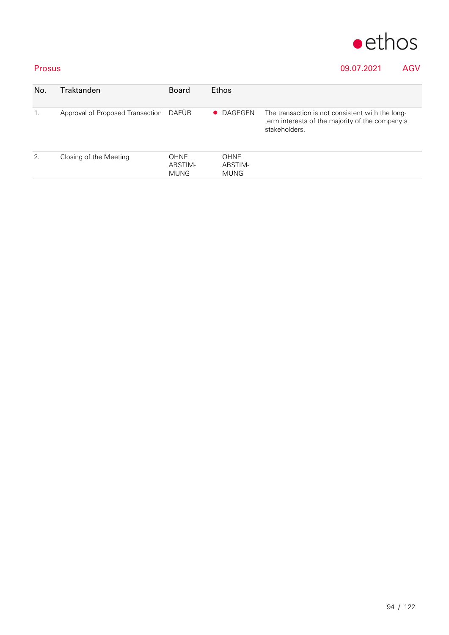

### Prosus 09.07.2021 AGV

| No.              | Traktanden                       | <b>Board</b>                          | <b>Ethos</b>                          |                                                                                                                      |
|------------------|----------------------------------|---------------------------------------|---------------------------------------|----------------------------------------------------------------------------------------------------------------------|
|                  | Approval of Proposed Transaction | <b>DAFUR</b>                          | • DAGEGEN                             | The transaction is not consistent with the long-<br>term interests of the majority of the company's<br>stakeholders. |
| $\overline{2}$ . | Closing of the Meeting           | <b>OHNE</b><br>ABSTIM-<br><b>MUNG</b> | <b>OHNE</b><br>ABSTIM-<br><b>MUNG</b> |                                                                                                                      |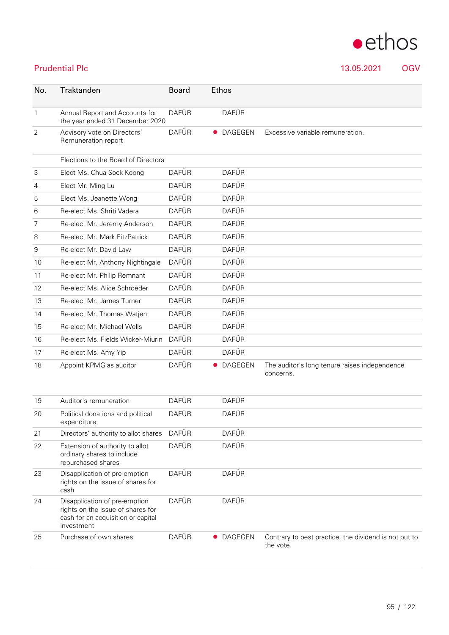

Prudential Plc **13.05.2021** OGV

| No.            | Traktanden                                                        | <b>Board</b> | <b>Ethos</b>                |                                                            |
|----------------|-------------------------------------------------------------------|--------------|-----------------------------|------------------------------------------------------------|
| $\mathbf{1}$   | Annual Report and Accounts for<br>the year ended 31 December 2020 | <b>DAFÜR</b> | <b>DAFÜR</b>                |                                                            |
| $\overline{2}$ | Advisory vote on Directors'<br>Remuneration report                | <b>DAFÜR</b> | <b>DAGEGEN</b><br>$\bullet$ | Excessive variable remuneration.                           |
|                | Elections to the Board of Directors                               |              |                             |                                                            |
| 3              | Elect Ms. Chua Sock Koong                                         | <b>DAFÜR</b> | <b>DAFÜR</b>                |                                                            |
| 4              | Elect Mr. Ming Lu                                                 | <b>DAFÜR</b> | <b>DAFÜR</b>                |                                                            |
| 5              | Elect Ms. Jeanette Wong                                           | <b>DAFÜR</b> | <b>DAFÜR</b>                |                                                            |
| 6              | Re-elect Ms. Shriti Vadera                                        | <b>DAFÜR</b> | <b>DAFÜR</b>                |                                                            |
| 7              | Re-elect Mr. Jeremy Anderson                                      | <b>DAFÜR</b> | <b>DAFÜR</b>                |                                                            |
| 8              | Re-elect Mr. Mark FitzPatrick                                     | <b>DAFÜR</b> | <b>DAFÜR</b>                |                                                            |
| 9              | Re-elect Mr. David Law                                            | <b>DAFÜR</b> | <b>DAFÜR</b>                |                                                            |
| 10             | Re-elect Mr. Anthony Nightingale                                  | <b>DAFÜR</b> | <b>DAFÜR</b>                |                                                            |
| 11             | Re-elect Mr. Philip Remnant                                       | <b>DAFÜR</b> | <b>DAFÜR</b>                |                                                            |
| 12             | Re-elect Ms. Alice Schroeder                                      | <b>DAFÜR</b> | <b>DAFÜR</b>                |                                                            |
| 13             | Re-elect Mr. James Turner                                         | <b>DAFÜR</b> | <b>DAFÜR</b>                |                                                            |
| 14             | Re-elect Mr. Thomas Watjen                                        | <b>DAFÜR</b> | <b>DAFÜR</b>                |                                                            |
| 15             | Re-elect Mr. Michael Wells                                        | <b>DAFÜR</b> | <b>DAFÜR</b>                |                                                            |
| 16             | Re-elect Ms. Fields Wicker-Miurin                                 | <b>DAFÜR</b> | <b>DAFÜR</b>                |                                                            |
| 17             | Re-elect Ms. Amy Yip                                              | <b>DAFÜR</b> | <b>DAFÜR</b>                |                                                            |
| 18             | Appoint KPMG as auditor                                           | <b>DAFÜR</b> | • DAGEGEN                   | The auditor's long tenure raises independence<br>concerns. |
| 19             | Auditor's remuneration                                            | <b>DAFÜR</b> | <b>DAFÜR</b>                |                                                            |
| 20             | Political donations and political<br>expenditure                  | <b>DAFÜR</b> | <b>DAFÜR</b>                |                                                            |

| ∠∪ | r olitical dorlations and political<br>expenditure                                                                     | $\nu$ n vii  | $\nu$ n vii    |                                                                    |
|----|------------------------------------------------------------------------------------------------------------------------|--------------|----------------|--------------------------------------------------------------------|
| 21 | Directors' authority to allot shares                                                                                   | <b>DAFÜR</b> | <b>DAFÜR</b>   |                                                                    |
| 22 | Extension of authority to allot<br>ordinary shares to include<br>repurchased shares                                    | <b>DAFÜR</b> | <b>DAFÜR</b>   |                                                                    |
| 23 | Disapplication of pre-emption<br>rights on the issue of shares for<br>cash                                             | <b>DAFUR</b> | <b>DAFÜR</b>   |                                                                    |
| 24 | Disapplication of pre-emption<br>rights on the issue of shares for<br>cash for an acquisition or capital<br>investment | <b>DAFÜR</b> | <b>DAFÜR</b>   |                                                                    |
| 25 | Purchase of own shares                                                                                                 | <b>DAFÜR</b> | <b>DAGEGEN</b> | Contrary to best practice, the dividend is not put to<br>the vote. |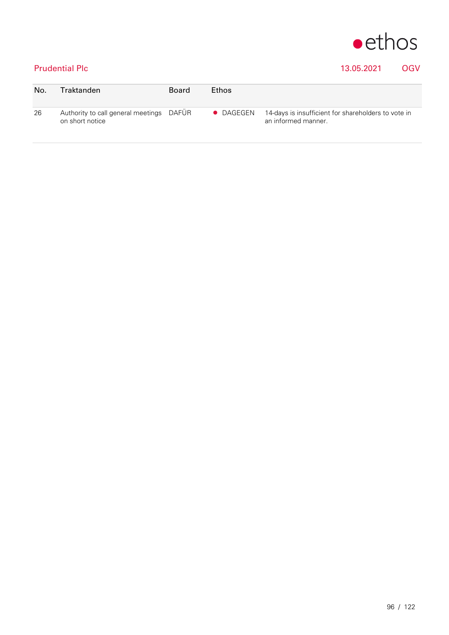

### Prudential Plc **13.05.2021** OGV

| No. | Traktanden                                                  | <b>Board</b> | Ethos     |                                                                            |
|-----|-------------------------------------------------------------|--------------|-----------|----------------------------------------------------------------------------|
| 26  | Authority to call general meetings DAFUR<br>on short notice |              | • DAGEGEN | 14-days is insufficient for shareholders to vote in<br>an informed manner. |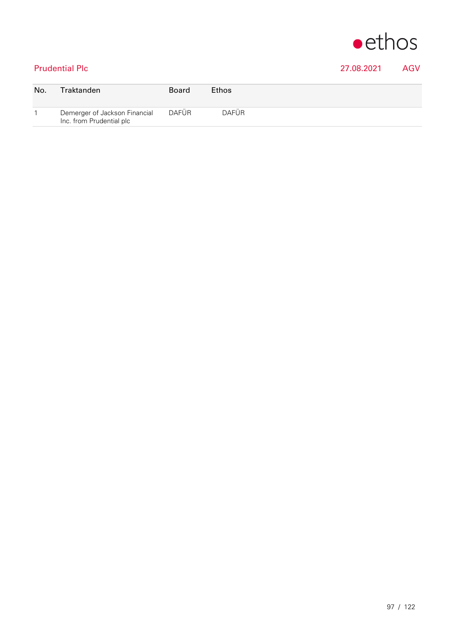

### Prudential Plc 27.08.2021 AGV

| No. | Traktanden                                                | <b>Board</b> | <b>Ethos</b> |
|-----|-----------------------------------------------------------|--------------|--------------|
|     | Demerger of Jackson Financial<br>Inc. from Prudential plc | <b>DAFUR</b> | <b>DAFUR</b> |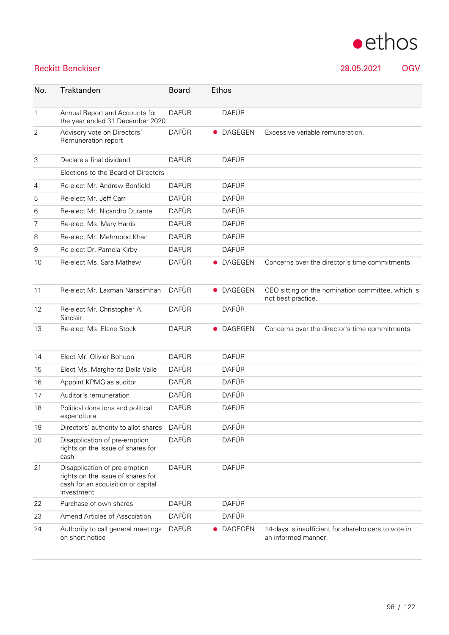

Reckitt Benckiser 28.05.2021 OGV

| No.          | Traktanden                                                                                                             | <b>Board</b> | <b>Ethos</b>   |                                                                            |
|--------------|------------------------------------------------------------------------------------------------------------------------|--------------|----------------|----------------------------------------------------------------------------|
| $\mathbf{1}$ | Annual Report and Accounts for<br>the year ended 31 December 2020                                                      | <b>DAFÜR</b> | <b>DAFÜR</b>   |                                                                            |
| 2            | Advisory vote on Directors'<br>Remuneration report                                                                     | <b>DAFÜR</b> | • DAGEGEN      | Excessive variable remuneration.                                           |
| 3            | Declare a final dividend                                                                                               | <b>DAFÜR</b> | <b>DAFÜR</b>   |                                                                            |
|              | Elections to the Board of Directors                                                                                    |              |                |                                                                            |
| 4            | Re-elect Mr. Andrew Bonfield                                                                                           | <b>DAFÜR</b> | <b>DAFÜR</b>   |                                                                            |
| 5            | Re-elect Mr. Jeff Carr                                                                                                 | <b>DAFÜR</b> | <b>DAFÜR</b>   |                                                                            |
| 6            | Re-elect Mr. Nicandro Durante                                                                                          | <b>DAFÜR</b> | <b>DAFÜR</b>   |                                                                            |
| 7            | Re-elect Ms. Mary Harris                                                                                               | <b>DAFÜR</b> | <b>DAFÜR</b>   |                                                                            |
| 8            | Re-elect Mr. Mehmood Khan                                                                                              | <b>DAFÜR</b> | <b>DAFÜR</b>   |                                                                            |
| 9            | Re-elect Dr. Pamela Kirby                                                                                              | <b>DAFÜR</b> | <b>DAFÜR</b>   |                                                                            |
| 10           | Re-elect Ms. Sara Mathew                                                                                               | <b>DAFÜR</b> | • DAGEGEN      | Concerns over the director's time commitments.                             |
| 11           | Re-elect Mr. Laxman Narasimhan                                                                                         | <b>DAFÜR</b> | • DAGEGEN      | CEO sitting on the nomination committee, which is<br>not best practice.    |
| 12           | Re-elect Mr. Christopher A.<br>Sinclair                                                                                | <b>DAFÜR</b> | <b>DAFÜR</b>   |                                                                            |
| 13           | Re-elect Ms. Elane Stock                                                                                               | <b>DAFÜR</b> | • DAGEGEN      | Concerns over the director's time commitments.                             |
| 14           | Elect Mr. Olivier Bohuon                                                                                               | <b>DAFÜR</b> | <b>DAFÜR</b>   |                                                                            |
| 15           | Elect Ms. Margherita Della Valle                                                                                       | <b>DAFÜR</b> | <b>DAFÜR</b>   |                                                                            |
| 16           | Appoint KPMG as auditor                                                                                                | <b>DAFÜR</b> | <b>DAFÜR</b>   |                                                                            |
| 17           | Auditor's remuneration                                                                                                 | <b>DAFÜR</b> | <b>DAFÜR</b>   |                                                                            |
| 18           | Political donations and political<br>expenditure                                                                       | <b>DAFÜR</b> | <b>DAFÜR</b>   |                                                                            |
| 19           | Directors' authority to allot shares                                                                                   | DAFÜR        | DAFÜR          |                                                                            |
| 20           | Disapplication of pre-emption<br>rights on the issue of shares for<br>cash                                             | <b>DAFÜR</b> | <b>DAFÜR</b>   |                                                                            |
| 21           | Disapplication of pre-emption<br>rights on the issue of shares for<br>cash for an acquisition or capital<br>investment | <b>DAFÜR</b> | <b>DAFÜR</b>   |                                                                            |
| 22           | Purchase of own shares                                                                                                 | <b>DAFÜR</b> | <b>DAFÜR</b>   |                                                                            |
| 23           | Amend Articles of Association                                                                                          | <b>DAFÜR</b> | <b>DAFÜR</b>   |                                                                            |
| 24           | Authority to call general meetings<br>on short notice                                                                  | <b>DAFÜR</b> | <b>DAGEGEN</b> | 14-days is insufficient for shareholders to vote in<br>an informed manner. |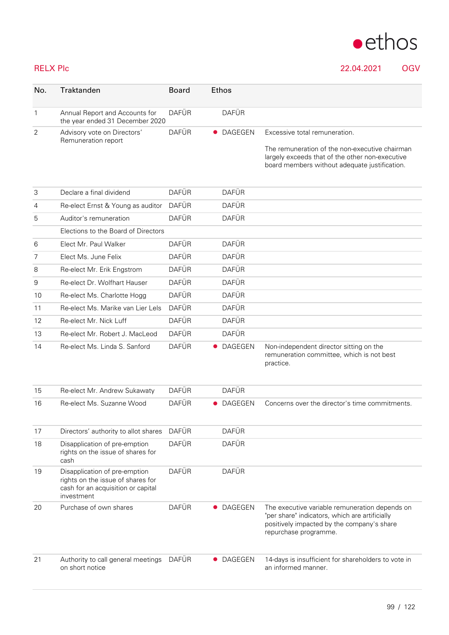

### RELX Plc 22.04.2021 OGV

| No. | Traktanden                                                                                                             | <b>Board</b> | <b>Ethos</b>   |                                                                                                                                                                                     |
|-----|------------------------------------------------------------------------------------------------------------------------|--------------|----------------|-------------------------------------------------------------------------------------------------------------------------------------------------------------------------------------|
| 1   | Annual Report and Accounts for<br>the year ended 31 December 2020                                                      | <b>DAFÜR</b> | <b>DAFÜR</b>   |                                                                                                                                                                                     |
| 2   | Advisory vote on Directors'<br>Remuneration report                                                                     | <b>DAFÜR</b> | <b>DAGEGEN</b> | Excessive total remuneration.<br>The remuneration of the non-executive chairman<br>largely exceeds that of the other non-executive<br>board members without adequate justification. |
| 3   | Declare a final dividend                                                                                               | <b>DAFÜR</b> | <b>DAFÜR</b>   |                                                                                                                                                                                     |
| 4   | Re-elect Ernst & Young as auditor                                                                                      | <b>DAFÜR</b> | <b>DAFÜR</b>   |                                                                                                                                                                                     |
| 5   | Auditor's remuneration                                                                                                 | <b>DAFÜR</b> | <b>DAFÜR</b>   |                                                                                                                                                                                     |
|     | Elections to the Board of Directors                                                                                    |              |                |                                                                                                                                                                                     |
| 6   | Elect Mr. Paul Walker                                                                                                  | <b>DAFÜR</b> | <b>DAFÜR</b>   |                                                                                                                                                                                     |
| 7   | Elect Ms. June Felix                                                                                                   | <b>DAFÜR</b> | <b>DAFÜR</b>   |                                                                                                                                                                                     |
| 8   | Re-elect Mr. Erik Engstrom                                                                                             | <b>DAFÜR</b> | <b>DAFÜR</b>   |                                                                                                                                                                                     |
| 9   | Re-elect Dr. Wolfhart Hauser                                                                                           | <b>DAFÜR</b> | <b>DAFÜR</b>   |                                                                                                                                                                                     |
| 10  | Re-elect Ms. Charlotte Hogg                                                                                            | <b>DAFÜR</b> | <b>DAFÜR</b>   |                                                                                                                                                                                     |
| 11  | Re-elect Ms. Marike van Lier Lels                                                                                      | <b>DAFÜR</b> | <b>DAFÜR</b>   |                                                                                                                                                                                     |
| 12  | Re-elect Mr. Nick Luff                                                                                                 | <b>DAFÜR</b> | <b>DAFÜR</b>   |                                                                                                                                                                                     |
| 13  | Re-elect Mr. Robert J. MacLeod                                                                                         | <b>DAFÜR</b> | <b>DAFÜR</b>   |                                                                                                                                                                                     |
| 14  | Re-elect Ms. Linda S. Sanford                                                                                          | <b>DAFÜR</b> | <b>DAGEGEN</b> | Non-independent director sitting on the<br>remuneration committee, which is not best<br>practice.                                                                                   |
| 15  | Re-elect Mr. Andrew Sukawaty                                                                                           | <b>DAFÜR</b> | <b>DAFÜR</b>   |                                                                                                                                                                                     |
| 16  | Re-elect Ms. Suzanne Wood                                                                                              | <b>DAFÜR</b> | <b>DAGEGEN</b> | Concerns over the director's time commitments.                                                                                                                                      |
| 17  | Directors' authority to allot shares                                                                                   | <b>DAFÜR</b> | <b>DAFÜR</b>   |                                                                                                                                                                                     |
| 18  | Disapplication of pre-emption<br>rights on the issue of shares for<br>cash                                             | <b>DAFÜR</b> | <b>DAFÜR</b>   |                                                                                                                                                                                     |
| 19  | Disapplication of pre-emption<br>rights on the issue of shares for<br>cash for an acquisition or capital<br>investment | <b>DAFÜR</b> | <b>DAFÜR</b>   |                                                                                                                                                                                     |
| 20  | Purchase of own shares                                                                                                 | <b>DAFÜR</b> | <b>DAGEGEN</b> | The executive variable remuneration depends on<br>"per share" indicators, which are artificially<br>positively impacted by the company's share<br>repurchase programme.             |
| 21  | Authority to call general meetings<br>on short notice                                                                  | <b>DAFÜR</b> | • DAGEGEN      | 14-days is insufficient for shareholders to vote in<br>an informed manner.                                                                                                          |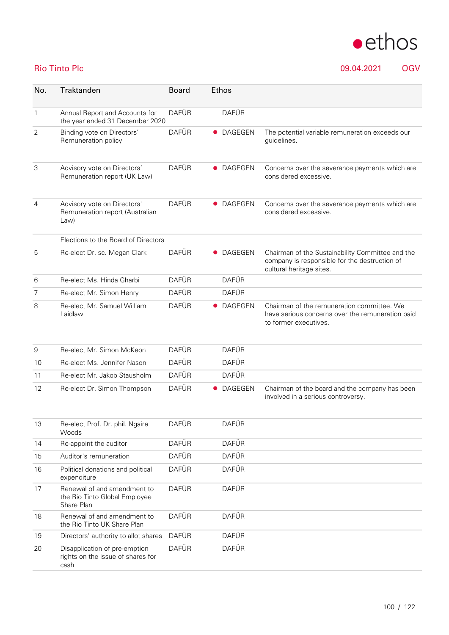

### Rio Tinto Plc 09.04.2021 OGV

| No.            | Traktanden                                                                 | <b>Board</b> | <b>Ethos</b>                |                                                                                                                               |
|----------------|----------------------------------------------------------------------------|--------------|-----------------------------|-------------------------------------------------------------------------------------------------------------------------------|
| 1              | Annual Report and Accounts for<br>the year ended 31 December 2020          | <b>DAFÜR</b> | <b>DAFÜR</b>                |                                                                                                                               |
| $\overline{2}$ | Binding vote on Directors'<br>Remuneration policy                          | <b>DAFÜR</b> | <b>DAGEGEN</b><br>$\bullet$ | The potential variable remuneration exceeds our<br>guidelines.                                                                |
| 3              | Advisory vote on Directors'<br>Remuneration report (UK Law)                | <b>DAFÜR</b> | <b>DAGEGEN</b><br>$\bullet$ | Concerns over the severance payments which are<br>considered excessive.                                                       |
| 4              | Advisory vote on Directors'<br>Remuneration report (Australian<br>Law)     | <b>DAFÜR</b> | <b>DAGEGEN</b><br>$\bullet$ | Concerns over the severance payments which are<br>considered excessive.                                                       |
|                | Elections to the Board of Directors                                        |              |                             |                                                                                                                               |
| 5              | Re-elect Dr. sc. Megan Clark                                               | <b>DAFÜR</b> | DAGEGEN<br>$\bullet$        | Chairman of the Sustainability Committee and the<br>company is responsible for the destruction of<br>cultural heritage sites. |
| 6              | Re-elect Ms. Hinda Gharbi                                                  | DAFÜR        | <b>DAFÜR</b>                |                                                                                                                               |
| 7              | Re-elect Mr. Simon Henry                                                   | <b>DAFÜR</b> | <b>DAFÜR</b>                |                                                                                                                               |
| 8              | Re-elect Mr. Samuel William<br>Laidlaw                                     | <b>DAFÜR</b> | <b>DAGEGEN</b><br>$\bullet$ | Chairman of the remuneration committee. We<br>have serious concerns over the remuneration paid<br>to former executives.       |
| 9              | Re-elect Mr. Simon McKeon                                                  | <b>DAFÜR</b> | <b>DAFÜR</b>                |                                                                                                                               |
| 10             | Re-elect Ms. Jennifer Nason                                                | <b>DAFÜR</b> | <b>DAFÜR</b>                |                                                                                                                               |
| 11             | Re-elect Mr. Jakob Stausholm                                               | <b>DAFÜR</b> | <b>DAFÜR</b>                |                                                                                                                               |
| 12             | Re-elect Dr. Simon Thompson                                                | <b>DAFÜR</b> | <b>DAGEGEN</b><br>$\bullet$ | Chairman of the board and the company has been<br>involved in a serious controversy.                                          |
| 13             | Re-elect Prof. Dr. phil. Ngaire<br>Woods                                   | DAFÜR        | DAFÜR                       |                                                                                                                               |
| 14             | Re-appoint the auditor                                                     | <b>DAFÜR</b> | <b>DAFÜR</b>                |                                                                                                                               |
| 15             | Auditor's remuneration                                                     | <b>DAFÜR</b> | <b>DAFÜR</b>                |                                                                                                                               |
| 16             | Political donations and political<br>expenditure                           | <b>DAFÜR</b> | <b>DAFÜR</b>                |                                                                                                                               |
| 17             | Renewal of and amendment to<br>the Rio Tinto Global Employee<br>Share Plan | <b>DAFÜR</b> | <b>DAFÜR</b>                |                                                                                                                               |
| 18             | Renewal of and amendment to<br>the Rio Tinto UK Share Plan                 | <b>DAFÜR</b> | <b>DAFÜR</b>                |                                                                                                                               |
| 19             | Directors' authority to allot shares                                       | <b>DAFÜR</b> | <b>DAFÜR</b>                |                                                                                                                               |
| 20             | Disapplication of pre-emption<br>rights on the issue of shares for<br>cash | <b>DAFÜR</b> | <b>DAFÜR</b>                |                                                                                                                               |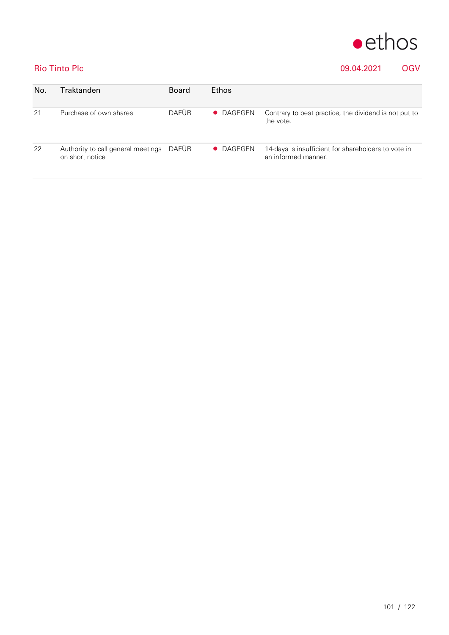

### Rio Tinto Plc 09.04.2021 OGV

| No. | Traktanden                                            | <b>Board</b> | <b>Ethos</b> |                                                                            |
|-----|-------------------------------------------------------|--------------|--------------|----------------------------------------------------------------------------|
| 21  | Purchase of own shares                                | <b>DAFÜR</b> | • DAGEGEN    | Contrary to best practice, the dividend is not put to<br>the vote.         |
| 22  | Authority to call general meetings<br>on short notice | <b>DAFUR</b> | • DAGEGEN    | 14-days is insufficient for shareholders to vote in<br>an informed manner. |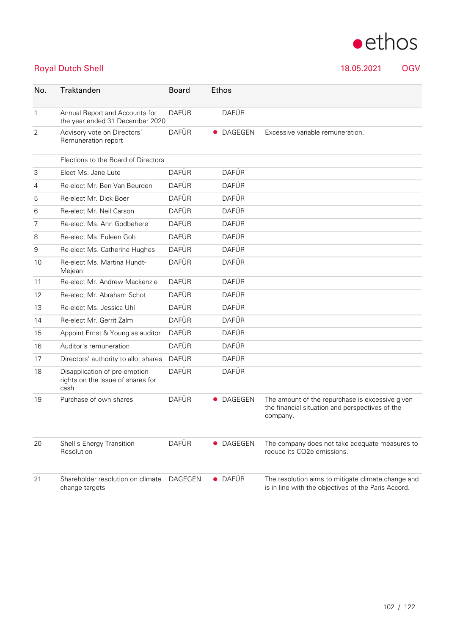

### Royal Dutch Shell **18.05.2021** OGV

| No. | Traktanden                                                                 | <b>Board</b> | Ethos        |                                                                                                                |
|-----|----------------------------------------------------------------------------|--------------|--------------|----------------------------------------------------------------------------------------------------------------|
| 1   | Annual Report and Accounts for<br>the year ended 31 December 2020          | <b>DAFÜR</b> | <b>DAFÜR</b> |                                                                                                                |
| 2   | Advisory vote on Directors'<br>Remuneration report                         | <b>DAFÜR</b> | • DAGEGEN    | Excessive variable remuneration.                                                                               |
|     | Elections to the Board of Directors                                        |              |              |                                                                                                                |
| 3   | Elect Ms. Jane Lute                                                        | <b>DAFÜR</b> | <b>DAFÜR</b> |                                                                                                                |
| 4   | Re-elect Mr. Ben Van Beurden                                               | <b>DAFÜR</b> | <b>DAFÜR</b> |                                                                                                                |
| 5   | Re-elect Mr. Dick Boer                                                     | <b>DAFÜR</b> | <b>DAFÜR</b> |                                                                                                                |
| 6   | Re-elect Mr. Neil Carson                                                   | <b>DAFÜR</b> | <b>DAFÜR</b> |                                                                                                                |
| 7   | Re-elect Ms. Ann Godbehere                                                 | <b>DAFÜR</b> | <b>DAFÜR</b> |                                                                                                                |
| 8   | Re-elect Ms. Euleen Goh                                                    | <b>DAFÜR</b> | <b>DAFÜR</b> |                                                                                                                |
| 9   | Re-elect Ms. Catherine Hughes                                              | <b>DAFÜR</b> | <b>DAFÜR</b> |                                                                                                                |
| 10  | Re-elect Ms. Martina Hundt-<br>Mejean                                      | <b>DAFÜR</b> | <b>DAFÜR</b> |                                                                                                                |
| 11  | Re-elect Mr. Andrew Mackenzie                                              | <b>DAFÜR</b> | <b>DAFÜR</b> |                                                                                                                |
| 12  | Re-elect Mr. Abraham Schot                                                 | <b>DAFÜR</b> | <b>DAFÜR</b> |                                                                                                                |
| 13  | Re-elect Ms. Jessica Uhl                                                   | <b>DAFÜR</b> | <b>DAFÜR</b> |                                                                                                                |
| 14  | Re-elect Mr. Gerrit Zalm                                                   | <b>DAFÜR</b> | <b>DAFÜR</b> |                                                                                                                |
| 15  | Appoint Ernst & Young as auditor                                           | <b>DAFÜR</b> | <b>DAFÜR</b> |                                                                                                                |
| 16  | Auditor's remuneration                                                     | <b>DAFÜR</b> | <b>DAFÜR</b> |                                                                                                                |
| 17  | Directors' authority to allot shares                                       | <b>DAFÜR</b> | <b>DAFÜR</b> |                                                                                                                |
| 18  | Disapplication of pre-emption<br>rights on the issue of shares for<br>cash | <b>DAFÜR</b> | <b>DAFÜR</b> |                                                                                                                |
| 19  | Purchase of own shares                                                     | <b>DAFÜR</b> | • DAGEGEN    | The amount of the repurchase is excessive given<br>the financial situation and perspectives of the<br>company. |
| 20  | Shell's Energy Transition<br>Resolution                                    | <b>DAFÜR</b> | • DAGEGEN    | The company does not take adequate measures to<br>reduce its CO2e emissions.                                   |
| 21  | Shareholder resolution on climate<br>change targets                        | DAGEGEN      | • DAFÜR      | The resolution aims to mitigate climate change and<br>is in line with the objectives of the Paris Accord.      |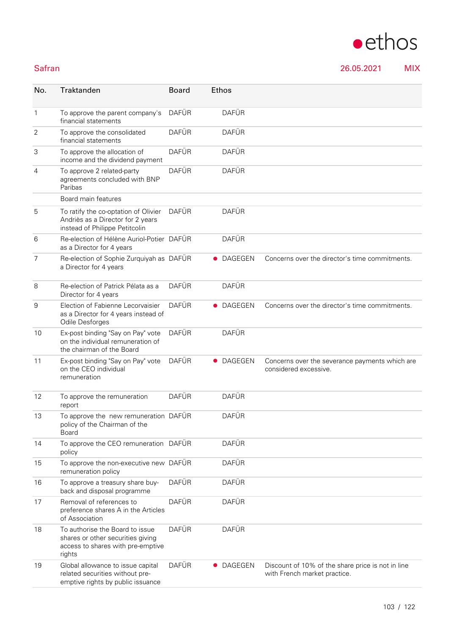

Safran 26.05.2021 MIX

| No.            | Traktanden                                                                                                          | <b>Board</b> | <b>Ethos</b>   |                                                                                   |
|----------------|---------------------------------------------------------------------------------------------------------------------|--------------|----------------|-----------------------------------------------------------------------------------|
| $\mathbf{1}$   | To approve the parent company's<br>financial statements                                                             | DAFÜR        | <b>DAFÜR</b>   |                                                                                   |
| 2              | To approve the consolidated<br>financial statements                                                                 | <b>DAFÜR</b> | <b>DAFÜR</b>   |                                                                                   |
| 3              | To approve the allocation of<br>income and the dividend payment                                                     | <b>DAFÜR</b> | DAFÜR          |                                                                                   |
| $\overline{4}$ | To approve 2 related-party<br>agreements concluded with BNP<br>Paribas                                              | <b>DAFÜR</b> | <b>DAFÜR</b>   |                                                                                   |
|                | Board main features                                                                                                 |              |                |                                                                                   |
| 5              | To ratify the co-optation of Olivier<br>Andriès as a Director for 2 years<br>instead of Philippe Petitcolin         | <b>DAFÜR</b> | <b>DAFÜR</b>   |                                                                                   |
| 6              | Re-election of Hélène Auriol-Potier DAFÜR<br>as a Director for 4 years                                              |              | <b>DAFÜR</b>   |                                                                                   |
| $\overline{7}$ | Re-election of Sophie Zurquiyah as DAFÜR<br>a Director for 4 years                                                  |              | <b>DAGEGEN</b> | Concerns over the director's time commitments.                                    |
| 8              | Re-election of Patrick Pélata as a<br>Director for 4 years                                                          | <b>DAFÜR</b> | <b>DAFÜR</b>   |                                                                                   |
| 9              | Election of Fabienne Lecorvaisier<br>as a Director for 4 years instead of<br>Odile Desforges                        | <b>DAFÜR</b> | DAGEGEN        | Concerns over the director's time commitments.                                    |
| 10             | Ex-post binding "Say on Pay" vote<br>on the individual remuneration of<br>the chairman of the Board                 | <b>DAFÜR</b> | <b>DAFÜR</b>   |                                                                                   |
| 11             | Ex-post binding "Say on Pay" vote<br>on the CEO individual<br>remuneration                                          | <b>DAFÜR</b> | DAGEGEN        | Concerns over the severance payments which are<br>considered excessive.           |
| 12             | To approve the remuneration<br>report                                                                               | <b>DAFÜR</b> | <b>DAFÜR</b>   |                                                                                   |
| 13             | To approve the new remuneration DAFÜR<br>policy of the Chairman of the<br><b>Board</b>                              |              | <b>DAFÜR</b>   |                                                                                   |
| 14             | To approve the CEO remuneration DAFÜR<br>policy                                                                     |              | <b>DAFÜR</b>   |                                                                                   |
| 15             | To approve the non-executive new DAFÜR<br>remuneration policy                                                       |              | <b>DAFÜR</b>   |                                                                                   |
| 16             | To approve a treasury share buy-<br>back and disposal programme                                                     | <b>DAFÜR</b> | <b>DAFÜR</b>   |                                                                                   |
| 17             | Removal of references to<br>preference shares A in the Articles<br>of Association                                   | <b>DAFÜR</b> | <b>DAFÜR</b>   |                                                                                   |
| 18             | To authorise the Board to issue<br>shares or other securities giving<br>access to shares with pre-emptive<br>rights | <b>DAFÜR</b> | <b>DAFÜR</b>   |                                                                                   |
| 19             | Global allowance to issue capital<br>related securities without pre-<br>emptive rights by public issuance           | <b>DAFÜR</b> | DAGEGEN        | Discount of 10% of the share price is not in line<br>with French market practice. |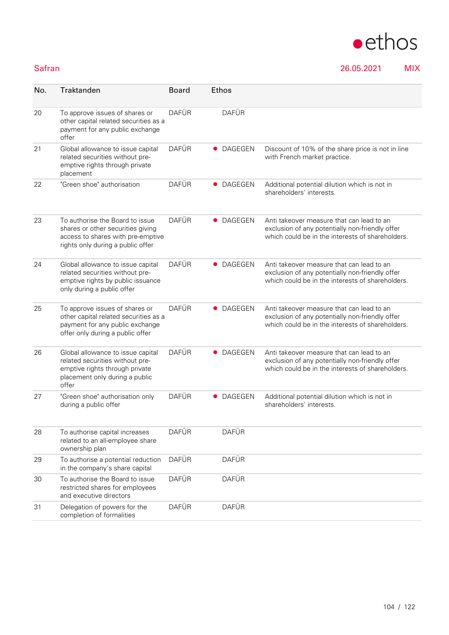## $\bullet$ ethos

Safran 26.05.2021 MIX

| No. | Traktanden                                                                                                                                        | <b>Board</b> | <b>Ethos</b>   |                                                                                                                                                  |
|-----|---------------------------------------------------------------------------------------------------------------------------------------------------|--------------|----------------|--------------------------------------------------------------------------------------------------------------------------------------------------|
| 20  | To approve issues of shares or<br>other capital related securities as a<br>payment for any public exchange<br>offer                               | <b>DAFÜR</b> | <b>DAFÜR</b>   |                                                                                                                                                  |
| 21  | Global allowance to issue capital<br>related securities without pre-<br>emptive rights through private<br>placement                               | <b>DAFÜR</b> | • DAGEGEN      | Discount of 10% of the share price is not in line<br>with French market practice.                                                                |
| 22  | "Green shoe" authorisation                                                                                                                        | <b>DAFÜR</b> | • DAGEGEN      | Additional potential dilution which is not in<br>shareholders' interests.                                                                        |
| 23  | To authorise the Board to issue<br>shares or other securities giving<br>access to shares with pre-emptive<br>rights only during a public offer    | <b>DAFÜR</b> | <b>DAGEGEN</b> | Anti takeover measure that can lead to an<br>exclusion of any potentially non-friendly offer<br>which could be in the interests of shareholders. |
| 24  | Global allowance to issue capital<br>related securities without pre-<br>emptive rights by public issuance<br>only during a public offer           | <b>DAFÜR</b> | DAGEGEN        | Anti takeover measure that can lead to an<br>exclusion of any potentially non-friendly offer<br>which could be in the interests of shareholders. |
| 25  | To approve issues of shares or<br>other capital related securities as a<br>payment for any public exchange<br>offer only during a public offer    | <b>DAFÜR</b> | <b>DAGEGEN</b> | Anti takeover measure that can lead to an<br>exclusion of any potentially non-friendly offer<br>which could be in the interests of shareholders. |
| 26  | Global allowance to issue capital<br>related securities without pre-<br>emptive rights through private<br>placement only during a public<br>offer | <b>DAFÜR</b> | • DAGEGEN      | Anti takeover measure that can lead to an<br>exclusion of any potentially non-friendly offer<br>which could be in the interests of shareholders. |
| 27  | "Green shoe" authorisation only<br>during a public offer                                                                                          | <b>DAFÜR</b> | <b>DAGEGEN</b> | Additional potential dilution which is not in<br>shareholders' interests.                                                                        |
| 28  | To authorise capital increases<br>related to an all-employee share<br>ownership plan                                                              | <b>DAFÜR</b> | <b>DAFÜR</b>   |                                                                                                                                                  |
| 29  | To authorise a potential reduction<br>in the company's share capital                                                                              | <b>DAFÜR</b> | <b>DAFÜR</b>   |                                                                                                                                                  |
| 30  | To authorise the Board to issue<br>restricted shares for employees<br>and executive directors                                                     | <b>DAFÜR</b> | <b>DAFÜR</b>   |                                                                                                                                                  |
| 31  | Delegation of powers for the<br>completion of formalities                                                                                         | <b>DAFÜR</b> | <b>DAFÜR</b>   |                                                                                                                                                  |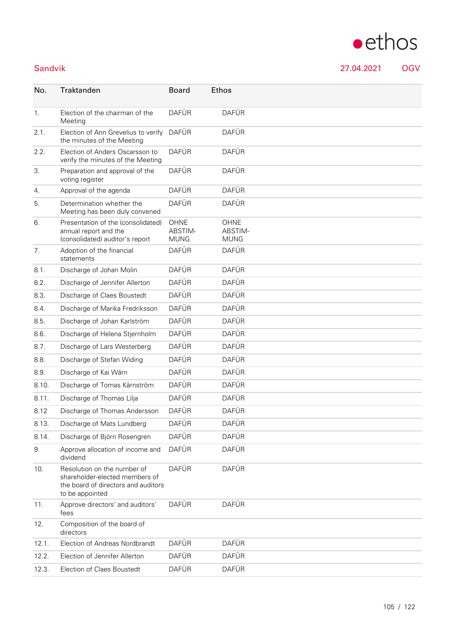

Sandvik 27.04.2021 OGV

| No.            | Traktanden                                                                                                              | <b>Board</b>                   | Ethos                          |
|----------------|-------------------------------------------------------------------------------------------------------------------------|--------------------------------|--------------------------------|
| $\mathbf{1}$ . | Election of the chairman of the<br>Meeting                                                                              | <b>DAFÜR</b>                   | <b>DAFÜR</b>                   |
| 2.1.           | Election of Ann Grevelius to verify<br>the minutes of the Meeting                                                       | <b>DAFÜR</b>                   | <b>DAFÜR</b>                   |
| 2.2.           | Election of Anders Oscarsson to<br>verify the minutes of the Meeting                                                    | <b>DAFÜR</b>                   | <b>DAFÜR</b>                   |
| 3.             | Preparation and approval of the<br>voting register                                                                      | <b>DAFÜR</b>                   | <b>DAFÜR</b>                   |
| 4.             | Approval of the agenda                                                                                                  | <b>DAFÜR</b>                   | <b>DAFÜR</b>                   |
| 5.             | Determination whether the<br>Meeting has been duly convened                                                             | <b>DAFÜR</b>                   | <b>DAFÜR</b>                   |
| 6.             | Presentation of the (consolidated)<br>annual report and the<br>(consolidated) auditor's report                          | OHNE<br>ABSTIM-<br><b>MUNG</b> | OHNE<br>ABSTIM-<br><b>MUNG</b> |
| 7.             | Adoption of the financial<br>statements                                                                                 | <b>DAFÜR</b>                   | <b>DAFÜR</b>                   |
| 8.1.           | Discharge of Johan Molin                                                                                                | <b>DAFÜR</b>                   | <b>DAFÜR</b>                   |
| 8.2.           | Discharge of Jennifer Allerton                                                                                          | <b>DAFÜR</b>                   | <b>DAFÜR</b>                   |
| 8.3.           | Discharge of Claes Boustedt                                                                                             | <b>DAFÜR</b>                   | <b>DAFÜR</b>                   |
| 8.4.           | Discharge of Marika Fredriksson                                                                                         | <b>DAFÜR</b>                   | <b>DAFÜR</b>                   |
| 8.5.           | Discharge of Johan Karlström                                                                                            | <b>DAFÜR</b>                   | <b>DAFÜR</b>                   |
| 8.6.           | Discharge of Helena Stjernholm                                                                                          | <b>DAFÜR</b>                   | <b>DAFÜR</b>                   |
| 8.7.           | Discharge of Lars Westerberg                                                                                            | <b>DAFÜR</b>                   | <b>DAFÜR</b>                   |
| 8.8.           | Discharge of Stefan Widing                                                                                              | <b>DAFÜR</b>                   | <b>DAFÜR</b>                   |
| 8.9.           | Discharge of Kai Wärn                                                                                                   | <b>DAFÜR</b>                   | <b>DAFÜR</b>                   |
| 8.10.          | Discharge of Tomas Kärnström                                                                                            | <b>DAFÜR</b>                   | <b>DAFÜR</b>                   |
| 8.11.          | Discharge of Thomas Lilja                                                                                               | <b>DAFÜR</b>                   | <b>DAFÜR</b>                   |
| 8.12           | Discharge of Thomas Andersson                                                                                           | <b>DAFÜR</b>                   | <b>DAFÜR</b>                   |
| 8.13.          | Discharge of Mats Lundberg                                                                                              | DAFÜR                          | <b>DAFÜR</b>                   |
| 8.14.          | Discharge of Björn Rosengren                                                                                            | <b>DAFÜR</b>                   | <b>DAFÜR</b>                   |
| 9.             | Approve allocation of income and<br>dividend                                                                            | <b>DAFÜR</b>                   | <b>DAFÜR</b>                   |
| 10.            | Resolution on the number of<br>shareholder-elected members of<br>the board of directors and auditors<br>to be appointed | <b>DAFÜR</b>                   | <b>DAFÜR</b>                   |
| 11.            | Approve directors' and auditors'<br>fees                                                                                | <b>DAFÜR</b>                   | <b>DAFÜR</b>                   |
| 12.            | Composition of the board of<br>directors                                                                                |                                |                                |
| 12.1.          | Election of Andreas Nordbrandt                                                                                          | <b>DAFÜR</b>                   | <b>DAFÜR</b>                   |
| 12.2.          | Election of Jennifer Allerton                                                                                           | <b>DAFÜR</b>                   | <b>DAFÜR</b>                   |
| 12.3.          | Election of Claes Boustedt                                                                                              | <b>DAFÜR</b>                   | <b>DAFÜR</b>                   |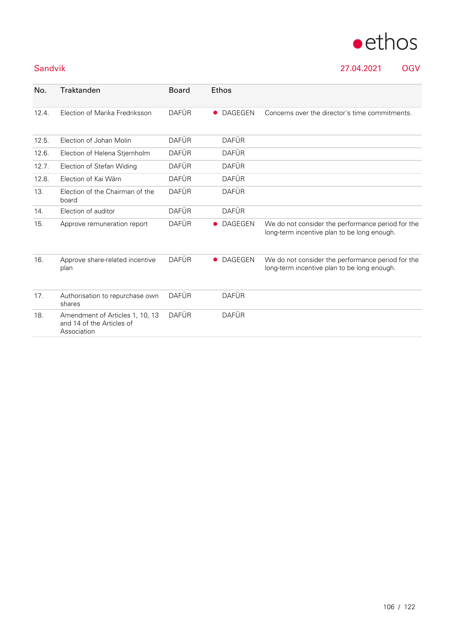

### Sandvik 27.04.2021 OGV

| 4.2021 |  | <b>OGV</b> |
|--------|--|------------|
|        |  |            |
|        |  |            |

| No.   | Traktanden                                                                  | <b>Board</b> | Ethos          |                                                                                                  |
|-------|-----------------------------------------------------------------------------|--------------|----------------|--------------------------------------------------------------------------------------------------|
| 12.4. | Election of Marika Fredriksson                                              | <b>DAFÜR</b> | DAGEGEN        | Concerns over the director's time commitments.                                                   |
| 12.5. | Election of Johan Molin                                                     | <b>DAFÜR</b> | <b>DAFÜR</b>   |                                                                                                  |
| 12.6. | Election of Helena Stjernholm                                               | <b>DAFÜR</b> | <b>DAFÜR</b>   |                                                                                                  |
| 12.7. | Election of Stefan Widing                                                   | <b>DAFÜR</b> | <b>DAFÜR</b>   |                                                                                                  |
| 12.8. | Election of Kai Wärn                                                        | <b>DAFÜR</b> | <b>DAFÜR</b>   |                                                                                                  |
| 13.   | Election of the Chairman of the<br>board                                    | <b>DAFÜR</b> | <b>DAFÜR</b>   |                                                                                                  |
| 14.   | Election of auditor                                                         | <b>DAFÜR</b> | <b>DAFÜR</b>   |                                                                                                  |
| 15.   | Approve remuneration report                                                 | <b>DAFÜR</b> | <b>DAGEGEN</b> | We do not consider the performance period for the<br>long-term incentive plan to be long enough. |
| 16.   | Approve share-related incentive<br>plan                                     | <b>DAFÜR</b> | • DAGEGEN      | We do not consider the performance period for the<br>long-term incentive plan to be long enough. |
| 17.   | Authorisation to repurchase own<br>shares                                   | <b>DAFÜR</b> | <b>DAFÜR</b>   |                                                                                                  |
| 18.   | Amendment of Articles 1, 10, 13<br>and 14 of the Articles of<br>Association | <b>DAFÜR</b> | <b>DAFÜR</b>   |                                                                                                  |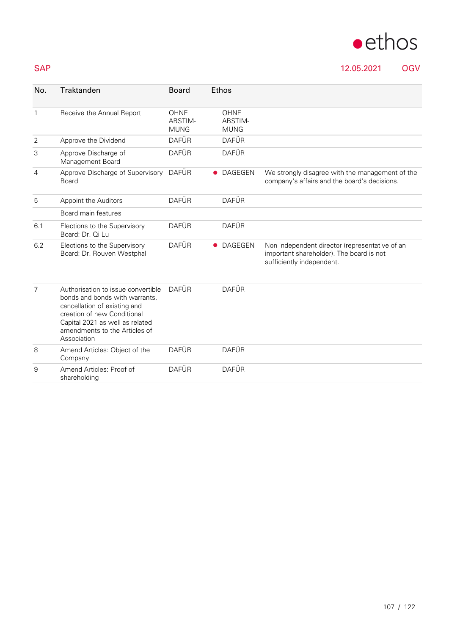

SAP 12.05.2021 OGV

| No.            | Traktanden                                                                                                                                                                                                             | <b>Board</b>                   | <b>Ethos</b>                   |                                                                                                                         |
|----------------|------------------------------------------------------------------------------------------------------------------------------------------------------------------------------------------------------------------------|--------------------------------|--------------------------------|-------------------------------------------------------------------------------------------------------------------------|
|                |                                                                                                                                                                                                                        |                                |                                |                                                                                                                         |
| 1              | Receive the Annual Report                                                                                                                                                                                              | OHNE<br>ABSTIM-<br><b>MUNG</b> | OHNE<br>ABSTIM-<br><b>MUNG</b> |                                                                                                                         |
| $\overline{2}$ | Approve the Dividend                                                                                                                                                                                                   | <b>DAFÜR</b>                   | <b>DAFÜR</b>                   |                                                                                                                         |
| 3              | Approve Discharge of<br>Management Board                                                                                                                                                                               | <b>DAFÜR</b>                   | <b>DAFÜR</b>                   |                                                                                                                         |
| 4              | Approve Discharge of Supervisory<br>Board                                                                                                                                                                              | <b>DAFÜR</b>                   | DAGEGEN<br>$\bullet$           | We strongly disagree with the management of the<br>company's affairs and the board's decisions.                         |
| 5              | Appoint the Auditors                                                                                                                                                                                                   | <b>DAFÜR</b>                   | <b>DAFÜR</b>                   |                                                                                                                         |
|                | Board main features                                                                                                                                                                                                    |                                |                                |                                                                                                                         |
| 6.1            | Elections to the Supervisory<br>Board: Dr. Qi Lu                                                                                                                                                                       | DAFÜR                          | <b>DAFÜR</b>                   |                                                                                                                         |
| 6.2            | Elections to the Supervisory<br>Board: Dr. Rouven Westphal                                                                                                                                                             | <b>DAFÜR</b>                   | <b>DAGEGEN</b><br>$\bullet$    | Non independent director (representative of an<br>important shareholder). The board is not<br>sufficiently independent. |
| 7              | Authorisation to issue convertible<br>bonds and bonds with warrants.<br>cancellation of existing and<br>creation of new Conditional<br>Capital 2021 as well as related<br>amendments to the Articles of<br>Association | DAFÜR                          | <b>DAFÜR</b>                   |                                                                                                                         |
| 8              | Amend Articles: Object of the<br>Company                                                                                                                                                                               | <b>DAFÜR</b>                   | <b>DAFÜR</b>                   |                                                                                                                         |
| 9              | Amend Articles: Proof of<br>shareholding                                                                                                                                                                               | <b>DAFÜR</b>                   | <b>DAFÜR</b>                   |                                                                                                                         |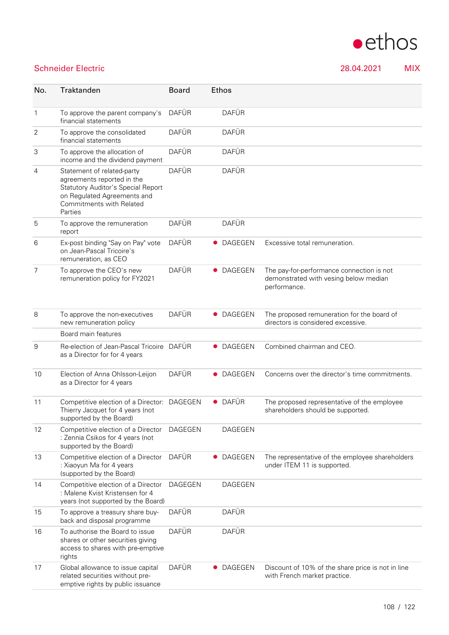

### Schneider Electric 28.04.2021 MIX

| No.            | Traktanden                                                                                                                                                                  | <b>Board</b> | <b>Ethos</b>         |                                                                                                    |
|----------------|-----------------------------------------------------------------------------------------------------------------------------------------------------------------------------|--------------|----------------------|----------------------------------------------------------------------------------------------------|
| 1              | To approve the parent company's<br>financial statements                                                                                                                     | <b>DAFÜR</b> | <b>DAFÜR</b>         |                                                                                                    |
| 2              | To approve the consolidated<br>financial statements                                                                                                                         | <b>DAFÜR</b> | <b>DAFÜR</b>         |                                                                                                    |
| 3              | To approve the allocation of<br>income and the dividend payment                                                                                                             | <b>DAFÜR</b> | <b>DAFÜR</b>         |                                                                                                    |
| 4              | Statement of related-party<br>agreements reported in the<br><b>Statutory Auditor's Special Report</b><br>on Regulated Agreements and<br>Commitments with Related<br>Parties | <b>DAFÜR</b> | <b>DAFÜR</b>         |                                                                                                    |
| 5              | To approve the remuneration<br>report                                                                                                                                       | <b>DAFÜR</b> | <b>DAFÜR</b>         |                                                                                                    |
| 6              | Ex-post binding "Say on Pay" vote<br>on Jean-Pascal Tricoire's<br>remuneration, as CEO                                                                                      | <b>DAFÜR</b> | • DAGEGEN            | Excessive total remuneration.                                                                      |
| $\overline{7}$ | To approve the CEO's new<br>remuneration policy for FY2021                                                                                                                  | <b>DAFÜR</b> | DAGEGEN<br>$\bullet$ | The pay-for-performance connection is not<br>demonstrated with vesing below median<br>performance. |
| 8              | To approve the non-executives<br>new remuneration policy                                                                                                                    | <b>DAFÜR</b> | • DAGEGEN            | The proposed remuneration for the board of<br>directors is considered excessive.                   |
|                | Board main features                                                                                                                                                         |              |                      |                                                                                                    |
| 9              | Re-election of Jean-Pascal Tricoire DAFÜR<br>as a Director for for 4 years                                                                                                  |              | • DAGEGEN            | Combined chairman and CEO.                                                                         |
| 10             | Election of Anna Ohlsson-Leijon<br>as a Director for 4 years                                                                                                                | <b>DAFÜR</b> | • DAGEGEN            | Concerns over the director's time commitments.                                                     |
| 11             | Competitive election of a Director: DAGEGEN<br>Thierry Jacquet for 4 years (not<br>supported by the Board)                                                                  |              | • DAFÜR              | The proposed representative of the employee<br>shareholders should be supported.                   |
| 12             | Competitive election of a Director DAGEGEN<br>: Zennia Csikos for 4 years (not<br>supported by the Board)                                                                   |              | <b>DAGEGEN</b>       |                                                                                                    |
| 13             | Competitive election of a Director<br>: Xiaoyun Ma for 4 years<br>(supported by the Board)                                                                                  | <b>DAFÜR</b> | DAGEGEN              | The representative of the employee shareholders<br>under ITEM 11 is supported.                     |
| 14             | Competitive election of a Director<br>: Malene Kvist Kristensen for 4<br>years (not supported by the Board)                                                                 | DAGEGEN      | DAGEGEN              |                                                                                                    |
| 15             | To approve a treasury share buy-<br>back and disposal programme                                                                                                             | <b>DAFÜR</b> | <b>DAFÜR</b>         |                                                                                                    |
| 16             | To authorise the Board to issue<br>shares or other securities giving<br>access to shares with pre-emptive<br>rights                                                         | <b>DAFÜR</b> | DAFÜR                |                                                                                                    |
| 17             | Global allowance to issue capital<br>related securities without pre-<br>emptive rights by public issuance                                                                   | <b>DAFÜR</b> | DAGEGEN              | Discount of 10% of the share price is not in line<br>with French market practice.                  |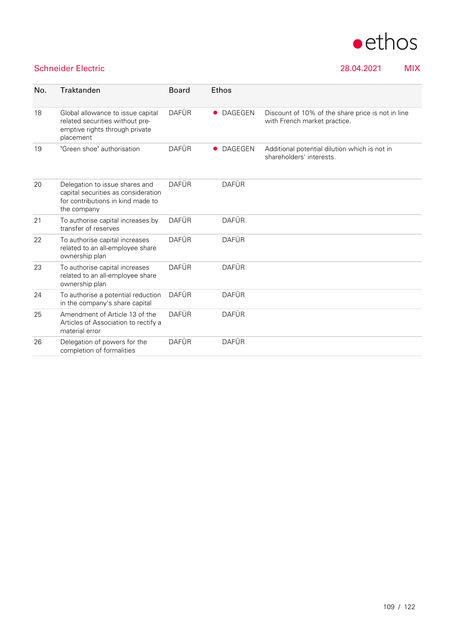

## Schneider Electric 28.04.2021 MIX

| No. | Traktanden                                                                                                                | <b>Board</b> | Ethos          |                                                                                   |
|-----|---------------------------------------------------------------------------------------------------------------------------|--------------|----------------|-----------------------------------------------------------------------------------|
| 18  | Global allowance to issue capital<br>related securities without pre-<br>emptive rights through private<br>placement       | DAFÜR        | • DAGEGEN      | Discount of 10% of the share price is not in line<br>with French market practice. |
| 19  | "Green shoe" authorisation                                                                                                | <b>DAFÜR</b> | <b>DAGEGEN</b> | Additional potential dilution which is not in<br>shareholders' interests.         |
| 20  | Delegation to issue shares and<br>capital securities as consideration<br>for contributions in kind made to<br>the company | <b>DAFÜR</b> | <b>DAFÜR</b>   |                                                                                   |
| 21  | To authorise capital increases by<br>transfer of reserves                                                                 | <b>DAFÜR</b> | <b>DAFÜR</b>   |                                                                                   |
| 22  | To authorise capital increases<br>related to an all-employee share<br>ownership plan                                      | <b>DAFÜR</b> | <b>DAFÜR</b>   |                                                                                   |
| 23  | To authorise capital increases<br>related to an all-employee share<br>ownership plan                                      | DAFÜR        | <b>DAFÜR</b>   |                                                                                   |
| 24  | To authorise a potential reduction<br>in the company's share capital                                                      | <b>DAFÜR</b> | <b>DAFÜR</b>   |                                                                                   |
| 25  | Amendment of Article 13 of the<br>Articles of Association to rectify a<br>material error                                  | <b>DAFÜR</b> | <b>DAFÜR</b>   |                                                                                   |
| 26  | Delegation of powers for the<br>completion of formalities                                                                 | <b>DAFÜR</b> | DAFÜR          |                                                                                   |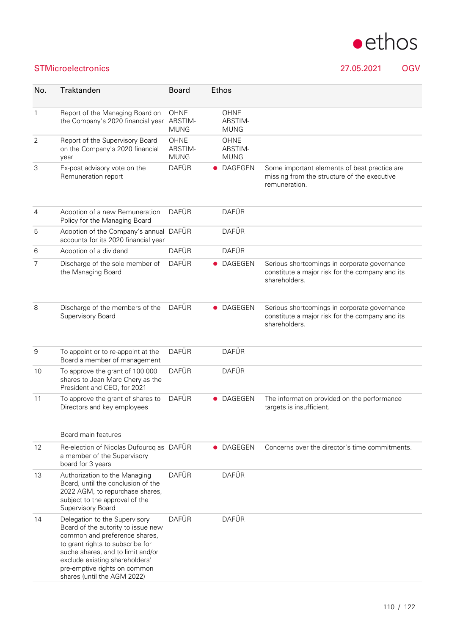

STMicroelectronics 27.05.2021 OGV

| No.            | Traktanden                                                                                                                                                                                                                                                                     | <b>Board</b>                   | Ethos     |                                |                                                                                                                  |
|----------------|--------------------------------------------------------------------------------------------------------------------------------------------------------------------------------------------------------------------------------------------------------------------------------|--------------------------------|-----------|--------------------------------|------------------------------------------------------------------------------------------------------------------|
| $\mathbf{1}$   | Report of the Managing Board on<br>the Company's 2020 financial year ABSTIM-                                                                                                                                                                                                   | OHNE<br><b>MUNG</b>            |           | OHNE<br>ABSTIM-<br><b>MUNG</b> |                                                                                                                  |
| $\overline{2}$ | Report of the Supervisory Board<br>on the Company's 2020 financial<br>year                                                                                                                                                                                                     | OHNE<br>ABSTIM-<br><b>MUNG</b> |           | OHNE<br>ABSTIM-<br><b>MUNG</b> |                                                                                                                  |
| 3              | Ex-post advisory vote on the<br>Remuneration report                                                                                                                                                                                                                            | <b>DAFÜR</b>                   |           | <b>DAGEGEN</b>                 | Some important elements of best practice are<br>missing from the structure of the executive<br>remuneration.     |
| $\overline{4}$ | Adoption of a new Remuneration<br>Policy for the Managing Board                                                                                                                                                                                                                | <b>DAFÜR</b>                   |           | <b>DAFÜR</b>                   |                                                                                                                  |
| 5              | Adoption of the Company's annual DAFÜR<br>accounts for its 2020 financial year                                                                                                                                                                                                 |                                |           | <b>DAFÜR</b>                   |                                                                                                                  |
| 6              | Adoption of a dividend                                                                                                                                                                                                                                                         | <b>DAFÜR</b>                   |           | <b>DAFÜR</b>                   |                                                                                                                  |
| 7              | Discharge of the sole member of<br>the Managing Board                                                                                                                                                                                                                          | <b>DAFÜR</b>                   |           | DAGEGEN                        | Serious shortcomings in corporate governance<br>constitute a major risk for the company and its<br>shareholders. |
| 8              | Discharge of the members of the<br>Supervisory Board                                                                                                                                                                                                                           | <b>DAFÜR</b>                   |           | <b>DAGEGEN</b>                 | Serious shortcomings in corporate governance<br>constitute a major risk for the company and its<br>shareholders. |
| 9              | To appoint or to re-appoint at the<br>Board a member of management                                                                                                                                                                                                             | <b>DAFÜR</b>                   |           | <b>DAFÜR</b>                   |                                                                                                                  |
| 10             | To approve the grant of 100 000<br>shares to Jean Marc Chery as the<br>President and CEO, for 2021                                                                                                                                                                             | <b>DAFÜR</b>                   |           | <b>DAFÜR</b>                   |                                                                                                                  |
| 11             | To approve the grant of shares to<br>Directors and key employees                                                                                                                                                                                                               | <b>DAFÜR</b>                   | $\bullet$ | <b>DAGEGEN</b>                 | The information provided on the performance<br>targets is insufficient.                                          |
|                | Board main features                                                                                                                                                                                                                                                            |                                |           |                                |                                                                                                                  |
| 12             | Re-election of Nicolas Dufourcq as DAFÜR<br>a member of the Supervisory<br>board for 3 years                                                                                                                                                                                   |                                |           | • DAGEGEN                      | Concerns over the director's time commitments.                                                                   |
| 13             | Authorization to the Managing<br>Board, until the conclusion of the<br>2022 AGM, to repurchase shares,<br>subject to the approval of the<br>Supervisory Board                                                                                                                  | <b>DAFÜR</b>                   |           | <b>DAFÜR</b>                   |                                                                                                                  |
| 14             | Delegation to the Supervisory<br>Board of the autority to issue new<br>common and preference shares,<br>to grant rights to subscribe for<br>suche shares, and to limit and/or<br>exclude existing shareholders'<br>pre-emptive rights on common<br>shares (until the AGM 2022) | <b>DAFÜR</b>                   |           | <b>DAFÜR</b>                   |                                                                                                                  |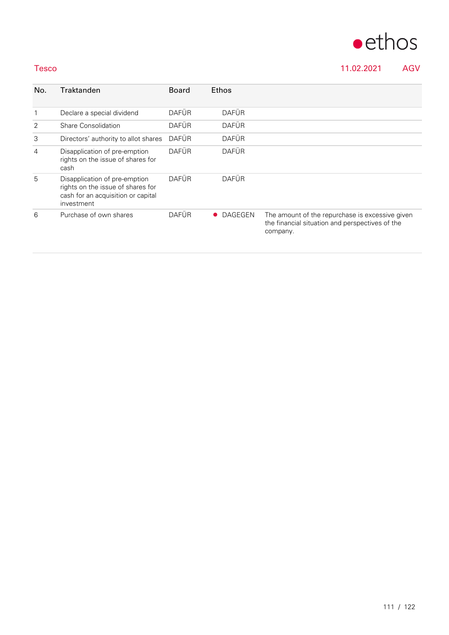

Tesco 11.02.2021 AGV

| No. | Traktanden                                                                                                             | <b>Board</b> | <b>Ethos</b> |                                                                                                                |
|-----|------------------------------------------------------------------------------------------------------------------------|--------------|--------------|----------------------------------------------------------------------------------------------------------------|
|     | Declare a special dividend                                                                                             | <b>DAFÜR</b> | <b>DAFÜR</b> |                                                                                                                |
| 2   | Share Consolidation                                                                                                    | <b>DAFÜR</b> | <b>DAFÜR</b> |                                                                                                                |
| 3   | Directors' authority to allot shares                                                                                   | DAFÜR        | <b>DAFÜR</b> |                                                                                                                |
| 4   | Disapplication of pre-emption<br>rights on the issue of shares for<br>cash                                             | <b>DAFÜR</b> | <b>DAFÜR</b> |                                                                                                                |
| 5   | Disapplication of pre-emption<br>rights on the issue of shares for<br>cash for an acquisition or capital<br>investment | <b>DAFÜR</b> | <b>DAFÜR</b> |                                                                                                                |
| 6   | Purchase of own shares                                                                                                 | <b>DAFÜR</b> | DAGEGEN      | The amount of the repurchase is excessive given<br>the financial situation and perspectives of the<br>company. |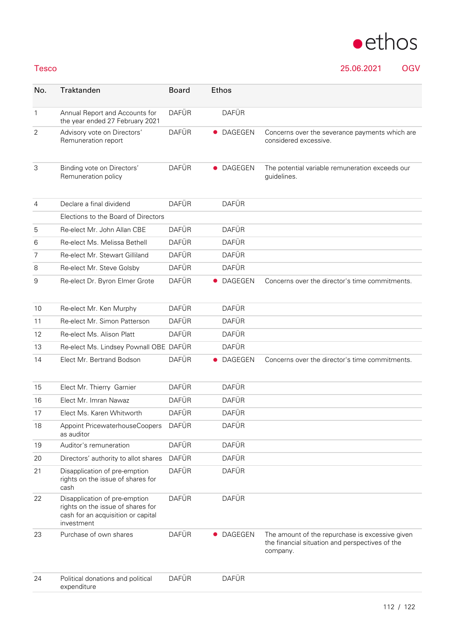

## Tesco 25.06.2021 OGV

| No.            | Traktanden                                                                                                             | <b>Board</b> | Ethos                |                                                                                                                |
|----------------|------------------------------------------------------------------------------------------------------------------------|--------------|----------------------|----------------------------------------------------------------------------------------------------------------|
| 1              | Annual Report and Accounts for<br>the year ended 27 February 2021                                                      | <b>DAFÜR</b> | <b>DAFÜR</b>         |                                                                                                                |
| $\overline{2}$ | Advisory vote on Directors'<br>Remuneration report                                                                     | <b>DAFÜR</b> | <b>DAGEGEN</b>       | Concerns over the severance payments which are<br>considered excessive.                                        |
| 3              | Binding vote on Directors'<br>Remuneration policy                                                                      | <b>DAFÜR</b> | • DAGEGEN            | The potential variable remuneration exceeds our<br>guidelines.                                                 |
| 4              | Declare a final dividend                                                                                               | <b>DAFÜR</b> | <b>DAFÜR</b>         |                                                                                                                |
|                | Elections to the Board of Directors                                                                                    |              |                      |                                                                                                                |
| 5              | Re-elect Mr. John Allan CBE                                                                                            | <b>DAFÜR</b> | <b>DAFÜR</b>         |                                                                                                                |
| 6              | Re-elect Ms. Melissa Bethell                                                                                           | <b>DAFÜR</b> | <b>DAFÜR</b>         |                                                                                                                |
| 7              | Re-elect Mr. Stewart Gilliland                                                                                         | <b>DAFÜR</b> | <b>DAFÜR</b>         |                                                                                                                |
| 8              | Re-elect Mr. Steve Golsby                                                                                              | <b>DAFÜR</b> | <b>DAFÜR</b>         |                                                                                                                |
| 9              | Re-elect Dr. Byron Elmer Grote                                                                                         | <b>DAFÜR</b> | • DAGEGEN            | Concerns over the director's time commitments.                                                                 |
| 10             | Re-elect Mr. Ken Murphy                                                                                                | <b>DAFÜR</b> | <b>DAFÜR</b>         |                                                                                                                |
| 11             | Re-elect Mr. Simon Patterson                                                                                           | <b>DAFÜR</b> | <b>DAFÜR</b>         |                                                                                                                |
| 12             | Re-elect Ms. Alison Platt                                                                                              | <b>DAFÜR</b> | <b>DAFÜR</b>         |                                                                                                                |
| 13             | Re-elect Ms. Lindsey Pownall OBE DAFÜR                                                                                 |              | <b>DAFÜR</b>         |                                                                                                                |
| 14             | Elect Mr. Bertrand Bodson                                                                                              | <b>DAFÜR</b> | • DAGEGEN            | Concerns over the director's time commitments.                                                                 |
| 15             | Elect Mr. Thierry Garnier                                                                                              | <b>DAFÜR</b> | <b>DAFÜR</b>         |                                                                                                                |
| 16             | Elect Mr. Imran Nawaz                                                                                                  | <b>DAFÜR</b> | <b>DAFÜR</b>         |                                                                                                                |
| 17             | Elect Ms. Karen Whitworth                                                                                              | <b>DAFÜR</b> | <b>DAFÜR</b>         |                                                                                                                |
| 18             | Appoint PricewaterhouseCoopers DAFÜR<br>as auditor                                                                     |              | DAFÜR                |                                                                                                                |
| 19             | Auditor's remuneration                                                                                                 | <b>DAFÜR</b> | <b>DAFÜR</b>         |                                                                                                                |
| 20             | Directors' authority to allot shares                                                                                   | <b>DAFÜR</b> | <b>DAFÜR</b>         |                                                                                                                |
| 21             | Disapplication of pre-emption<br>rights on the issue of shares for<br>cash                                             | <b>DAFÜR</b> | <b>DAFÜR</b>         |                                                                                                                |
| 22             | Disapplication of pre-emption<br>rights on the issue of shares for<br>cash for an acquisition or capital<br>investment | <b>DAFÜR</b> | <b>DAFÜR</b>         |                                                                                                                |
| 23             | Purchase of own shares                                                                                                 | <b>DAFÜR</b> | DAGEGEN<br>$\bullet$ | The amount of the repurchase is excessive given<br>the financial situation and perspectives of the<br>company. |
| 24             | Political donations and political<br>expenditure                                                                       | <b>DAFÜR</b> | <b>DAFÜR</b>         |                                                                                                                |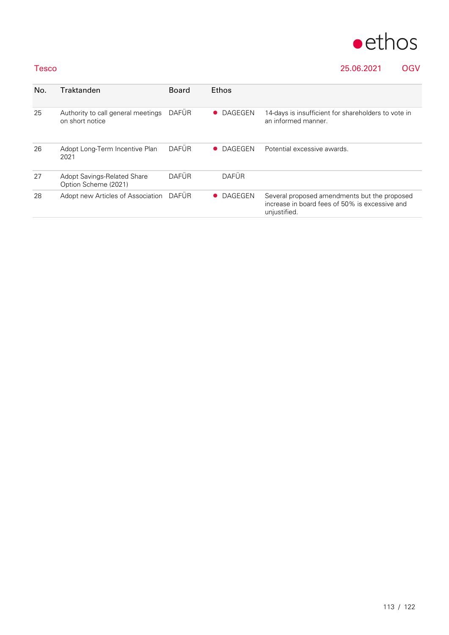# $\bullet$ ethos

## Tesco 25.06.2021 OGV

| No. | Traktanden                                                 | <b>Board</b> | Ethos        |                                                                                                                |
|-----|------------------------------------------------------------|--------------|--------------|----------------------------------------------------------------------------------------------------------------|
| 25  | Authority to call general meetings<br>on short notice      | <b>DAFUR</b> | DAGEGEN      | 14-days is insufficient for shareholders to vote in<br>an informed manner.                                     |
| 26  | Adopt Long-Term Incentive Plan<br>2021                     | <b>DAFÜR</b> | DAGEGEN      | Potential excessive awards.                                                                                    |
| 27  | <b>Adopt Savings-Related Share</b><br>Option Scheme (2021) | <b>DAFÜR</b> | <b>DAFÜR</b> |                                                                                                                |
| 28  | Adopt new Articles of Association                          | <b>DAFUR</b> | DAGEGEN      | Several proposed amendments but the proposed<br>increase in board fees of 50% is excessive and<br>unjustified. |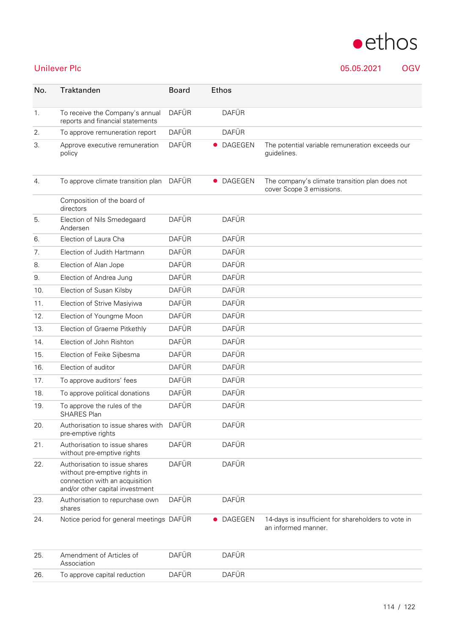

Unilever Plc 05.05.2021 OGV

| No.            | Traktanden                                                                                                                          | <b>Board</b> | <b>Ethos</b>         |                                                                            |
|----------------|-------------------------------------------------------------------------------------------------------------------------------------|--------------|----------------------|----------------------------------------------------------------------------|
| $\mathbf{1}$ . | To receive the Company's annual<br>reports and financial statements                                                                 | <b>DAFÜR</b> | <b>DAFÜR</b>         |                                                                            |
| 2.             | To approve remuneration report                                                                                                      | <b>DAFÜR</b> | <b>DAFÜR</b>         |                                                                            |
| 3.             | Approve executive remuneration<br>policy                                                                                            | <b>DAFÜR</b> | DAGEGEN<br>$\bullet$ | The potential variable remuneration exceeds our<br>guidelines.             |
| 4.             | To approve climate transition plan                                                                                                  | <b>DAFÜR</b> | DAGEGEN<br>$\bullet$ | The company's climate transition plan does not<br>cover Scope 3 emissions. |
|                | Composition of the board of<br>directors                                                                                            |              |                      |                                                                            |
| 5.             | Election of Nils Smedegaard<br>Andersen                                                                                             | <b>DAFÜR</b> | <b>DAFÜR</b>         |                                                                            |
| 6.             | Election of Laura Cha                                                                                                               | <b>DAFÜR</b> | <b>DAFÜR</b>         |                                                                            |
| 7.             | Election of Judith Hartmann                                                                                                         | <b>DAFÜR</b> | <b>DAFÜR</b>         |                                                                            |
| 8.             | Election of Alan Jope                                                                                                               | <b>DAFÜR</b> | <b>DAFÜR</b>         |                                                                            |
| 9.             | Election of Andrea Jung                                                                                                             | <b>DAFÜR</b> | <b>DAFÜR</b>         |                                                                            |
| 10.            | Election of Susan Kilsby                                                                                                            | <b>DAFÜR</b> | <b>DAFÜR</b>         |                                                                            |
| 11.            | Election of Strive Masiyiwa                                                                                                         | <b>DAFÜR</b> | <b>DAFÜR</b>         |                                                                            |
| 12.            | Election of Youngme Moon                                                                                                            | <b>DAFÜR</b> | <b>DAFÜR</b>         |                                                                            |
| 13.            | Election of Graeme Pitkethly                                                                                                        | <b>DAFÜR</b> | <b>DAFÜR</b>         |                                                                            |
| 14.            | Election of John Rishton                                                                                                            | <b>DAFÜR</b> | <b>DAFÜR</b>         |                                                                            |
| 15.            | Election of Feike Sijbesma                                                                                                          | <b>DAFÜR</b> | <b>DAFÜR</b>         |                                                                            |
| 16.            | Election of auditor                                                                                                                 | <b>DAFÜR</b> | <b>DAFÜR</b>         |                                                                            |
| 17.            | To approve auditors' fees                                                                                                           | <b>DAFÜR</b> | <b>DAFÜR</b>         |                                                                            |
| 18.            | To approve political donations                                                                                                      | <b>DAFÜR</b> | <b>DAFÜR</b>         |                                                                            |
| 19.            | To approve the rules of the<br>SHARES Plan                                                                                          | <b>DAFÜR</b> | <b>DAFÜR</b>         |                                                                            |
| 20.            | Authorisation to issue shares with DAFUR<br>pre-emptive rights                                                                      |              | <b>DAFÜR</b>         |                                                                            |
| 21.            | Authorisation to issue shares<br>without pre-emptive rights                                                                         | <b>DAFÜR</b> | <b>DAFÜR</b>         |                                                                            |
| 22.            | Authorisation to issue shares<br>without pre-emptive rights in<br>connection with an acquisition<br>and/or other capital investment | <b>DAFÜR</b> | <b>DAFÜR</b>         |                                                                            |
| 23.            | Authorisation to repurchase own<br>shares                                                                                           | <b>DAFÜR</b> | <b>DAFÜR</b>         |                                                                            |
| 24.            | Notice period for general meetings DAFÜR                                                                                            |              | DAGEGEN              | 14-days is insufficient for shareholders to vote in<br>an informed manner. |
| 25.            | Amendment of Articles of<br>Association                                                                                             | <b>DAFÜR</b> | <b>DAFÜR</b>         |                                                                            |
| 26.            | To approve capital reduction                                                                                                        | <b>DAFÜR</b> | <b>DAFÜR</b>         |                                                                            |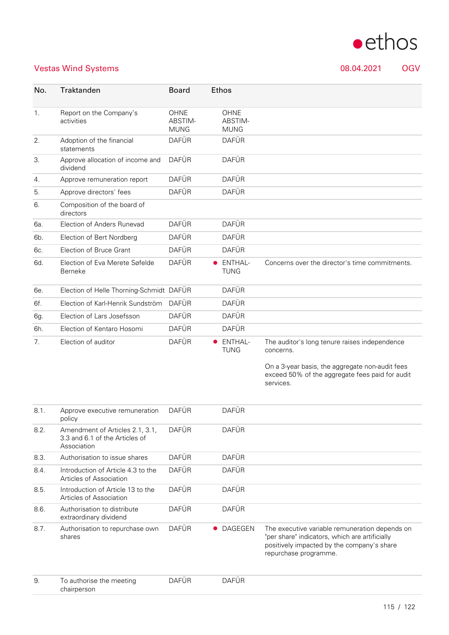

## Vestas Wind Systems 08.04.2021 OGV

| No.            | <b>Traktanden</b>                            | <b>Board</b>                   | Ethos                               |                                                            |
|----------------|----------------------------------------------|--------------------------------|-------------------------------------|------------------------------------------------------------|
| $\mathbf{1}$ . | Report on the Company's<br>activities        | OHNE<br>ABSTIM-<br><b>MUNG</b> | OHNE<br>ABSTIM-<br><b>MUNG</b>      |                                                            |
| 2.             | Adoption of the financial<br>statements      | <b>DAFÜR</b>                   | <b>DAFÜR</b>                        |                                                            |
| 3.             | Approve allocation of income and<br>dividend | <b>DAFÜR</b>                   | <b>DAFÜR</b>                        |                                                            |
| 4.             | Approve remuneration report                  | <b>DAFÜR</b>                   | <b>DAFÜR</b>                        |                                                            |
| 5.             | Approve directors' fees                      | <b>DAFÜR</b>                   | <b>DAFÜR</b>                        |                                                            |
| 6.             | Composition of the board of<br>directors     |                                |                                     |                                                            |
| 6а.            | Election of Anders Runevad                   | <b>DAFÜR</b>                   | <b>DAFÜR</b>                        |                                                            |
| 6b.            | Election of Bert Nordberg                    | <b>DAFÜR</b>                   | <b>DAFÜR</b>                        |                                                            |
| 6с.            | Election of Bruce Grant                      | <b>DAFÜR</b>                   | <b>DAFÜR</b>                        |                                                            |
| 6d.            | Election of Eva Merete Søfelde<br>Berneke    | <b>DAFÜR</b>                   | ENTHAL-<br>$\bullet$<br><b>TUNG</b> | Concerns over the director's time commitments.             |
| 6e.            | Election of Helle Thorning-Schmidt DAFÜR     |                                | <b>DAFÜR</b>                        |                                                            |
| 6f.            | Election of Karl-Henrik Sundström            | <b>DAFÜR</b>                   | <b>DAFÜR</b>                        |                                                            |
| 6g.            | Election of Lars Josefsson                   | <b>DAFÜR</b>                   | <b>DAFÜR</b>                        |                                                            |
| 6h.            | Election of Kentaro Hosomi                   | <b>DAFÜR</b>                   | <b>DAFÜR</b>                        |                                                            |
| 7.             | Election of auditor                          | <b>DAFÜR</b>                   | ENTHAL-<br>$\bullet$<br><b>TUNG</b> | The auditor's long tenure raises independence<br>concerns. |

On a 3-year basis, the aggregate non-audit fees exceed 50% of the aggregate fees paid for audit services.

| $\cap$ | To quitaning the monting                                                         | <b>DAFÜD</b> | <b>DAFIJD</b>  |                                                                                                                                                                         |
|--------|----------------------------------------------------------------------------------|--------------|----------------|-------------------------------------------------------------------------------------------------------------------------------------------------------------------------|
| 8.7.   | Authorisation to repurchase own<br>shares                                        | <b>DAFUR</b> | <b>DAGEGEN</b> | The executive variable remuneration depends on<br>"per share" indicators, which are artificially<br>positively impacted by the company's share<br>repurchase programme. |
| 8.6.   | Authorisation to distribute<br>extraordinary dividend                            | <b>DAFÜR</b> | <b>DAFÜR</b>   |                                                                                                                                                                         |
| 8.5.   | Introduction of Article 13 to the<br>Articles of Association                     | <b>DAFÜR</b> | <b>DAFÜR</b>   |                                                                                                                                                                         |
| 8.4.   | Introduction of Article 4.3 to the<br>Articles of Association                    | <b>DAFÜR</b> | <b>DAFÜR</b>   |                                                                                                                                                                         |
| 8.3.   | Authorisation to issue shares                                                    | <b>DAFUR</b> | <b>DAFÜR</b>   |                                                                                                                                                                         |
| 8.2.   | Amendment of Articles 2.1, 3.1,<br>3.3 and 6.1 of the Articles of<br>Association | <b>DAFÜR</b> | <b>DAFÜR</b>   |                                                                                                                                                                         |
| 8.1.   | Approve executive remuneration<br>policy                                         | <b>DAFÜR</b> | <b>DAFÜR</b>   |                                                                                                                                                                         |
|        |                                                                                  |              |                |                                                                                                                                                                         |

9. To authorise the meeting chairperson DAFÜR DAFÜR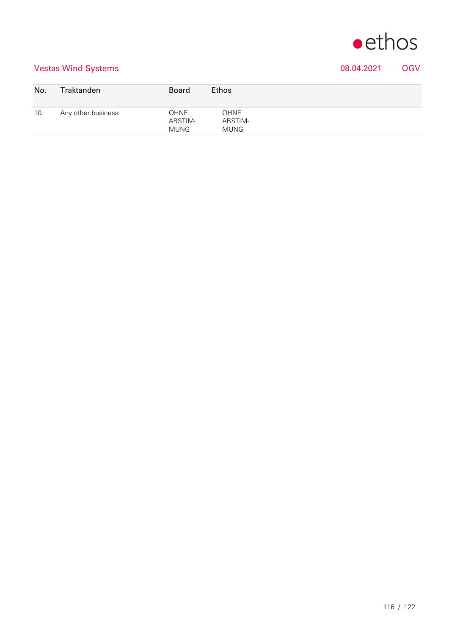

## Vestas Wind Systems 08.04.2021 OGV

| No. | Traktanden         | <b>Board</b>                          | <b>Ethos</b>                   |
|-----|--------------------|---------------------------------------|--------------------------------|
| 10. | Any other business | <b>OHNE</b><br>ABSTIM-<br><b>MUNG</b> | OHNE<br>ABSTIM-<br><b>MUNG</b> |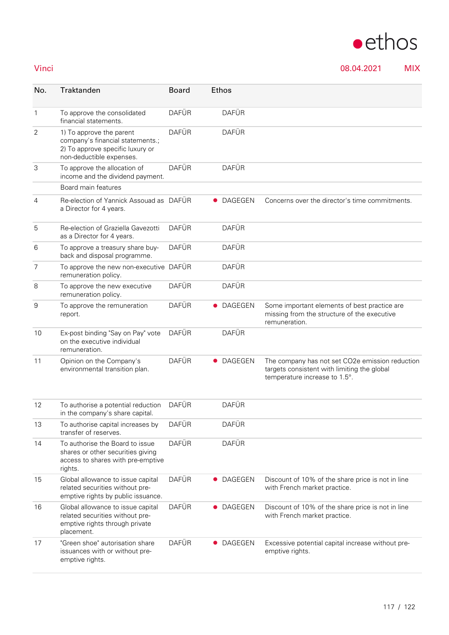# $\bullet$ ethos

Vinci 08.04.2021 MIX

| No.            | Traktanden                                                                                                                   | <b>Board</b> | Ethos          |                                                                                                                                 |
|----------------|------------------------------------------------------------------------------------------------------------------------------|--------------|----------------|---------------------------------------------------------------------------------------------------------------------------------|
| $\mathbf{1}$   | To approve the consolidated<br>financial statements.                                                                         | <b>DAFÜR</b> | <b>DAFÜR</b>   |                                                                                                                                 |
| $\overline{2}$ | 1) To approve the parent<br>company's financial statements.;<br>2) To approve specific luxury or<br>non-deductible expenses. | <b>DAFÜR</b> | <b>DAFÜR</b>   |                                                                                                                                 |
| 3              | To approve the allocation of<br>income and the dividend payment.                                                             | DAFÜR        | <b>DAFÜR</b>   |                                                                                                                                 |
|                | Board main features                                                                                                          |              |                |                                                                                                                                 |
| $\overline{4}$ | Re-election of Yannick Assouad as DAFÜR<br>a Director for 4 years.                                                           |              | <b>DAGEGEN</b> | Concerns over the director's time commitments.                                                                                  |
| 5              | Re-election of Graziella Gavezotti<br>as a Director for 4 years.                                                             | <b>DAFÜR</b> | <b>DAFÜR</b>   |                                                                                                                                 |
| 6              | To approve a treasury share buy-<br>back and disposal programme.                                                             | <b>DAFÜR</b> | <b>DAFÜR</b>   |                                                                                                                                 |
| 7              | To approve the new non-executive DAFÜR<br>remuneration policy.                                                               |              | <b>DAFÜR</b>   |                                                                                                                                 |
| 8              | To approve the new executive<br>remuneration policy.                                                                         | <b>DAFÜR</b> | <b>DAFÜR</b>   |                                                                                                                                 |
| 9              | To approve the remuneration<br>report.                                                                                       | <b>DAFÜR</b> | • DAGEGEN      | Some important elements of best practice are<br>missing from the structure of the executive<br>remuneration.                    |
| 10             | Ex-post binding "Say on Pay" vote<br>on the executive individual<br>remuneration.                                            | <b>DAFÜR</b> | <b>DAFÜR</b>   |                                                                                                                                 |
| 11             | Opinion on the Company's<br>environmental transition plan.                                                                   | <b>DAFÜR</b> | <b>DAGEGEN</b> | The company has not set CO2e emission reduction<br>targets consistent with limiting the global<br>temperature increase to 1.5°. |
| 12             | To authorise a potential reduction<br>in the company's share capital.                                                        | <b>DAFÜR</b> | <b>DAFÜR</b>   |                                                                                                                                 |
| 13             | To authorise capital increases by<br>transfer of reserves.                                                                   | <b>DAFUR</b> | <b>DAFÜR</b>   |                                                                                                                                 |
| 14             | To authorise the Board to issue<br>shares or other securities giving<br>access to shares with pre-emptive<br>rights.         | <b>DAFÜR</b> | <b>DAFÜR</b>   |                                                                                                                                 |
| 15             | Global allowance to issue capital<br>related securities without pre-<br>emptive rights by public issuance.                   | <b>DAFÜR</b> | • DAGEGEN      | Discount of 10% of the share price is not in line<br>with French market practice.                                               |
| 16             | Global allowance to issue capital<br>related securities without pre-<br>emptive rights through private<br>placement.         | <b>DAFÜR</b> | • DAGEGEN      | Discount of 10% of the share price is not in line<br>with French market practice.                                               |
| 17             | "Green shoe" autorisation share<br>issuances with or without pre-<br>emptive rights.                                         | <b>DAFÜR</b> | • DAGEGEN      | Excessive potential capital increase without pre-<br>emptive rights.                                                            |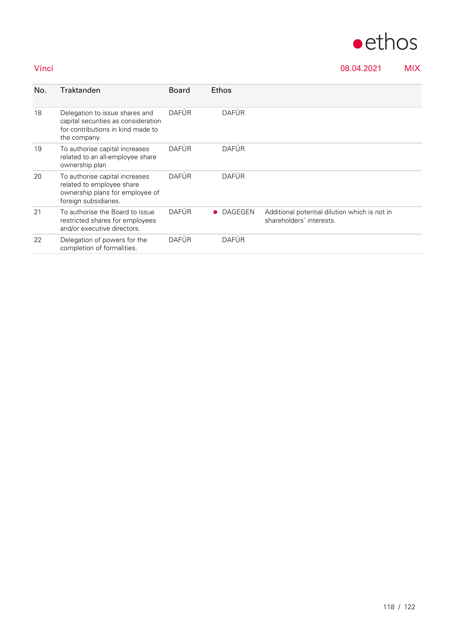# $\bullet$ ethos

Vinci 08.04.2021 MIX

| No. | Traktanden                                                                                                                 | <b>Board</b> | Ethos        |                                                                           |
|-----|----------------------------------------------------------------------------------------------------------------------------|--------------|--------------|---------------------------------------------------------------------------|
| 18  | Delegation to issue shares and<br>capital securities as consideration<br>for contributions in kind made to<br>the company. | <b>DAFÜR</b> | <b>DAFÜR</b> |                                                                           |
| 19  | To authorise capital increases<br>related to an all-employee share<br>ownership plan                                       | <b>DAFÜR</b> | <b>DAFÜR</b> |                                                                           |
| 20  | To authorise capital increases<br>related to employee share<br>ownership plans for employee of<br>foreign subsidiaries.    | <b>DAFÜR</b> | <b>DAFÜR</b> |                                                                           |
| 21  | To authorise the Board to issue<br>restricted shares for employees<br>and/or executive directors.                          | <b>DAFÜR</b> | DAGEGEN      | Additional potential dilution which is not in<br>shareholders' interests. |
| 22  | Delegation of powers for the<br>completion of formalities.                                                                 | <b>DAFÜR</b> | <b>DAFÜR</b> |                                                                           |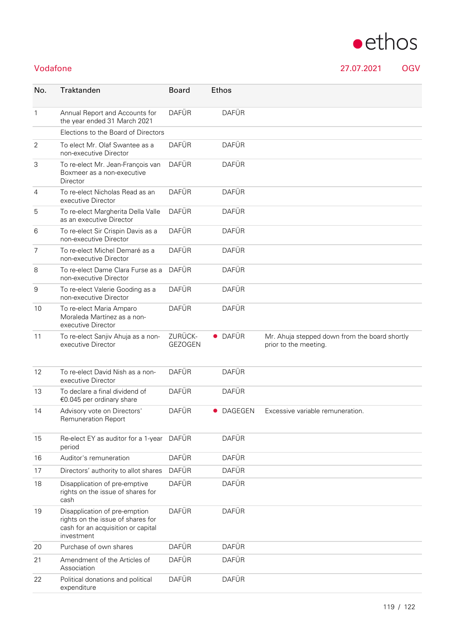

Vodafone 27.07.2021 OGV

| No.            | Traktanden                                                                                                             | <b>Board</b>              | Ethos                       |                                                                        |
|----------------|------------------------------------------------------------------------------------------------------------------------|---------------------------|-----------------------------|------------------------------------------------------------------------|
| $\mathbf{1}$   | Annual Report and Accounts for<br>the year ended 31 March 2021                                                         | <b>DAFÜR</b>              | <b>DAFÜR</b>                |                                                                        |
|                | Elections to the Board of Directors                                                                                    |                           |                             |                                                                        |
| $\overline{2}$ | To elect Mr. Olaf Swantee as a<br>non-executive Director                                                               | <b>DAFÜR</b>              | <b>DAFÜR</b>                |                                                                        |
| 3              | To re-elect Mr. Jean-François van<br>Boxmeer as a non-executive<br>Director                                            | <b>DAFÜR</b>              | <b>DAFÜR</b>                |                                                                        |
| $\overline{4}$ | To re-elect Nicholas Read as an<br>executive Director                                                                  | <b>DAFÜR</b>              | <b>DAFÜR</b>                |                                                                        |
| 5              | To re-elect Margherita Della Valle<br>as an executive Director                                                         | <b>DAFÜR</b>              | <b>DAFÜR</b>                |                                                                        |
| 6              | To re-elect Sir Crispin Davis as a<br>non-executive Director                                                           | <b>DAFÜR</b>              | <b>DAFÜR</b>                |                                                                        |
| 7              | To re-elect Michel Demaré as a<br>non-executive Director                                                               | <b>DAFÜR</b>              | <b>DAFÜR</b>                |                                                                        |
| 8              | To re-elect Dame Clara Furse as a<br>non-executive Director                                                            | DAFÜR                     | <b>DAFÜR</b>                |                                                                        |
| 9              | To re-elect Valerie Gooding as a<br>non-executive Director                                                             | <b>DAFÜR</b>              | <b>DAFÜR</b>                |                                                                        |
| 10             | To re-elect Maria Amparo<br>Moraleda Martínez as a non-<br>executive Director                                          | <b>DAFÜR</b>              | <b>DAFÜR</b>                |                                                                        |
| 11             | To re-elect Sanjiv Ahuja as a non-<br>executive Director                                                               | ZURÜCK-<br><b>GEZOGEN</b> | • DAFÜR                     | Mr. Ahuja stepped down from the board shortly<br>prior to the meeting. |
| 12             | To re-elect David Nish as a non-<br>executive Director                                                                 | <b>DAFÜR</b>              | <b>DAFÜR</b>                |                                                                        |
| 13             | To declare a final dividend of<br>€0.045 per ordinary share                                                            | <b>DAFÜR</b>              | <b>DAFÜR</b>                |                                                                        |
| 14             | Advisory vote on Directors'<br>Remuneration Report                                                                     | <b>DAFÜR</b>              | <b>DAGEGEN</b><br>$\bullet$ | Excessive variable remuneration.                                       |
| 15             | Re-elect EY as auditor for a 1-year<br>period                                                                          | <b>DAFÜR</b>              | <b>DAFÜR</b>                |                                                                        |
| 16             | Auditor's remuneration                                                                                                 | <b>DAFÜR</b>              | <b>DAFÜR</b>                |                                                                        |
| 17             | Directors' authority to allot shares                                                                                   | <b>DAFÜR</b>              | <b>DAFÜR</b>                |                                                                        |
| 18             | Disapplication of pre-emptive<br>rights on the issue of shares for<br>cash                                             | <b>DAFÜR</b>              | <b>DAFÜR</b>                |                                                                        |
| 19             | Disapplication of pre-emption<br>rights on the issue of shares for<br>cash for an acquisition or capital<br>investment | <b>DAFÜR</b>              | DAFÜR                       |                                                                        |
| 20             | Purchase of own shares                                                                                                 | <b>DAFÜR</b>              | <b>DAFÜR</b>                |                                                                        |
| 21             | Amendment of the Articles of<br>Association                                                                            | <b>DAFÜR</b>              | <b>DAFÜR</b>                |                                                                        |
| 22             | Political donations and political<br>expenditure                                                                       | <b>DAFÜR</b>              | <b>DAFÜR</b>                |                                                                        |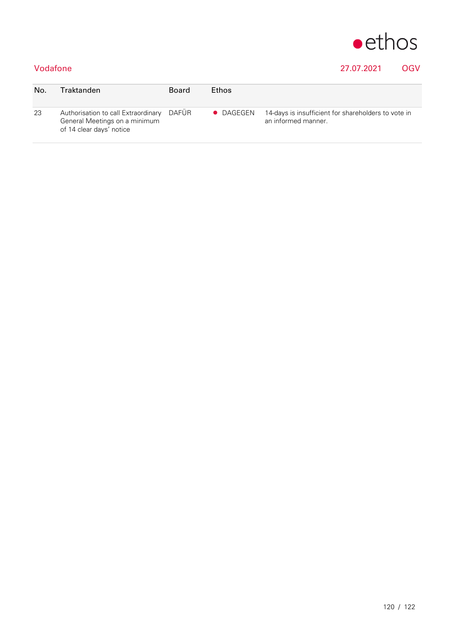

## Vodafone 27.07.2021 OGV

| No. | Traktanden                                                                                       | <b>Board</b> | Ethos     |                                                                            |
|-----|--------------------------------------------------------------------------------------------------|--------------|-----------|----------------------------------------------------------------------------|
| 23  | Authorisation to call Extraordinary<br>General Meetings on a minimum<br>of 14 clear days' notice | DAFUR        | • DAGEGEN | 14-days is insufficient for shareholders to vote in<br>an informed manner. |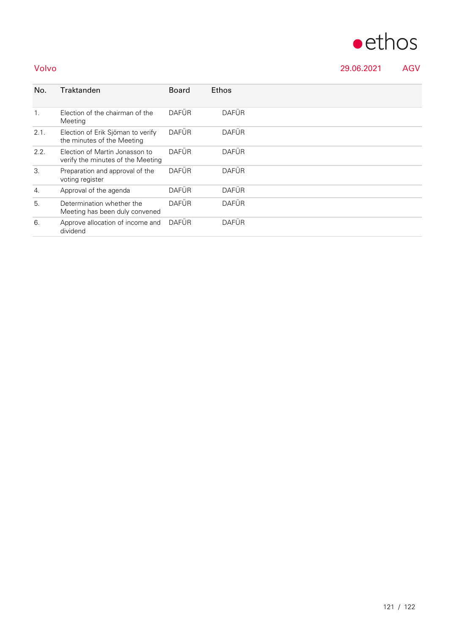

Volvo 29.06.2021 AGV

|                                                                     | <b>Board</b> | Ethos        |
|---------------------------------------------------------------------|--------------|--------------|
|                                                                     |              |              |
| Election of the chairman of the<br>Meeting                          | <b>DAFUR</b> | <b>DAFÜR</b> |
| Election of Erik Sjöman to verify<br>the minutes of the Meeting     | <b>DAFÜR</b> | <b>DAFÜR</b> |
| Election of Martin Jonasson to<br>verify the minutes of the Meeting | <b>DAFÜR</b> | <b>DAFÜR</b> |
| Preparation and approval of the<br>voting register                  | <b>DAFÜR</b> | <b>DAFÜR</b> |
| Approval of the agenda                                              | <b>DAFÜR</b> | <b>DAFÜR</b> |
| Determination whether the<br>Meeting has been duly convened         | <b>DAFÜR</b> | <b>DAFÜR</b> |
| Approve allocation of income and<br>dividend                        | DAFÜR        | <b>DAFÜR</b> |
|                                                                     | Traktanden   |              |